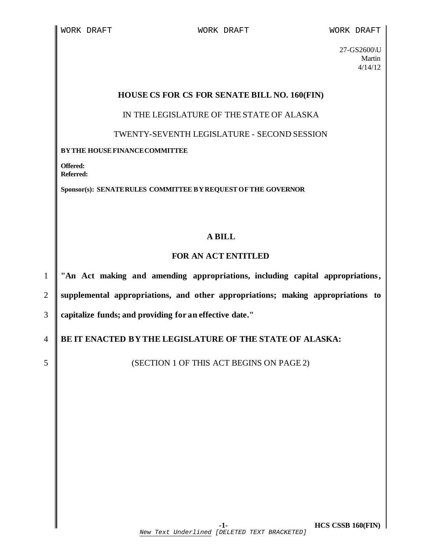27-GS2600\U Martin 4/14/12

## **HOUSE CS FOR CS FOR SENATE BILL NO. 160(FIN)**

IN THE LEGISLATURE OF THE STATE OF ALASKA

TWENTY-SEVENTH LEGISLATURE - SECOND SESSION

## **BYTHE HOUSEFINANCECOMMITTEE**

**Offered: Referred:** 

**Sponsor(s): SENATERULES COMMITTEE BYREQUESTOFTHE GOVERNOR**

## **A BILL**

## **FOR AN ACT ENTITLED**

1 **"An Act making and amending appropriations, including capital appropriations,** 2 **supplemental appropriations, and other appropriations; making appropriations to** 3 **capitalize funds; and providing for an effective date."**

4 **BE IT ENACTED BY THE LEGISLATURE OF THE STATE OF ALASKA:**

5 S S SECTION 1 OF THIS ACT BEGINS ON PAGE 2)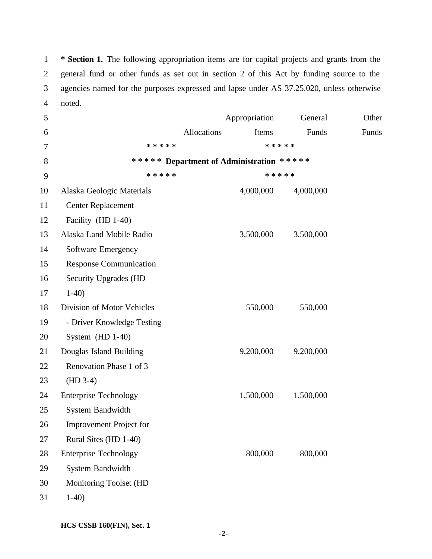**\* Section 1.** The following appropriation items are for capital projects and grants from the general fund or other funds as set out in section 2 of this Act by funding source to the agencies named for the purposes expressed and lapse under AS 37.25.020, unless otherwise noted.

| 5  |                                | Appropriation                            | General   | Other |
|----|--------------------------------|------------------------------------------|-----------|-------|
| 6  |                                | Allocations<br>Items                     | Funds     | Funds |
| 7  | * * * * *                      |                                          | * * * * * |       |
| 8  |                                | ***** Department of Administration ***** |           |       |
| 9  | * * * * *                      |                                          | * * * * * |       |
| 10 | Alaska Geologic Materials      | 4,000,000                                | 4,000,000 |       |
| 11 | <b>Center Replacement</b>      |                                          |           |       |
| 12 | Facility (HD 1-40)             |                                          |           |       |
| 13 | Alaska Land Mobile Radio       | 3,500,000                                | 3,500,000 |       |
| 14 | Software Emergency             |                                          |           |       |
| 15 | <b>Response Communication</b>  |                                          |           |       |
| 16 | <b>Security Upgrades (HD</b>   |                                          |           |       |
| 17 | $1-40$                         |                                          |           |       |
| 18 | Division of Motor Vehicles     | 550,000                                  | 550,000   |       |
| 19 | - Driver Knowledge Testing     |                                          |           |       |
| 20 | System $(HD 1-40)$             |                                          |           |       |
| 21 | Douglas Island Building        | 9,200,000                                | 9,200,000 |       |
| 22 | Renovation Phase 1 of 3        |                                          |           |       |
| 23 | $(HD 3-4)$                     |                                          |           |       |
| 24 | <b>Enterprise Technology</b>   | 1,500,000                                | 1,500,000 |       |
| 25 | System Bandwidth               |                                          |           |       |
| 26 | <b>Improvement Project for</b> |                                          |           |       |
| 27 | Rural Sites (HD 1-40)          |                                          |           |       |
| 28 | <b>Enterprise Technology</b>   | 800,000                                  | 800,000   |       |
| 29 | System Bandwidth               |                                          |           |       |
| 30 | Monitoring Toolset (HD         |                                          |           |       |
| 31 | $1-40$                         |                                          |           |       |

**HCS CSSB 160(FIN), Sec. 1**

**-2-**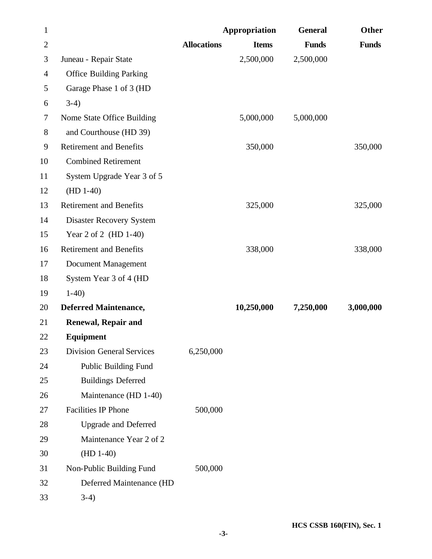| $\mathbf{1}$   |                                  |                    | Appropriation | <b>General</b> | Other        |
|----------------|----------------------------------|--------------------|---------------|----------------|--------------|
| $\overline{2}$ |                                  | <b>Allocations</b> | <b>Items</b>  | <b>Funds</b>   | <b>Funds</b> |
| 3              | Juneau - Repair State            |                    | 2,500,000     | 2,500,000      |              |
| $\overline{4}$ | <b>Office Building Parking</b>   |                    |               |                |              |
| 5              | Garage Phase 1 of 3 (HD          |                    |               |                |              |
| 6              | $3-4)$                           |                    |               |                |              |
| $\tau$         | Nome State Office Building       |                    | 5,000,000     | 5,000,000      |              |
| 8              | and Courthouse (HD 39)           |                    |               |                |              |
| 9              | <b>Retirement and Benefits</b>   |                    | 350,000       |                | 350,000      |
| 10             | <b>Combined Retirement</b>       |                    |               |                |              |
| 11             | System Upgrade Year 3 of 5       |                    |               |                |              |
| 12             | $(HD 1-40)$                      |                    |               |                |              |
| 13             | <b>Retirement and Benefits</b>   |                    | 325,000       |                | 325,000      |
| 14             | <b>Disaster Recovery System</b>  |                    |               |                |              |
| 15             | Year 2 of 2 (HD 1-40)            |                    |               |                |              |
| 16             | <b>Retirement and Benefits</b>   |                    | 338,000       |                | 338,000      |
| 17             | Document Management              |                    |               |                |              |
| 18             | System Year 3 of 4 (HD           |                    |               |                |              |
| 19             | $1-40$                           |                    |               |                |              |
| 20             | <b>Deferred Maintenance,</b>     |                    | 10,250,000    | 7,250,000      | 3,000,000    |
| 21             | <b>Renewal, Repair and</b>       |                    |               |                |              |
| 22             | Equipment                        |                    |               |                |              |
| 23             | <b>Division General Services</b> | 6,250,000          |               |                |              |
| 24             | <b>Public Building Fund</b>      |                    |               |                |              |
| 25             | <b>Buildings Deferred</b>        |                    |               |                |              |
| 26             | Maintenance (HD 1-40)            |                    |               |                |              |
| 27             | <b>Facilities IP Phone</b>       | 500,000            |               |                |              |
| 28             | <b>Upgrade and Deferred</b>      |                    |               |                |              |
| 29             | Maintenance Year 2 of 2          |                    |               |                |              |
| 30             | $(HD 1-40)$                      |                    |               |                |              |
| 31             | Non-Public Building Fund         | 500,000            |               |                |              |
| 32             | Deferred Maintenance (HD         |                    |               |                |              |
| 33             | $3-4)$                           |                    |               |                |              |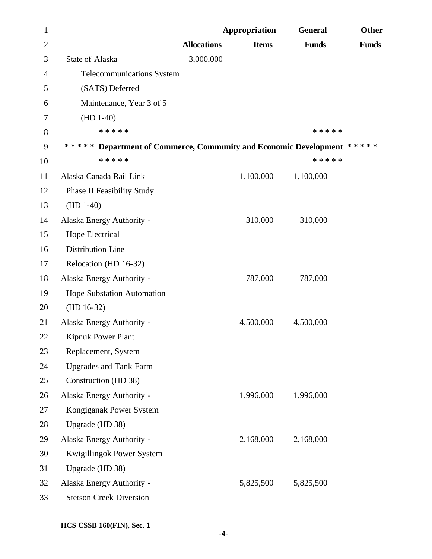| 1              |                                                                        |                    | Appropriation | <b>General</b> | Other        |
|----------------|------------------------------------------------------------------------|--------------------|---------------|----------------|--------------|
| $\overline{2}$ |                                                                        | <b>Allocations</b> | <b>Items</b>  | <b>Funds</b>   | <b>Funds</b> |
| 3              | <b>State of Alaska</b>                                                 | 3,000,000          |               |                |              |
| $\overline{4}$ | <b>Telecommunications System</b>                                       |                    |               |                |              |
| 5              | (SATS) Deferred                                                        |                    |               |                |              |
| 6              | Maintenance, Year 3 of 5                                               |                    |               |                |              |
| 7              | $(HD 1-40)$                                                            |                    |               |                |              |
| 8              | * * * * *                                                              |                    |               | * * * * *      |              |
| 9              | ***** Department of Commerce, Community and Economic Development ***** |                    |               |                |              |
| 10             | * * * * *                                                              |                    |               | * * * * *      |              |
| 11             | Alaska Canada Rail Link                                                |                    | 1,100,000     | 1,100,000      |              |
| 12             | <b>Phase II Feasibility Study</b>                                      |                    |               |                |              |
| 13             | $(HD 1-40)$                                                            |                    |               |                |              |
| 14             | Alaska Energy Authority -                                              |                    | 310,000       | 310,000        |              |
| 15             | Hope Electrical                                                        |                    |               |                |              |
| 16             | Distribution Line                                                      |                    |               |                |              |
| 17             | Relocation (HD 16-32)                                                  |                    |               |                |              |
| 18             | Alaska Energy Authority -                                              |                    | 787,000       | 787,000        |              |
| 19             | Hope Substation Automation                                             |                    |               |                |              |
| 20             | $(HD 16-32)$                                                           |                    |               |                |              |
| 21             | Alaska Energy Authority -                                              |                    | 4,500,000     | 4,500,000      |              |
| 22             | <b>Kipnuk Power Plant</b>                                              |                    |               |                |              |
| 23             | Replacement, System                                                    |                    |               |                |              |
| 24             | <b>Upgrades and Tank Farm</b>                                          |                    |               |                |              |
| 25             | Construction (HD 38)                                                   |                    |               |                |              |
| 26             | Alaska Energy Authority -                                              |                    | 1,996,000     | 1,996,000      |              |
| 27             | Kongiganak Power System                                                |                    |               |                |              |
| 28             | Upgrade (HD 38)                                                        |                    |               |                |              |
| 29             | Alaska Energy Authority -                                              |                    | 2,168,000     | 2,168,000      |              |
| 30             | Kwigillingok Power System                                              |                    |               |                |              |
| 31             | Upgrade (HD 38)                                                        |                    |               |                |              |
| 32             | Alaska Energy Authority -                                              |                    | 5,825,500     | 5,825,500      |              |
| 33             | <b>Stetson Creek Diversion</b>                                         |                    |               |                |              |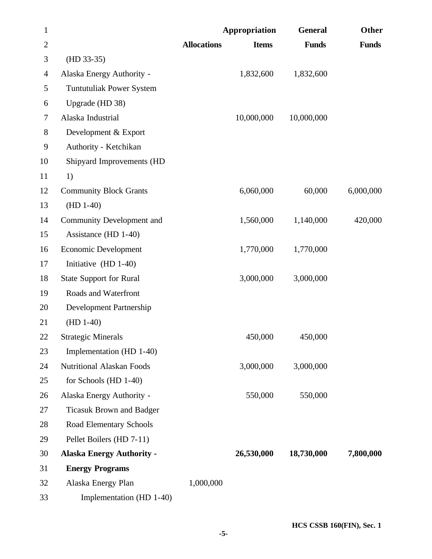| $\mathbf{1}$   |                                  |                    | Appropriation | <b>General</b> | Other        |
|----------------|----------------------------------|--------------------|---------------|----------------|--------------|
| $\overline{2}$ |                                  | <b>Allocations</b> | <b>Items</b>  | <b>Funds</b>   | <b>Funds</b> |
| 3              | $(HD 33-35)$                     |                    |               |                |              |
| 4              | Alaska Energy Authority -        |                    | 1,832,600     | 1,832,600      |              |
| 5              | <b>Tuntutuliak Power System</b>  |                    |               |                |              |
| 6              | Upgrade (HD 38)                  |                    |               |                |              |
| 7              | Alaska Industrial                |                    | 10,000,000    | 10,000,000     |              |
| 8              | Development & Export             |                    |               |                |              |
| 9              | Authority - Ketchikan            |                    |               |                |              |
| 10             | Shipyard Improvements (HD        |                    |               |                |              |
| 11             | 1)                               |                    |               |                |              |
| 12             | <b>Community Block Grants</b>    |                    | 6,060,000     | 60,000         | 6,000,000    |
| 13             | $(HD 1-40)$                      |                    |               |                |              |
| 14             | Community Development and        |                    | 1,560,000     | 1,140,000      | 420,000      |
| 15             | Assistance (HD 1-40)             |                    |               |                |              |
| 16             | Economic Development             |                    | 1,770,000     | 1,770,000      |              |
| 17             | Initiative (HD 1-40)             |                    |               |                |              |
| 18             | <b>State Support for Rural</b>   |                    | 3,000,000     | 3,000,000      |              |
| 19             | Roads and Waterfront             |                    |               |                |              |
| 20             | Development Partnership          |                    |               |                |              |
| 21             | $(HD 1-40)$                      |                    |               |                |              |
| 22             | <b>Strategic Minerals</b>        |                    | 450,000       | 450,000        |              |
| 23             | Implementation (HD 1-40)         |                    |               |                |              |
| 24             | <b>Nutritional Alaskan Foods</b> |                    | 3,000,000     | 3,000,000      |              |
| 25             | for Schools (HD 1-40)            |                    |               |                |              |
| 26             | Alaska Energy Authority -        |                    | 550,000       | 550,000        |              |
| 27             | <b>Ticasuk Brown and Badger</b>  |                    |               |                |              |
| 28             | Road Elementary Schools          |                    |               |                |              |
| 29             | Pellet Boilers (HD 7-11)         |                    |               |                |              |
| 30             | <b>Alaska Energy Authority -</b> |                    | 26,530,000    | 18,730,000     | 7,800,000    |
| 31             | <b>Energy Programs</b>           |                    |               |                |              |
| 32             | Alaska Energy Plan               | 1,000,000          |               |                |              |
| 33             | Implementation (HD 1-40)         |                    |               |                |              |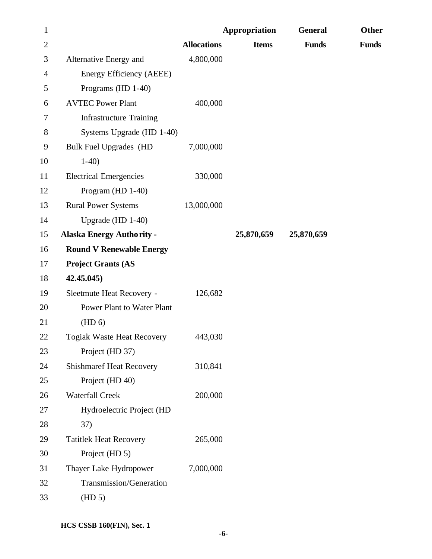| $\mathbf{1}$   |                                   |                    | Appropriation | <b>General</b> | Other        |
|----------------|-----------------------------------|--------------------|---------------|----------------|--------------|
| $\overline{2}$ |                                   | <b>Allocations</b> | <b>Items</b>  | <b>Funds</b>   | <b>Funds</b> |
| 3              | Alternative Energy and            | 4,800,000          |               |                |              |
| 4              | Energy Efficiency (AEEE)          |                    |               |                |              |
| 5              | Programs (HD 1-40)                |                    |               |                |              |
| 6              | <b>AVTEC Power Plant</b>          | 400,000            |               |                |              |
| 7              | <b>Infrastructure Training</b>    |                    |               |                |              |
| $8\,$          | Systems Upgrade (HD 1-40)         |                    |               |                |              |
| 9              | <b>Bulk Fuel Upgrades (HD</b>     | 7,000,000          |               |                |              |
| 10             | $1-40$                            |                    |               |                |              |
| 11             | <b>Electrical Emergencies</b>     | 330,000            |               |                |              |
| 12             | Program (HD 1-40)                 |                    |               |                |              |
| 13             | <b>Rural Power Systems</b>        | 13,000,000         |               |                |              |
| 14             | Upgrade (HD 1-40)                 |                    |               |                |              |
| 15             | <b>Alaska Energy Authority -</b>  |                    | 25,870,659    | 25,870,659     |              |
| 16             | <b>Round V Renewable Energy</b>   |                    |               |                |              |
| 17             | <b>Project Grants (AS</b>         |                    |               |                |              |
| 18             | 42.45.045)                        |                    |               |                |              |
| 19             | Sleetmute Heat Recovery -         | 126,682            |               |                |              |
| 20             | <b>Power Plant to Water Plant</b> |                    |               |                |              |
| 21             | (HD 6)                            |                    |               |                |              |
| 22             | <b>Togiak Waste Heat Recovery</b> | 443,030            |               |                |              |
| 23             | Project (HD 37)                   |                    |               |                |              |
| 24             | <b>Shishmaref Heat Recovery</b>   | 310,841            |               |                |              |
| 25             | Project (HD 40)                   |                    |               |                |              |
| 26             | <b>Waterfall Creek</b>            | 200,000            |               |                |              |
| 27             | Hydroelectric Project (HD         |                    |               |                |              |
| 28             | 37)                               |                    |               |                |              |
| 29             | <b>Tatitlek Heat Recovery</b>     | 265,000            |               |                |              |
| 30             | Project (HD 5)                    |                    |               |                |              |
| 31             | Thayer Lake Hydropower            | 7,000,000          |               |                |              |
| 32             | Transmission/Generation           |                    |               |                |              |
| 33             | (HD 5)                            |                    |               |                |              |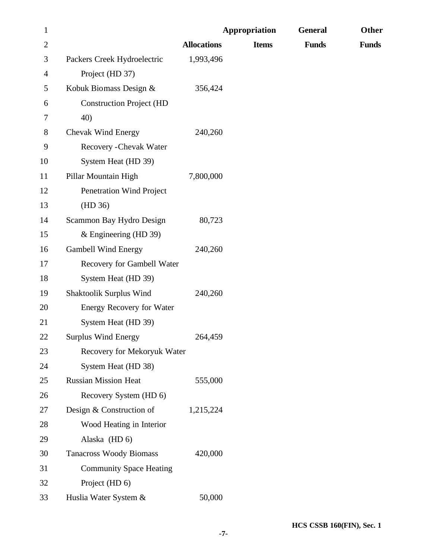| $\mathbf{1}$ |                                  |                    | Appropriation | <b>General</b> | Other        |
|--------------|----------------------------------|--------------------|---------------|----------------|--------------|
| $\mathbf{2}$ |                                  | <b>Allocations</b> | <b>Items</b>  | <b>Funds</b>   | <b>Funds</b> |
| 3            | Packers Creek Hydroelectric      | 1,993,496          |               |                |              |
| 4            | Project (HD 37)                  |                    |               |                |              |
| 5            | Kobuk Biomass Design &           | 356,424            |               |                |              |
| 6            | <b>Construction Project (HD</b>  |                    |               |                |              |
| 7            | 40)                              |                    |               |                |              |
| 8            | Chevak Wind Energy               | 240,260            |               |                |              |
| 9            | Recovery - Chevak Water          |                    |               |                |              |
| 10           | System Heat (HD 39)              |                    |               |                |              |
| 11           | Pillar Mountain High             | 7,800,000          |               |                |              |
| 12           | Penetration Wind Project         |                    |               |                |              |
| 13           | (HD 36)                          |                    |               |                |              |
| 14           | Scammon Bay Hydro Design         | 80,723             |               |                |              |
| 15           | & Engineering (HD 39)            |                    |               |                |              |
| 16           | <b>Gambell Wind Energy</b>       | 240,260            |               |                |              |
| 17           | Recovery for Gambell Water       |                    |               |                |              |
| 18           | System Heat (HD 39)              |                    |               |                |              |
| 19           | Shaktoolik Surplus Wind          | 240,260            |               |                |              |
| 20           | <b>Energy Recovery for Water</b> |                    |               |                |              |
| 21           | System Heat (HD 39)              |                    |               |                |              |
| 22           | <b>Surplus Wind Energy</b>       | 264,459            |               |                |              |
| 23           | Recovery for Mekoryuk Water      |                    |               |                |              |
| 24           | System Heat (HD 38)              |                    |               |                |              |
| 25           | <b>Russian Mission Heat</b>      | 555,000            |               |                |              |
| 26           | Recovery System (HD 6)           |                    |               |                |              |
| 27           | Design & Construction of         | 1,215,224          |               |                |              |
| 28           | Wood Heating in Interior         |                    |               |                |              |
| 29           | Alaska (HD 6)                    |                    |               |                |              |
| 30           | <b>Tanacross Woody Biomass</b>   | 420,000            |               |                |              |
| 31           | <b>Community Space Heating</b>   |                    |               |                |              |
| 32           | Project (HD 6)                   |                    |               |                |              |
| 33           | Huslia Water System &            | 50,000             |               |                |              |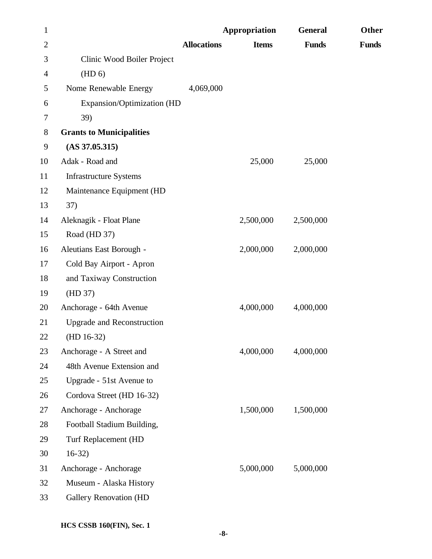| $\mathbf{1}$   |                                   |                    | Appropriation | <b>General</b> | Other        |
|----------------|-----------------------------------|--------------------|---------------|----------------|--------------|
| $\overline{2}$ |                                   | <b>Allocations</b> | <b>Items</b>  | <b>Funds</b>   | <b>Funds</b> |
| 3              | Clinic Wood Boiler Project        |                    |               |                |              |
| $\overline{4}$ | (HD <sub>6</sub> )                |                    |               |                |              |
| 5              | Nome Renewable Energy             | 4,069,000          |               |                |              |
| 6              | Expansion/Optimization (HD        |                    |               |                |              |
| 7              | 39)                               |                    |               |                |              |
| 8              | <b>Grants to Municipalities</b>   |                    |               |                |              |
| 9              | $(AS\,37.05.315)$                 |                    |               |                |              |
| 10             | Adak - Road and                   |                    | 25,000        | 25,000         |              |
| 11             | <b>Infrastructure Systems</b>     |                    |               |                |              |
| 12             | Maintenance Equipment (HD         |                    |               |                |              |
| 13             | 37)                               |                    |               |                |              |
| 14             | Aleknagik - Float Plane           |                    | 2,500,000     | 2,500,000      |              |
| 15             | Road (HD 37)                      |                    |               |                |              |
| 16             | Aleutians East Borough -          |                    | 2,000,000     | 2,000,000      |              |
| 17             | Cold Bay Airport - Apron          |                    |               |                |              |
| 18             | and Taxiway Construction          |                    |               |                |              |
| 19             | (HD 37)                           |                    |               |                |              |
| 20             | Anchorage - 64th Avenue           |                    | 4,000,000     | 4,000,000      |              |
| 21             | <b>Upgrade and Reconstruction</b> |                    |               |                |              |
| 22             | $(HD 16-32)$                      |                    |               |                |              |
| 23             | Anchorage - A Street and          |                    | 4,000,000     | 4,000,000      |              |
| 24             | 48th Avenue Extension and         |                    |               |                |              |
| 25             | Upgrade - 51st Avenue to          |                    |               |                |              |
| 26             | Cordova Street (HD 16-32)         |                    |               |                |              |
| 27             | Anchorage - Anchorage             |                    | 1,500,000     | 1,500,000      |              |
| 28             | Football Stadium Building,        |                    |               |                |              |
| 29             | Turf Replacement (HD              |                    |               |                |              |
| 30             | $16-32)$                          |                    |               |                |              |
| 31             | Anchorage - Anchorage             |                    | 5,000,000     | 5,000,000      |              |
| 32             | Museum - Alaska History           |                    |               |                |              |
| 33             | <b>Gallery Renovation (HD</b>     |                    |               |                |              |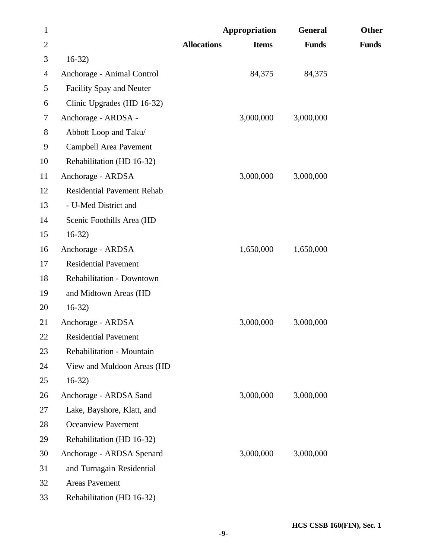| $\mathbf{1}$   |                                   |                    | Appropriation | <b>General</b> | Other        |
|----------------|-----------------------------------|--------------------|---------------|----------------|--------------|
| $\overline{2}$ |                                   | <b>Allocations</b> | <b>Items</b>  | <b>Funds</b>   | <b>Funds</b> |
| 3              | $16-32$                           |                    |               |                |              |
| 4              | Anchorage - Animal Control        |                    | 84,375        | 84,375         |              |
| 5              | Facility Spay and Neuter          |                    |               |                |              |
| 6              | Clinic Upgrades (HD 16-32)        |                    |               |                |              |
| $\tau$         | Anchorage - ARDSA -               |                    | 3,000,000     | 3,000,000      |              |
| 8              | Abbott Loop and Taku/             |                    |               |                |              |
| 9              | Campbell Area Pavement            |                    |               |                |              |
| 10             | Rehabilitation (HD 16-32)         |                    |               |                |              |
| 11             | Anchorage - ARDSA                 |                    | 3,000,000     | 3,000,000      |              |
| 12             | <b>Residential Pavement Rehab</b> |                    |               |                |              |
| 13             | - U-Med District and              |                    |               |                |              |
| 14             | Scenic Foothills Area (HD         |                    |               |                |              |
| 15             | $16-32)$                          |                    |               |                |              |
| 16             | Anchorage - ARDSA                 |                    | 1,650,000     | 1,650,000      |              |
| 17             | <b>Residential Pavement</b>       |                    |               |                |              |
| 18             | Rehabilitation - Downtown         |                    |               |                |              |
| 19             | and Midtown Areas (HD             |                    |               |                |              |
| 20             | $16-32)$                          |                    |               |                |              |
| 21             | Anchorage - ARDSA                 |                    | 3,000,000     | 3,000,000      |              |
| 22             | <b>Residential Pavement</b>       |                    |               |                |              |
| 23             | Rehabilitation - Mountain         |                    |               |                |              |
| 24             | View and Muldoon Areas (HD        |                    |               |                |              |
| 25             | $16-32)$                          |                    |               |                |              |
| 26             | Anchorage - ARDSA Sand            |                    | 3,000,000     | 3,000,000      |              |
| 27             | Lake, Bayshore, Klatt, and        |                    |               |                |              |
| 28             | <b>Oceanview Pavement</b>         |                    |               |                |              |
| 29             | Rehabilitation (HD 16-32)         |                    |               |                |              |
| 30             | Anchorage - ARDSA Spenard         |                    | 3,000,000     | 3,000,000      |              |
| 31             | and Turnagain Residential         |                    |               |                |              |
| 32             | <b>Areas Pavement</b>             |                    |               |                |              |
| 33             | Rehabilitation (HD 16-32)         |                    |               |                |              |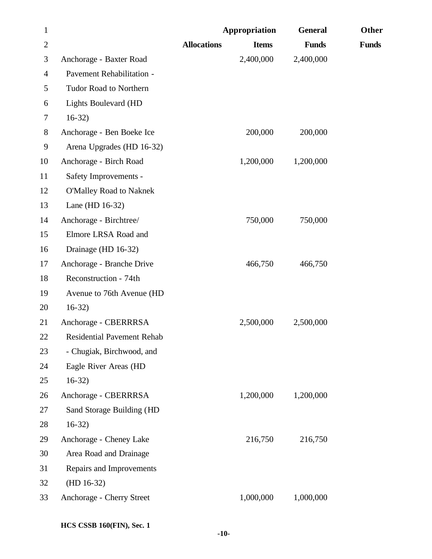| $\mathbf{1}$   |                                   |                    | Appropriation | <b>General</b> | Other        |
|----------------|-----------------------------------|--------------------|---------------|----------------|--------------|
| $\mathbf{2}$   |                                   | <b>Allocations</b> | <b>Items</b>  | <b>Funds</b>   | <b>Funds</b> |
| 3              | Anchorage - Baxter Road           |                    | 2,400,000     | 2,400,000      |              |
| $\overline{4}$ | Pavement Rehabilitation -         |                    |               |                |              |
| 5              | Tudor Road to Northern            |                    |               |                |              |
| 6              | <b>Lights Boulevard (HD</b>       |                    |               |                |              |
| 7              | $16-32$                           |                    |               |                |              |
| $8\,$          | Anchorage - Ben Boeke Ice         |                    | 200,000       | 200,000        |              |
| 9              | Arena Upgrades (HD 16-32)         |                    |               |                |              |
| 10             | Anchorage - Birch Road            |                    | 1,200,000     | 1,200,000      |              |
| 11             | Safety Improvements -             |                    |               |                |              |
| 12             | <b>O'Malley Road to Naknek</b>    |                    |               |                |              |
| 13             | Lane (HD 16-32)                   |                    |               |                |              |
| 14             | Anchorage - Birchtree/            |                    | 750,000       | 750,000        |              |
| 15             | Elmore LRSA Road and              |                    |               |                |              |
| 16             | Drainage (HD 16-32)               |                    |               |                |              |
| 17             | Anchorage - Branche Drive         |                    | 466,750       | 466,750        |              |
| 18             | Reconstruction - 74th             |                    |               |                |              |
| 19             | Avenue to 76th Avenue (HD         |                    |               |                |              |
| 20             | $16-32)$                          |                    |               |                |              |
| 21             | Anchorage - CBERRRSA              |                    | 2,500,000     | 2,500,000      |              |
| 22             | <b>Residential Pavement Rehab</b> |                    |               |                |              |
| 23             | - Chugiak, Birchwood, and         |                    |               |                |              |
| 24             | Eagle River Areas (HD             |                    |               |                |              |
| 25             | $16-32$                           |                    |               |                |              |
| 26             | Anchorage - CBERRRSA              |                    | 1,200,000     | 1,200,000      |              |
| 27             | Sand Storage Building (HD         |                    |               |                |              |
| 28             | $16-32)$                          |                    |               |                |              |
| 29             | Anchorage - Cheney Lake           |                    | 216,750       | 216,750        |              |
| 30             | Area Road and Drainage            |                    |               |                |              |
| 31             | Repairs and Improvements          |                    |               |                |              |
| 32             | $(HD 16-32)$                      |                    |               |                |              |
| 33             | Anchorage - Cherry Street         |                    | 1,000,000     | 1,000,000      |              |
|                |                                   |                    |               |                |              |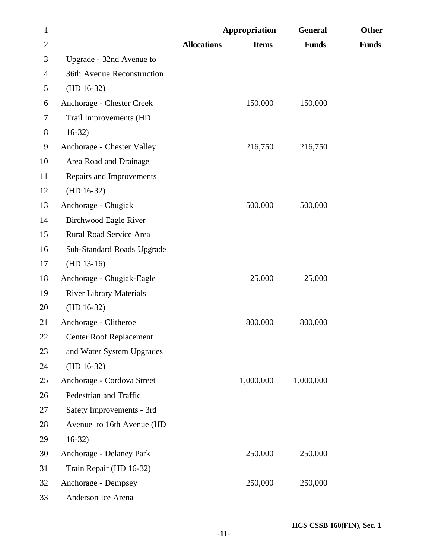| $\mathbf{1}$   |                                |                    | Appropriation | <b>General</b> | Other        |
|----------------|--------------------------------|--------------------|---------------|----------------|--------------|
| $\mathbf{2}$   |                                | <b>Allocations</b> | <b>Items</b>  | <b>Funds</b>   | <b>Funds</b> |
| 3              | Upgrade - 32nd Avenue to       |                    |               |                |              |
| $\overline{4}$ | 36th Avenue Reconstruction     |                    |               |                |              |
| 5              | $(HD 16-32)$                   |                    |               |                |              |
| 6              | Anchorage - Chester Creek      |                    | 150,000       | 150,000        |              |
| 7              | Trail Improvements (HD         |                    |               |                |              |
| 8              | $16-32)$                       |                    |               |                |              |
| 9              | Anchorage - Chester Valley     |                    | 216,750       | 216,750        |              |
| 10             | Area Road and Drainage         |                    |               |                |              |
| 11             | Repairs and Improvements       |                    |               |                |              |
| 12             | $(HD 16-32)$                   |                    |               |                |              |
| 13             | Anchorage - Chugiak            |                    | 500,000       | 500,000        |              |
| 14             | <b>Birchwood Eagle River</b>   |                    |               |                |              |
| 15             | Rural Road Service Area        |                    |               |                |              |
| 16             | Sub-Standard Roads Upgrade     |                    |               |                |              |
| 17             | $(HD 13-16)$                   |                    |               |                |              |
| 18             | Anchorage - Chugiak-Eagle      |                    | 25,000        | 25,000         |              |
| 19             | <b>River Library Materials</b> |                    |               |                |              |
| 20             | $(HD 16-32)$                   |                    |               |                |              |
| 21             | Anchorage - Clitheroe          |                    | 800,000       | 800,000        |              |
| 22             | <b>Center Roof Replacement</b> |                    |               |                |              |
| 23             | and Water System Upgrades      |                    |               |                |              |
| 24             | $(HD 16-32)$                   |                    |               |                |              |
| 25             | Anchorage - Cordova Street     |                    | 1,000,000     | 1,000,000      |              |
| 26             | Pedestrian and Traffic         |                    |               |                |              |
| 27             | Safety Improvements - 3rd      |                    |               |                |              |
| 28             | Avenue to 16th Avenue (HD      |                    |               |                |              |
| 29             | $16-32)$                       |                    |               |                |              |
| 30             | Anchorage - Delaney Park       |                    | 250,000       | 250,000        |              |
| 31             | Train Repair (HD 16-32)        |                    |               |                |              |
| 32             | Anchorage - Dempsey            |                    | 250,000       | 250,000        |              |
| 33             | Anderson Ice Arena             |                    |               |                |              |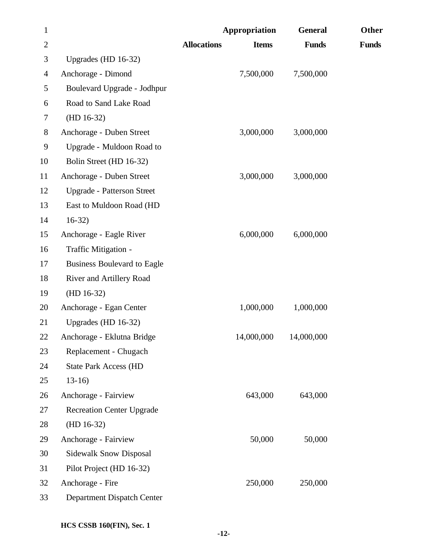| $\mathbf{1}$ |                                    | Appropriation      |              | <b>General</b> | Other        |
|--------------|------------------------------------|--------------------|--------------|----------------|--------------|
| $\mathbf{2}$ |                                    | <b>Allocations</b> | <b>Items</b> | <b>Funds</b>   | <b>Funds</b> |
| 3            | Upgrades (HD 16-32)                |                    |              |                |              |
| 4            | Anchorage - Dimond                 |                    | 7,500,000    | 7,500,000      |              |
| 5            | Boulevard Upgrade - Jodhpur        |                    |              |                |              |
| 6            | Road to Sand Lake Road             |                    |              |                |              |
| 7            | $(HD 16-32)$                       |                    |              |                |              |
| $8\,$        | Anchorage - Duben Street           |                    | 3,000,000    | 3,000,000      |              |
| 9            | Upgrade - Muldoon Road to          |                    |              |                |              |
| 10           | Bolin Street (HD 16-32)            |                    |              |                |              |
| 11           | Anchorage - Duben Street           |                    | 3,000,000    | 3,000,000      |              |
| 12           | <b>Upgrade - Patterson Street</b>  |                    |              |                |              |
| 13           | East to Muldoon Road (HD           |                    |              |                |              |
| 14           | $16-32)$                           |                    |              |                |              |
| 15           | Anchorage - Eagle River            |                    | 6,000,000    | 6,000,000      |              |
| 16           | Traffic Mitigation -               |                    |              |                |              |
| 17           | <b>Business Boulevard to Eagle</b> |                    |              |                |              |
| 18           | River and Artillery Road           |                    |              |                |              |
| 19           | $(HD 16-32)$                       |                    |              |                |              |
| 20           | Anchorage - Egan Center            |                    | 1,000,000    | 1,000,000      |              |
| 21           | Upgrades (HD 16-32)                |                    |              |                |              |
| 22           | Anchorage - Eklutna Bridge         |                    | 14,000,000   | 14,000,000     |              |
| 23           | Replacement - Chugach              |                    |              |                |              |
| 24           | <b>State Park Access (HD</b>       |                    |              |                |              |
| 25           | $13-16$                            |                    |              |                |              |
| 26           | Anchorage - Fairview               |                    | 643,000      | 643,000        |              |
| 27           | <b>Recreation Center Upgrade</b>   |                    |              |                |              |
| 28           | $(HD 16-32)$                       |                    |              |                |              |
| 29           | Anchorage - Fairview               |                    | 50,000       | 50,000         |              |
| 30           | <b>Sidewalk Snow Disposal</b>      |                    |              |                |              |
| 31           | Pilot Project (HD 16-32)           |                    |              |                |              |
| 32           | Anchorage - Fire                   |                    | 250,000      | 250,000        |              |
| 33           | Department Dispatch Center         |                    |              |                |              |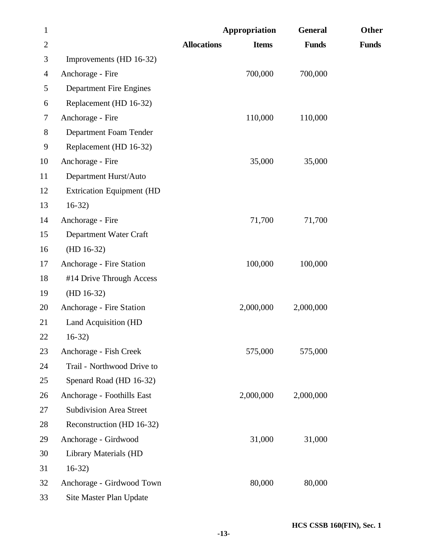| $\mathbf{1}$   |                                  | Appropriation                      | <b>General</b> | Other        |
|----------------|----------------------------------|------------------------------------|----------------|--------------|
| $\overline{2}$ |                                  | <b>Allocations</b><br><b>Items</b> | <b>Funds</b>   | <b>Funds</b> |
| 3              | Improvements (HD 16-32)          |                                    |                |              |
| $\overline{4}$ | Anchorage - Fire                 | 700,000                            | 700,000        |              |
| 5              | <b>Department Fire Engines</b>   |                                    |                |              |
| 6              | Replacement (HD 16-32)           |                                    |                |              |
| 7              | Anchorage - Fire                 | 110,000                            | 110,000        |              |
| $8\,$          | Department Foam Tender           |                                    |                |              |
| 9              | Replacement (HD 16-32)           |                                    |                |              |
| 10             | Anchorage - Fire                 | 35,000                             | 35,000         |              |
| 11             | Department Hurst/Auto            |                                    |                |              |
| 12             | <b>Extrication Equipment (HD</b> |                                    |                |              |
| 13             | $16-32)$                         |                                    |                |              |
| 14             | Anchorage - Fire                 | 71,700                             | 71,700         |              |
| 15             | Department Water Craft           |                                    |                |              |
| 16             | $(HD 16-32)$                     |                                    |                |              |
| 17             | Anchorage - Fire Station         | 100,000                            | 100,000        |              |
| 18             | #14 Drive Through Access         |                                    |                |              |
| 19             | $(HD 16-32)$                     |                                    |                |              |
| 20             | Anchorage - Fire Station         | 2,000,000                          | 2,000,000      |              |
| 21             | <b>Land Acquisition (HD</b>      |                                    |                |              |
| 22             | $16-32)$                         |                                    |                |              |
| 23             | Anchorage - Fish Creek           | 575,000                            | 575,000        |              |
| 24             | Trail - Northwood Drive to       |                                    |                |              |
| 25             | Spenard Road (HD 16-32)          |                                    |                |              |
| 26             | Anchorage - Foothills East       | 2,000,000                          | 2,000,000      |              |
| 27             | <b>Subdivision Area Street</b>   |                                    |                |              |
| 28             | Reconstruction (HD 16-32)        |                                    |                |              |
| 29             | Anchorage - Girdwood             | 31,000                             | 31,000         |              |
| 30             | Library Materials (HD            |                                    |                |              |
| 31             | $16-32)$                         |                                    |                |              |
| 32             | Anchorage - Girdwood Town        | 80,000                             | 80,000         |              |
| 33             | Site Master Plan Update          |                                    |                |              |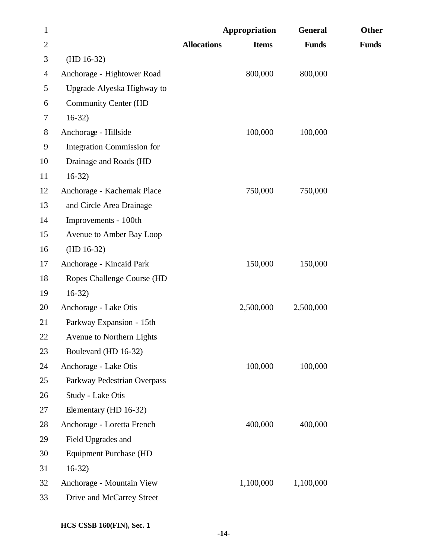| $\mathbf{1}$ |                               |                    | Appropriation | <b>General</b> | Other        |
|--------------|-------------------------------|--------------------|---------------|----------------|--------------|
| $\mathbf{2}$ |                               | <b>Allocations</b> | <b>Items</b>  | <b>Funds</b>   | <b>Funds</b> |
| 3            | $(HD 16-32)$                  |                    |               |                |              |
| 4            | Anchorage - Hightower Road    |                    | 800,000       | 800,000        |              |
| 5            | Upgrade Alyeska Highway to    |                    |               |                |              |
| 6            | <b>Community Center (HD</b>   |                    |               |                |              |
| $\tau$       | $16-32$                       |                    |               |                |              |
| $8\,$        | Anchorage - Hillside          |                    | 100,000       | 100,000        |              |
| 9            | Integration Commission for    |                    |               |                |              |
| 10           | Drainage and Roads (HD        |                    |               |                |              |
| 11           | $16-32)$                      |                    |               |                |              |
| 12           | Anchorage - Kachemak Place    |                    | 750,000       | 750,000        |              |
| 13           | and Circle Area Drainage      |                    |               |                |              |
| 14           | Improvements - 100th          |                    |               |                |              |
| 15           | Avenue to Amber Bay Loop      |                    |               |                |              |
| 16           | $(HD 16-32)$                  |                    |               |                |              |
| 17           | Anchorage - Kincaid Park      |                    | 150,000       | 150,000        |              |
| 18           | Ropes Challenge Course (HD    |                    |               |                |              |
| 19           | $16-32$                       |                    |               |                |              |
| 20           | Anchorage - Lake Otis         |                    | 2,500,000     | 2,500,000      |              |
| 21           | Parkway Expansion - 15th      |                    |               |                |              |
| 22           | Avenue to Northern Lights     |                    |               |                |              |
| 23           | Boulevard (HD 16-32)          |                    |               |                |              |
| 24           | Anchorage - Lake Otis         |                    | 100,000       | 100,000        |              |
| 25           | Parkway Pedestrian Overpass   |                    |               |                |              |
| 26           | Study - Lake Otis             |                    |               |                |              |
| 27           | Elementary (HD 16-32)         |                    |               |                |              |
| 28           | Anchorage - Loretta French    |                    | 400,000       | 400,000        |              |
| 29           | Field Upgrades and            |                    |               |                |              |
| 30           | <b>Equipment Purchase (HD</b> |                    |               |                |              |
| 31           | $16-32$                       |                    |               |                |              |
| 32           | Anchorage - Mountain View     |                    | 1,100,000     | 1,100,000      |              |
| 33           | Drive and McCarrey Street     |                    |               |                |              |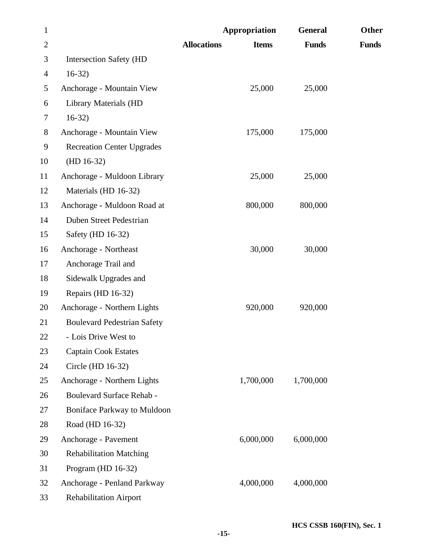| $\mathbf{1}$   |                                    | Appropriation                      | <b>General</b> | Other        |
|----------------|------------------------------------|------------------------------------|----------------|--------------|
| $\overline{2}$ |                                    | <b>Allocations</b><br><b>Items</b> | <b>Funds</b>   | <b>Funds</b> |
| 3              | <b>Intersection Safety (HD</b>     |                                    |                |              |
| $\overline{4}$ | $16-32)$                           |                                    |                |              |
| 5              | Anchorage - Mountain View          | 25,000                             | 25,000         |              |
| 6              | Library Materials (HD              |                                    |                |              |
| 7              | $16-32)$                           |                                    |                |              |
| $8\,$          | Anchorage - Mountain View          | 175,000                            | 175,000        |              |
| 9              | <b>Recreation Center Upgrades</b>  |                                    |                |              |
| 10             | $(HD 16-32)$                       |                                    |                |              |
| 11             | Anchorage - Muldoon Library        | 25,000                             | 25,000         |              |
| 12             | Materials (HD 16-32)               |                                    |                |              |
| 13             | Anchorage - Muldoon Road at        | 800,000                            | 800,000        |              |
| 14             | Duben Street Pedestrian            |                                    |                |              |
| 15             | Safety (HD 16-32)                  |                                    |                |              |
| 16             | Anchorage - Northeast              | 30,000                             | 30,000         |              |
| 17             | Anchorage Trail and                |                                    |                |              |
| 18             | Sidewalk Upgrades and              |                                    |                |              |
| 19             | Repairs (HD 16-32)                 |                                    |                |              |
| 20             | Anchorage - Northern Lights        | 920,000                            | 920,000        |              |
| 21             | <b>Boulevard Pedestrian Safety</b> |                                    |                |              |
| 22             | - Lois Drive West to               |                                    |                |              |
| 23             | <b>Captain Cook Estates</b>        |                                    |                |              |
| 24             | Circle (HD 16-32)                  |                                    |                |              |
| 25             | Anchorage - Northern Lights        | 1,700,000                          | 1,700,000      |              |
| 26             | Boulevard Surface Rehab -          |                                    |                |              |
| 27             | <b>Boniface Parkway to Muldoon</b> |                                    |                |              |
| 28             | Road (HD 16-32)                    |                                    |                |              |
| 29             | Anchorage - Pavement               | 6,000,000                          | 6,000,000      |              |
| 30             | <b>Rehabilitation Matching</b>     |                                    |                |              |
| 31             | Program (HD 16-32)                 |                                    |                |              |
| 32             | Anchorage - Penland Parkway        | 4,000,000                          | 4,000,000      |              |
| 33             | <b>Rehabilitation Airport</b>      |                                    |                |              |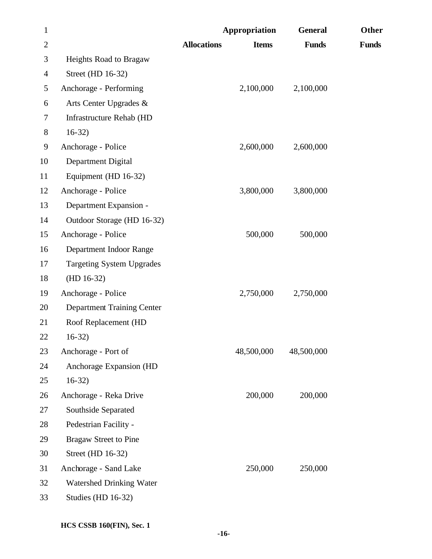| $\mathbf{1}$   |                                   |                    | Appropriation | <b>General</b> | Other        |
|----------------|-----------------------------------|--------------------|---------------|----------------|--------------|
| $\mathbf{2}$   |                                   | <b>Allocations</b> | <b>Items</b>  | <b>Funds</b>   | <b>Funds</b> |
| 3              | Heights Road to Bragaw            |                    |               |                |              |
| $\overline{4}$ | Street (HD 16-32)                 |                    |               |                |              |
| 5              | Anchorage - Performing            |                    | 2,100,000     | 2,100,000      |              |
| 6              | Arts Center Upgrades &            |                    |               |                |              |
| 7              | Infrastructure Rehab (HD          |                    |               |                |              |
| $8\,$          | $16-32)$                          |                    |               |                |              |
| 9              | Anchorage - Police                |                    | 2,600,000     | 2,600,000      |              |
| 10             | Department Digital                |                    |               |                |              |
| 11             | Equipment (HD 16-32)              |                    |               |                |              |
| 12             | Anchorage - Police                |                    | 3,800,000     | 3,800,000      |              |
| 13             | Department Expansion -            |                    |               |                |              |
| 14             | Outdoor Storage (HD 16-32)        |                    |               |                |              |
| 15             | Anchorage - Police                |                    | 500,000       | 500,000        |              |
| 16             | Department Indoor Range           |                    |               |                |              |
| 17             | <b>Targeting System Upgrades</b>  |                    |               |                |              |
| 18             | $(HD 16-32)$                      |                    |               |                |              |
| 19             | Anchorage - Police                |                    | 2,750,000     | 2,750,000      |              |
| 20             | <b>Department Training Center</b> |                    |               |                |              |
| 21             | Roof Replacement (HD              |                    |               |                |              |
| 22             | $16-32$                           |                    |               |                |              |
| 23             | Anchorage - Port of               |                    | 48,500,000    | 48,500,000     |              |
| 24             | Anchorage Expansion (HD           |                    |               |                |              |
| 25             | $16-32)$                          |                    |               |                |              |
| 26             | Anchorage - Reka Drive            |                    | 200,000       | 200,000        |              |
| 27             | Southside Separated               |                    |               |                |              |
| 28             | Pedestrian Facility -             |                    |               |                |              |
| 29             | <b>Bragaw Street to Pine</b>      |                    |               |                |              |
| 30             | Street (HD 16-32)                 |                    |               |                |              |
| 31             | Anchorage - Sand Lake             |                    | 250,000       | 250,000        |              |
| 32             | Watershed Drinking Water          |                    |               |                |              |
| 33             | Studies (HD 16-32)                |                    |               |                |              |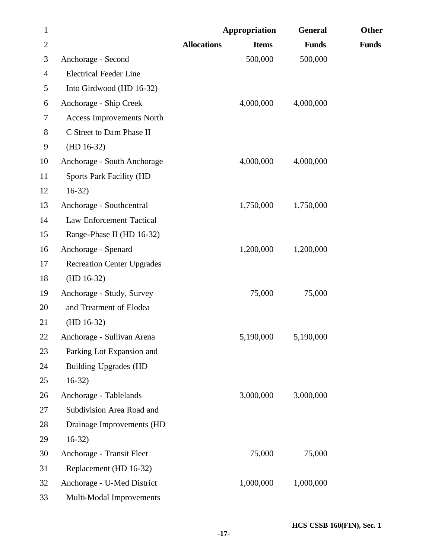| $\mathbf{1}$   |                                   |                    | Appropriation | <b>General</b> | Other        |
|----------------|-----------------------------------|--------------------|---------------|----------------|--------------|
| $\overline{2}$ |                                   | <b>Allocations</b> | <b>Items</b>  | <b>Funds</b>   | <b>Funds</b> |
| 3              | Anchorage - Second                |                    | 500,000       | 500,000        |              |
| 4              | <b>Electrical Feeder Line</b>     |                    |               |                |              |
| 5              | Into Girdwood (HD 16-32)          |                    |               |                |              |
| 6              | Anchorage - Ship Creek            |                    | 4,000,000     | 4,000,000      |              |
| 7              | <b>Access Improvements North</b>  |                    |               |                |              |
| 8              | C Street to Dam Phase II          |                    |               |                |              |
| 9              | $(HD 16-32)$                      |                    |               |                |              |
| 10             | Anchorage - South Anchorage       |                    | 4,000,000     | 4,000,000      |              |
| 11             | <b>Sports Park Facility (HD</b>   |                    |               |                |              |
| 12             | $16-32)$                          |                    |               |                |              |
| 13             | Anchorage - Southcentral          |                    | 1,750,000     | 1,750,000      |              |
| 14             | <b>Law Enforcement Tactical</b>   |                    |               |                |              |
| 15             | Range-Phase II (HD 16-32)         |                    |               |                |              |
| 16             | Anchorage - Spenard               |                    | 1,200,000     | 1,200,000      |              |
| 17             | <b>Recreation Center Upgrades</b> |                    |               |                |              |
| 18             | $(HD 16-32)$                      |                    |               |                |              |
| 19             | Anchorage - Study, Survey         |                    | 75,000        | 75,000         |              |
| 20             | and Treatment of Elodea           |                    |               |                |              |
| 21             | $(HD 16-32)$                      |                    |               |                |              |
| 22             | Anchorage - Sullivan Arena        |                    | 5,190,000     | 5,190,000      |              |
| 23             | Parking Lot Expansion and         |                    |               |                |              |
| 24             | <b>Building Upgrades (HD</b>      |                    |               |                |              |
| 25             | $16-32)$                          |                    |               |                |              |
| 26             | Anchorage - Tablelands            |                    | 3,000,000     | 3,000,000      |              |
| 27             | Subdivision Area Road and         |                    |               |                |              |
| 28             | Drainage Improvements (HD         |                    |               |                |              |
| 29             | $16-32)$                          |                    |               |                |              |
| 30             | Anchorage - Transit Fleet         |                    | 75,000        | 75,000         |              |
| 31             | Replacement (HD 16-32)            |                    |               |                |              |
| 32             | Anchorage - U-Med District        |                    | 1,000,000     | 1,000,000      |              |
| 33             | Multi-Modal Improvements          |                    |               |                |              |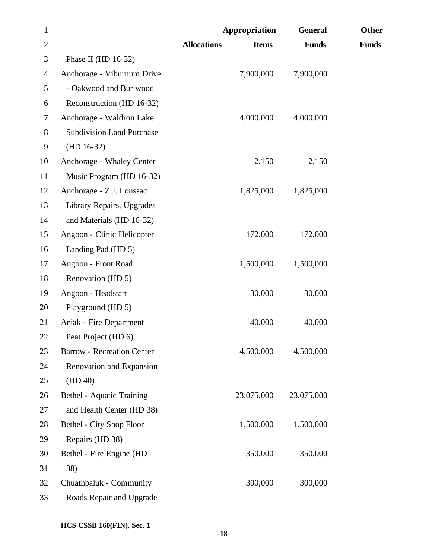| $\mathbf{1}$     |                                   | Appropriation                      | <b>General</b> | Other        |
|------------------|-----------------------------------|------------------------------------|----------------|--------------|
| $\mathbf{2}$     |                                   | <b>Allocations</b><br><b>Items</b> | <b>Funds</b>   | <b>Funds</b> |
| 3                | Phase II (HD $16-32$ )            |                                    |                |              |
| $\overline{4}$   | Anchorage - Viburnum Drive        | 7,900,000                          | 7,900,000      |              |
| 5                | - Oakwood and Burlwood            |                                    |                |              |
| 6                | Reconstruction (HD 16-32)         |                                    |                |              |
| $\tau$           | Anchorage - Waldron Lake          | 4,000,000                          | 4,000,000      |              |
| $8\,$            | <b>Subdivision Land Purchase</b>  |                                    |                |              |
| $\boldsymbol{9}$ | $(HD 16-32)$                      |                                    |                |              |
| 10               | Anchorage - Whaley Center         | 2,150                              | 2,150          |              |
| 11               | Music Program (HD 16-32)          |                                    |                |              |
| 12               | Anchorage - Z.J. Loussac          | 1,825,000                          | 1,825,000      |              |
| 13               | Library Repairs, Upgrades         |                                    |                |              |
| 14               | and Materials (HD 16-32)          |                                    |                |              |
| 15               | Angoon - Clinic Helicopter        | 172,000                            | 172,000        |              |
| 16               | Landing Pad (HD 5)                |                                    |                |              |
| 17               | Angoon - Front Road               | 1,500,000                          | 1,500,000      |              |
| 18               | Renovation (HD 5)                 |                                    |                |              |
| 19               | Angoon - Headstart                | 30,000                             | 30,000         |              |
| 20               | Playground (HD 5)                 |                                    |                |              |
| 21               | Aniak - Fire Department           | 40,000                             | 40,000         |              |
| 22               | Peat Project (HD 6)               |                                    |                |              |
| 23               | <b>Barrow - Recreation Center</b> | 4,500,000                          | 4,500,000      |              |
| 24               | Renovation and Expansion          |                                    |                |              |
| 25               | (HD 40)                           |                                    |                |              |
| 26               | Bethel - Aquatic Training         | 23,075,000                         | 23,075,000     |              |
| 27               | and Health Center (HD 38)         |                                    |                |              |
| 28               | Bethel - City Shop Floor          | 1,500,000                          | 1,500,000      |              |
| 29               | Repairs (HD 38)                   |                                    |                |              |
| 30               | Bethel - Fire Engine (HD          | 350,000                            | 350,000        |              |
| 31               | 38)                               |                                    |                |              |
| 32               | Chuathbaluk - Community           | 300,000                            | 300,000        |              |
| 33               | Roads Repair and Upgrade          |                                    |                |              |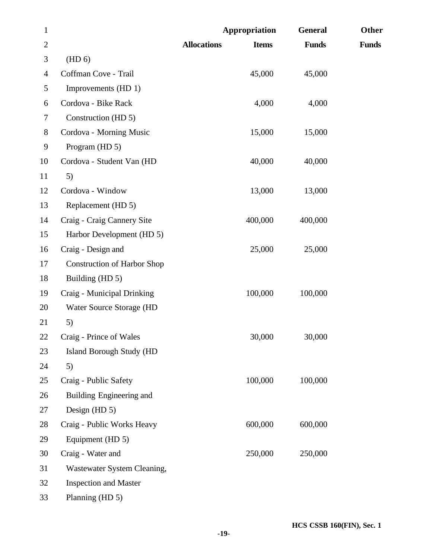| $\mathbf{1}$   |                                    | Appropriation                      | <b>General</b> | <b>Other</b> |
|----------------|------------------------------------|------------------------------------|----------------|--------------|
| $\overline{2}$ |                                    | <b>Allocations</b><br><b>Items</b> | <b>Funds</b>   | <b>Funds</b> |
| 3              | (HD 6)                             |                                    |                |              |
| 4              | Coffman Cove - Trail               | 45,000                             | 45,000         |              |
| 5              | Improvements (HD 1)                |                                    |                |              |
| 6              | Cordova - Bike Rack                | 4,000                              | 4,000          |              |
| 7              | Construction (HD 5)                |                                    |                |              |
| 8              | Cordova - Morning Music            | 15,000                             | 15,000         |              |
| 9              | Program (HD 5)                     |                                    |                |              |
| 10             | Cordova - Student Van (HD          | 40,000                             | 40,000         |              |
| 11             | 5)                                 |                                    |                |              |
| 12             | Cordova - Window                   | 13,000                             | 13,000         |              |
| 13             | Replacement (HD 5)                 |                                    |                |              |
| 14             | Craig - Craig Cannery Site         | 400,000                            | 400,000        |              |
| 15             | Harbor Development (HD 5)          |                                    |                |              |
| 16             | Craig - Design and                 | 25,000                             | 25,000         |              |
| 17             | <b>Construction of Harbor Shop</b> |                                    |                |              |
| 18             | Building (HD 5)                    |                                    |                |              |
| 19             | Craig - Municipal Drinking         | 100,000                            | 100,000        |              |
| 20             | Water Source Storage (HD           |                                    |                |              |
| 21             | 5)                                 |                                    |                |              |
| 22             | Craig - Prince of Wales            | 30,000                             | 30,000         |              |
| 23             | <b>Island Borough Study (HD</b>    |                                    |                |              |
| 24             | 5)                                 |                                    |                |              |
| 25             | Craig - Public Safety              | 100,000                            | 100,000        |              |
| 26             | Building Engineering and           |                                    |                |              |
| 27             | Design $(HD 5)$                    |                                    |                |              |
| 28             | Craig - Public Works Heavy         | 600,000                            | 600,000        |              |
| 29             | Equipment (HD 5)                   |                                    |                |              |
| 30             | Craig - Water and                  | 250,000                            | 250,000        |              |
| 31             | Wastewater System Cleaning,        |                                    |                |              |
| 32             | <b>Inspection and Master</b>       |                                    |                |              |
| 33             | Planning (HD 5)                    |                                    |                |              |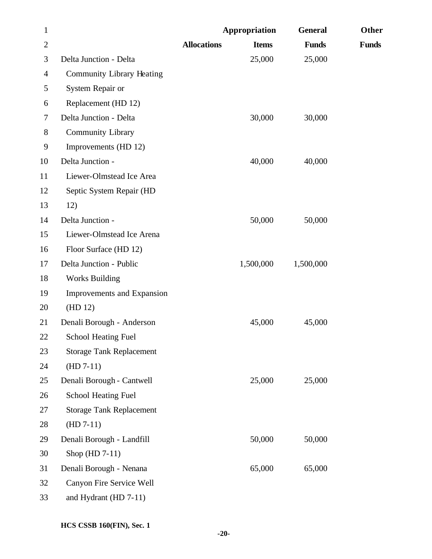| $\mathbf{1}$   |                                  |                    | Appropriation | <b>General</b> | <b>Other</b> |
|----------------|----------------------------------|--------------------|---------------|----------------|--------------|
| $\overline{2}$ |                                  | <b>Allocations</b> | <b>Items</b>  | <b>Funds</b>   | <b>Funds</b> |
| 3              | Delta Junction - Delta           |                    | 25,000        | 25,000         |              |
| $\overline{4}$ | <b>Community Library Heating</b> |                    |               |                |              |
| 5              | System Repair or                 |                    |               |                |              |
| 6              | Replacement (HD 12)              |                    |               |                |              |
| 7              | Delta Junction - Delta           |                    | 30,000        | 30,000         |              |
| $8\,$          | <b>Community Library</b>         |                    |               |                |              |
| 9              | Improvements (HD 12)             |                    |               |                |              |
| 10             | Delta Junction -                 |                    | 40,000        | 40,000         |              |
| 11             | Liewer-Olmstead Ice Area         |                    |               |                |              |
| 12             | Septic System Repair (HD         |                    |               |                |              |
| 13             | 12)                              |                    |               |                |              |
| 14             | Delta Junction -                 |                    | 50,000        | 50,000         |              |
| 15             | Liewer-Olmstead Ice Arena        |                    |               |                |              |
| 16             | Floor Surface (HD 12)            |                    |               |                |              |
| 17             | Delta Junction - Public          |                    | 1,500,000     | 1,500,000      |              |
| 18             | <b>Works Building</b>            |                    |               |                |              |
| 19             | Improvements and Expansion       |                    |               |                |              |
| 20             | (HD 12)                          |                    |               |                |              |
| 21             | Denali Borough - Anderson        |                    | 45,000        | 45,000         |              |
| 22             | <b>School Heating Fuel</b>       |                    |               |                |              |
| 23             | <b>Storage Tank Replacement</b>  |                    |               |                |              |
| 24             | $(HD 7-11)$                      |                    |               |                |              |
| 25             | Denali Borough - Cantwell        |                    | 25,000        | 25,000         |              |
| 26             | <b>School Heating Fuel</b>       |                    |               |                |              |
| 27             | <b>Storage Tank Replacement</b>  |                    |               |                |              |
| 28             | $(HD 7-11)$                      |                    |               |                |              |
| 29             | Denali Borough - Landfill        |                    | 50,000        | 50,000         |              |
| 30             | Shop $(HD 7-11)$                 |                    |               |                |              |
| 31             | Denali Borough - Nenana          |                    | 65,000        | 65,000         |              |
| 32             | Canyon Fire Service Well         |                    |               |                |              |
| 33             | and Hydrant (HD 7-11)            |                    |               |                |              |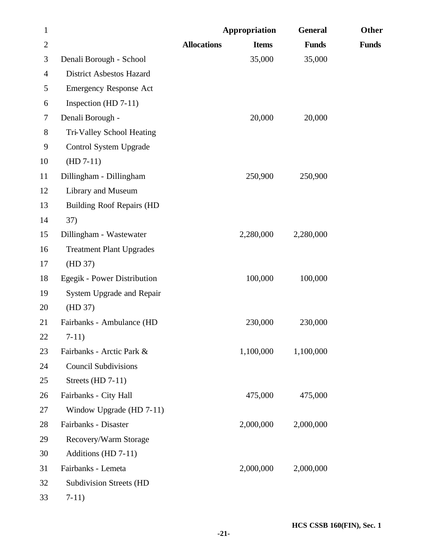| $\mathbf{1}$   |                                  |                    | Appropriation | <b>General</b> | Other        |
|----------------|----------------------------------|--------------------|---------------|----------------|--------------|
| $\overline{2}$ |                                  | <b>Allocations</b> | <b>Items</b>  | <b>Funds</b>   | <b>Funds</b> |
| 3              | Denali Borough - School          |                    | 35,000        | 35,000         |              |
| $\overline{4}$ | <b>District Asbestos Hazard</b>  |                    |               |                |              |
| 5              | <b>Emergency Response Act</b>    |                    |               |                |              |
| 6              | Inspection (HD $7-11$ )          |                    |               |                |              |
| 7              | Denali Borough -                 |                    | 20,000        | 20,000         |              |
| $8\,$          | Tri-Valley School Heating        |                    |               |                |              |
| 9              | Control System Upgrade           |                    |               |                |              |
| 10             | $(HD 7-11)$                      |                    |               |                |              |
| 11             | Dillingham - Dillingham          |                    | 250,900       | 250,900        |              |
| 12             | Library and Museum               |                    |               |                |              |
| 13             | <b>Building Roof Repairs (HD</b> |                    |               |                |              |
| 14             | 37)                              |                    |               |                |              |
| 15             | Dillingham - Wastewater          |                    | 2,280,000     | 2,280,000      |              |
| 16             | <b>Treatment Plant Upgrades</b>  |                    |               |                |              |
| 17             | (HD 37)                          |                    |               |                |              |
| 18             | Egegik - Power Distribution      |                    | 100,000       | 100,000        |              |
| 19             | System Upgrade and Repair        |                    |               |                |              |
| 20             | (HD 37)                          |                    |               |                |              |
| 21             | Fairbanks - Ambulance (HD        |                    | 230,000       | 230,000        |              |
| 22             | $7-11)$                          |                    |               |                |              |
| 23             | Fairbanks - Arctic Park &        |                    | 1,100,000     | 1,100,000      |              |
| 24             | <b>Council Subdivisions</b>      |                    |               |                |              |
| 25             | Streets (HD 7-11)                |                    |               |                |              |
| 26             | Fairbanks - City Hall            |                    | 475,000       | 475,000        |              |
| 27             | Window Upgrade (HD 7-11)         |                    |               |                |              |
| 28             | Fairbanks - Disaster             |                    | 2,000,000     | 2,000,000      |              |
| 29             | Recovery/Warm Storage            |                    |               |                |              |
| 30             | Additions (HD 7-11)              |                    |               |                |              |
| 31             | Fairbanks - Lemeta               |                    | 2,000,000     | 2,000,000      |              |
| 32             | <b>Subdivision Streets (HD</b>   |                    |               |                |              |
| 33             | $7-11)$                          |                    |               |                |              |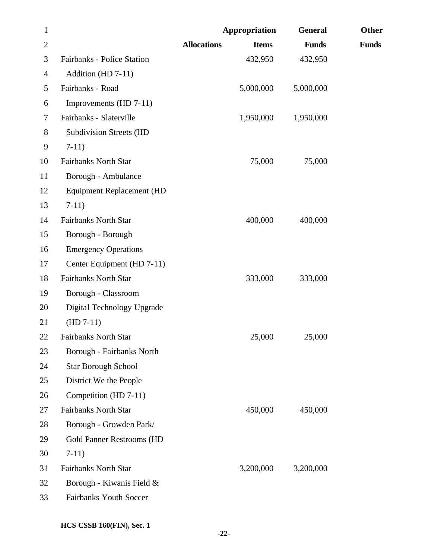| $\mathbf{1}$   |                                  |                    | Appropriation | <b>General</b> | Other        |
|----------------|----------------------------------|--------------------|---------------|----------------|--------------|
| $\overline{2}$ |                                  | <b>Allocations</b> | <b>Items</b>  | <b>Funds</b>   | <b>Funds</b> |
| 3              | Fairbanks - Police Station       |                    | 432,950       | 432,950        |              |
| 4              | Addition (HD 7-11)               |                    |               |                |              |
| 5              | Fairbanks - Road                 |                    | 5,000,000     | 5,000,000      |              |
| 6              | Improvements (HD 7-11)           |                    |               |                |              |
| 7              | Fairbanks - Slaterville          |                    | 1,950,000     | 1,950,000      |              |
| 8              | <b>Subdivision Streets (HD</b>   |                    |               |                |              |
| 9              | $7-11)$                          |                    |               |                |              |
| 10             | <b>Fairbanks North Star</b>      |                    | 75,000        | 75,000         |              |
| 11             | Borough - Ambulance              |                    |               |                |              |
| 12             | <b>Equipment Replacement (HD</b> |                    |               |                |              |
| 13             | $7-11)$                          |                    |               |                |              |
| 14             | <b>Fairbanks North Star</b>      |                    | 400,000       | 400,000        |              |
| 15             | Borough - Borough                |                    |               |                |              |
| 16             | <b>Emergency Operations</b>      |                    |               |                |              |
| 17             | Center Equipment (HD 7-11)       |                    |               |                |              |
| 18             | <b>Fairbanks North Star</b>      |                    | 333,000       | 333,000        |              |
| 19             | Borough - Classroom              |                    |               |                |              |
| 20             | Digital Technology Upgrade       |                    |               |                |              |
| 21             | $(HD 7-11)$                      |                    |               |                |              |
| 22             | <b>Fairbanks North Star</b>      |                    | 25,000        | 25,000         |              |
| 23             | Borough - Fairbanks North        |                    |               |                |              |
| 24             | <b>Star Borough School</b>       |                    |               |                |              |
| 25             | District We the People           |                    |               |                |              |
| 26             | Competition (HD 7-11)            |                    |               |                |              |
| 27             | <b>Fairbanks North Star</b>      |                    | 450,000       | 450,000        |              |
| 28             | Borough - Growden Park/          |                    |               |                |              |
| 29             | Gold Panner Restrooms (HD        |                    |               |                |              |
| 30             | $7-11)$                          |                    |               |                |              |
| 31             | <b>Fairbanks North Star</b>      |                    | 3,200,000     | 3,200,000      |              |
| 32             | Borough - Kiwanis Field &        |                    |               |                |              |
| 33             | Fairbanks Youth Soccer           |                    |               |                |              |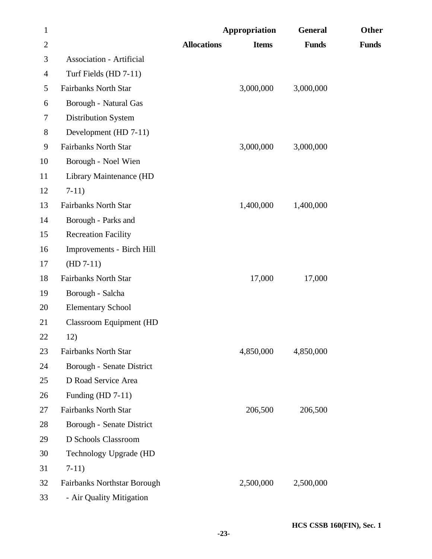| $\mathbf{1}$   |                                    |                    | <b>Appropriation</b> | <b>General</b> | Other        |
|----------------|------------------------------------|--------------------|----------------------|----------------|--------------|
| $\overline{2}$ |                                    | <b>Allocations</b> | <b>Items</b>         | <b>Funds</b>   | <b>Funds</b> |
| 3              | <b>Association - Artificial</b>    |                    |                      |                |              |
| $\overline{4}$ | Turf Fields (HD 7-11)              |                    |                      |                |              |
| 5              | <b>Fairbanks North Star</b>        |                    | 3,000,000            | 3,000,000      |              |
| 6              | Borough - Natural Gas              |                    |                      |                |              |
| $\tau$         | Distribution System                |                    |                      |                |              |
| $8\,$          | Development (HD 7-11)              |                    |                      |                |              |
| 9              | <b>Fairbanks North Star</b>        |                    | 3,000,000            | 3,000,000      |              |
| 10             | Borough - Noel Wien                |                    |                      |                |              |
| 11             | Library Maintenance (HD            |                    |                      |                |              |
| 12             | $7-11)$                            |                    |                      |                |              |
| 13             | <b>Fairbanks North Star</b>        |                    | 1,400,000            | 1,400,000      |              |
| 14             | Borough - Parks and                |                    |                      |                |              |
| 15             | <b>Recreation Facility</b>         |                    |                      |                |              |
| 16             | Improvements - Birch Hill          |                    |                      |                |              |
| 17             | $(HD 7-11)$                        |                    |                      |                |              |
| 18             | <b>Fairbanks North Star</b>        |                    | 17,000               | 17,000         |              |
| 19             | Borough - Salcha                   |                    |                      |                |              |
| 20             | <b>Elementary School</b>           |                    |                      |                |              |
| 21             | <b>Classroom Equipment (HD</b>     |                    |                      |                |              |
| 22             | 12)                                |                    |                      |                |              |
| 23             | Fairbanks North Star               |                    | 4,850,000            | 4,850,000      |              |
| 24             | Borough - Senate District          |                    |                      |                |              |
| 25             | D Road Service Area                |                    |                      |                |              |
| 26             | Funding $(HD 7-11)$                |                    |                      |                |              |
| 27             | <b>Fairbanks North Star</b>        |                    | 206,500              | 206,500        |              |
| 28             | Borough - Senate District          |                    |                      |                |              |
| 29             | D Schools Classroom                |                    |                      |                |              |
| 30             | Technology Upgrade (HD             |                    |                      |                |              |
| 31             | $7-11)$                            |                    |                      |                |              |
| 32             | <b>Fairbanks Northstar Borough</b> |                    | 2,500,000            | 2,500,000      |              |
| 33             | - Air Quality Mitigation           |                    |                      |                |              |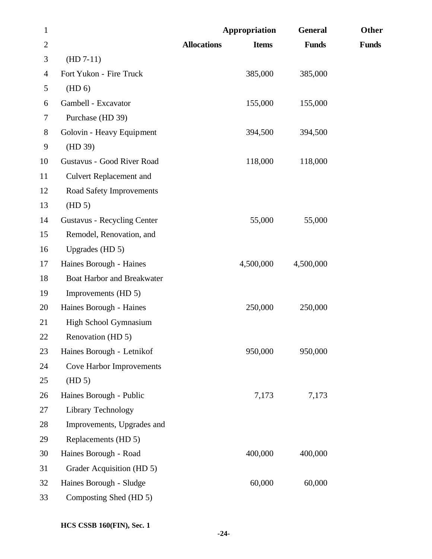| $\mathbf{1}$   |                                    | Appropriation                      | <b>General</b> | Other        |
|----------------|------------------------------------|------------------------------------|----------------|--------------|
| $\overline{2}$ |                                    | <b>Allocations</b><br><b>Items</b> | <b>Funds</b>   | <b>Funds</b> |
| 3              | $(HD 7-11)$                        |                                    |                |              |
| 4              | Fort Yukon - Fire Truck            | 385,000                            | 385,000        |              |
| 5              | (HD 6)                             |                                    |                |              |
| 6              | Gambell - Excavator                | 155,000                            | 155,000        |              |
| 7              | Purchase (HD 39)                   |                                    |                |              |
| 8              | Golovin - Heavy Equipment          | 394,500                            | 394,500        |              |
| 9              | (HD 39)                            |                                    |                |              |
| 10             | Gustavus - Good River Road         | 118,000                            | 118,000        |              |
| 11             | <b>Culvert Replacement and</b>     |                                    |                |              |
| 12             | <b>Road Safety Improvements</b>    |                                    |                |              |
| 13             | (HD 5)                             |                                    |                |              |
| 14             | <b>Gustavus - Recycling Center</b> | 55,000                             | 55,000         |              |
| 15             | Remodel, Renovation, and           |                                    |                |              |
| 16             | Upgrades (HD 5)                    |                                    |                |              |
| 17             | Haines Borough - Haines            | 4,500,000                          | 4,500,000      |              |
| 18             | Boat Harbor and Breakwater         |                                    |                |              |
| 19             | Improvements (HD 5)                |                                    |                |              |
| 20             | Haines Borough - Haines            | 250,000                            | 250,000        |              |
| 21             | High School Gymnasium              |                                    |                |              |
| 22             | Renovation (HD 5)                  |                                    |                |              |
| 23             | Haines Borough - Letnikof          | 950,000                            | 950,000        |              |
| 24             | <b>Cove Harbor Improvements</b>    |                                    |                |              |
| 25             | (HD 5)                             |                                    |                |              |
| 26             | Haines Borough - Public            | 7,173                              | 7,173          |              |
| 27             | Library Technology                 |                                    |                |              |
| 28             | Improvements, Upgrades and         |                                    |                |              |
| 29             | Replacements (HD 5)                |                                    |                |              |
| 30             | Haines Borough - Road              | 400,000                            | 400,000        |              |
| 31             | Grader Acquisition (HD 5)          |                                    |                |              |
| 32             | Haines Borough - Sludge            | 60,000                             | 60,000         |              |
| 33             | Composting Shed (HD 5)             |                                    |                |              |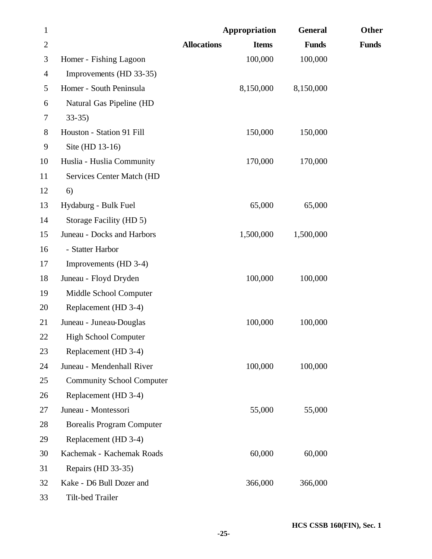| $\mathbf{1}$   |                                  | Appropriation                      | <b>General</b> | Other        |
|----------------|----------------------------------|------------------------------------|----------------|--------------|
| $\overline{2}$ |                                  | <b>Allocations</b><br><b>Items</b> | <b>Funds</b>   | <b>Funds</b> |
| 3              | Homer - Fishing Lagoon           | 100,000                            | 100,000        |              |
| 4              | Improvements (HD 33-35)          |                                    |                |              |
| 5              | Homer - South Peninsula          | 8,150,000                          | 8,150,000      |              |
| 6              | Natural Gas Pipeline (HD         |                                    |                |              |
| 7              | $33 - 35$                        |                                    |                |              |
| $8\,$          | Houston - Station 91 Fill        | 150,000                            | 150,000        |              |
| 9              | Site (HD 13-16)                  |                                    |                |              |
| 10             | Huslia - Huslia Community        | 170,000                            | 170,000        |              |
| 11             | Services Center Match (HD        |                                    |                |              |
| 12             | 6)                               |                                    |                |              |
| 13             | Hydaburg - Bulk Fuel             | 65,000                             | 65,000         |              |
| 14             | Storage Facility (HD 5)          |                                    |                |              |
| 15             | Juneau - Docks and Harbors       | 1,500,000                          | 1,500,000      |              |
| 16             | - Statter Harbor                 |                                    |                |              |
| 17             | Improvements (HD 3-4)            |                                    |                |              |
| 18             | Juneau - Floyd Dryden            | 100,000                            | 100,000        |              |
| 19             | Middle School Computer           |                                    |                |              |
| 20             | Replacement (HD 3-4)             |                                    |                |              |
| 21             | Juneau - Juneau-Douglas          | 100,000                            | 100,000        |              |
| <b>22</b>      | <b>High School Computer</b>      |                                    |                |              |
| 23             | Replacement (HD 3-4)             |                                    |                |              |
| 24             | Juneau - Mendenhall River        | 100,000                            | 100,000        |              |
| 25             | <b>Community School Computer</b> |                                    |                |              |
| 26             | Replacement (HD 3-4)             |                                    |                |              |
| 27             | Juneau - Montessori              | 55,000                             | 55,000         |              |
| 28             | <b>Borealis Program Computer</b> |                                    |                |              |
| 29             | Replacement (HD 3-4)             |                                    |                |              |
| 30             | Kachemak - Kachemak Roads        | 60,000                             | 60,000         |              |
| 31             | Repairs (HD 33-35)               |                                    |                |              |
| 32             | Kake - D6 Bull Dozer and         | 366,000                            | 366,000        |              |
| 33             | Tilt-bed Trailer                 |                                    |                |              |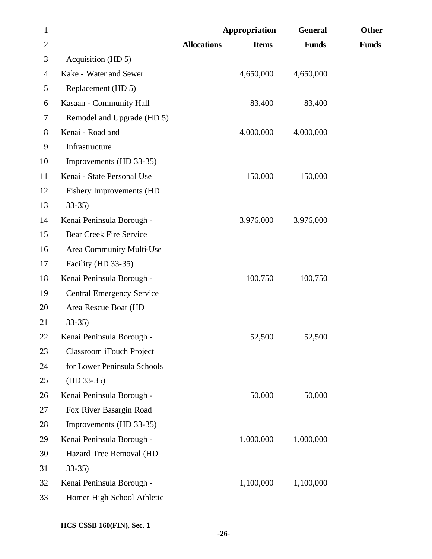| $\mathbf{1}$   |                                  | Appropriation      |              | <b>General</b> | Other        |
|----------------|----------------------------------|--------------------|--------------|----------------|--------------|
| $\overline{2}$ |                                  | <b>Allocations</b> | <b>Items</b> | <b>Funds</b>   | <b>Funds</b> |
| 3              | Acquisition (HD 5)               |                    |              |                |              |
| 4              | Kake - Water and Sewer           |                    | 4,650,000    | 4,650,000      |              |
| 5              | Replacement (HD 5)               |                    |              |                |              |
| 6              | Kasaan - Community Hall          |                    | 83,400       | 83,400         |              |
| 7              | Remodel and Upgrade (HD 5)       |                    |              |                |              |
| 8              | Kenai - Road and                 |                    | 4,000,000    | 4,000,000      |              |
| 9              | Infrastructure                   |                    |              |                |              |
| 10             | Improvements (HD 33-35)          |                    |              |                |              |
| 11             | Kenai - State Personal Use       |                    | 150,000      | 150,000        |              |
| 12             | <b>Fishery Improvements (HD</b>  |                    |              |                |              |
| 13             | $33-35$                          |                    |              |                |              |
| 14             | Kenai Peninsula Borough -        |                    | 3,976,000    | 3,976,000      |              |
| 15             | <b>Bear Creek Fire Service</b>   |                    |              |                |              |
| 16             | Area Community Multi-Use         |                    |              |                |              |
| 17             | Facility (HD 33-35)              |                    |              |                |              |
| 18             | Kenai Peninsula Borough -        |                    | 100,750      | 100,750        |              |
| 19             | <b>Central Emergency Service</b> |                    |              |                |              |
| 20             | Area Rescue Boat (HD             |                    |              |                |              |
| 21             | $33-35$                          |                    |              |                |              |
| 22             | Kenai Peninsula Borough -        |                    | 52,500       | 52,500         |              |
| 23             | Classroom iTouch Project         |                    |              |                |              |
| 24             | for Lower Peninsula Schools      |                    |              |                |              |
| 25             | $(HD 33-35)$                     |                    |              |                |              |
| 26             | Kenai Peninsula Borough -        |                    | 50,000       | 50,000         |              |
| 27             | Fox River Basargin Road          |                    |              |                |              |
| 28             | Improvements (HD 33-35)          |                    |              |                |              |
| 29             | Kenai Peninsula Borough -        |                    | 1,000,000    | 1,000,000      |              |
| 30             | Hazard Tree Removal (HD          |                    |              |                |              |
| 31             | $33 - 35$                        |                    |              |                |              |
| 32             | Kenai Peninsula Borough -        |                    | 1,100,000    | 1,100,000      |              |
| 33             | Homer High School Athletic       |                    |              |                |              |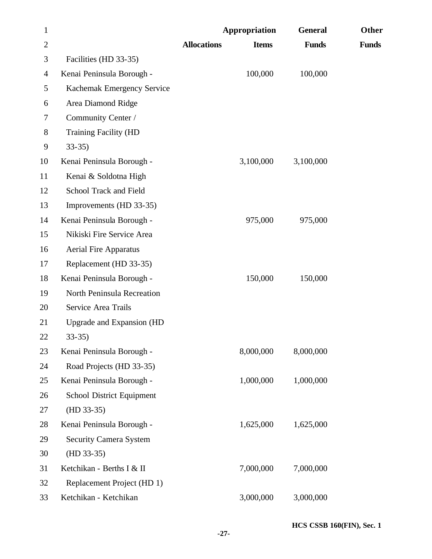| $\mathbf{1}$   |                               |                    | Appropriation | <b>General</b> | Other        |
|----------------|-------------------------------|--------------------|---------------|----------------|--------------|
| $\overline{2}$ |                               | <b>Allocations</b> | <b>Items</b>  | <b>Funds</b>   | <b>Funds</b> |
| 3              | Facilities (HD 33-35)         |                    |               |                |              |
| 4              | Kenai Peninsula Borough -     |                    | 100,000       | 100,000        |              |
| 5              | Kachemak Emergency Service    |                    |               |                |              |
| 6              | Area Diamond Ridge            |                    |               |                |              |
| 7              | Community Center /            |                    |               |                |              |
| 8              | <b>Training Facility (HD</b>  |                    |               |                |              |
| 9              | $33-35$                       |                    |               |                |              |
| 10             | Kenai Peninsula Borough -     |                    | 3,100,000     | 3,100,000      |              |
| 11             | Kenai & Soldotna High         |                    |               |                |              |
| 12             | School Track and Field        |                    |               |                |              |
| 13             | Improvements (HD 33-35)       |                    |               |                |              |
| 14             | Kenai Peninsula Borough -     |                    | 975,000       | 975,000        |              |
| 15             | Nikiski Fire Service Area     |                    |               |                |              |
| 16             | <b>Aerial Fire Apparatus</b>  |                    |               |                |              |
| 17             | Replacement (HD 33-35)        |                    |               |                |              |
| 18             | Kenai Peninsula Borough -     |                    | 150,000       | 150,000        |              |
| 19             | North Peninsula Recreation    |                    |               |                |              |
| 20             | Service Area Trails           |                    |               |                |              |
| 21             | Upgrade and Expansion (HD     |                    |               |                |              |
| 22             | 33-35)                        |                    |               |                |              |
| 23             | Kenai Peninsula Borough -     |                    | 8,000,000     | 8,000,000      |              |
| 24             | Road Projects (HD 33-35)      |                    |               |                |              |
| 25             | Kenai Peninsula Borough -     |                    | 1,000,000     | 1,000,000      |              |
| 26             | School District Equipment     |                    |               |                |              |
| 27             | $(HD 33-35)$                  |                    |               |                |              |
| 28             | Kenai Peninsula Borough -     |                    | 1,625,000     | 1,625,000      |              |
| 29             | <b>Security Camera System</b> |                    |               |                |              |
| 30             | $(HD 33-35)$                  |                    |               |                |              |
| 31             | Ketchikan - Berths I & II     |                    | 7,000,000     | 7,000,000      |              |
| 32             | Replacement Project (HD 1)    |                    |               |                |              |
| 33             | Ketchikan - Ketchikan         |                    | 3,000,000     | 3,000,000      |              |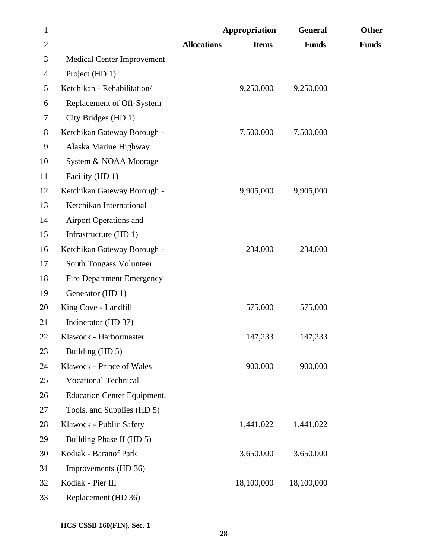| $\mathbf{1}$   |                                    | Appropriation                      | <b>General</b> | <b>Other</b> |
|----------------|------------------------------------|------------------------------------|----------------|--------------|
| $\overline{2}$ |                                    | <b>Allocations</b><br><b>Items</b> | <b>Funds</b>   | <b>Funds</b> |
| 3              | <b>Medical Center Improvement</b>  |                                    |                |              |
| $\overline{4}$ | Project (HD 1)                     |                                    |                |              |
| 5              | Ketchikan - Rehabilitation/        | 9,250,000                          | 9,250,000      |              |
| 6              | Replacement of Off-System          |                                    |                |              |
| 7              | City Bridges (HD 1)                |                                    |                |              |
| 8              | Ketchikan Gateway Borough -        | 7,500,000                          | 7,500,000      |              |
| 9              | Alaska Marine Highway              |                                    |                |              |
| 10             | System & NOAA Moorage              |                                    |                |              |
| 11             | Facility (HD 1)                    |                                    |                |              |
| 12             | Ketchikan Gateway Borough -        | 9,905,000                          | 9,905,000      |              |
| 13             | Ketchikan International            |                                    |                |              |
| 14             | <b>Airport Operations and</b>      |                                    |                |              |
| 15             | Infrastructure (HD 1)              |                                    |                |              |
| 16             | Ketchikan Gateway Borough -        | 234,000                            | 234,000        |              |
| 17             | South Tongass Volunteer            |                                    |                |              |
| 18             | <b>Fire Department Emergency</b>   |                                    |                |              |
| 19             | Generator (HD 1)                   |                                    |                |              |
| 20             | King Cove - Landfill               | 575,000                            | 575,000        |              |
| 21             | Incinerator (HD 37)                |                                    |                |              |
| 22             | Klawock - Harbormaster             | 147,233                            | 147,233        |              |
| 23             | Building (HD 5)                    |                                    |                |              |
| 24             | Klawock - Prince of Wales          | 900,000                            | 900,000        |              |
| 25             | <b>Vocational Technical</b>        |                                    |                |              |
| 26             | <b>Education Center Equipment,</b> |                                    |                |              |
| 27             | Tools, and Supplies (HD 5)         |                                    |                |              |
| 28             | Klawock - Public Safety            | 1,441,022                          | 1,441,022      |              |
| 29             | Building Phase II (HD 5)           |                                    |                |              |
| 30             | Kodiak - Baranof Park              | 3,650,000                          | 3,650,000      |              |
| 31             | Improvements (HD 36)               |                                    |                |              |
| 32             | Kodiak - Pier III                  | 18,100,000                         | 18,100,000     |              |
| 33             | Replacement (HD 36)                |                                    |                |              |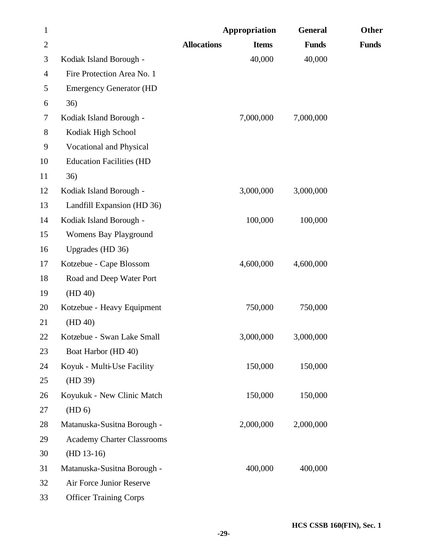| $\mathbf{1}$   |                                   | <b>Appropriation</b> |              | <b>General</b> | Other        |
|----------------|-----------------------------------|----------------------|--------------|----------------|--------------|
| $\overline{2}$ |                                   | <b>Allocations</b>   | <b>Items</b> | <b>Funds</b>   | <b>Funds</b> |
| 3              | Kodiak Island Borough -           |                      | 40,000       | 40,000         |              |
| $\overline{4}$ | Fire Protection Area No. 1        |                      |              |                |              |
| 5              | <b>Emergency Generator (HD</b>    |                      |              |                |              |
| 6              | 36)                               |                      |              |                |              |
| 7              | Kodiak Island Borough -           |                      | 7,000,000    | 7,000,000      |              |
| $8\,$          | Kodiak High School                |                      |              |                |              |
| 9              | Vocational and Physical           |                      |              |                |              |
| 10             | <b>Education Facilities (HD</b>   |                      |              |                |              |
| 11             | 36)                               |                      |              |                |              |
| 12             | Kodiak Island Borough -           |                      | 3,000,000    | 3,000,000      |              |
| 13             | Landfill Expansion (HD 36)        |                      |              |                |              |
| 14             | Kodiak Island Borough -           |                      | 100,000      | 100,000        |              |
| 15             | Womens Bay Playground             |                      |              |                |              |
| 16             | Upgrades (HD 36)                  |                      |              |                |              |
| 17             | Kotzebue - Cape Blossom           |                      | 4,600,000    | 4,600,000      |              |
| 18             | Road and Deep Water Port          |                      |              |                |              |
| 19             | (HD 40)                           |                      |              |                |              |
| 20             | Kotzebue - Heavy Equipment        |                      | 750,000      | 750,000        |              |
| 21             | (HD 40)                           |                      |              |                |              |
| 22             | Kotzebue - Swan Lake Small        |                      | 3,000,000    | 3,000,000      |              |
| 23             | Boat Harbor (HD 40)               |                      |              |                |              |
| 24             | Koyuk - Multi-Use Facility        |                      | 150,000      | 150,000        |              |
| 25             | (HD 39)                           |                      |              |                |              |
| 26             | Koyukuk - New Clinic Match        |                      | 150,000      | 150,000        |              |
| 27             | (HD 6)                            |                      |              |                |              |
| 28             | Matanuska-Susitna Borough -       |                      | 2,000,000    | 2,000,000      |              |
| 29             | <b>Academy Charter Classrooms</b> |                      |              |                |              |
| 30             | $(HD 13-16)$                      |                      |              |                |              |
| 31             | Matanuska-Susitna Borough -       |                      | 400,000      | 400,000        |              |
| 32             | Air Force Junior Reserve          |                      |              |                |              |
| 33             | <b>Officer Training Corps</b>     |                      |              |                |              |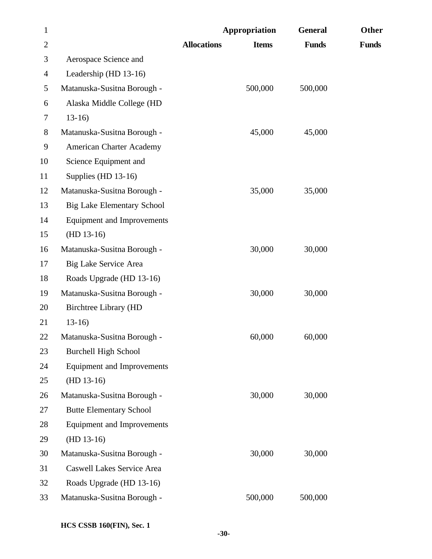| $\mathbf{1}$   |                                   | Appropriation      |              | <b>General</b> | Other        |
|----------------|-----------------------------------|--------------------|--------------|----------------|--------------|
| $\overline{2}$ |                                   | <b>Allocations</b> | <b>Items</b> | <b>Funds</b>   | <b>Funds</b> |
| 3              | Aerospace Science and             |                    |              |                |              |
| $\overline{4}$ | Leadership (HD 13-16)             |                    |              |                |              |
| 5              | Matanuska-Susitna Borough -       |                    | 500,000      | 500,000        |              |
| 6              | Alaska Middle College (HD         |                    |              |                |              |
| 7              | $13-16$                           |                    |              |                |              |
| $8\,$          | Matanuska-Susitna Borough -       |                    | 45,000       | 45,000         |              |
| 9              | <b>American Charter Academy</b>   |                    |              |                |              |
| 10             | Science Equipment and             |                    |              |                |              |
| 11             | Supplies (HD $13-16$ )            |                    |              |                |              |
| 12             | Matanuska-Susitna Borough -       |                    | 35,000       | 35,000         |              |
| 13             | <b>Big Lake Elementary School</b> |                    |              |                |              |
| 14             | <b>Equipment and Improvements</b> |                    |              |                |              |
| 15             | $(HD 13-16)$                      |                    |              |                |              |
| 16             | Matanuska-Susitna Borough -       |                    | 30,000       | 30,000         |              |
| 17             | Big Lake Service Area             |                    |              |                |              |
| 18             | Roads Upgrade (HD 13-16)          |                    |              |                |              |
| 19             | Matanuska-Susitna Borough -       |                    | 30,000       | 30,000         |              |
| 20             | Birchtree Library (HD             |                    |              |                |              |
| 21             | $13-16$                           |                    |              |                |              |
| 22             | Matanuska-Susitna Borough -       |                    | 60,000       | 60,000         |              |
| 23             | <b>Burchell High School</b>       |                    |              |                |              |
| 24             | <b>Equipment and Improvements</b> |                    |              |                |              |
| 25             | $(HD 13-16)$                      |                    |              |                |              |
| 26             | Matanuska-Susitna Borough -       |                    | 30,000       | 30,000         |              |
| 27             | <b>Butte Elementary School</b>    |                    |              |                |              |
| 28             | <b>Equipment and Improvements</b> |                    |              |                |              |
| 29             | $(HD 13-16)$                      |                    |              |                |              |
| 30             | Matanuska-Susitna Borough -       |                    | 30,000       | 30,000         |              |
| 31             | Caswell Lakes Service Area        |                    |              |                |              |
| 32             | Roads Upgrade (HD 13-16)          |                    |              |                |              |
| 33             | Matanuska-Susitna Borough -       |                    | 500,000      | 500,000        |              |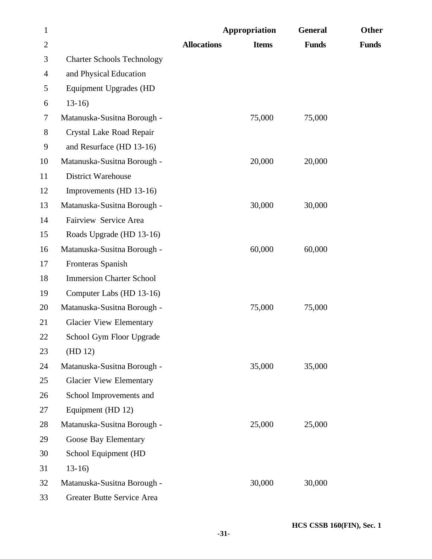| $\mathbf{1}$   |                                   | Appropriation      |              | <b>General</b> | <b>Other</b> |
|----------------|-----------------------------------|--------------------|--------------|----------------|--------------|
| $\overline{2}$ |                                   | <b>Allocations</b> | <b>Items</b> | <b>Funds</b>   | <b>Funds</b> |
| 3              | <b>Charter Schools Technology</b> |                    |              |                |              |
| 4              | and Physical Education            |                    |              |                |              |
| 5              | <b>Equipment Upgrades (HD</b>     |                    |              |                |              |
| 6              | $13-16$                           |                    |              |                |              |
| $\tau$         | Matanuska-Susitna Borough -       |                    | 75,000       | 75,000         |              |
| 8              | Crystal Lake Road Repair          |                    |              |                |              |
| 9              | and Resurface (HD 13-16)          |                    |              |                |              |
| 10             | Matanuska-Susitna Borough -       |                    | 20,000       | 20,000         |              |
| 11             | <b>District Warehouse</b>         |                    |              |                |              |
| 12             | Improvements (HD 13-16)           |                    |              |                |              |
| 13             | Matanuska-Susitna Borough -       |                    | 30,000       | 30,000         |              |
| 14             | Fairview Service Area             |                    |              |                |              |
| 15             | Roads Upgrade (HD 13-16)          |                    |              |                |              |
| 16             | Matanuska-Susitna Borough -       |                    | 60,000       | 60,000         |              |
| 17             | Fronteras Spanish                 |                    |              |                |              |
| 18             | <b>Immersion Charter School</b>   |                    |              |                |              |
| 19             | Computer Labs (HD 13-16)          |                    |              |                |              |
| 20             | Matanuska-Susitna Borough -       |                    | 75,000       | 75,000         |              |
| 21             | <b>Glacier View Elementary</b>    |                    |              |                |              |
| 22             | School Gym Floor Upgrade          |                    |              |                |              |
| 23             | (HD 12)                           |                    |              |                |              |
| 24             | Matanuska-Susitna Borough -       |                    | 35,000       | 35,000         |              |
| 25             | <b>Glacier View Elementary</b>    |                    |              |                |              |
| 26             | School Improvements and           |                    |              |                |              |
| 27             | Equipment (HD 12)                 |                    |              |                |              |
| 28             | Matanuska-Susitna Borough -       |                    | 25,000       | 25,000         |              |
| 29             | Goose Bay Elementary              |                    |              |                |              |
| 30             | School Equipment (HD              |                    |              |                |              |
| 31             | $13-16$                           |                    |              |                |              |
| 32             | Matanuska-Susitna Borough -       |                    | 30,000       | 30,000         |              |
| 33             | Greater Butte Service Area        |                    |              |                |              |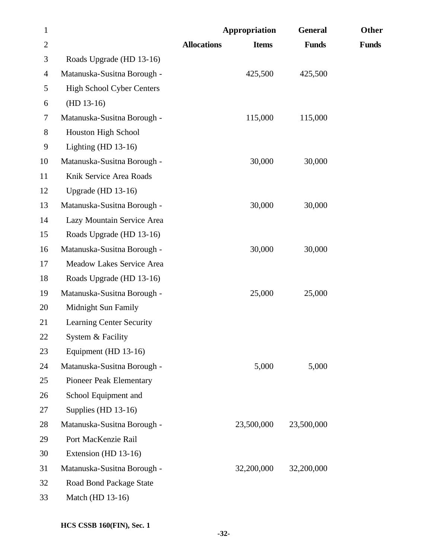| $\mathbf{1}$   |                                  | Appropriation      |              | <b>General</b> | Other        |
|----------------|----------------------------------|--------------------|--------------|----------------|--------------|
| $\overline{2}$ |                                  | <b>Allocations</b> | <b>Items</b> | <b>Funds</b>   | <b>Funds</b> |
| 3              | Roads Upgrade (HD 13-16)         |                    |              |                |              |
| $\overline{4}$ | Matanuska-Susitna Borough -      |                    | 425,500      | 425,500        |              |
| 5              | <b>High School Cyber Centers</b> |                    |              |                |              |
| 6              | $(HD 13-16)$                     |                    |              |                |              |
| 7              | Matanuska-Susitna Borough -      |                    | 115,000      | 115,000        |              |
| $8\,$          | Houston High School              |                    |              |                |              |
| 9              | Lighting (HD $13-16$ )           |                    |              |                |              |
| 10             | Matanuska-Susitna Borough -      |                    | 30,000       | 30,000         |              |
| 11             | Knik Service Area Roads          |                    |              |                |              |
| 12             | Upgrade (HD $13-16$ )            |                    |              |                |              |
| 13             | Matanuska-Susitna Borough -      |                    | 30,000       | 30,000         |              |
| 14             | Lazy Mountain Service Area       |                    |              |                |              |
| 15             | Roads Upgrade (HD 13-16)         |                    |              |                |              |
| 16             | Matanuska-Susitna Borough -      |                    | 30,000       | 30,000         |              |
| 17             | Meadow Lakes Service Area        |                    |              |                |              |
| 18             | Roads Upgrade (HD 13-16)         |                    |              |                |              |
| 19             | Matanuska-Susitna Borough -      |                    | 25,000       | 25,000         |              |
| 20             | Midnight Sun Family              |                    |              |                |              |
| 21             | <b>Learning Center Security</b>  |                    |              |                |              |
| 22             | System & Facility                |                    |              |                |              |
| 23             | Equipment (HD 13-16)             |                    |              |                |              |
| 24             | Matanuska-Susitna Borough -      |                    | 5,000        | 5,000          |              |
| 25             | <b>Pioneer Peak Elementary</b>   |                    |              |                |              |
| 26             | School Equipment and             |                    |              |                |              |
| 27             | Supplies (HD $13-16$ )           |                    |              |                |              |
| 28             | Matanuska-Susitna Borough -      |                    | 23,500,000   | 23,500,000     |              |
| 29             | Port MacKenzie Rail              |                    |              |                |              |
| 30             | Extension (HD 13-16)             |                    |              |                |              |
| 31             | Matanuska-Susitna Borough -      |                    | 32,200,000   | 32,200,000     |              |
| 32             | Road Bond Package State          |                    |              |                |              |
| 33             | Match (HD 13-16)                 |                    |              |                |              |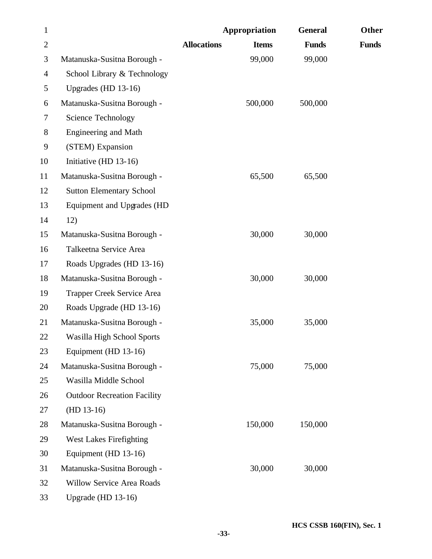| $\mathbf{1}$ |                                    |                    | Appropriation | <b>General</b> | Other        |
|--------------|------------------------------------|--------------------|---------------|----------------|--------------|
| $\mathbf{2}$ |                                    | <b>Allocations</b> | <b>Items</b>  | <b>Funds</b>   | <b>Funds</b> |
| 3            | Matanuska-Susitna Borough -        |                    | 99,000        | 99,000         |              |
| 4            | School Library & Technology        |                    |               |                |              |
| 5            | Upgrades (HD 13-16)                |                    |               |                |              |
| 6            | Matanuska-Susitna Borough -        |                    | 500,000       | 500,000        |              |
| 7            | Science Technology                 |                    |               |                |              |
| 8            | <b>Engineering and Math</b>        |                    |               |                |              |
| 9            | (STEM) Expansion                   |                    |               |                |              |
| 10           | Initiative (HD 13-16)              |                    |               |                |              |
| 11           | Matanuska-Susitna Borough -        |                    | 65,500        | 65,500         |              |
| 12           | <b>Sutton Elementary School</b>    |                    |               |                |              |
| 13           | Equipment and Upgrades (HD         |                    |               |                |              |
| 14           | 12)                                |                    |               |                |              |
| 15           | Matanuska-Susitna Borough -        |                    | 30,000        | 30,000         |              |
| 16           | Talkeetna Service Area             |                    |               |                |              |
| 17           | Roads Upgrades (HD 13-16)          |                    |               |                |              |
| 18           | Matanuska-Susitna Borough -        |                    | 30,000        | 30,000         |              |
| 19           | Trapper Creek Service Area         |                    |               |                |              |
| 20           | Roads Upgrade (HD 13-16)           |                    |               |                |              |
| 21           | Matanuska-Susitna Borough -        |                    | 35,000        | 35,000         |              |
| 22           | Wasilla High School Sports         |                    |               |                |              |
| 23           | Equipment (HD 13-16)               |                    |               |                |              |
| 24           | Matanuska-Susitna Borough -        |                    | 75,000        | 75,000         |              |
| 25           | Wasilla Middle School              |                    |               |                |              |
| 26           | <b>Outdoor Recreation Facility</b> |                    |               |                |              |
| 27           | $(HD 13-16)$                       |                    |               |                |              |
| 28           | Matanuska-Susitna Borough -        |                    | 150,000       | 150,000        |              |
| 29           | <b>West Lakes Firefighting</b>     |                    |               |                |              |
| 30           | Equipment (HD 13-16)               |                    |               |                |              |
| 31           | Matanuska-Susitna Borough -        |                    | 30,000        | 30,000         |              |
| 32           | Willow Service Area Roads          |                    |               |                |              |
| 33           | Upgrade (HD 13-16)                 |                    |               |                |              |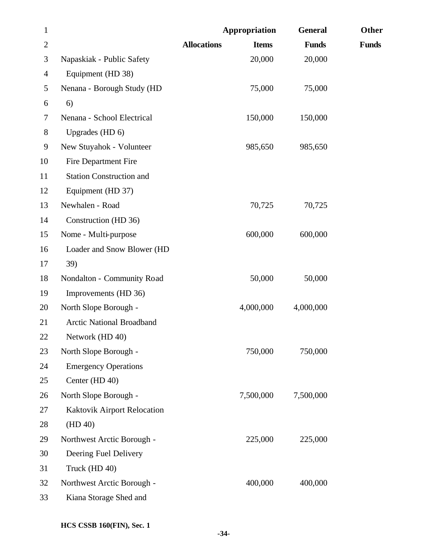| $\mathbf{1}$   |                                 |                    | Appropriation | <b>General</b> | Other        |
|----------------|---------------------------------|--------------------|---------------|----------------|--------------|
| $\mathbf{2}$   |                                 | <b>Allocations</b> | <b>Items</b>  | <b>Funds</b>   | <b>Funds</b> |
| 3              | Napaskiak - Public Safety       |                    | 20,000        | 20,000         |              |
| $\overline{4}$ | Equipment (HD 38)               |                    |               |                |              |
| 5              | Nenana - Borough Study (HD      |                    | 75,000        | 75,000         |              |
| 6              | 6)                              |                    |               |                |              |
| 7              | Nenana - School Electrical      |                    | 150,000       | 150,000        |              |
| $8\,$          | Upgrades (HD 6)                 |                    |               |                |              |
| 9              | New Stuyahok - Volunteer        |                    | 985,650       | 985,650        |              |
| 10             | Fire Department Fire            |                    |               |                |              |
| 11             | <b>Station Construction and</b> |                    |               |                |              |
| 12             | Equipment (HD 37)               |                    |               |                |              |
| 13             | Newhalen - Road                 |                    | 70,725        | 70,725         |              |
| 14             | Construction (HD 36)            |                    |               |                |              |
| 15             | Nome - Multi-purpose            |                    | 600,000       | 600,000        |              |
| 16             | Loader and Snow Blower (HD      |                    |               |                |              |
| 17             | 39)                             |                    |               |                |              |
| 18             | Nondalton - Community Road      |                    | 50,000        | 50,000         |              |
| 19             | Improvements (HD 36)            |                    |               |                |              |
| 20             | North Slope Borough -           |                    | 4,000,000     | 4,000,000      |              |
| 21             | Arctic National Broadband       |                    |               |                |              |
| 22             | Network (HD 40)                 |                    |               |                |              |
| 23             | North Slope Borough -           |                    | 750,000       | 750,000        |              |
| 24             | <b>Emergency Operations</b>     |                    |               |                |              |
| 25             | Center (HD 40)                  |                    |               |                |              |
| 26             | North Slope Borough -           |                    | 7,500,000     | 7,500,000      |              |
| 27             | Kaktovik Airport Relocation     |                    |               |                |              |
| 28             | (HD 40)                         |                    |               |                |              |
| 29             | Northwest Arctic Borough -      |                    | 225,000       | 225,000        |              |
| 30             | Deering Fuel Delivery           |                    |               |                |              |
| 31             | Truck (HD 40)                   |                    |               |                |              |
| 32             | Northwest Arctic Borough -      |                    | 400,000       | 400,000        |              |
| 33             | Kiana Storage Shed and          |                    |               |                |              |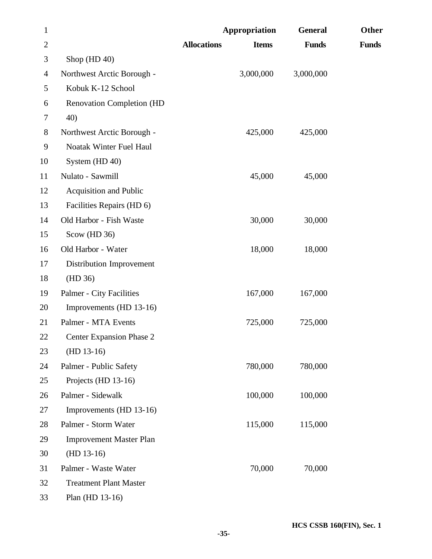| $\mathbf{1}$   |                                 | <b>Appropriation</b> |              | <b>General</b> | Other        |
|----------------|---------------------------------|----------------------|--------------|----------------|--------------|
| $\overline{2}$ |                                 | <b>Allocations</b>   | <b>Items</b> | <b>Funds</b>   | <b>Funds</b> |
| 3              | Shop (HD 40)                    |                      |              |                |              |
| 4              | Northwest Arctic Borough -      |                      | 3,000,000    | 3,000,000      |              |
| 5              | Kobuk K-12 School               |                      |              |                |              |
| 6              | Renovation Completion (HD       |                      |              |                |              |
| 7              | 40)                             |                      |              |                |              |
| 8              | Northwest Arctic Borough -      |                      | 425,000      | 425,000        |              |
| 9              | Noatak Winter Fuel Haul         |                      |              |                |              |
| 10             | System (HD 40)                  |                      |              |                |              |
| 11             | Nulato - Sawmill                |                      | 45,000       | 45,000         |              |
| 12             | <b>Acquisition and Public</b>   |                      |              |                |              |
| 13             | Facilities Repairs (HD 6)       |                      |              |                |              |
| 14             | Old Harbor - Fish Waste         |                      | 30,000       | 30,000         |              |
| 15             | Scow (HD 36)                    |                      |              |                |              |
| 16             | Old Harbor - Water              |                      | 18,000       | 18,000         |              |
| 17             | Distribution Improvement        |                      |              |                |              |
| 18             | (HD 36)                         |                      |              |                |              |
| 19             | Palmer - City Facilities        |                      | 167,000      | 167,000        |              |
| 20             | Improvements (HD 13-16)         |                      |              |                |              |
| 21             | Palmer - MTA Events             |                      | 725,000      | 725,000        |              |
| <b>22</b>      | <b>Center Expansion Phase 2</b> |                      |              |                |              |
| 23             | $(HD 13-16)$                    |                      |              |                |              |
| 24             | Palmer - Public Safety          |                      | 780,000      | 780,000        |              |
| 25             | Projects (HD 13-16)             |                      |              |                |              |
| 26             | Palmer - Sidewalk               |                      | 100,000      | 100,000        |              |
| 27             | Improvements (HD 13-16)         |                      |              |                |              |
| 28             | Palmer - Storm Water            |                      | 115,000      | 115,000        |              |
| 29             | <b>Improvement Master Plan</b>  |                      |              |                |              |
| 30             | $(HD 13-16)$                    |                      |              |                |              |
| 31             | Palmer - Waste Water            |                      | 70,000       | 70,000         |              |
| 32             | <b>Treatment Plant Master</b>   |                      |              |                |              |
| 33             | Plan (HD 13-16)                 |                      |              |                |              |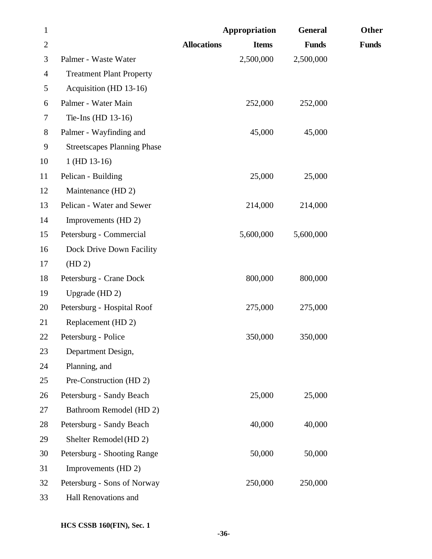| $\mathbf{1}$   |                                    |                    | Appropriation | <b>General</b> | Other        |
|----------------|------------------------------------|--------------------|---------------|----------------|--------------|
| $\mathbf{2}$   |                                    | <b>Allocations</b> | <b>Items</b>  | <b>Funds</b>   | <b>Funds</b> |
| 3              | Palmer - Waste Water               |                    | 2,500,000     | 2,500,000      |              |
| $\overline{4}$ | <b>Treatment Plant Property</b>    |                    |               |                |              |
| 5              | Acquisition (HD 13-16)             |                    |               |                |              |
| 6              | Palmer - Water Main                |                    | 252,000       | 252,000        |              |
| 7              | Tie-Ins (HD 13-16)                 |                    |               |                |              |
| $8\,$          | Palmer - Wayfinding and            |                    | 45,000        | 45,000         |              |
| 9              | <b>Streetscapes Planning Phase</b> |                    |               |                |              |
| 10             | $1$ (HD 13-16)                     |                    |               |                |              |
| 11             | Pelican - Building                 |                    | 25,000        | 25,000         |              |
| 12             | Maintenance (HD 2)                 |                    |               |                |              |
| 13             | Pelican - Water and Sewer          |                    | 214,000       | 214,000        |              |
| 14             | Improvements (HD 2)                |                    |               |                |              |
| 15             | Petersburg - Commercial            |                    | 5,600,000     | 5,600,000      |              |
| 16             | Dock Drive Down Facility           |                    |               |                |              |
| 17             | (HD 2)                             |                    |               |                |              |
| 18             | Petersburg - Crane Dock            |                    | 800,000       | 800,000        |              |
| 19             | Upgrade (HD 2)                     |                    |               |                |              |
| 20             | Petersburg - Hospital Roof         |                    | 275,000       | 275,000        |              |
| 21             | Replacement (HD 2)                 |                    |               |                |              |
| 22             | Petersburg - Police                |                    | 350,000       | 350,000        |              |
| 23             | Department Design,                 |                    |               |                |              |
| 24             | Planning, and                      |                    |               |                |              |
| 25             | Pre-Construction (HD 2)            |                    |               |                |              |
| 26             | Petersburg - Sandy Beach           |                    | 25,000        | 25,000         |              |
| 27             | Bathroom Remodel (HD 2)            |                    |               |                |              |
| 28             | Petersburg - Sandy Beach           |                    | 40,000        | 40,000         |              |
| 29             | Shelter Remodel (HD 2)             |                    |               |                |              |
| 30             | Petersburg - Shooting Range        |                    | 50,000        | 50,000         |              |
| 31             | Improvements (HD 2)                |                    |               |                |              |
| 32             | Petersburg - Sons of Norway        |                    | 250,000       | 250,000        |              |
| 33             | Hall Renovations and               |                    |               |                |              |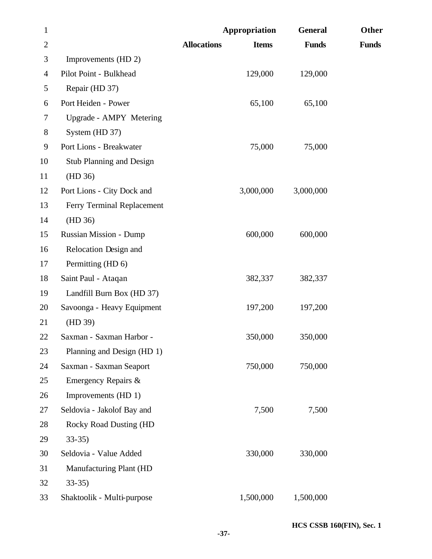| $\mathbf{1}$   |                                 | Appropriation                      | <b>General</b> | Other        |
|----------------|---------------------------------|------------------------------------|----------------|--------------|
| $\overline{2}$ |                                 | <b>Allocations</b><br><b>Items</b> | <b>Funds</b>   | <b>Funds</b> |
| 3              | Improvements (HD 2)             |                                    |                |              |
| 4              | Pilot Point - Bulkhead          | 129,000                            | 129,000        |              |
| 5              | Repair (HD 37)                  |                                    |                |              |
| 6              | Port Heiden - Power             | 65,100                             | 65,100         |              |
| 7              | Upgrade - AMPY Metering         |                                    |                |              |
| $8\,$          | System (HD 37)                  |                                    |                |              |
| 9              | Port Lions - Breakwater         | 75,000                             | 75,000         |              |
| 10             | <b>Stub Planning and Design</b> |                                    |                |              |
| 11             | (HD 36)                         |                                    |                |              |
| 12             | Port Lions - City Dock and      | 3,000,000                          | 3,000,000      |              |
| 13             | Ferry Terminal Replacement      |                                    |                |              |
| 14             | (HD 36)                         |                                    |                |              |
| 15             | <b>Russian Mission - Dump</b>   | 600,000                            | 600,000        |              |
| 16             | Relocation Design and           |                                    |                |              |
| 17             | Permitting (HD 6)               |                                    |                |              |
| 18             | Saint Paul - Ataqan             | 382,337                            | 382,337        |              |
| 19             | Landfill Burn Box (HD 37)       |                                    |                |              |
| 20             | Savoonga - Heavy Equipment      | 197,200                            | 197,200        |              |
| 21             | (HD 39)                         |                                    |                |              |
| 22             | Saxman - Saxman Harbor -        | 350,000                            | 350,000        |              |
| 23             | Planning and Design (HD 1)      |                                    |                |              |
| 24             | Saxman - Saxman Seaport         | 750,000                            | 750,000        |              |
| 25             | Emergency Repairs &             |                                    |                |              |
| 26             | Improvements (HD 1)             |                                    |                |              |
| 27             | Seldovia - Jakolof Bay and      | 7,500                              | 7,500          |              |
| 28             | <b>Rocky Road Dusting (HD</b>   |                                    |                |              |
| 29             | $33-35$                         |                                    |                |              |
| 30             | Seldovia - Value Added          | 330,000                            | 330,000        |              |
| 31             | Manufacturing Plant (HD         |                                    |                |              |
| 32             | $33-35$                         |                                    |                |              |
| 33             | Shaktoolik - Multi-purpose      | 1,500,000                          | 1,500,000      |              |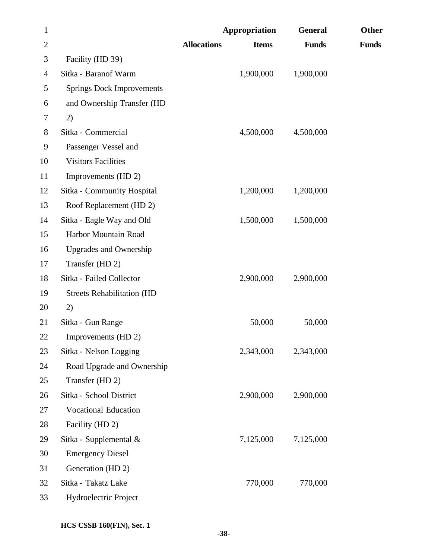| $\mathbf{1}$   |                                   |                    | Appropriation | <b>General</b> | Other        |
|----------------|-----------------------------------|--------------------|---------------|----------------|--------------|
| $\overline{2}$ |                                   | <b>Allocations</b> | <b>Items</b>  | <b>Funds</b>   | <b>Funds</b> |
| 3              | Facility (HD 39)                  |                    |               |                |              |
| 4              | Sitka - Baranof Warm              |                    | 1,900,000     | 1,900,000      |              |
| 5              | <b>Springs Dock Improvements</b>  |                    |               |                |              |
| 6              | and Ownership Transfer (HD        |                    |               |                |              |
| 7              | 2)                                |                    |               |                |              |
| 8              | Sitka - Commercial                |                    | 4,500,000     | 4,500,000      |              |
| 9              | Passenger Vessel and              |                    |               |                |              |
| 10             | <b>Visitors Facilities</b>        |                    |               |                |              |
| 11             | Improvements (HD 2)               |                    |               |                |              |
| 12             | Sitka - Community Hospital        |                    | 1,200,000     | 1,200,000      |              |
| 13             | Roof Replacement (HD 2)           |                    |               |                |              |
| 14             | Sitka - Eagle Way and Old         |                    | 1,500,000     | 1,500,000      |              |
| 15             | Harbor Mountain Road              |                    |               |                |              |
| 16             | <b>Upgrades and Ownership</b>     |                    |               |                |              |
| 17             | Transfer (HD 2)                   |                    |               |                |              |
| 18             | Sitka - Failed Collector          |                    | 2,900,000     | 2,900,000      |              |
| 19             | <b>Streets Rehabilitation (HD</b> |                    |               |                |              |
| 20             | 2)                                |                    |               |                |              |
| 21             | Sitka - Gun Range                 |                    | 50,000        | 50,000         |              |
| 22             | Improvements (HD 2)               |                    |               |                |              |
| 23             | Sitka - Nelson Logging            |                    | 2,343,000     | 2,343,000      |              |
| 24             | Road Upgrade and Ownership        |                    |               |                |              |
| 25             | Transfer (HD 2)                   |                    |               |                |              |
| 26             | Sitka - School District           |                    | 2,900,000     | 2,900,000      |              |
| 27             | <b>Vocational Education</b>       |                    |               |                |              |
| 28             | Facility (HD 2)                   |                    |               |                |              |
| 29             | Sitka - Supplemental &            |                    | 7,125,000     | 7,125,000      |              |
| 30             | <b>Emergency Diesel</b>           |                    |               |                |              |
| 31             | Generation (HD 2)                 |                    |               |                |              |
| 32             | Sitka - Takatz Lake               |                    | 770,000       | 770,000        |              |
| 33             | Hydroelectric Project             |                    |               |                |              |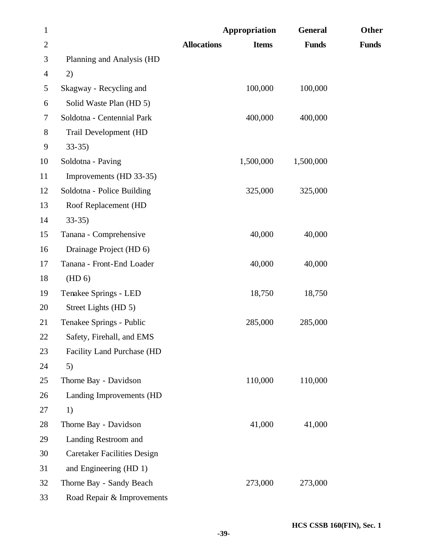| $\mathbf{1}$   |                                    | Appropriation                      | <b>General</b> | Other        |
|----------------|------------------------------------|------------------------------------|----------------|--------------|
| $\overline{2}$ |                                    | <b>Allocations</b><br><b>Items</b> | <b>Funds</b>   | <b>Funds</b> |
| 3              | Planning and Analysis (HD          |                                    |                |              |
| $\overline{4}$ | 2)                                 |                                    |                |              |
| 5              | Skagway - Recycling and            | 100,000                            | 100,000        |              |
| 6              | Solid Waste Plan (HD 5)            |                                    |                |              |
| $\tau$         | Soldotna - Centennial Park         | 400,000                            | 400,000        |              |
| 8              | Trail Development (HD              |                                    |                |              |
| $\mathbf{9}$   | $33-35$                            |                                    |                |              |
| 10             | Soldotna - Paving                  | 1,500,000                          | 1,500,000      |              |
| 11             | Improvements (HD 33-35)            |                                    |                |              |
| 12             | Soldotna - Police Building         | 325,000                            | 325,000        |              |
| 13             | Roof Replacement (HD               |                                    |                |              |
| 14             | $33-35$                            |                                    |                |              |
| 15             | Tanana - Comprehensive             | 40,000                             | 40,000         |              |
| 16             | Drainage Project (HD 6)            |                                    |                |              |
| 17             | Tanana - Front-End Loader          | 40,000                             | 40,000         |              |
| 18             | (HD 6)                             |                                    |                |              |
| 19             | Tenakee Springs - LED              | 18,750                             | 18,750         |              |
| 20             | Street Lights (HD 5)               |                                    |                |              |
| 21             | Tenakee Springs - Public           | 285,000                            | 285,000        |              |
| 22             | Safety, Firehall, and EMS          |                                    |                |              |
| 23             | <b>Facility Land Purchase (HD</b>  |                                    |                |              |
| 24             | 5)                                 |                                    |                |              |
| 25             | Thorne Bay - Davidson              | 110,000                            | 110,000        |              |
| 26             | Landing Improvements (HD           |                                    |                |              |
| 27             | 1)                                 |                                    |                |              |
| 28             | Thorne Bay - Davidson              | 41,000                             | 41,000         |              |
| 29             | Landing Restroom and               |                                    |                |              |
| 30             | <b>Caretaker Facilities Design</b> |                                    |                |              |
| 31             | and Engineering (HD 1)             |                                    |                |              |
| 32             | Thorne Bay - Sandy Beach           | 273,000                            | 273,000        |              |
| 33             | Road Repair & Improvements         |                                    |                |              |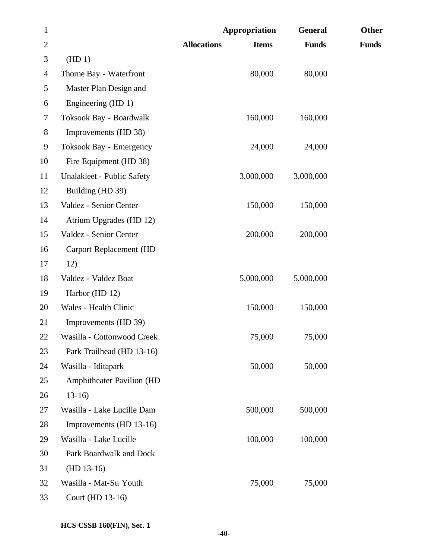| $\mathbf{1}$   |                                  | Appropriation                      | <b>General</b> | Other        |
|----------------|----------------------------------|------------------------------------|----------------|--------------|
| $\overline{2}$ |                                  | <b>Allocations</b><br><b>Items</b> | <b>Funds</b>   | <b>Funds</b> |
| 3              | (HD1)                            |                                    |                |              |
| 4              | Thorne Bay - Waterfront          | 80,000                             | 80,000         |              |
| 5              | Master Plan Design and           |                                    |                |              |
| 6              | Engineering (HD 1)               |                                    |                |              |
| $\tau$         | Toksook Bay - Boardwalk          | 160,000                            | 160,000        |              |
| $8\,$          | Improvements (HD 38)             |                                    |                |              |
| 9              | Toksook Bay - Emergency          | 24,000                             | 24,000         |              |
| 10             | Fire Equipment (HD 38)           |                                    |                |              |
| 11             | Unalakleet - Public Safety       | 3,000,000                          | 3,000,000      |              |
| 12             | Building (HD 39)                 |                                    |                |              |
| 13             | Valdez - Senior Center           | 150,000                            | 150,000        |              |
| 14             | Atrium Upgrades (HD 12)          |                                    |                |              |
| 15             | Valdez - Senior Center           | 200,000                            | 200,000        |              |
| 16             | Carport Replacement (HD          |                                    |                |              |
| 17             | 12)                              |                                    |                |              |
| 18             | Valdez - Valdez Boat             | 5,000,000                          | 5,000,000      |              |
| 19             | Harbor (HD 12)                   |                                    |                |              |
| 20             | Wales - Health Clinic            | 150,000                            | 150,000        |              |
| 21             | Improvements (HD 39)             |                                    |                |              |
| 22             | Wasilla - Cottonwood Creek       | 75,000                             | 75,000         |              |
| 23             | Park Trailhead (HD 13-16)        |                                    |                |              |
| 24             | Wasilla - Iditapark              | 50,000                             | 50,000         |              |
| 25             | <b>Amphitheater Pavilion (HD</b> |                                    |                |              |
| 26             | $13-16$                          |                                    |                |              |
| 27             | Wasilla - Lake Lucille Dam       | 500,000                            | 500,000        |              |
| 28             | Improvements (HD 13-16)          |                                    |                |              |
| 29             | Wasilla - Lake Lucille           | 100,000                            | 100,000        |              |
| 30             | Park Boardwalk and Dock          |                                    |                |              |
| 31             | $(HD 13-16)$                     |                                    |                |              |
| 32             | Wasilla - Mat-Su Youth           | 75,000                             | 75,000         |              |
| 33             | Court (HD 13-16)                 |                                    |                |              |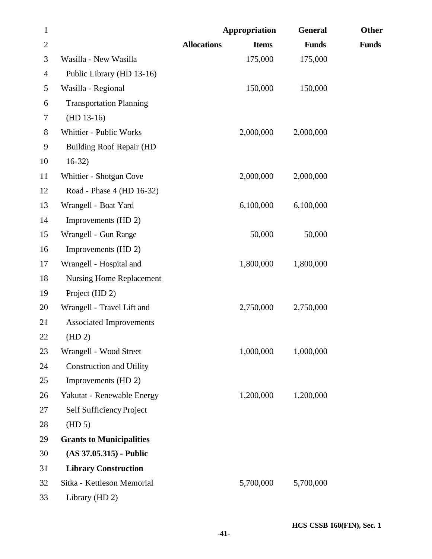| $\mathbf{1}$   |                                 |                    | Appropriation | <b>General</b> | Other        |
|----------------|---------------------------------|--------------------|---------------|----------------|--------------|
| $\mathbf{2}$   |                                 | <b>Allocations</b> | <b>Items</b>  | <b>Funds</b>   | <b>Funds</b> |
| 3              | Wasilla - New Wasilla           |                    | 175,000       | 175,000        |              |
| $\overline{4}$ | Public Library (HD 13-16)       |                    |               |                |              |
| 5              | Wasilla - Regional              |                    | 150,000       | 150,000        |              |
| 6              | <b>Transportation Planning</b>  |                    |               |                |              |
| 7              | $(HD 13-16)$                    |                    |               |                |              |
| $8\,$          | Whittier - Public Works         |                    | 2,000,000     | 2,000,000      |              |
| 9              | <b>Building Roof Repair (HD</b> |                    |               |                |              |
| 10             | $16-32)$                        |                    |               |                |              |
| 11             | Whittier - Shotgun Cove         |                    | 2,000,000     | 2,000,000      |              |
| 12             | Road - Phase 4 (HD 16-32)       |                    |               |                |              |
| 13             | Wrangell - Boat Yard            |                    | 6,100,000     | 6,100,000      |              |
| 14             | Improvements (HD 2)             |                    |               |                |              |
| 15             | Wrangell - Gun Range            |                    | 50,000        | 50,000         |              |
| 16             | Improvements (HD 2)             |                    |               |                |              |
| 17             | Wrangell - Hospital and         |                    | 1,800,000     | 1,800,000      |              |
| 18             | <b>Nursing Home Replacement</b> |                    |               |                |              |
| 19             | Project (HD 2)                  |                    |               |                |              |
| 20             | Wrangell - Travel Lift and      |                    | 2,750,000     | 2,750,000      |              |
| 21             | <b>Associated Improvements</b>  |                    |               |                |              |
| <b>22</b>      | (HD 2)                          |                    |               |                |              |
| 23             | Wrangell - Wood Street          |                    | 1,000,000     | 1,000,000      |              |
| 24             | <b>Construction and Utility</b> |                    |               |                |              |
| 25             | Improvements (HD 2)             |                    |               |                |              |
| 26             | Yakutat - Renewable Energy      |                    | 1,200,000     | 1,200,000      |              |
| 27             | Self Sufficiency Project        |                    |               |                |              |
| 28             | (HD 5)                          |                    |               |                |              |
| 29             | <b>Grants to Municipalities</b> |                    |               |                |              |
| 30             | $(AS 37.05.315)$ - Public       |                    |               |                |              |
| 31             | <b>Library Construction</b>     |                    |               |                |              |
| 32             | Sitka - Kettleson Memorial      |                    | 5,700,000     | 5,700,000      |              |
| 33             | Library (HD 2)                  |                    |               |                |              |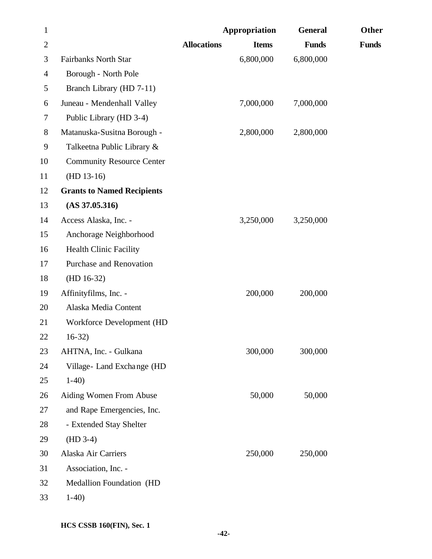| $\mathbf{1}$ |                                   |                    | Appropriation | <b>General</b> | <b>Other</b> |
|--------------|-----------------------------------|--------------------|---------------|----------------|--------------|
| $\mathbf{2}$ |                                   | <b>Allocations</b> | <b>Items</b>  | <b>Funds</b>   | <b>Funds</b> |
| 3            | <b>Fairbanks North Star</b>       |                    | 6,800,000     | 6,800,000      |              |
| 4            | Borough - North Pole              |                    |               |                |              |
| 5            | Branch Library (HD 7-11)          |                    |               |                |              |
| 6            | Juneau - Mendenhall Valley        |                    | 7,000,000     | 7,000,000      |              |
| 7            | Public Library (HD 3-4)           |                    |               |                |              |
| $8\,$        | Matanuska-Susitna Borough -       |                    | 2,800,000     | 2,800,000      |              |
| 9            | Talkeetna Public Library &        |                    |               |                |              |
| 10           | <b>Community Resource Center</b>  |                    |               |                |              |
| 11           | $(HD 13-16)$                      |                    |               |                |              |
| 12           | <b>Grants to Named Recipients</b> |                    |               |                |              |
| 13           | (AS 37.05.316)                    |                    |               |                |              |
| 14           | Access Alaska, Inc. -             |                    | 3,250,000     | 3,250,000      |              |
| 15           | Anchorage Neighborhood            |                    |               |                |              |
| 16           | <b>Health Clinic Facility</b>     |                    |               |                |              |
| 17           | Purchase and Renovation           |                    |               |                |              |
| 18           | $(HD 16-32)$                      |                    |               |                |              |
| 19           | Affinityfilms, Inc. -             |                    | 200,000       | 200,000        |              |
| 20           | Alaska Media Content              |                    |               |                |              |
| 21           | Workforce Development (HD         |                    |               |                |              |
| 22           | $16-32)$                          |                    |               |                |              |
| 23           | AHTNA, Inc. - Gulkana             |                    | 300,000       | 300,000        |              |
| 24           | Village-Land Exchange (HD         |                    |               |                |              |
| 25           | $1-40$                            |                    |               |                |              |
| 26           | Aiding Women From Abuse           |                    | 50,000        | 50,000         |              |
| 27           | and Rape Emergencies, Inc.        |                    |               |                |              |
| 28           | - Extended Stay Shelter           |                    |               |                |              |
| 29           | $(HD 3-4)$                        |                    |               |                |              |
| 30           | Alaska Air Carriers               |                    | 250,000       | 250,000        |              |
| 31           | Association, Inc. -               |                    |               |                |              |
| 32           | Medallion Foundation (HD          |                    |               |                |              |
| 33           | $1-40$                            |                    |               |                |              |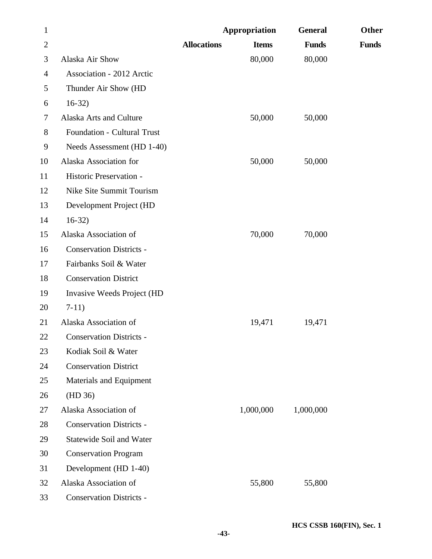| $\mathbf{1}$   |                                    |                    | Appropriation | <b>General</b> | <b>Other</b> |
|----------------|------------------------------------|--------------------|---------------|----------------|--------------|
| $\overline{2}$ |                                    | <b>Allocations</b> | <b>Items</b>  | <b>Funds</b>   | <b>Funds</b> |
| 3              | Alaska Air Show                    |                    | 80,000        | 80,000         |              |
| 4              | <b>Association - 2012 Arctic</b>   |                    |               |                |              |
| 5              | Thunder Air Show (HD               |                    |               |                |              |
| 6              | $16-32)$                           |                    |               |                |              |
| 7              | Alaska Arts and Culture            |                    | 50,000        | 50,000         |              |
| 8              | <b>Foundation - Cultural Trust</b> |                    |               |                |              |
| 9              | Needs Assessment (HD 1-40)         |                    |               |                |              |
| 10             | Alaska Association for             |                    | 50,000        | 50,000         |              |
| 11             | Historic Preservation -            |                    |               |                |              |
| 12             | Nike Site Summit Tourism           |                    |               |                |              |
| 13             | Development Project (HD            |                    |               |                |              |
| 14             | $16-32)$                           |                    |               |                |              |
| 15             | Alaska Association of              |                    | 70,000        | 70,000         |              |
| 16             | <b>Conservation Districts -</b>    |                    |               |                |              |
| 17             | Fairbanks Soil & Water             |                    |               |                |              |
| 18             | <b>Conservation District</b>       |                    |               |                |              |
| 19             | Invasive Weeds Project (HD         |                    |               |                |              |
| 20             | $7-11)$                            |                    |               |                |              |
| 21             | Alaska Association of              |                    | 19,471        | 19,471         |              |
| 22             | <b>Conservation Districts -</b>    |                    |               |                |              |
| 23             | Kodiak Soil & Water                |                    |               |                |              |
| 24             | <b>Conservation District</b>       |                    |               |                |              |
| 25             | Materials and Equipment            |                    |               |                |              |
| 26             | (HD 36)                            |                    |               |                |              |
| 27             | Alaska Association of              |                    | 1,000,000     | 1,000,000      |              |
| 28             | <b>Conservation Districts -</b>    |                    |               |                |              |
| 29             | Statewide Soil and Water           |                    |               |                |              |
| 30             | <b>Conservation Program</b>        |                    |               |                |              |
| 31             | Development (HD 1-40)              |                    |               |                |              |
| 32             | Alaska Association of              |                    | 55,800        | 55,800         |              |
| 33             | <b>Conservation Districts -</b>    |                    |               |                |              |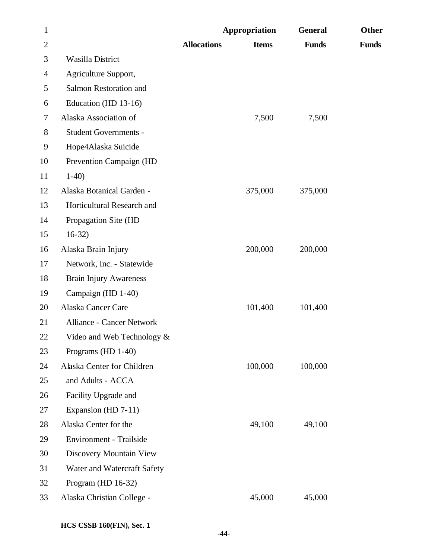| $\mathbf{1}$   |                                  |                    | Appropriation | <b>General</b> | Other        |
|----------------|----------------------------------|--------------------|---------------|----------------|--------------|
| $\overline{2}$ |                                  | <b>Allocations</b> | <b>Items</b>  | <b>Funds</b>   | <b>Funds</b> |
| 3              | <b>Wasilla District</b>          |                    |               |                |              |
| $\overline{4}$ | Agriculture Support,             |                    |               |                |              |
| 5              | Salmon Restoration and           |                    |               |                |              |
| 6              | Education (HD 13-16)             |                    |               |                |              |
| 7              | Alaska Association of            |                    | 7,500         | 7,500          |              |
| 8              | Student Governments -            |                    |               |                |              |
| 9              | Hope4Alaska Suicide              |                    |               |                |              |
| 10             | Prevention Campaign (HD          |                    |               |                |              |
| 11             | $1-40$                           |                    |               |                |              |
| 12             | Alaska Botanical Garden -        |                    | 375,000       | 375,000        |              |
| 13             | Horticultural Research and       |                    |               |                |              |
| 14             | Propagation Site (HD             |                    |               |                |              |
| 15             | $16-32)$                         |                    |               |                |              |
| 16             | Alaska Brain Injury              |                    | 200,000       | 200,000        |              |
| 17             | Network, Inc. - Statewide        |                    |               |                |              |
| 18             | <b>Brain Injury Awareness</b>    |                    |               |                |              |
| 19             | Campaign (HD 1-40)               |                    |               |                |              |
| 20             | Alaska Cancer Care               |                    | 101,400       | 101,400        |              |
| 21             | <b>Alliance - Cancer Network</b> |                    |               |                |              |
| 22             | Video and Web Technology &       |                    |               |                |              |
| 23             | Programs (HD 1-40)               |                    |               |                |              |
| 24             | Alaska Center for Children       |                    | 100,000       | 100,000        |              |
| 25             | and Adults - ACCA                |                    |               |                |              |
| 26             | Facility Upgrade and             |                    |               |                |              |
| 27             | Expansion (HD 7-11)              |                    |               |                |              |
| 28             | Alaska Center for the            |                    | 49,100        | 49,100         |              |
| 29             | Environment - Trailside          |                    |               |                |              |
| 30             | Discovery Mountain View          |                    |               |                |              |
| 31             | Water and Watercraft Safety      |                    |               |                |              |
| 32             | Program (HD $16-32$ )            |                    |               |                |              |
| 33             | Alaska Christian College -       |                    | 45,000        | 45,000         |              |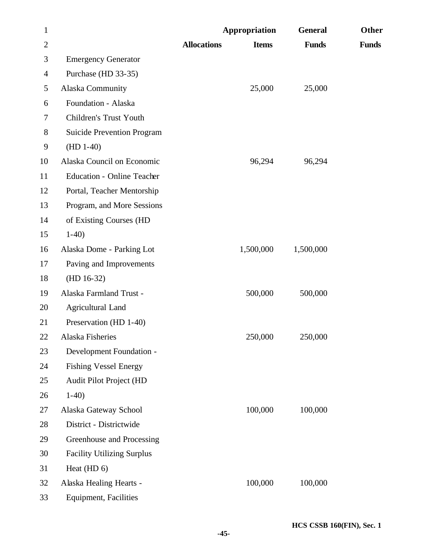| $\mathbf{1}$   |                                   |                    | Appropriation | <b>General</b> | <b>Other</b> |
|----------------|-----------------------------------|--------------------|---------------|----------------|--------------|
| $\overline{2}$ |                                   | <b>Allocations</b> | <b>Items</b>  | <b>Funds</b>   | <b>Funds</b> |
| 3              | <b>Emergency Generator</b>        |                    |               |                |              |
| 4              | Purchase (HD 33-35)               |                    |               |                |              |
| 5              | Alaska Community                  |                    | 25,000        | 25,000         |              |
| 6              | Foundation - Alaska               |                    |               |                |              |
| 7              | Children's Trust Youth            |                    |               |                |              |
| $8\,$          | <b>Suicide Prevention Program</b> |                    |               |                |              |
| 9              | $(HD 1-40)$                       |                    |               |                |              |
| 10             | Alaska Council on Economic        |                    | 96,294        | 96,294         |              |
| 11             | <b>Education - Online Teacher</b> |                    |               |                |              |
| 12             | Portal, Teacher Mentorship        |                    |               |                |              |
| 13             | Program, and More Sessions        |                    |               |                |              |
| 14             | of Existing Courses (HD           |                    |               |                |              |
| 15             | $1-40$                            |                    |               |                |              |
| 16             | Alaska Dome - Parking Lot         |                    | 1,500,000     | 1,500,000      |              |
| 17             | Paving and Improvements           |                    |               |                |              |
| 18             | $(HD 16-32)$                      |                    |               |                |              |
| 19             | Alaska Farmland Trust -           |                    | 500,000       | 500,000        |              |
| 20             | <b>Agricultural Land</b>          |                    |               |                |              |
| 21             | Preservation (HD 1-40)            |                    |               |                |              |
| 22             | Alaska Fisheries                  |                    | 250,000       | 250,000        |              |
| 23             | Development Foundation -          |                    |               |                |              |
| 24             | <b>Fishing Vessel Energy</b>      |                    |               |                |              |
| 25             | Audit Pilot Project (HD           |                    |               |                |              |
| 26             | $1-40$                            |                    |               |                |              |
| 27             | Alaska Gateway School             |                    | 100,000       | 100,000        |              |
| 28             | District - Districtwide           |                    |               |                |              |
| 29             | Greenhouse and Processing         |                    |               |                |              |
| 30             | <b>Facility Utilizing Surplus</b> |                    |               |                |              |
| 31             | Heat (HD 6)                       |                    |               |                |              |
| 32             | Alaska Healing Hearts -           |                    | 100,000       | 100,000        |              |
| 33             | <b>Equipment</b> , Facilities     |                    |               |                |              |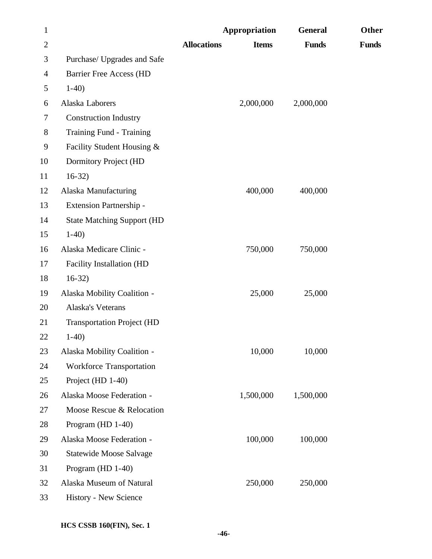| $\mathbf{1}$   |                                   |                    | Appropriation | <b>General</b> | <b>Other</b> |
|----------------|-----------------------------------|--------------------|---------------|----------------|--------------|
| $\overline{c}$ |                                   | <b>Allocations</b> | <b>Items</b>  | <b>Funds</b>   | <b>Funds</b> |
| 3              | Purchase/ Upgrades and Safe       |                    |               |                |              |
| 4              | <b>Barrier Free Access (HD</b>    |                    |               |                |              |
| 5              | $1-40$                            |                    |               |                |              |
| 6              | Alaska Laborers                   |                    | 2,000,000     | 2,000,000      |              |
| 7              | <b>Construction Industry</b>      |                    |               |                |              |
| 8              | Training Fund - Training          |                    |               |                |              |
| 9              | Facility Student Housing &        |                    |               |                |              |
| 10             | Dormitory Project (HD             |                    |               |                |              |
| 11             | $16-32$                           |                    |               |                |              |
| 12             | Alaska Manufacturing              |                    | 400,000       | 400,000        |              |
| 13             | Extension Partnership -           |                    |               |                |              |
| 14             | <b>State Matching Support (HD</b> |                    |               |                |              |
| 15             | $1-40$                            |                    |               |                |              |
| 16             | Alaska Medicare Clinic -          |                    | 750,000       | 750,000        |              |
| 17             | Facility Installation (HD         |                    |               |                |              |
| 18             | $16-32$                           |                    |               |                |              |
| 19             | Alaska Mobility Coalition -       |                    | 25,000        | 25,000         |              |
| 20             | Alaska's Veterans                 |                    |               |                |              |
| 21             | <b>Transportation Project (HD</b> |                    |               |                |              |
| 22             | $1-40$                            |                    |               |                |              |
| 23             | Alaska Mobility Coalition -       |                    | 10,000        | 10,000         |              |
| 24             | Workforce Transportation          |                    |               |                |              |
| 25             | Project (HD 1-40)                 |                    |               |                |              |
| 26             | Alaska Moose Federation -         |                    | 1,500,000     | 1,500,000      |              |
| 27             | Moose Rescue & Relocation         |                    |               |                |              |
| 28             | Program (HD 1-40)                 |                    |               |                |              |
| 29             | Alaska Moose Federation -         |                    | 100,000       | 100,000        |              |
| 30             | <b>Statewide Moose Salvage</b>    |                    |               |                |              |
| 31             | Program (HD 1-40)                 |                    |               |                |              |
| 32             | Alaska Museum of Natural          |                    | 250,000       | 250,000        |              |
| 33             | History - New Science             |                    |               |                |              |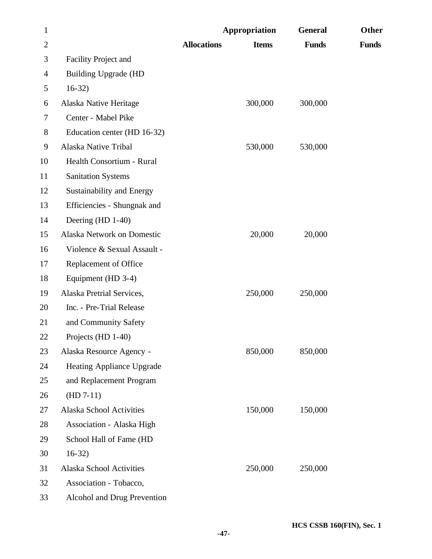| $\mathbf{1}$   |                                  | Appropriation      |              | <b>General</b> | Other        |
|----------------|----------------------------------|--------------------|--------------|----------------|--------------|
| $\overline{2}$ |                                  | <b>Allocations</b> | <b>Items</b> | <b>Funds</b>   | <b>Funds</b> |
| 3              | Facility Project and             |                    |              |                |              |
| $\overline{4}$ | <b>Building Upgrade (HD</b>      |                    |              |                |              |
| 5              | $16-32)$                         |                    |              |                |              |
| 6              | Alaska Native Heritage           |                    | 300,000      | 300,000        |              |
| 7              | Center - Mabel Pike              |                    |              |                |              |
| 8              | Education center (HD 16-32)      |                    |              |                |              |
| 9              | Alaska Native Tribal             |                    | 530,000      | 530,000        |              |
| 10             | Health Consortium - Rural        |                    |              |                |              |
| 11             | <b>Sanitation Systems</b>        |                    |              |                |              |
| 12             | <b>Sustainability and Energy</b> |                    |              |                |              |
| 13             | Efficiencies - Shungnak and      |                    |              |                |              |
| 14             | Deering (HD 1-40)                |                    |              |                |              |
| 15             | Alaska Network on Domestic       |                    | 20,000       | 20,000         |              |
| 16             | Violence & Sexual Assault -      |                    |              |                |              |
| 17             | Replacement of Office            |                    |              |                |              |
| 18             | Equipment (HD 3-4)               |                    |              |                |              |
| 19             | Alaska Pretrial Services,        |                    | 250,000      | 250,000        |              |
| 20             | Inc. - Pre-Trial Release         |                    |              |                |              |
| 21             | and Community Safety             |                    |              |                |              |
| 22             | Projects $(HD 1-40)$             |                    |              |                |              |
| 23             | Alaska Resource Agency -         |                    | 850,000      | 850,000        |              |
| 24             | <b>Heating Appliance Upgrade</b> |                    |              |                |              |
| 25             | and Replacement Program          |                    |              |                |              |
| 26             | $(HD 7-11)$                      |                    |              |                |              |
| 27             | Alaska School Activities         |                    | 150,000      | 150,000        |              |
| 28             | <b>Association - Alaska High</b> |                    |              |                |              |
| 29             | School Hall of Fame (HD          |                    |              |                |              |
| 30             | $16-32)$                         |                    |              |                |              |
| 31             | Alaska School Activities         |                    | 250,000      | 250,000        |              |
| 32             | Association - Tobacco,           |                    |              |                |              |
| 33             | Alcohol and Drug Prevention      |                    |              |                |              |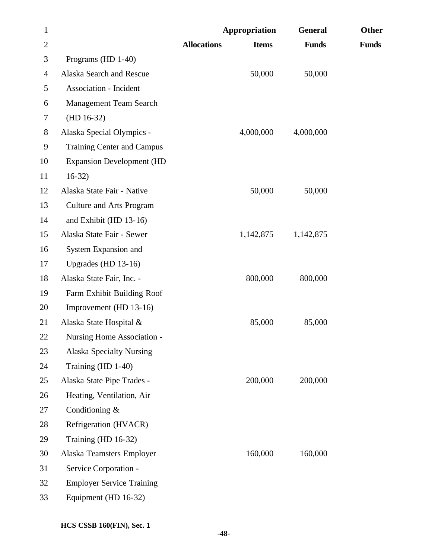| $\mathbf{1}$   |                                   | Appropriation                      | <b>General</b> | Other        |
|----------------|-----------------------------------|------------------------------------|----------------|--------------|
| $\overline{2}$ |                                   | <b>Allocations</b><br><b>Items</b> | <b>Funds</b>   | <b>Funds</b> |
| 3              | Programs (HD 1-40)                |                                    |                |              |
| 4              | Alaska Search and Rescue          | 50,000                             | 50,000         |              |
| 5              | Association - Incident            |                                    |                |              |
| 6              | <b>Management Team Search</b>     |                                    |                |              |
| 7              | $(HD 16-32)$                      |                                    |                |              |
| $8\,$          | Alaska Special Olympics -         | 4,000,000                          | 4,000,000      |              |
| 9              | <b>Training Center and Campus</b> |                                    |                |              |
| 10             | <b>Expansion Development (HD</b>  |                                    |                |              |
| 11             | $16-32$                           |                                    |                |              |
| 12             | Alaska State Fair - Native        | 50,000                             | 50,000         |              |
| 13             | <b>Culture and Arts Program</b>   |                                    |                |              |
| 14             | and Exhibit (HD 13-16)            |                                    |                |              |
| 15             | Alaska State Fair - Sewer         | 1,142,875                          | 1,142,875      |              |
| 16             | System Expansion and              |                                    |                |              |
| 17             | Upgrades (HD $13-16$ )            |                                    |                |              |
| 18             | Alaska State Fair, Inc. -         | 800,000                            | 800,000        |              |
| 19             | Farm Exhibit Building Roof        |                                    |                |              |
| 20             | Improvement (HD 13-16)            |                                    |                |              |
| 21             | Alaska State Hospital &           | 85,000                             | 85,000         |              |
| 22             | Nursing Home Association -        |                                    |                |              |
| 23             | <b>Alaska Specialty Nursing</b>   |                                    |                |              |
| 24             | Training (HD 1-40)                |                                    |                |              |
| 25             | Alaska State Pipe Trades -        | 200,000                            | 200,000        |              |
| 26             | Heating, Ventilation, Air         |                                    |                |              |
| 27             | Conditioning $&$                  |                                    |                |              |
| 28             | Refrigeration (HVACR)             |                                    |                |              |
| 29             | Training (HD 16-32)               |                                    |                |              |
| 30             | Alaska Teamsters Employer         | 160,000                            | 160,000        |              |
| 31             | Service Corporation -             |                                    |                |              |
| 32             | <b>Employer Service Training</b>  |                                    |                |              |
| 33             | Equipment (HD 16-32)              |                                    |                |              |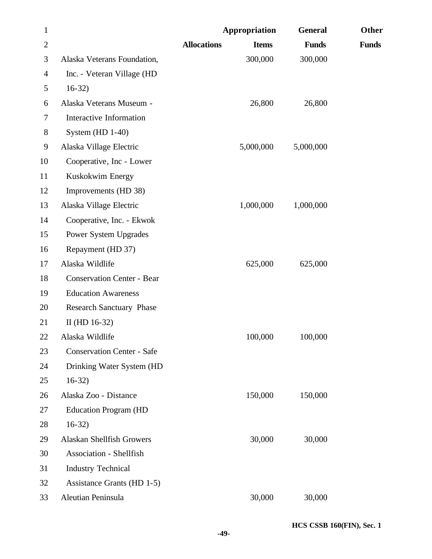| $\mathbf{1}$   |                                   |                    | Appropriation | <b>General</b> | Other        |
|----------------|-----------------------------------|--------------------|---------------|----------------|--------------|
| $\overline{2}$ |                                   | <b>Allocations</b> | <b>Items</b>  | <b>Funds</b>   | <b>Funds</b> |
| 3              | Alaska Veterans Foundation,       |                    | 300,000       | 300,000        |              |
| $\overline{4}$ | Inc. - Veteran Village (HD        |                    |               |                |              |
| 5              | $16-32)$                          |                    |               |                |              |
| 6              | Alaska Veterans Museum -          |                    | 26,800        | 26,800         |              |
| 7              | Interactive Information           |                    |               |                |              |
| $8\,$          | System (HD 1-40)                  |                    |               |                |              |
| 9              | Alaska Village Electric           |                    | 5,000,000     | 5,000,000      |              |
| 10             | Cooperative, Inc - Lower          |                    |               |                |              |
| 11             | Kuskokwim Energy                  |                    |               |                |              |
| 12             | Improvements (HD 38)              |                    |               |                |              |
| 13             | Alaska Village Electric           |                    | 1,000,000     | 1,000,000      |              |
| 14             | Cooperative, Inc. - Ekwok         |                    |               |                |              |
| 15             | Power System Upgrades             |                    |               |                |              |
| 16             | Repayment (HD 37)                 |                    |               |                |              |
| 17             | Alaska Wildlife                   |                    | 625,000       | 625,000        |              |
| 18             | <b>Conservation Center - Bear</b> |                    |               |                |              |
| 19             | <b>Education Awareness</b>        |                    |               |                |              |
| 20             | <b>Research Sanctuary Phase</b>   |                    |               |                |              |
| 21             | II (HD $16-32$ )                  |                    |               |                |              |
| 22             | Alaska Wildlife                   |                    | 100,000       | 100,000        |              |
| 23             | <b>Conservation Center - Safe</b> |                    |               |                |              |
| 24             | Drinking Water System (HD         |                    |               |                |              |
| 25             | $16-32)$                          |                    |               |                |              |
| 26             | Alaska Zoo - Distance             |                    | 150,000       | 150,000        |              |
| 27             | <b>Education Program (HD</b>      |                    |               |                |              |
| 28             | $16-32)$                          |                    |               |                |              |
| 29             | Alaskan Shellfish Growers         |                    | 30,000        | 30,000         |              |
| 30             | <b>Association - Shellfish</b>    |                    |               |                |              |
| 31             | <b>Industry Technical</b>         |                    |               |                |              |
| 32             | Assistance Grants (HD 1-5)        |                    |               |                |              |
| 33             | Aleutian Peninsula                |                    | 30,000        | 30,000         |              |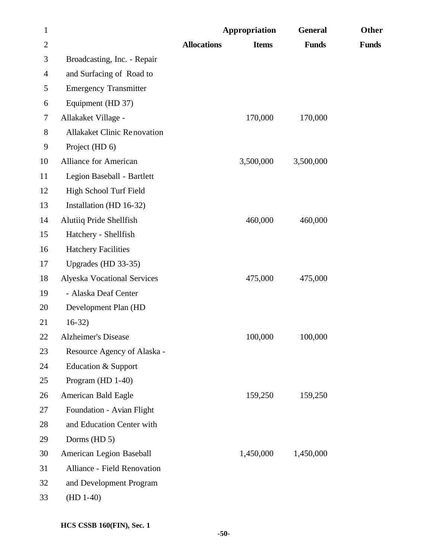| $\mathbf{1}$ |                                    |                    | <b>Appropriation</b> | <b>General</b> | Other        |
|--------------|------------------------------------|--------------------|----------------------|----------------|--------------|
| $\mathbf{2}$ |                                    | <b>Allocations</b> | <b>Items</b>         | <b>Funds</b>   | <b>Funds</b> |
| 3            | Broadcasting, Inc. - Repair        |                    |                      |                |              |
| 4            | and Surfacing of Road to           |                    |                      |                |              |
| 5            | <b>Emergency Transmitter</b>       |                    |                      |                |              |
| 6            | Equipment (HD 37)                  |                    |                      |                |              |
| 7            | Allakaket Village -                |                    | 170,000              | 170,000        |              |
| 8            | <b>Allakaket Clinic Renovation</b> |                    |                      |                |              |
| 9            | Project (HD 6)                     |                    |                      |                |              |
| 10           | <b>Alliance for American</b>       |                    | 3,500,000            | 3,500,000      |              |
| 11           | Legion Baseball - Bartlett         |                    |                      |                |              |
| 12           | High School Turf Field             |                    |                      |                |              |
| 13           | Installation (HD 16-32)            |                    |                      |                |              |
| 14           | Alutiiq Pride Shellfish            |                    | 460,000              | 460,000        |              |
| 15           | Hatchery - Shellfish               |                    |                      |                |              |
| 16           | <b>Hatchery Facilities</b>         |                    |                      |                |              |
| 17           | Upgrades (HD 33-35)                |                    |                      |                |              |
| 18           | <b>Alyeska Vocational Services</b> |                    | 475,000              | 475,000        |              |
| 19           | - Alaska Deaf Center               |                    |                      |                |              |
| 20           | Development Plan (HD               |                    |                      |                |              |
| 21           | $16-32)$                           |                    |                      |                |              |
| 22           | <b>Alzheimer's Disease</b>         |                    | 100,000              | 100,000        |              |
| 23           | Resource Agency of Alaska -        |                    |                      |                |              |
| 24           | <b>Education &amp; Support</b>     |                    |                      |                |              |
| 25           | Program (HD 1-40)                  |                    |                      |                |              |
| 26           | American Bald Eagle                |                    | 159,250              | 159,250        |              |
| 27           | Foundation - Avian Flight          |                    |                      |                |              |
| 28           | and Education Center with          |                    |                      |                |              |
| 29           | Dorms (HD 5)                       |                    |                      |                |              |
| 30           | American Legion Baseball           |                    | 1,450,000            | 1,450,000      |              |
| 31           | Alliance - Field Renovation        |                    |                      |                |              |
| 32           | and Development Program            |                    |                      |                |              |
| 33           | $(HD 1-40)$                        |                    |                      |                |              |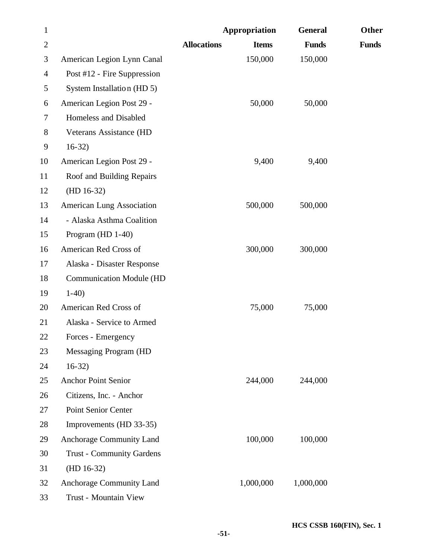| $\mathbf{1}$   |                                  |                    | Appropriation | <b>General</b> | <b>Other</b> |
|----------------|----------------------------------|--------------------|---------------|----------------|--------------|
| $\overline{2}$ |                                  | <b>Allocations</b> | <b>Items</b>  | <b>Funds</b>   | <b>Funds</b> |
| 3              | American Legion Lynn Canal       |                    | 150,000       | 150,000        |              |
| 4              | Post #12 - Fire Suppression      |                    |               |                |              |
| 5              | System Installation (HD 5)       |                    |               |                |              |
| 6              | American Legion Post 29 -        |                    | 50,000        | 50,000         |              |
| 7              | Homeless and Disabled            |                    |               |                |              |
| 8              | Veterans Assistance (HD          |                    |               |                |              |
| $\mathbf{9}$   | $16-32)$                         |                    |               |                |              |
| 10             | American Legion Post 29 -        |                    | 9,400         | 9,400          |              |
| 11             | Roof and Building Repairs        |                    |               |                |              |
| 12             | $(HD 16-32)$                     |                    |               |                |              |
| 13             | <b>American Lung Association</b> |                    | 500,000       | 500,000        |              |
| 14             | - Alaska Asthma Coalition        |                    |               |                |              |
| 15             | Program (HD 1-40)                |                    |               |                |              |
| 16             | American Red Cross of            |                    | 300,000       | 300,000        |              |
| 17             | Alaska - Disaster Response       |                    |               |                |              |
| 18             | <b>Communication Module (HD</b>  |                    |               |                |              |
| 19             | $1-40$                           |                    |               |                |              |
| 20             | American Red Cross of            |                    | 75,000        | 75,000         |              |
| 21             | Alaska - Service to Armed        |                    |               |                |              |
| 22             | Forces - Emergency               |                    |               |                |              |
| 23             | Messaging Program (HD            |                    |               |                |              |
| 24             | $16-32)$                         |                    |               |                |              |
| 25             | <b>Anchor Point Senior</b>       |                    | 244,000       | 244,000        |              |
| 26             | Citizens, Inc. - Anchor          |                    |               |                |              |
| 27             | Point Senior Center              |                    |               |                |              |
| 28             | Improvements (HD 33-35)          |                    |               |                |              |
| 29             | Anchorage Community Land         |                    | 100,000       | 100,000        |              |
| 30             | <b>Trust - Community Gardens</b> |                    |               |                |              |
| 31             | $(HD 16-32)$                     |                    |               |                |              |
| 32             | Anchorage Community Land         |                    | 1,000,000     | 1,000,000      |              |
| 33             | Trust - Mountain View            |                    |               |                |              |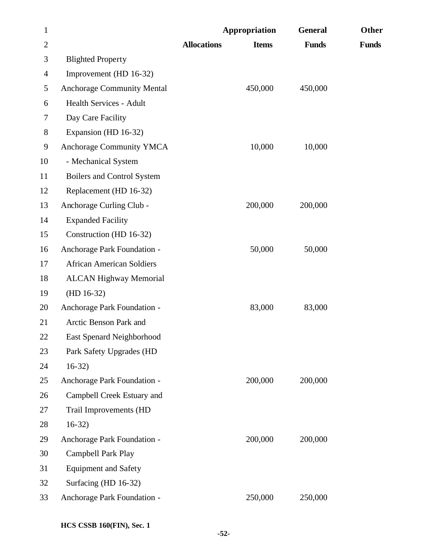| $\mathbf{1}$   |                                   |                    | Appropriation | <b>General</b> | Other        |
|----------------|-----------------------------------|--------------------|---------------|----------------|--------------|
| $\overline{2}$ |                                   | <b>Allocations</b> | <b>Items</b>  | <b>Funds</b>   | <b>Funds</b> |
| 3              | <b>Blighted Property</b>          |                    |               |                |              |
| 4              | Improvement (HD 16-32)            |                    |               |                |              |
| 5              | <b>Anchorage Community Mental</b> |                    | 450,000       | 450,000        |              |
| 6              | <b>Health Services - Adult</b>    |                    |               |                |              |
| 7              | Day Care Facility                 |                    |               |                |              |
| $8\,$          | Expansion (HD 16-32)              |                    |               |                |              |
| 9              | <b>Anchorage Community YMCA</b>   |                    | 10,000        | 10,000         |              |
| 10             | - Mechanical System               |                    |               |                |              |
| 11             | <b>Boilers and Control System</b> |                    |               |                |              |
| 12             | Replacement (HD 16-32)            |                    |               |                |              |
| 13             | Anchorage Curling Club -          |                    | 200,000       | 200,000        |              |
| 14             | <b>Expanded Facility</b>          |                    |               |                |              |
| 15             | Construction (HD 16-32)           |                    |               |                |              |
| 16             | Anchorage Park Foundation -       |                    | 50,000        | 50,000         |              |
| 17             | <b>African American Soldiers</b>  |                    |               |                |              |
| 18             | <b>ALCAN Highway Memorial</b>     |                    |               |                |              |
| 19             | $(HD 16-32)$                      |                    |               |                |              |
| 20             | Anchorage Park Foundation -       |                    | 83,000        | 83,000         |              |
| 21             | Arctic Benson Park and            |                    |               |                |              |
| 22             | <b>East Spenard Neighborhood</b>  |                    |               |                |              |
| 23             | Park Safety Upgrades (HD          |                    |               |                |              |
| 24             | $16-32$                           |                    |               |                |              |
| 25             | Anchorage Park Foundation -       |                    | 200,000       | 200,000        |              |
| 26             | Campbell Creek Estuary and        |                    |               |                |              |
| 27             | Trail Improvements (HD            |                    |               |                |              |
| 28             | $16-32)$                          |                    |               |                |              |
| 29             | Anchorage Park Foundation -       |                    | 200,000       | 200,000        |              |
| 30             | Campbell Park Play                |                    |               |                |              |
| 31             | <b>Equipment and Safety</b>       |                    |               |                |              |
| 32             | Surfacing (HD 16-32)              |                    |               |                |              |
| 33             | Anchorage Park Foundation -       |                    | 250,000       | 250,000        |              |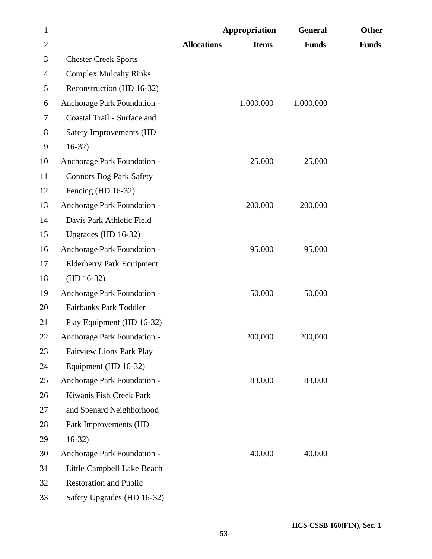| $\mathbf{1}$   |                                  | Appropriation      |              | <b>General</b> | Other        |
|----------------|----------------------------------|--------------------|--------------|----------------|--------------|
| $\overline{2}$ |                                  | <b>Allocations</b> | <b>Items</b> | <b>Funds</b>   | <b>Funds</b> |
| 3              | <b>Chester Creek Sports</b>      |                    |              |                |              |
| 4              | <b>Complex Mulcahy Rinks</b>     |                    |              |                |              |
| 5              | Reconstruction (HD 16-32)        |                    |              |                |              |
| 6              | Anchorage Park Foundation -      | 1,000,000          |              | 1,000,000      |              |
| 7              | Coastal Trail - Surface and      |                    |              |                |              |
| $8\,$          | Safety Improvements (HD          |                    |              |                |              |
| 9              | $16-32)$                         |                    |              |                |              |
| 10             | Anchorage Park Foundation -      | 25,000             |              | 25,000         |              |
| 11             | <b>Connors Bog Park Safety</b>   |                    |              |                |              |
| 12             | Fencing (HD $16-32$ )            |                    |              |                |              |
| 13             | Anchorage Park Foundation -      | 200,000            |              | 200,000        |              |
| 14             | Davis Park Athletic Field        |                    |              |                |              |
| 15             | Upgrades (HD 16-32)              |                    |              |                |              |
| 16             | Anchorage Park Foundation -      | 95,000             |              | 95,000         |              |
| 17             | <b>Elderberry Park Equipment</b> |                    |              |                |              |
| 18             | $(HD 16-32)$                     |                    |              |                |              |
| 19             | Anchorage Park Foundation -      | 50,000             |              | 50,000         |              |
| 20             | Fairbanks Park Toddler           |                    |              |                |              |
| 21             | Play Equipment (HD 16-32)        |                    |              |                |              |
| 22             | Anchorage Park Foundation -      | 200,000            |              | 200,000        |              |
| 23             | <b>Fairview Lions Park Play</b>  |                    |              |                |              |
| 24             | Equipment (HD 16-32)             |                    |              |                |              |
| 25             | Anchorage Park Foundation -      | 83,000             |              | 83,000         |              |
| 26             | Kiwanis Fish Creek Park          |                    |              |                |              |
| 27             | and Spenard Neighborhood         |                    |              |                |              |
| 28             | Park Improvements (HD            |                    |              |                |              |
| 29             | $16-32)$                         |                    |              |                |              |
| 30             | Anchorage Park Foundation -      | 40,000             |              | 40,000         |              |
| 31             | Little Campbell Lake Beach       |                    |              |                |              |
| 32             | <b>Restoration and Public</b>    |                    |              |                |              |
| 33             | Safety Upgrades (HD 16-32)       |                    |              |                |              |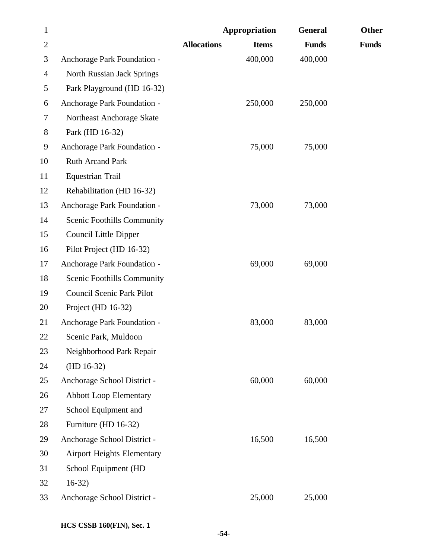| $\mathbf{1}$   |                                   |                    | Appropriation | <b>General</b> | Other        |
|----------------|-----------------------------------|--------------------|---------------|----------------|--------------|
| $\overline{2}$ |                                   | <b>Allocations</b> | <b>Items</b>  | <b>Funds</b>   | <b>Funds</b> |
| 3              | Anchorage Park Foundation -       |                    | 400,000       | 400,000        |              |
| 4              | North Russian Jack Springs        |                    |               |                |              |
| 5              | Park Playground (HD 16-32)        |                    |               |                |              |
| 6              | Anchorage Park Foundation -       |                    | 250,000       | 250,000        |              |
| 7              | Northeast Anchorage Skate         |                    |               |                |              |
| 8              | Park (HD 16-32)                   |                    |               |                |              |
| 9              | Anchorage Park Foundation -       |                    | 75,000        | 75,000         |              |
| 10             | <b>Ruth Arcand Park</b>           |                    |               |                |              |
| 11             | <b>Equestrian Trail</b>           |                    |               |                |              |
| 12             | Rehabilitation (HD 16-32)         |                    |               |                |              |
| 13             | Anchorage Park Foundation -       |                    | 73,000        | 73,000         |              |
| 14             | <b>Scenic Foothills Community</b> |                    |               |                |              |
| 15             | Council Little Dipper             |                    |               |                |              |
| 16             | Pilot Project (HD 16-32)          |                    |               |                |              |
| 17             | Anchorage Park Foundation -       |                    | 69,000        | 69,000         |              |
| 18             | Scenic Foothills Community        |                    |               |                |              |
| 19             | <b>Council Scenic Park Pilot</b>  |                    |               |                |              |
| 20             | Project (HD 16-32)                |                    |               |                |              |
| 21             | Anchorage Park Foundation -       |                    | 83,000        | 83,000         |              |
| 22             | Scenic Park, Muldoon              |                    |               |                |              |
| 23             | Neighborhood Park Repair          |                    |               |                |              |
| 24             | $(HD 16-32)$                      |                    |               |                |              |
| 25             | Anchorage School District -       |                    | 60,000        | 60,000         |              |
| 26             | <b>Abbott Loop Elementary</b>     |                    |               |                |              |
| 27             | School Equipment and              |                    |               |                |              |
| 28             | Furniture (HD 16-32)              |                    |               |                |              |
| 29             | Anchorage School District -       |                    | 16,500        | 16,500         |              |
| 30             | <b>Airport Heights Elementary</b> |                    |               |                |              |
| 31             | School Equipment (HD              |                    |               |                |              |
| 32             | $16-32)$                          |                    |               |                |              |
| 33             | Anchorage School District -       |                    | 25,000        | 25,000         |              |
|                |                                   |                    |               |                |              |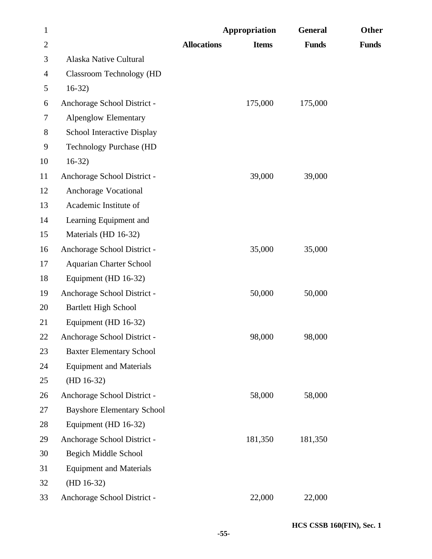| $\mathbf{1}$   |                                   | Appropriation      |              | <b>General</b> | Other        |
|----------------|-----------------------------------|--------------------|--------------|----------------|--------------|
| $\overline{2}$ |                                   | <b>Allocations</b> | <b>Items</b> | <b>Funds</b>   | <b>Funds</b> |
| 3              | Alaska Native Cultural            |                    |              |                |              |
| $\overline{4}$ | <b>Classroom Technology (HD</b>   |                    |              |                |              |
| 5              | $16-32)$                          |                    |              |                |              |
| 6              | Anchorage School District -       |                    | 175,000      | 175,000        |              |
| 7              | <b>Alpenglow Elementary</b>       |                    |              |                |              |
| 8              | School Interactive Display        |                    |              |                |              |
| 9              | <b>Technology Purchase (HD</b>    |                    |              |                |              |
| 10             | $16-32)$                          |                    |              |                |              |
| 11             | Anchorage School District -       |                    | 39,000       | 39,000         |              |
| 12             | Anchorage Vocational              |                    |              |                |              |
| 13             | Academic Institute of             |                    |              |                |              |
| 14             | Learning Equipment and            |                    |              |                |              |
| 15             | Materials (HD 16-32)              |                    |              |                |              |
| 16             | Anchorage School District -       |                    | 35,000       | 35,000         |              |
| 17             | <b>Aquarian Charter School</b>    |                    |              |                |              |
| 18             | Equipment (HD 16-32)              |                    |              |                |              |
| 19             | Anchorage School District -       |                    | 50,000       | 50,000         |              |
| 20             | <b>Bartlett High School</b>       |                    |              |                |              |
| 21             | Equipment (HD 16-32)              |                    |              |                |              |
| 22             | Anchorage School District -       |                    | 98,000       | 98,000         |              |
| 23             | <b>Baxter Elementary School</b>   |                    |              |                |              |
| 24             | <b>Equipment and Materials</b>    |                    |              |                |              |
| 25             | $(HD 16-32)$                      |                    |              |                |              |
| 26             | Anchorage School District -       |                    | 58,000       | 58,000         |              |
| 27             | <b>Bayshore Elementary School</b> |                    |              |                |              |
| 28             | Equipment (HD 16-32)              |                    |              |                |              |
| 29             | Anchorage School District -       |                    | 181,350      | 181,350        |              |
| 30             | <b>Begich Middle School</b>       |                    |              |                |              |
| 31             | <b>Equipment and Materials</b>    |                    |              |                |              |
| 32             | $(HD 16-32)$                      |                    |              |                |              |
| 33             | Anchorage School District -       |                    | 22,000       | 22,000         |              |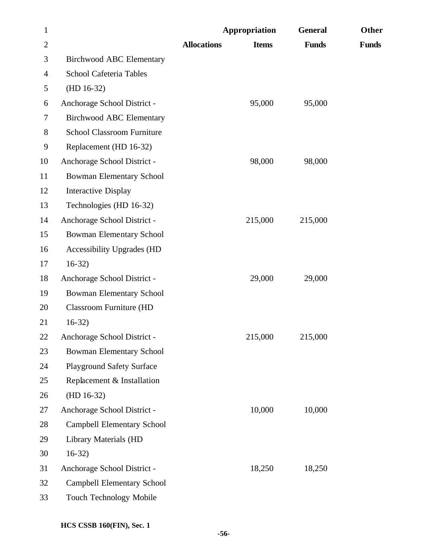| $\mathbf{1}$             |                                   |                    | Appropriation | <b>General</b> | Other        |
|--------------------------|-----------------------------------|--------------------|---------------|----------------|--------------|
| $\mathbf{2}$             |                                   | <b>Allocations</b> | <b>Items</b>  | <b>Funds</b>   | <b>Funds</b> |
| 3                        | <b>Birchwood ABC Elementary</b>   |                    |               |                |              |
| $\overline{\mathcal{A}}$ | <b>School Cafeteria Tables</b>    |                    |               |                |              |
| 5                        | $(HD 16-32)$                      |                    |               |                |              |
| 6                        | Anchorage School District -       |                    | 95,000        | 95,000         |              |
| 7                        | <b>Birchwood ABC Elementary</b>   |                    |               |                |              |
| 8                        | <b>School Classroom Furniture</b> |                    |               |                |              |
| 9                        | Replacement (HD 16-32)            |                    |               |                |              |
| 10                       | Anchorage School District -       |                    | 98,000        | 98,000         |              |
| 11                       | <b>Bowman Elementary School</b>   |                    |               |                |              |
| 12                       | <b>Interactive Display</b>        |                    |               |                |              |
| 13                       | Technologies (HD 16-32)           |                    |               |                |              |
| 14                       | Anchorage School District -       |                    | 215,000       | 215,000        |              |
| 15                       | <b>Bowman Elementary School</b>   |                    |               |                |              |
| 16                       | <b>Accessibility Upgrades (HD</b> |                    |               |                |              |
| 17                       | $16-32$                           |                    |               |                |              |
| 18                       | Anchorage School District -       |                    | 29,000        | 29,000         |              |
| 19                       | <b>Bowman Elementary School</b>   |                    |               |                |              |
| 20                       | <b>Classroom Furniture (HD</b>    |                    |               |                |              |
| 21                       | $16-32)$                          |                    |               |                |              |
| 22                       | Anchorage School District -       |                    | 215,000       | 215,000        |              |
| 23                       | <b>Bowman Elementary School</b>   |                    |               |                |              |
| 24                       | <b>Playground Safety Surface</b>  |                    |               |                |              |
| 25                       | Replacement & Installation        |                    |               |                |              |
| 26                       | $(HD 16-32)$                      |                    |               |                |              |
| 27                       | Anchorage School District -       |                    | 10,000        | 10,000         |              |
| 28                       | <b>Campbell Elementary School</b> |                    |               |                |              |
| 29                       | Library Materials (HD             |                    |               |                |              |
| 30                       | $16-32)$                          |                    |               |                |              |
| 31                       | Anchorage School District -       |                    | 18,250        | 18,250         |              |
| 32                       | <b>Campbell Elementary School</b> |                    |               |                |              |
| 33                       | Touch Technology Mobile           |                    |               |                |              |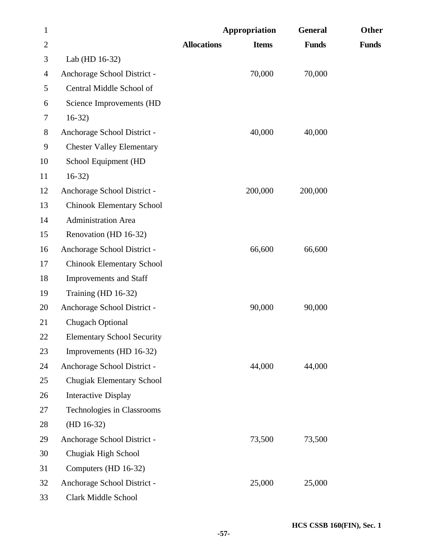| $\mathbf{1}$   |                                   |                    | Appropriation | <b>General</b> | Other        |
|----------------|-----------------------------------|--------------------|---------------|----------------|--------------|
| $\overline{2}$ |                                   | <b>Allocations</b> | <b>Items</b>  | <b>Funds</b>   | <b>Funds</b> |
| 3              | Lab (HD 16-32)                    |                    |               |                |              |
| 4              | Anchorage School District -       |                    | 70,000        | 70,000         |              |
| 5              | Central Middle School of          |                    |               |                |              |
| 6              | Science Improvements (HD          |                    |               |                |              |
| 7              | $16-32$                           |                    |               |                |              |
| 8              | Anchorage School District -       |                    | 40,000        | 40,000         |              |
| 9              | <b>Chester Valley Elementary</b>  |                    |               |                |              |
| 10             | School Equipment (HD              |                    |               |                |              |
| 11             | $16-32)$                          |                    |               |                |              |
| 12             | Anchorage School District -       |                    | 200,000       | 200,000        |              |
| 13             | <b>Chinook Elementary School</b>  |                    |               |                |              |
| 14             | <b>Administration Area</b>        |                    |               |                |              |
| 15             | Renovation (HD 16-32)             |                    |               |                |              |
| 16             | Anchorage School District -       |                    | 66,600        | 66,600         |              |
| 17             | <b>Chinook Elementary School</b>  |                    |               |                |              |
| 18             | Improvements and Staff            |                    |               |                |              |
| 19             | Training (HD 16-32)               |                    |               |                |              |
| 20             | Anchorage School District -       |                    | 90,000        | 90,000         |              |
| 21             | Chugach Optional                  |                    |               |                |              |
| 22             | <b>Elementary School Security</b> |                    |               |                |              |
| 23             | Improvements (HD 16-32)           |                    |               |                |              |
| 24             | Anchorage School District -       |                    | 44,000        | 44,000         |              |
| 25             | Chugiak Elementary School         |                    |               |                |              |
| 26             | <b>Interactive Display</b>        |                    |               |                |              |
| 27             | Technologies in Classrooms        |                    |               |                |              |
| 28             | $(HD 16-32)$                      |                    |               |                |              |
| 29             | Anchorage School District -       |                    | 73,500        | 73,500         |              |
| 30             | Chugiak High School               |                    |               |                |              |
| 31             | Computers (HD 16-32)              |                    |               |                |              |
| 32             | Anchorage School District -       |                    | 25,000        | 25,000         |              |
| 33             | Clark Middle School               |                    |               |                |              |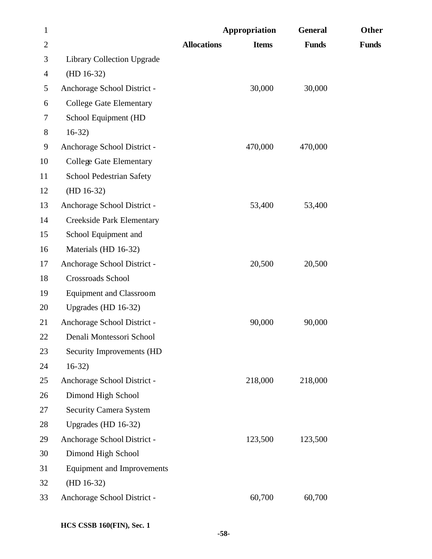| $\mathbf{1}$   |                                   |                    | Appropriation | <b>General</b> | <b>Other</b> |
|----------------|-----------------------------------|--------------------|---------------|----------------|--------------|
| $\overline{2}$ |                                   | <b>Allocations</b> | <b>Items</b>  | <b>Funds</b>   | <b>Funds</b> |
| 3              | <b>Library Collection Upgrade</b> |                    |               |                |              |
| $\overline{4}$ | $(HD 16-32)$                      |                    |               |                |              |
| 5              | Anchorage School District -       |                    | 30,000        | 30,000         |              |
| 6              | <b>College Gate Elementary</b>    |                    |               |                |              |
| 7              | School Equipment (HD              |                    |               |                |              |
| 8              | $16-32)$                          |                    |               |                |              |
| 9              | Anchorage School District -       |                    | 470,000       | 470,000        |              |
| 10             | <b>College Gate Elementary</b>    |                    |               |                |              |
| 11             | <b>School Pedestrian Safety</b>   |                    |               |                |              |
| 12             | $(HD 16-32)$                      |                    |               |                |              |
| 13             | Anchorage School District -       |                    | 53,400        | 53,400         |              |
| 14             | <b>Creekside Park Elementary</b>  |                    |               |                |              |
| 15             | School Equipment and              |                    |               |                |              |
| 16             | Materials (HD 16-32)              |                    |               |                |              |
| 17             | Anchorage School District -       |                    | 20,500        | 20,500         |              |
| 18             | Crossroads School                 |                    |               |                |              |
| 19             | <b>Equipment and Classroom</b>    |                    |               |                |              |
| 20             | Upgrades (HD 16-32)               |                    |               |                |              |
| 21             | Anchorage School District -       |                    | 90,000        | 90,000         |              |
| 22             | Denali Montessori School          |                    |               |                |              |
| 23             | Security Improvements (HD         |                    |               |                |              |
| 24             | $16-32)$                          |                    |               |                |              |
| 25             | Anchorage School District -       |                    | 218,000       | 218,000        |              |
| 26             | Dimond High School                |                    |               |                |              |
| 27             | <b>Security Camera System</b>     |                    |               |                |              |
| 28             | Upgrades (HD 16-32)               |                    |               |                |              |
| 29             | Anchorage School District -       |                    | 123,500       | 123,500        |              |
| 30             | Dimond High School                |                    |               |                |              |
| 31             | <b>Equipment and Improvements</b> |                    |               |                |              |
| 32             | $(HD 16-32)$                      |                    |               |                |              |
| 33             | Anchorage School District -       |                    | 60,700        | 60,700         |              |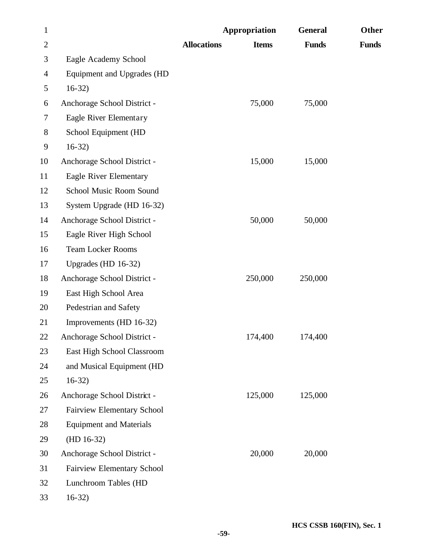| $\mathbf{1}$   |                                   |                    | <b>Appropriation</b> | <b>General</b> | Other        |
|----------------|-----------------------------------|--------------------|----------------------|----------------|--------------|
| $\overline{2}$ |                                   | <b>Allocations</b> | <b>Items</b>         | <b>Funds</b>   | <b>Funds</b> |
| 3              | Eagle Academy School              |                    |                      |                |              |
| $\overline{4}$ | Equipment and Upgrades (HD        |                    |                      |                |              |
| 5              | $16-32)$                          |                    |                      |                |              |
| 6              | Anchorage School District -       |                    | 75,000               | 75,000         |              |
| 7              | Eagle River Elementary            |                    |                      |                |              |
| $8\,$          | School Equipment (HD              |                    |                      |                |              |
| 9              | $16-32)$                          |                    |                      |                |              |
| 10             | Anchorage School District -       |                    | 15,000               | 15,000         |              |
| 11             | Eagle River Elementary            |                    |                      |                |              |
| 12             | School Music Room Sound           |                    |                      |                |              |
| 13             | System Upgrade (HD 16-32)         |                    |                      |                |              |
| 14             | Anchorage School District -       |                    | 50,000               | 50,000         |              |
| 15             | Eagle River High School           |                    |                      |                |              |
| 16             | <b>Team Locker Rooms</b>          |                    |                      |                |              |
| 17             | Upgrades (HD 16-32)               |                    |                      |                |              |
| 18             | Anchorage School District -       |                    | 250,000              | 250,000        |              |
| 19             | East High School Area             |                    |                      |                |              |
| 20             | Pedestrian and Safety             |                    |                      |                |              |
| 21             | Improvements (HD 16-32)           |                    |                      |                |              |
| 22             | Anchorage School District -       |                    | 174,400              | 174,400        |              |
| 23             | East High School Classroom        |                    |                      |                |              |
| 24             | and Musical Equipment (HD         |                    |                      |                |              |
| 25             | $16-32)$                          |                    |                      |                |              |
| 26             | Anchorage School District -       |                    | 125,000              | 125,000        |              |
| 27             | <b>Fairview Elementary School</b> |                    |                      |                |              |
| 28             | <b>Equipment and Materials</b>    |                    |                      |                |              |
| 29             | $(HD 16-32)$                      |                    |                      |                |              |
| 30             | Anchorage School District -       |                    | 20,000               | 20,000         |              |
| 31             | <b>Fairview Elementary School</b> |                    |                      |                |              |
| 32             | Lunchroom Tables (HD              |                    |                      |                |              |
| 33             | $16-32)$                          |                    |                      |                |              |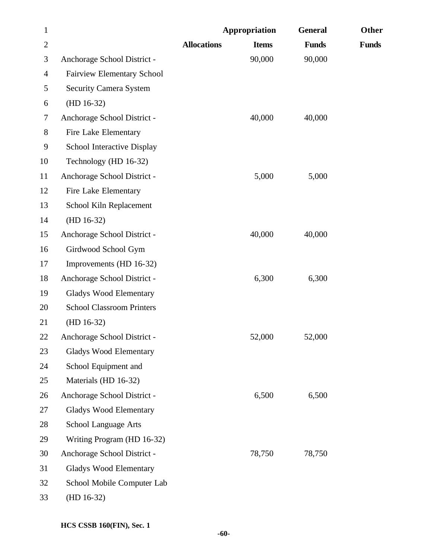| $\mathbf{1}$ |                                   |                    | Appropriation | <b>General</b> | Other        |
|--------------|-----------------------------------|--------------------|---------------|----------------|--------------|
| $\mathbf{2}$ |                                   | <b>Allocations</b> | <b>Items</b>  | <b>Funds</b>   | <b>Funds</b> |
| 3            | Anchorage School District -       |                    | 90,000        | 90,000         |              |
| 4            | <b>Fairview Elementary School</b> |                    |               |                |              |
| 5            | <b>Security Camera System</b>     |                    |               |                |              |
| 6            | $(HD 16-32)$                      |                    |               |                |              |
| 7            | Anchorage School District -       |                    | 40,000        | 40,000         |              |
| 8            | Fire Lake Elementary              |                    |               |                |              |
| 9            | School Interactive Display        |                    |               |                |              |
| 10           | Technology (HD 16-32)             |                    |               |                |              |
| 11           | Anchorage School District -       |                    | 5,000         | 5,000          |              |
| 12           | Fire Lake Elementary              |                    |               |                |              |
| 13           | School Kiln Replacement           |                    |               |                |              |
| 14           | $(HD 16-32)$                      |                    |               |                |              |
| 15           | Anchorage School District -       |                    | 40,000        | 40,000         |              |
| 16           | Girdwood School Gym               |                    |               |                |              |
| 17           | Improvements (HD 16-32)           |                    |               |                |              |
| 18           | Anchorage School District -       |                    | 6,300         | 6,300          |              |
| 19           | Gladys Wood Elementary            |                    |               |                |              |
| 20           | <b>School Classroom Printers</b>  |                    |               |                |              |
| 21           | $(HD 16-32)$                      |                    |               |                |              |
| 22           | Anchorage School District -       |                    | 52,000        | 52,000         |              |
| 23           | <b>Gladys Wood Elementary</b>     |                    |               |                |              |
| 24           | School Equipment and              |                    |               |                |              |
| 25           | Materials (HD 16-32)              |                    |               |                |              |
| 26           | Anchorage School District -       |                    | 6,500         | 6,500          |              |
| 27           | <b>Gladys Wood Elementary</b>     |                    |               |                |              |
| 28           | School Language Arts              |                    |               |                |              |
| 29           | Writing Program (HD 16-32)        |                    |               |                |              |
| 30           | Anchorage School District -       |                    | 78,750        | 78,750         |              |
| 31           | <b>Gladys Wood Elementary</b>     |                    |               |                |              |
| 32           | School Mobile Computer Lab        |                    |               |                |              |
| 33           | $(HD 16-32)$                      |                    |               |                |              |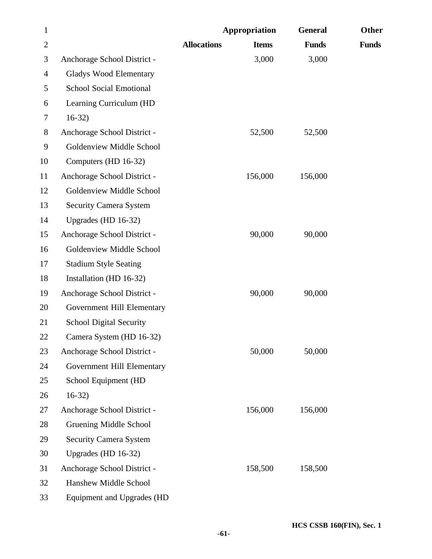| $\mathbf{1}$   |                                |                    | Appropriation | <b>General</b> | Other        |
|----------------|--------------------------------|--------------------|---------------|----------------|--------------|
| $\overline{2}$ |                                | <b>Allocations</b> | <b>Items</b>  | <b>Funds</b>   | <b>Funds</b> |
| 3              | Anchorage School District -    |                    | 3,000         | 3,000          |              |
| $\overline{4}$ | <b>Gladys Wood Elementary</b>  |                    |               |                |              |
| 5              | <b>School Social Emotional</b> |                    |               |                |              |
| 6              | Learning Curriculum (HD        |                    |               |                |              |
| 7              | $16-32$                        |                    |               |                |              |
| $8\,$          | Anchorage School District -    |                    | 52,500        | 52,500         |              |
| 9              | Goldenview Middle School       |                    |               |                |              |
| 10             | Computers (HD 16-32)           |                    |               |                |              |
| 11             | Anchorage School District -    |                    | 156,000       | 156,000        |              |
| 12             | Goldenview Middle School       |                    |               |                |              |
| 13             | <b>Security Camera System</b>  |                    |               |                |              |
| 14             | Upgrades (HD 16-32)            |                    |               |                |              |
| 15             | Anchorage School District -    |                    | 90,000        | 90,000         |              |
| 16             | Goldenview Middle School       |                    |               |                |              |
| 17             | <b>Stadium Style Seating</b>   |                    |               |                |              |
| 18             | Installation (HD 16-32)        |                    |               |                |              |
| 19             | Anchorage School District -    |                    | 90,000        | 90,000         |              |
| 20             | Government Hill Elementary     |                    |               |                |              |
| 21             | <b>School Digital Security</b> |                    |               |                |              |
| 22             | Camera System (HD 16-32)       |                    |               |                |              |
| 23             | Anchorage School District -    |                    | 50,000        | 50,000         |              |
| 24             | Government Hill Elementary     |                    |               |                |              |
| 25             | School Equipment (HD           |                    |               |                |              |
| 26             | $16-32)$                       |                    |               |                |              |
| 27             | Anchorage School District -    |                    | 156,000       | 156,000        |              |
| 28             | Gruening Middle School         |                    |               |                |              |
| 29             | <b>Security Camera System</b>  |                    |               |                |              |
| 30             | Upgrades (HD 16-32)            |                    |               |                |              |
| 31             | Anchorage School District -    |                    | 158,500       | 158,500        |              |
| 32             | Hanshew Middle School          |                    |               |                |              |
| 33             | Equipment and Upgrades (HD     |                    |               |                |              |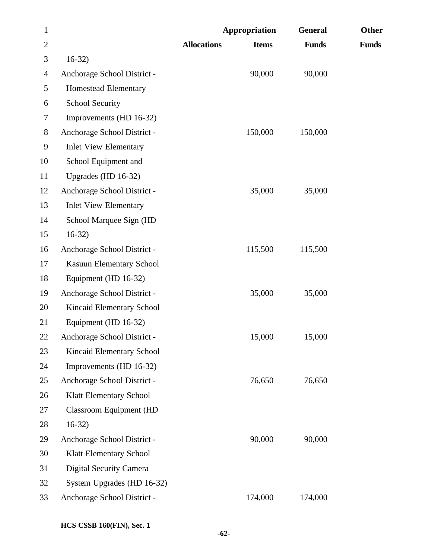| $\mathbf{1}$   |                                | Appropriation      |              | <b>General</b> | Other        |
|----------------|--------------------------------|--------------------|--------------|----------------|--------------|
| $\overline{2}$ |                                | <b>Allocations</b> | <b>Items</b> | <b>Funds</b>   | <b>Funds</b> |
| 3              | $16-32)$                       |                    |              |                |              |
| 4              | Anchorage School District -    |                    | 90,000       | 90,000         |              |
| 5              | Homestead Elementary           |                    |              |                |              |
| 6              | <b>School Security</b>         |                    |              |                |              |
| $\tau$         | Improvements (HD 16-32)        |                    |              |                |              |
| 8              | Anchorage School District -    |                    | 150,000      | 150,000        |              |
| 9              | <b>Inlet View Elementary</b>   |                    |              |                |              |
| 10             | School Equipment and           |                    |              |                |              |
| 11             | Upgrades (HD 16-32)            |                    |              |                |              |
| 12             | Anchorage School District -    |                    | 35,000       | 35,000         |              |
| 13             | <b>Inlet View Elementary</b>   |                    |              |                |              |
| 14             | School Marquee Sign (HD        |                    |              |                |              |
| 15             | $16-32)$                       |                    |              |                |              |
| 16             | Anchorage School District -    |                    | 115,500      | 115,500        |              |
| 17             | Kasuun Elementary School       |                    |              |                |              |
| 18             | Equipment (HD 16-32)           |                    |              |                |              |
| 19             | Anchorage School District -    |                    | 35,000       | 35,000         |              |
| 20             | Kincaid Elementary School      |                    |              |                |              |
| 21             | Equipment (HD 16-32)           |                    |              |                |              |
| 22             | Anchorage School District -    |                    | 15,000       | 15,000         |              |
| 23             | Kincaid Elementary School      |                    |              |                |              |
| 24             | Improvements (HD 16-32)        |                    |              |                |              |
| 25             | Anchorage School District -    |                    | 76,650       | 76,650         |              |
| 26             | Klatt Elementary School        |                    |              |                |              |
| 27             | <b>Classroom Equipment (HD</b> |                    |              |                |              |
| 28             | $16-32)$                       |                    |              |                |              |
| 29             | Anchorage School District -    |                    | 90,000       | 90,000         |              |
| 30             | Klatt Elementary School        |                    |              |                |              |
| 31             | Digital Security Camera        |                    |              |                |              |
| 32             | System Upgrades (HD 16-32)     |                    |              |                |              |
| 33             | Anchorage School District -    |                    | 174,000      | 174,000        |              |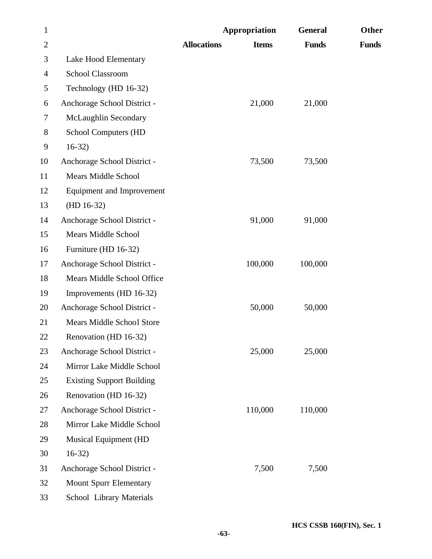| $\mathbf{1}$   |                                  |                    | Appropriation | <b>General</b> | Other        |
|----------------|----------------------------------|--------------------|---------------|----------------|--------------|
| $\overline{2}$ |                                  | <b>Allocations</b> | <b>Items</b>  | <b>Funds</b>   | <b>Funds</b> |
| 3              | Lake Hood Elementary             |                    |               |                |              |
| 4              | <b>School Classroom</b>          |                    |               |                |              |
| 5              | Technology (HD 16-32)            |                    |               |                |              |
| 6              | Anchorage School District -      |                    | 21,000        | 21,000         |              |
| $\tau$         | McLaughlin Secondary             |                    |               |                |              |
| 8              | School Computers (HD             |                    |               |                |              |
| 9              | $16-32)$                         |                    |               |                |              |
| 10             | Anchorage School District -      |                    | 73,500        | 73,500         |              |
| 11             | <b>Mears Middle School</b>       |                    |               |                |              |
| 12             | <b>Equipment and Improvement</b> |                    |               |                |              |
| 13             | $(HD 16-32)$                     |                    |               |                |              |
| 14             | Anchorage School District -      |                    | 91,000        | 91,000         |              |
| 15             | <b>Mears Middle School</b>       |                    |               |                |              |
| 16             | Furniture (HD 16-32)             |                    |               |                |              |
| 17             | Anchorage School District -      |                    | 100,000       | 100,000        |              |
| 18             | Mears Middle School Office       |                    |               |                |              |
| 19             | Improvements (HD 16-32)          |                    |               |                |              |
| 20             | Anchorage School District -      |                    | 50,000        | 50,000         |              |
| 21             | <b>Mears Middle School Store</b> |                    |               |                |              |
| 22             | Renovation (HD 16-32)            |                    |               |                |              |
| 23             | Anchorage School District -      |                    | 25,000        | 25,000         |              |
| 24             | Mirror Lake Middle School        |                    |               |                |              |
| 25             | <b>Existing Support Building</b> |                    |               |                |              |
| 26             | Renovation (HD 16-32)            |                    |               |                |              |
| 27             | Anchorage School District -      |                    | 110,000       | 110,000        |              |
| 28             | Mirror Lake Middle School        |                    |               |                |              |
| 29             | <b>Musical Equipment (HD</b>     |                    |               |                |              |
| 30             | $16-32)$                         |                    |               |                |              |
| 31             | Anchorage School District -      |                    | 7,500         | 7,500          |              |
| 32             | <b>Mount Spurr Elementary</b>    |                    |               |                |              |
| 33             | School Library Materials         |                    |               |                |              |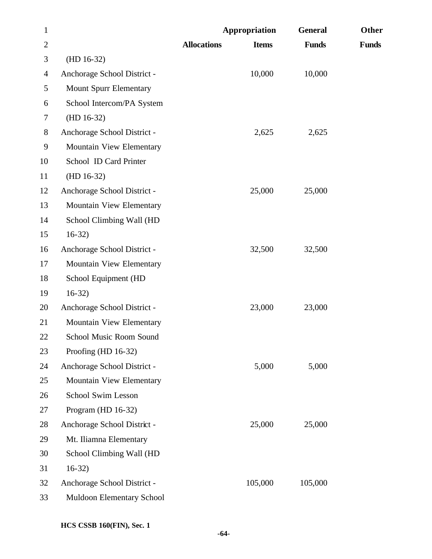| $\mathbf{1}$   |                               | Appropriation      |              | <b>General</b> | Other        |
|----------------|-------------------------------|--------------------|--------------|----------------|--------------|
| $\overline{2}$ |                               | <b>Allocations</b> | <b>Items</b> | <b>Funds</b>   | <b>Funds</b> |
| 3              | $(HD 16-32)$                  |                    |              |                |              |
| $\overline{4}$ | Anchorage School District -   |                    | 10,000       | 10,000         |              |
| 5              | <b>Mount Spurr Elementary</b> |                    |              |                |              |
| 6              | School Intercom/PA System     |                    |              |                |              |
| 7              | $(HD 16-32)$                  |                    |              |                |              |
| $8\,$          | Anchorage School District -   |                    | 2,625        | 2,625          |              |
| 9              | Mountain View Elementary      |                    |              |                |              |
| 10             | School ID Card Printer        |                    |              |                |              |
| 11             | $(HD 16-32)$                  |                    |              |                |              |
| 12             | Anchorage School District -   |                    | 25,000       | 25,000         |              |
| 13             | Mountain View Elementary      |                    |              |                |              |
| 14             | School Climbing Wall (HD      |                    |              |                |              |
| 15             | $16-32)$                      |                    |              |                |              |
| 16             | Anchorage School District -   |                    | 32,500       | 32,500         |              |
| 17             | Mountain View Elementary      |                    |              |                |              |
| 18             | School Equipment (HD          |                    |              |                |              |
| 19             | $16-32)$                      |                    |              |                |              |
| 20             | Anchorage School District -   |                    | 23,000       | 23,000         |              |
| 21             | Mountain View Elementary      |                    |              |                |              |
| 22             | School Music Room Sound       |                    |              |                |              |
| 23             | Proofing (HD 16-32)           |                    |              |                |              |
| 24             | Anchorage School District -   |                    | 5,000        | 5,000          |              |
| 25             | Mountain View Elementary      |                    |              |                |              |
| 26             | School Swim Lesson            |                    |              |                |              |
| 27             | Program (HD 16-32)            |                    |              |                |              |
| 28             | Anchorage School District -   |                    | 25,000       | 25,000         |              |
| 29             | Mt. Iliamna Elementary        |                    |              |                |              |
| 30             | School Climbing Wall (HD      |                    |              |                |              |
| 31             | $16-32)$                      |                    |              |                |              |
| 32             | Anchorage School District -   |                    | 105,000      | 105,000        |              |
| 33             | Muldoon Elementary School     |                    |              |                |              |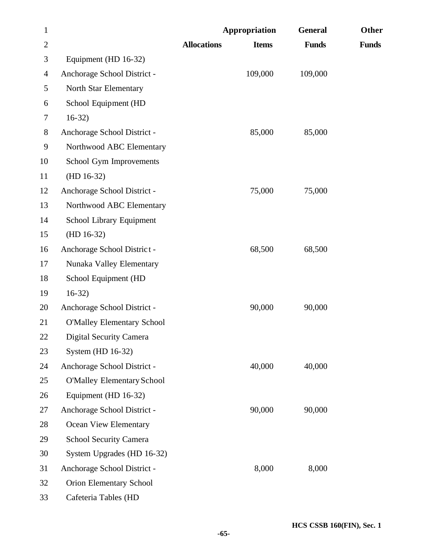| $\mathbf{1}$   |                                   |                    | Appropriation | <b>General</b> | Other        |
|----------------|-----------------------------------|--------------------|---------------|----------------|--------------|
| $\overline{2}$ |                                   | <b>Allocations</b> | <b>Items</b>  | <b>Funds</b>   | <b>Funds</b> |
| 3              | Equipment (HD 16-32)              |                    |               |                |              |
| 4              | Anchorage School District -       |                    | 109,000       | 109,000        |              |
| 5              | North Star Elementary             |                    |               |                |              |
| 6              | School Equipment (HD              |                    |               |                |              |
| 7              | $16-32)$                          |                    |               |                |              |
| 8              | Anchorage School District -       |                    | 85,000        | 85,000         |              |
| 9              | Northwood ABC Elementary          |                    |               |                |              |
| 10             | School Gym Improvements           |                    |               |                |              |
| 11             | $(HD 16-32)$                      |                    |               |                |              |
| 12             | Anchorage School District -       |                    | 75,000        | 75,000         |              |
| 13             | Northwood ABC Elementary          |                    |               |                |              |
| 14             | School Library Equipment          |                    |               |                |              |
| 15             | $(HD 16-32)$                      |                    |               |                |              |
| 16             | Anchorage School District -       |                    | 68,500        | 68,500         |              |
| 17             | Nunaka Valley Elementary          |                    |               |                |              |
| 18             | School Equipment (HD              |                    |               |                |              |
| 19             | $16-32)$                          |                    |               |                |              |
| 20             | Anchorage School District -       |                    | 90,000        | 90,000         |              |
| 21             | <b>O'Malley Elementary School</b> |                    |               |                |              |
| 22             | Digital Security Camera           |                    |               |                |              |
| 23             | System (HD 16-32)                 |                    |               |                |              |
| 24             | Anchorage School District -       |                    | 40,000        | 40,000         |              |
| 25             | <b>O'Malley Elementary School</b> |                    |               |                |              |
| 26             | Equipment (HD 16-32)              |                    |               |                |              |
| 27             | Anchorage School District -       |                    | 90,000        | 90,000         |              |
| 28             | Ocean View Elementary             |                    |               |                |              |
| 29             | <b>School Security Camera</b>     |                    |               |                |              |
| 30             | System Upgrades (HD 16-32)        |                    |               |                |              |
| 31             | Anchorage School District -       |                    | 8,000         | 8,000          |              |
| 32             | Orion Elementary School           |                    |               |                |              |
| 33             | Cafeteria Tables (HD              |                    |               |                |              |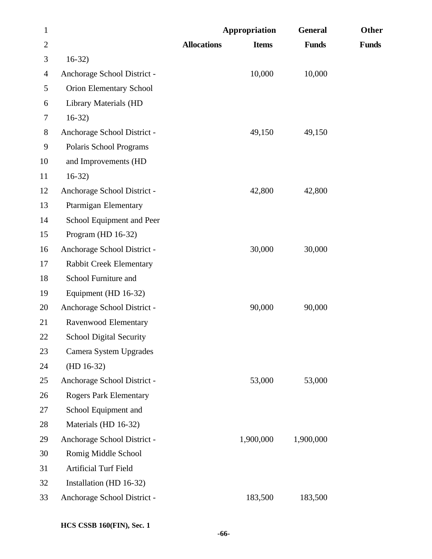| $\mathbf{1}$   |                                | Appropriation      |              | <b>General</b> | Other        |
|----------------|--------------------------------|--------------------|--------------|----------------|--------------|
| $\overline{2}$ |                                | <b>Allocations</b> | <b>Items</b> | <b>Funds</b>   | <b>Funds</b> |
| 3              | $16-32)$                       |                    |              |                |              |
| $\overline{4}$ | Anchorage School District -    |                    | 10,000       | 10,000         |              |
| 5              | Orion Elementary School        |                    |              |                |              |
| 6              | <b>Library Materials (HD</b>   |                    |              |                |              |
| 7              | $16-32)$                       |                    |              |                |              |
| 8              | Anchorage School District -    |                    | 49,150       | 49,150         |              |
| 9              | Polaris School Programs        |                    |              |                |              |
| 10             | and Improvements (HD           |                    |              |                |              |
| 11             | $16-32)$                       |                    |              |                |              |
| 12             | Anchorage School District -    |                    | 42,800       | 42,800         |              |
| 13             | Ptarmigan Elementary           |                    |              |                |              |
| 14             | School Equipment and Peer      |                    |              |                |              |
| 15             | Program (HD $16-32$ )          |                    |              |                |              |
| 16             | Anchorage School District -    |                    | 30,000       | 30,000         |              |
| 17             | <b>Rabbit Creek Elementary</b> |                    |              |                |              |
| 18             | School Furniture and           |                    |              |                |              |
| 19             | Equipment (HD 16-32)           |                    |              |                |              |
| 20             | Anchorage School District -    |                    | 90,000       | 90,000         |              |
| 21             | Ravenwood Elementary           |                    |              |                |              |
| 22             | <b>School Digital Security</b> |                    |              |                |              |
| 23             | Camera System Upgrades         |                    |              |                |              |
| 24             | $(HD 16-32)$                   |                    |              |                |              |
| 25             | Anchorage School District -    |                    | 53,000       | 53,000         |              |
| 26             | <b>Rogers Park Elementary</b>  |                    |              |                |              |
| 27             | School Equipment and           |                    |              |                |              |
| 28             | Materials (HD 16-32)           |                    |              |                |              |
| 29             | Anchorage School District -    |                    | 1,900,000    | 1,900,000      |              |
| 30             | Romig Middle School            |                    |              |                |              |
| 31             | Artificial Turf Field          |                    |              |                |              |
| 32             | Installation (HD 16-32)        |                    |              |                |              |
| 33             | Anchorage School District -    |                    | 183,500      | 183,500        |              |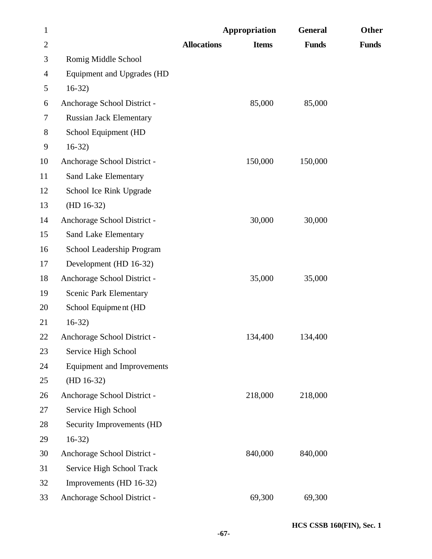| $\mathbf{1}$   |                                   |                    | Appropriation | <b>General</b> | Other        |
|----------------|-----------------------------------|--------------------|---------------|----------------|--------------|
| $\overline{2}$ |                                   | <b>Allocations</b> | <b>Items</b>  | <b>Funds</b>   | <b>Funds</b> |
| 3              | Romig Middle School               |                    |               |                |              |
| $\overline{4}$ | Equipment and Upgrades (HD        |                    |               |                |              |
| 5              | $16-32)$                          |                    |               |                |              |
| 6              | Anchorage School District -       |                    | 85,000        | 85,000         |              |
| 7              | <b>Russian Jack Elementary</b>    |                    |               |                |              |
| 8              | School Equipment (HD              |                    |               |                |              |
| 9              | $16-32)$                          |                    |               |                |              |
| 10             | Anchorage School District -       |                    | 150,000       | 150,000        |              |
| 11             | Sand Lake Elementary              |                    |               |                |              |
| 12             | School Ice Rink Upgrade           |                    |               |                |              |
| 13             | $(HD 16-32)$                      |                    |               |                |              |
| 14             | Anchorage School District -       |                    | 30,000        | 30,000         |              |
| 15             | Sand Lake Elementary              |                    |               |                |              |
| 16             | School Leadership Program         |                    |               |                |              |
| 17             | Development (HD 16-32)            |                    |               |                |              |
| 18             | Anchorage School District -       |                    | 35,000        | 35,000         |              |
| 19             | <b>Scenic Park Elementary</b>     |                    |               |                |              |
| 20             | School Equipment (HD              |                    |               |                |              |
| 21             | $16-32)$                          |                    |               |                |              |
| 22             | Anchorage School District -       |                    | 134,400       | 134,400        |              |
| 23             | Service High School               |                    |               |                |              |
| 24             | <b>Equipment and Improvements</b> |                    |               |                |              |
| 25             | $(HD 16-32)$                      |                    |               |                |              |
| 26             | Anchorage School District -       |                    | 218,000       | 218,000        |              |
| 27             | Service High School               |                    |               |                |              |
| 28             | Security Improvements (HD         |                    |               |                |              |
| 29             | $16-32)$                          |                    |               |                |              |
| 30             | Anchorage School District -       |                    | 840,000       | 840,000        |              |
| 31             | Service High School Track         |                    |               |                |              |
| 32             | Improvements (HD 16-32)           |                    |               |                |              |
| 33             | Anchorage School District -       |                    | 69,300        | 69,300         |              |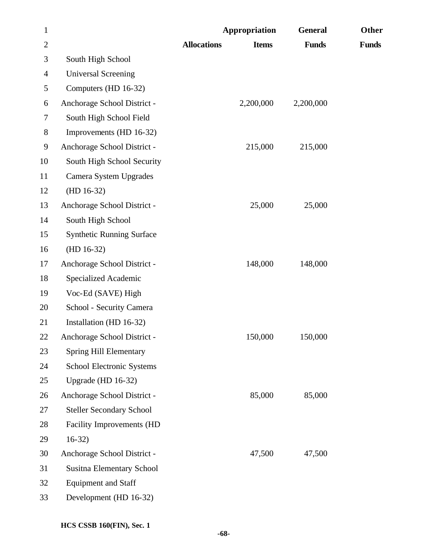| $\mathbf{1}$   |                                  |                    | Appropriation | <b>General</b> | Other        |
|----------------|----------------------------------|--------------------|---------------|----------------|--------------|
| $\overline{2}$ |                                  | <b>Allocations</b> | <b>Items</b>  | <b>Funds</b>   | <b>Funds</b> |
| 3              | South High School                |                    |               |                |              |
| $\overline{4}$ | <b>Universal Screening</b>       |                    |               |                |              |
| 5              | Computers (HD 16-32)             |                    |               |                |              |
| 6              | Anchorage School District -      |                    | 2,200,000     | 2,200,000      |              |
| 7              | South High School Field          |                    |               |                |              |
| 8              | Improvements (HD 16-32)          |                    |               |                |              |
| 9              | Anchorage School District -      |                    | 215,000       | 215,000        |              |
| 10             | South High School Security       |                    |               |                |              |
| 11             | Camera System Upgrades           |                    |               |                |              |
| 12             | $(HD 16-32)$                     |                    |               |                |              |
| 13             | Anchorage School District -      |                    | 25,000        | 25,000         |              |
| 14             | South High School                |                    |               |                |              |
| 15             | <b>Synthetic Running Surface</b> |                    |               |                |              |
| 16             | $(HD 16-32)$                     |                    |               |                |              |
| 17             | Anchorage School District -      |                    | 148,000       | 148,000        |              |
| 18             | Specialized Academic             |                    |               |                |              |
| 19             | Voc-Ed (SAVE) High               |                    |               |                |              |
| 20             | School - Security Camera         |                    |               |                |              |
| 21             | Installation (HD 16-32)          |                    |               |                |              |
| 22             | Anchorage School District -      |                    | 150,000       | 150,000        |              |
| 23             | <b>Spring Hill Elementary</b>    |                    |               |                |              |
| 24             | School Electronic Systems        |                    |               |                |              |
| 25             | Upgrade (HD 16-32)               |                    |               |                |              |
| 26             | Anchorage School District -      |                    | 85,000        | 85,000         |              |
| 27             | <b>Steller Secondary School</b>  |                    |               |                |              |
| 28             | <b>Facility Improvements (HD</b> |                    |               |                |              |
| 29             | $16-32)$                         |                    |               |                |              |
| 30             | Anchorage School District -      |                    | 47,500        | 47,500         |              |
| 31             | <b>Susitna Elementary School</b> |                    |               |                |              |
| 32             | <b>Equipment and Staff</b>       |                    |               |                |              |
| 33             | Development (HD 16-32)           |                    |               |                |              |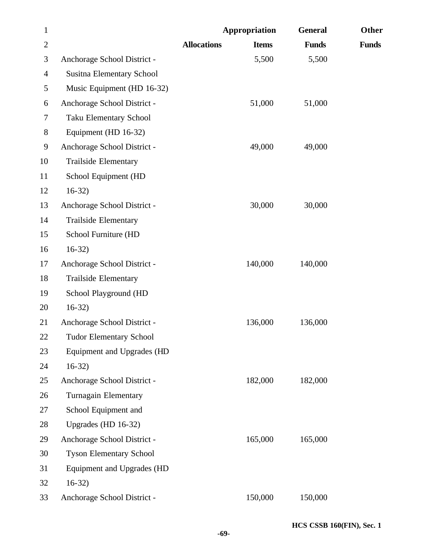| $\mathbf{1}$   |                                  |                    | Appropriation | <b>General</b> | Other        |
|----------------|----------------------------------|--------------------|---------------|----------------|--------------|
| $\overline{2}$ |                                  | <b>Allocations</b> | <b>Items</b>  | <b>Funds</b>   | <b>Funds</b> |
| 3              | Anchorage School District -      |                    | 5,500         | 5,500          |              |
| 4              | <b>Susitna Elementary School</b> |                    |               |                |              |
| 5              | Music Equipment (HD 16-32)       |                    |               |                |              |
| 6              | Anchorage School District -      |                    | 51,000        | 51,000         |              |
| 7              | <b>Taku Elementary School</b>    |                    |               |                |              |
| 8              | Equipment (HD 16-32)             |                    |               |                |              |
| 9              | Anchorage School District -      |                    | 49,000        | 49,000         |              |
| 10             | <b>Trailside Elementary</b>      |                    |               |                |              |
| 11             | School Equipment (HD             |                    |               |                |              |
| 12             | $16-32)$                         |                    |               |                |              |
| 13             | Anchorage School District -      |                    | 30,000        | 30,000         |              |
| 14             | <b>Trailside Elementary</b>      |                    |               |                |              |
| 15             | School Furniture (HD             |                    |               |                |              |
| 16             | $16-32)$                         |                    |               |                |              |
| 17             | Anchorage School District -      |                    | 140,000       | 140,000        |              |
| 18             | <b>Trailside Elementary</b>      |                    |               |                |              |
| 19             | School Playground (HD            |                    |               |                |              |
| 20             | $16-32)$                         |                    |               |                |              |
| 21             | Anchorage School District -      |                    | 136,000       | 136,000        |              |
| 22             | <b>Tudor Elementary School</b>   |                    |               |                |              |
| 23             | Equipment and Upgrades (HD       |                    |               |                |              |
| 24             | $16-32$                          |                    |               |                |              |
| 25             | Anchorage School District -      |                    | 182,000       | 182,000        |              |
| 26             | Turnagain Elementary             |                    |               |                |              |
| 27             | School Equipment and             |                    |               |                |              |
| 28             | Upgrades (HD 16-32)              |                    |               |                |              |
| 29             | Anchorage School District -      |                    | 165,000       | 165,000        |              |
| 30             | <b>Tyson Elementary School</b>   |                    |               |                |              |
| 31             | Equipment and Upgrades (HD       |                    |               |                |              |
| 32             | $16-32)$                         |                    |               |                |              |
| 33             | Anchorage School District -      |                    | 150,000       | 150,000        |              |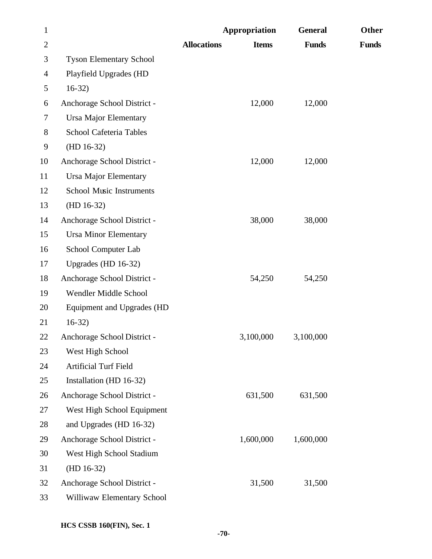| $\mathbf{1}$   |                                 |                    | Appropriation | <b>General</b> | Other        |
|----------------|---------------------------------|--------------------|---------------|----------------|--------------|
| $\overline{2}$ |                                 | <b>Allocations</b> | <b>Items</b>  | <b>Funds</b>   | <b>Funds</b> |
| 3              | <b>Tyson Elementary School</b>  |                    |               |                |              |
| $\overline{4}$ | Playfield Upgrades (HD          |                    |               |                |              |
| 5              | $16-32)$                        |                    |               |                |              |
| 6              | Anchorage School District -     |                    | 12,000        | 12,000         |              |
| 7              | <b>Ursa Major Elementary</b>    |                    |               |                |              |
| 8              | School Cafeteria Tables         |                    |               |                |              |
| 9              | $(HD 16-32)$                    |                    |               |                |              |
| 10             | Anchorage School District -     |                    | 12,000        | 12,000         |              |
| 11             | <b>Ursa Major Elementary</b>    |                    |               |                |              |
| 12             | <b>School Music Instruments</b> |                    |               |                |              |
| 13             | $(HD 16-32)$                    |                    |               |                |              |
| 14             | Anchorage School District -     |                    | 38,000        | 38,000         |              |
| 15             | <b>Ursa Minor Elementary</b>    |                    |               |                |              |
| 16             | School Computer Lab             |                    |               |                |              |
| 17             | Upgrades (HD 16-32)             |                    |               |                |              |
| 18             | Anchorage School District -     |                    | 54,250        | 54,250         |              |
| 19             | Wendler Middle School           |                    |               |                |              |
| 20             | Equipment and Upgrades (HD      |                    |               |                |              |
| 21             | $16-32$                         |                    |               |                |              |
| 22             | Anchorage School District -     |                    | 3,100,000     | 3,100,000      |              |
| 23             | West High School                |                    |               |                |              |
| 24             | Artificial Turf Field           |                    |               |                |              |
| 25             | Installation (HD 16-32)         |                    |               |                |              |
| 26             | Anchorage School District -     |                    | 631,500       | 631,500        |              |
| 27             | West High School Equipment      |                    |               |                |              |
| 28             | and Upgrades (HD 16-32)         |                    |               |                |              |
| 29             | Anchorage School District -     |                    | 1,600,000     | 1,600,000      |              |
| 30             | West High School Stadium        |                    |               |                |              |
| 31             | $(HD 16-32)$                    |                    |               |                |              |
| 32             | Anchorage School District -     |                    | 31,500        | 31,500         |              |
| 33             | Williwaw Elementary School      |                    |               |                |              |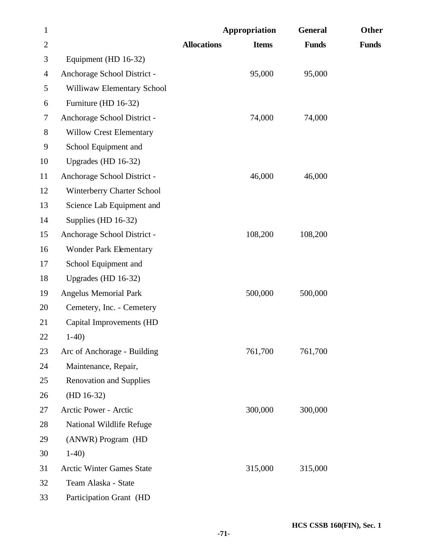| $\mathbf{1}$ |                                  |                    | Appropriation | <b>General</b> | Other        |
|--------------|----------------------------------|--------------------|---------------|----------------|--------------|
| $\mathbf{2}$ |                                  | <b>Allocations</b> | <b>Items</b>  | <b>Funds</b>   | <b>Funds</b> |
| 3            | Equipment (HD 16-32)             |                    |               |                |              |
| 4            | Anchorage School District -      |                    | 95,000        | 95,000         |              |
| 5            | Williwaw Elementary School       |                    |               |                |              |
| 6            | Furniture (HD 16-32)             |                    |               |                |              |
| $\tau$       | Anchorage School District -      |                    | 74,000        | 74,000         |              |
| 8            | <b>Willow Crest Elementary</b>   |                    |               |                |              |
| 9            | School Equipment and             |                    |               |                |              |
| 10           | Upgrades (HD 16-32)              |                    |               |                |              |
| 11           | Anchorage School District -      |                    | 46,000        | 46,000         |              |
| 12           | Winterberry Charter School       |                    |               |                |              |
| 13           | Science Lab Equipment and        |                    |               |                |              |
| 14           | Supplies (HD 16-32)              |                    |               |                |              |
| 15           | Anchorage School District -      |                    | 108,200       | 108,200        |              |
| 16           | <b>Wonder Park Elementary</b>    |                    |               |                |              |
| 17           | School Equipment and             |                    |               |                |              |
| 18           | Upgrades (HD 16-32)              |                    |               |                |              |
| 19           | <b>Angelus Memorial Park</b>     |                    | 500,000       | 500,000        |              |
| 20           | Cemetery, Inc. - Cemetery        |                    |               |                |              |
| 21           | Capital Improvements (HD         |                    |               |                |              |
| 22           | $1-40$                           |                    |               |                |              |
| 23           | Arc of Anchorage - Building      |                    | 761,700       | 761,700        |              |
| 24           | Maintenance, Repair,             |                    |               |                |              |
| 25           | <b>Renovation and Supplies</b>   |                    |               |                |              |
| 26           | $(HD 16-32)$                     |                    |               |                |              |
| 27           | Arctic Power - Arctic            |                    | 300,000       | 300,000        |              |
| 28           | National Wildlife Refuge         |                    |               |                |              |
| 29           | (ANWR) Program (HD               |                    |               |                |              |
| 30           | $1-40$                           |                    |               |                |              |
| 31           | <b>Arctic Winter Games State</b> |                    | 315,000       | 315,000        |              |
| 32           | Team Alaska - State              |                    |               |                |              |
| 33           | Participation Grant (HD          |                    |               |                |              |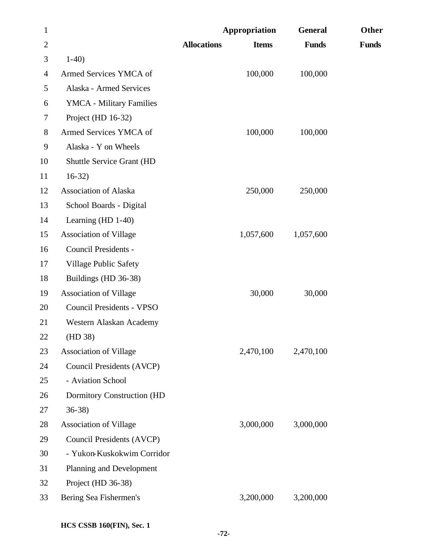| $\mathbf{1}$   |                                   |                    | Appropriation | <b>General</b> | Other        |
|----------------|-----------------------------------|--------------------|---------------|----------------|--------------|
| $\overline{2}$ |                                   | <b>Allocations</b> | <b>Items</b>  | <b>Funds</b>   | <b>Funds</b> |
| 3              | $1-40$                            |                    |               |                |              |
| 4              | Armed Services YMCA of            |                    | 100,000       | 100,000        |              |
| 5              | Alaska - Armed Services           |                    |               |                |              |
| 6              | YMCA - Military Families          |                    |               |                |              |
| 7              | Project (HD 16-32)                |                    |               |                |              |
| 8              | Armed Services YMCA of            |                    | 100,000       | 100,000        |              |
| 9              | Alaska - Y on Wheels              |                    |               |                |              |
| 10             | <b>Shuttle Service Grant (HD</b>  |                    |               |                |              |
| 11             | $16-32)$                          |                    |               |                |              |
| 12             | <b>Association of Alaska</b>      |                    | 250,000       | 250,000        |              |
| 13             | School Boards - Digital           |                    |               |                |              |
| 14             | Learning $(HD 1-40)$              |                    |               |                |              |
| 15             | <b>Association of Village</b>     |                    | 1,057,600     | 1,057,600      |              |
| 16             | Council Presidents -              |                    |               |                |              |
| 17             | Village Public Safety             |                    |               |                |              |
| 18             | Buildings (HD 36-38)              |                    |               |                |              |
| 19             | <b>Association of Village</b>     |                    | 30,000        | 30,000         |              |
| 20             | <b>Council Presidents - VPSO</b>  |                    |               |                |              |
| 21             | Western Alaskan Academy           |                    |               |                |              |
| 22             | (HD 38)                           |                    |               |                |              |
| 23             | <b>Association of Village</b>     |                    | 2,470,100     | 2,470,100      |              |
| 24             | Council Presidents (AVCP)         |                    |               |                |              |
| 25             | - Aviation School                 |                    |               |                |              |
| 26             | <b>Dormitory Construction (HD</b> |                    |               |                |              |
| 27             | $36-38$                           |                    |               |                |              |
| 28             | <b>Association of Village</b>     |                    | 3,000,000     | 3,000,000      |              |
| 29             | Council Presidents (AVCP)         |                    |               |                |              |
| 30             | - Yukon-Kuskokwim Corridor        |                    |               |                |              |
| 31             | Planning and Development          |                    |               |                |              |
| 32             | Project (HD 36-38)                |                    |               |                |              |
| 33             | Bering Sea Fishermen's            |                    | 3,200,000     | 3,200,000      |              |
|                |                                   |                    |               |                |              |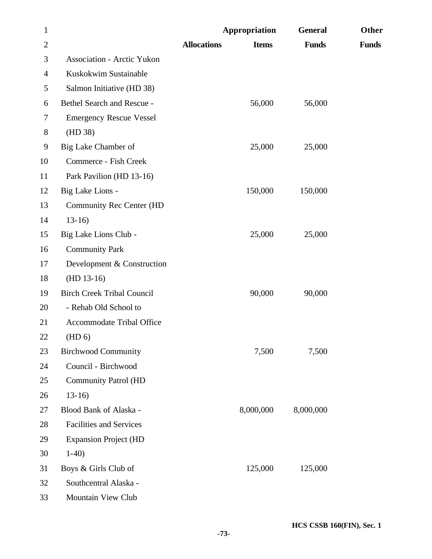| $\mathbf{1}$   |                                   |                    | Appropriation | <b>General</b> | Other        |
|----------------|-----------------------------------|--------------------|---------------|----------------|--------------|
| $\overline{2}$ |                                   | <b>Allocations</b> | <b>Items</b>  | <b>Funds</b>   | <b>Funds</b> |
| 3              | <b>Association - Arctic Yukon</b> |                    |               |                |              |
| 4              | Kuskokwim Sustainable             |                    |               |                |              |
| 5              | Salmon Initiative (HD 38)         |                    |               |                |              |
| 6              | Bethel Search and Rescue -        |                    | 56,000        | 56,000         |              |
| 7              | <b>Emergency Rescue Vessel</b>    |                    |               |                |              |
| 8              | (HD 38)                           |                    |               |                |              |
| 9              | Big Lake Chamber of               |                    | 25,000        | 25,000         |              |
| 10             | <b>Commerce - Fish Creek</b>      |                    |               |                |              |
| 11             | Park Pavilion (HD 13-16)          |                    |               |                |              |
| 12             | Big Lake Lions -                  |                    | 150,000       | 150,000        |              |
| 13             | Community Rec Center (HD          |                    |               |                |              |
| 14             | $13-16$                           |                    |               |                |              |
| 15             | Big Lake Lions Club -             |                    | 25,000        | 25,000         |              |
| 16             | <b>Community Park</b>             |                    |               |                |              |
| 17             | Development & Construction        |                    |               |                |              |
| 18             | $(HD 13-16)$                      |                    |               |                |              |
| 19             | <b>Birch Creek Tribal Council</b> |                    | 90,000        | 90,000         |              |
| 20             | - Rehab Old School to             |                    |               |                |              |
| 21             | <b>Accommodate Tribal Office</b>  |                    |               |                |              |
| 22             | (HD 6)                            |                    |               |                |              |
| 23             | <b>Birchwood Community</b>        |                    | 7,500         | 7,500          |              |
| 24             | Council - Birchwood               |                    |               |                |              |
| 25             | <b>Community Patrol (HD</b>       |                    |               |                |              |
| 26             | $13-16$                           |                    |               |                |              |
| 27             | Blood Bank of Alaska -            |                    | 8,000,000     | 8,000,000      |              |
| 28             | <b>Facilities and Services</b>    |                    |               |                |              |
| 29             | <b>Expansion Project (HD</b>      |                    |               |                |              |
| 30             | $1-40$                            |                    |               |                |              |
| 31             | Boys & Girls Club of              |                    | 125,000       | 125,000        |              |
| 32             | Southcentral Alaska -             |                    |               |                |              |
| 33             | Mountain View Club                |                    |               |                |              |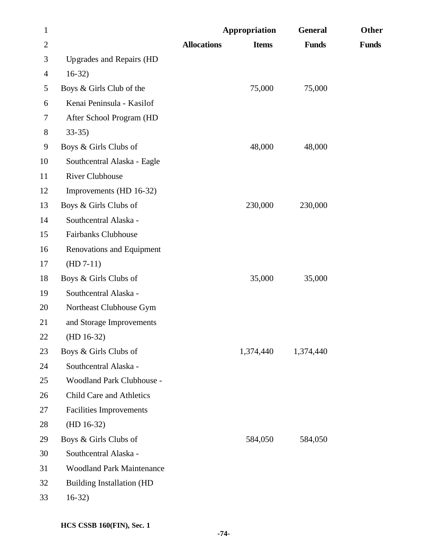| $\mathbf{1}$   |                                  |                    | Appropriation | <b>General</b> | Other        |
|----------------|----------------------------------|--------------------|---------------|----------------|--------------|
| $\overline{c}$ |                                  | <b>Allocations</b> | <b>Items</b>  | <b>Funds</b>   | <b>Funds</b> |
| 3              | Upgrades and Repairs (HD         |                    |               |                |              |
| $\overline{4}$ | $16-32$                          |                    |               |                |              |
| 5              | Boys & Girls Club of the         |                    | 75,000        | 75,000         |              |
| 6              | Kenai Peninsula - Kasilof        |                    |               |                |              |
| 7              | After School Program (HD         |                    |               |                |              |
| $8\,$          | $33-35$                          |                    |               |                |              |
| 9              | Boys & Girls Clubs of            |                    | 48,000        | 48,000         |              |
| 10             | Southcentral Alaska - Eagle      |                    |               |                |              |
| 11             | <b>River Clubhouse</b>           |                    |               |                |              |
| 12             | Improvements (HD 16-32)          |                    |               |                |              |
| 13             | Boys & Girls Clubs of            |                    | 230,000       | 230,000        |              |
| 14             | Southcentral Alaska -            |                    |               |                |              |
| 15             | <b>Fairbanks Clubhouse</b>       |                    |               |                |              |
| 16             | Renovations and Equipment        |                    |               |                |              |
| 17             | $(HD 7-11)$                      |                    |               |                |              |
| 18             | Boys & Girls Clubs of            |                    | 35,000        | 35,000         |              |
| 19             | Southcentral Alaska -            |                    |               |                |              |
| 20             | Northeast Clubhouse Gym          |                    |               |                |              |
| 21             | and Storage Improvements         |                    |               |                |              |
| 22             | $(HD 16-32)$                     |                    |               |                |              |
| 23             | Boys & Girls Clubs of            |                    | 1,374,440     | 1,374,440      |              |
| 24             | Southcentral Alaska -            |                    |               |                |              |
| 25             | Woodland Park Clubhouse -        |                    |               |                |              |
| 26             | Child Care and Athletics         |                    |               |                |              |
| 27             | <b>Facilities Improvements</b>   |                    |               |                |              |
| 28             | $(HD 16-32)$                     |                    |               |                |              |
| 29             | Boys & Girls Clubs of            |                    | 584,050       | 584,050        |              |
| 30             | Southcentral Alaska -            |                    |               |                |              |
| 31             | <b>Woodland Park Maintenance</b> |                    |               |                |              |
| 32             | <b>Building Installation (HD</b> |                    |               |                |              |
| 33             | $16-32)$                         |                    |               |                |              |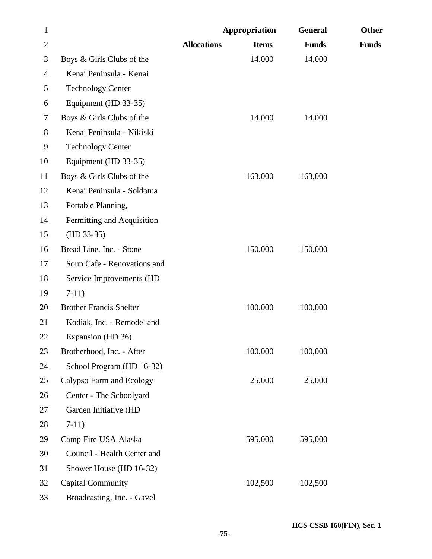| $\mathbf{1}$   |                                |                    | Appropriation | <b>General</b> | Other        |
|----------------|--------------------------------|--------------------|---------------|----------------|--------------|
| $\overline{2}$ |                                | <b>Allocations</b> | <b>Items</b>  | <b>Funds</b>   | <b>Funds</b> |
| 3              | Boys & Girls Clubs of the      |                    | 14,000        | 14,000         |              |
| 4              | Kenai Peninsula - Kenai        |                    |               |                |              |
| 5              | <b>Technology Center</b>       |                    |               |                |              |
| 6              | Equipment (HD 33-35)           |                    |               |                |              |
| 7              | Boys & Girls Clubs of the      |                    | 14,000        | 14,000         |              |
| $8\,$          | Kenai Peninsula - Nikiski      |                    |               |                |              |
| 9              | <b>Technology Center</b>       |                    |               |                |              |
| 10             | Equipment (HD 33-35)           |                    |               |                |              |
| 11             | Boys & Girls Clubs of the      |                    | 163,000       | 163,000        |              |
| 12             | Kenai Peninsula - Soldotna     |                    |               |                |              |
| 13             | Portable Planning,             |                    |               |                |              |
| 14             | Permitting and Acquisition     |                    |               |                |              |
| 15             | $(HD 33-35)$                   |                    |               |                |              |
| 16             | Bread Line, Inc. - Stone       |                    | 150,000       | 150,000        |              |
| 17             | Soup Cafe - Renovations and    |                    |               |                |              |
| 18             | Service Improvements (HD       |                    |               |                |              |
| 19             | $7-11)$                        |                    |               |                |              |
| 20             | <b>Brother Francis Shelter</b> |                    | 100,000       | 100,000        |              |
| 21             | Kodiak, Inc. - Remodel and     |                    |               |                |              |
| 22             | Expansion (HD 36)              |                    |               |                |              |
| 23             | Brotherhood, Inc. - After      |                    | 100,000       | 100,000        |              |
| 24             | School Program (HD 16-32)      |                    |               |                |              |
| 25             | Calypso Farm and Ecology       |                    | 25,000        | 25,000         |              |
| 26             | Center - The Schoolyard        |                    |               |                |              |
| 27             | Garden Initiative (HD          |                    |               |                |              |
| 28             | $7-11)$                        |                    |               |                |              |
| 29             | Camp Fire USA Alaska           |                    | 595,000       | 595,000        |              |
| 30             | Council - Health Center and    |                    |               |                |              |
| 31             | Shower House (HD 16-32)        |                    |               |                |              |
| 32             | <b>Capital Community</b>       |                    | 102,500       | 102,500        |              |
| 33             | Broadcasting, Inc. - Gavel     |                    |               |                |              |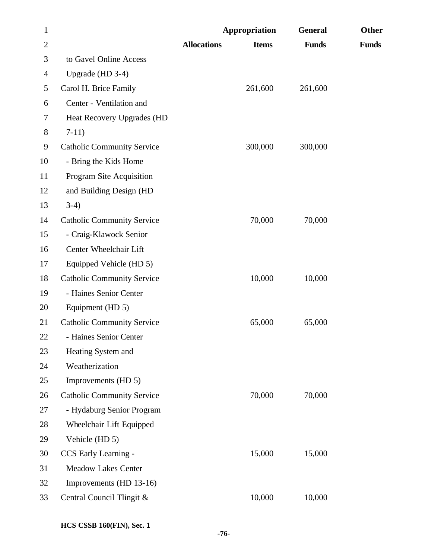| $\mathbf{1}$   |                                   |                    | Appropriation | <b>General</b> | Other        |
|----------------|-----------------------------------|--------------------|---------------|----------------|--------------|
| $\overline{c}$ |                                   | <b>Allocations</b> | <b>Items</b>  | <b>Funds</b>   | <b>Funds</b> |
| 3              | to Gavel Online Access            |                    |               |                |              |
| $\overline{4}$ | Upgrade (HD 3-4)                  |                    |               |                |              |
| 5              | Carol H. Brice Family             |                    | 261,600       | 261,600        |              |
| 6              | Center - Ventilation and          |                    |               |                |              |
| 7              | Heat Recovery Upgrades (HD        |                    |               |                |              |
| 8              | $7-11)$                           |                    |               |                |              |
| 9              | <b>Catholic Community Service</b> |                    | 300,000       | 300,000        |              |
| 10             | - Bring the Kids Home             |                    |               |                |              |
| 11             | Program Site Acquisition          |                    |               |                |              |
| 12             | and Building Design (HD           |                    |               |                |              |
| 13             | $3-4)$                            |                    |               |                |              |
| 14             | <b>Catholic Community Service</b> |                    | 70,000        | 70,000         |              |
| 15             | - Craig-Klawock Senior            |                    |               |                |              |
| 16             | Center Wheelchair Lift            |                    |               |                |              |
| 17             | Equipped Vehicle (HD 5)           |                    |               |                |              |
| 18             | <b>Catholic Community Service</b> |                    | 10,000        | 10,000         |              |
| 19             | - Haines Senior Center            |                    |               |                |              |
| 20             | Equipment (HD 5)                  |                    |               |                |              |
| 21             | <b>Catholic Community Service</b> |                    | 65,000        | 65,000         |              |
| 22             | - Haines Senior Center            |                    |               |                |              |
| 23             | Heating System and                |                    |               |                |              |
| 24             | Weatherization                    |                    |               |                |              |
| 25             | Improvements (HD 5)               |                    |               |                |              |
| 26             | <b>Catholic Community Service</b> |                    | 70,000        | 70,000         |              |
| 27             | - Hydaburg Senior Program         |                    |               |                |              |
| 28             | Wheelchair Lift Equipped          |                    |               |                |              |
| 29             | Vehicle (HD 5)                    |                    |               |                |              |
| 30             | CCS Early Learning -              |                    | 15,000        | 15,000         |              |
| 31             | <b>Meadow Lakes Center</b>        |                    |               |                |              |
| 32             | Improvements (HD 13-16)           |                    |               |                |              |
| 33             | Central Council Tlingit &         |                    | 10,000        | 10,000         |              |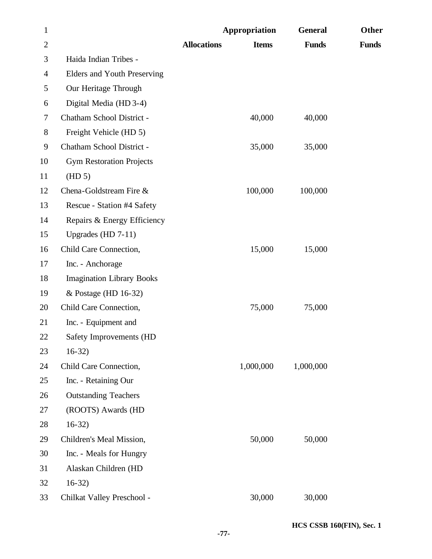| $\mathbf{1}$   |                                    |                    | Appropriation | <b>General</b> | Other        |
|----------------|------------------------------------|--------------------|---------------|----------------|--------------|
| $\overline{2}$ |                                    | <b>Allocations</b> | <b>Items</b>  | <b>Funds</b>   | <b>Funds</b> |
| 3              | Haida Indian Tribes -              |                    |               |                |              |
| $\overline{4}$ | <b>Elders and Youth Preserving</b> |                    |               |                |              |
| 5              | Our Heritage Through               |                    |               |                |              |
| 6              | Digital Media (HD 3-4)             |                    |               |                |              |
| 7              | Chatham School District -          |                    | 40,000        | 40,000         |              |
| $8\,$          | Freight Vehicle (HD 5)             |                    |               |                |              |
| 9              | Chatham School District -          |                    | 35,000        | 35,000         |              |
| 10             | <b>Gym Restoration Projects</b>    |                    |               |                |              |
| 11             | (HD 5)                             |                    |               |                |              |
| 12             | Chena-Goldstream Fire &            |                    | 100,000       | 100,000        |              |
| 13             | Rescue - Station #4 Safety         |                    |               |                |              |
| 14             | Repairs & Energy Efficiency        |                    |               |                |              |
| 15             | Upgrades (HD $7-11$ )              |                    |               |                |              |
| 16             | Child Care Connection,             |                    | 15,000        | 15,000         |              |
| 17             | Inc. - Anchorage                   |                    |               |                |              |
| 18             | <b>Imagination Library Books</b>   |                    |               |                |              |
| 19             | & Postage (HD 16-32)               |                    |               |                |              |
| 20             | Child Care Connection,             |                    | 75,000        | 75,000         |              |
| 21             | Inc. - Equipment and               |                    |               |                |              |
| 22             | Safety Improvements (HD            |                    |               |                |              |
| 23             | $16-32$                            |                    |               |                |              |
| 24             | Child Care Connection,             |                    | 1,000,000     | 1,000,000      |              |
| 25             | Inc. - Retaining Our               |                    |               |                |              |
| 26             | <b>Outstanding Teachers</b>        |                    |               |                |              |
| 27             | (ROOTS) Awards (HD                 |                    |               |                |              |
| 28             | $16-32)$                           |                    |               |                |              |
| 29             | Children's Meal Mission,           |                    | 50,000        | 50,000         |              |
| 30             | Inc. - Meals for Hungry            |                    |               |                |              |
| 31             | Alaskan Children (HD               |                    |               |                |              |
| 32             | $16-32)$                           |                    |               |                |              |
| 33             | Chilkat Valley Preschool -         |                    | 30,000        | 30,000         |              |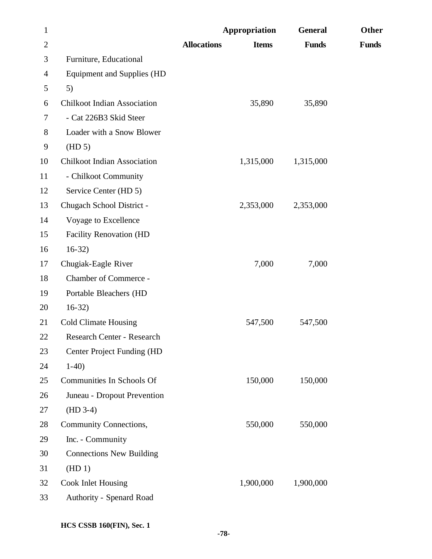| $\mathbf{1}$             |                                    |                    | Appropriation | <b>General</b> | Other        |
|--------------------------|------------------------------------|--------------------|---------------|----------------|--------------|
| $\overline{2}$           |                                    | <b>Allocations</b> | <b>Items</b>  | <b>Funds</b>   | <b>Funds</b> |
| 3                        | Furniture, Educational             |                    |               |                |              |
| $\overline{\mathcal{A}}$ | <b>Equipment and Supplies (HD</b>  |                    |               |                |              |
| 5                        | 5)                                 |                    |               |                |              |
| 6                        | <b>Chilkoot Indian Association</b> |                    | 35,890        | 35,890         |              |
| 7                        | - Cat 226B3 Skid Steer             |                    |               |                |              |
| 8                        | Loader with a Snow Blower          |                    |               |                |              |
| 9                        | (HD 5)                             |                    |               |                |              |
| 10                       | <b>Chilkoot Indian Association</b> |                    | 1,315,000     | 1,315,000      |              |
| 11                       | - Chilkoot Community               |                    |               |                |              |
| 12                       | Service Center (HD 5)              |                    |               |                |              |
| 13                       | Chugach School District -          |                    | 2,353,000     | 2,353,000      |              |
| 14                       | Voyage to Excellence               |                    |               |                |              |
| 15                       | <b>Facility Renovation (HD</b>     |                    |               |                |              |
| 16                       | $16-32)$                           |                    |               |                |              |
| 17                       | Chugiak-Eagle River                |                    | 7,000         | 7,000          |              |
| 18                       | Chamber of Commerce -              |                    |               |                |              |
| 19                       | Portable Bleachers (HD             |                    |               |                |              |
| 20                       | $16-32)$                           |                    |               |                |              |
| 21                       | <b>Cold Climate Housing</b>        |                    | 547,500       | 547,500        |              |
| 22                       | Research Center - Research         |                    |               |                |              |
| 23                       | Center Project Funding (HD         |                    |               |                |              |
| 24                       | $1-40$                             |                    |               |                |              |
| 25                       | Communities In Schools Of          |                    | 150,000       | 150,000        |              |
| 26                       | Juneau - Dropout Prevention        |                    |               |                |              |
| 27                       | $(HD 3-4)$                         |                    |               |                |              |
| 28                       | Community Connections,             |                    | 550,000       | 550,000        |              |
| 29                       | Inc. - Community                   |                    |               |                |              |
| 30                       | <b>Connections New Building</b>    |                    |               |                |              |
| 31                       | (HD1)                              |                    |               |                |              |
| 32                       | <b>Cook Inlet Housing</b>          |                    | 1,900,000     | 1,900,000      |              |
| 33                       | Authority - Spenard Road           |                    |               |                |              |
|                          |                                    |                    |               |                |              |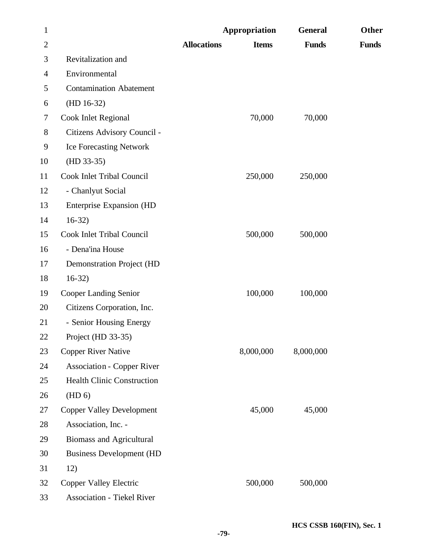| $\mathbf{1}$   |                                   | Appropriation      |              | <b>General</b> | Other        |
|----------------|-----------------------------------|--------------------|--------------|----------------|--------------|
| $\overline{2}$ |                                   | <b>Allocations</b> | <b>Items</b> | <b>Funds</b>   | <b>Funds</b> |
| 3              | Revitalization and                |                    |              |                |              |
| $\overline{4}$ | Environmental                     |                    |              |                |              |
| 5              | <b>Contamination Abatement</b>    |                    |              |                |              |
| 6              | $(HD 16-32)$                      |                    |              |                |              |
| 7              | Cook Inlet Regional               |                    | 70,000       | 70,000         |              |
| 8              | Citizens Advisory Council -       |                    |              |                |              |
| 9              | <b>Ice Forecasting Network</b>    |                    |              |                |              |
| 10             | $(HD 33-35)$                      |                    |              |                |              |
| 11             | Cook Inlet Tribal Council         |                    | 250,000      | 250,000        |              |
| 12             | - Chanlyut Social                 |                    |              |                |              |
| 13             | <b>Enterprise Expansion (HD</b>   |                    |              |                |              |
| 14             | $16-32)$                          |                    |              |                |              |
| 15             | Cook Inlet Tribal Council         |                    | 500,000      | 500,000        |              |
| 16             | - Dena'ina House                  |                    |              |                |              |
| 17             | <b>Demonstration Project (HD</b>  |                    |              |                |              |
| 18             | $16-32)$                          |                    |              |                |              |
| 19             | <b>Cooper Landing Senior</b>      |                    | 100,000      | 100,000        |              |
| 20             | Citizens Corporation, Inc.        |                    |              |                |              |
| 21             | - Senior Housing Energy           |                    |              |                |              |
| 22             | Project (HD 33-35)                |                    |              |                |              |
| 23             | <b>Copper River Native</b>        | 8,000,000          |              | 8,000,000      |              |
| 24             | <b>Association - Copper River</b> |                    |              |                |              |
| 25             | <b>Health Clinic Construction</b> |                    |              |                |              |
| 26             | (HD 6)                            |                    |              |                |              |
| 27             | <b>Copper Valley Development</b>  |                    | 45,000       | 45,000         |              |
| 28             | Association, Inc. -               |                    |              |                |              |
| 29             | <b>Biomass and Agricultural</b>   |                    |              |                |              |
| 30             | <b>Business Development (HD</b>   |                    |              |                |              |
| 31             | 12)                               |                    |              |                |              |
| 32             | <b>Copper Valley Electric</b>     |                    | 500,000      | 500,000        |              |
| 33             | <b>Association - Tiekel River</b> |                    |              |                |              |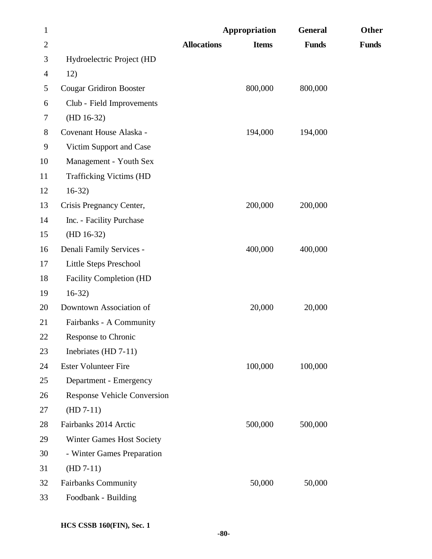| $\mathbf{1}$   |                                    |                    | Appropriation | <b>General</b> | Other        |
|----------------|------------------------------------|--------------------|---------------|----------------|--------------|
| $\overline{2}$ |                                    | <b>Allocations</b> | <b>Items</b>  | <b>Funds</b>   | <b>Funds</b> |
| 3              | Hydroelectric Project (HD          |                    |               |                |              |
| $\overline{4}$ | 12)                                |                    |               |                |              |
| 5              | <b>Cougar Gridiron Booster</b>     |                    | 800,000       | 800,000        |              |
| 6              | Club - Field Improvements          |                    |               |                |              |
| 7              | $(HD 16-32)$                       |                    |               |                |              |
| $8\,$          | Covenant House Alaska -            |                    | 194,000       | 194,000        |              |
| 9              | Victim Support and Case            |                    |               |                |              |
| 10             | Management - Youth Sex             |                    |               |                |              |
| 11             | <b>Trafficking Victims (HD</b>     |                    |               |                |              |
| 12             | $16-32)$                           |                    |               |                |              |
| 13             | Crisis Pregnancy Center,           |                    | 200,000       | 200,000        |              |
| 14             | Inc. - Facility Purchase           |                    |               |                |              |
| 15             | $(HD 16-32)$                       |                    |               |                |              |
| 16             | Denali Family Services -           |                    | 400,000       | 400,000        |              |
| 17             | Little Steps Preschool             |                    |               |                |              |
| 18             | <b>Facility Completion (HD</b>     |                    |               |                |              |
| 19             | $16-32)$                           |                    |               |                |              |
| 20             | Downtown Association of            |                    | 20,000        | 20,000         |              |
| 21             | Fairbanks - A Community            |                    |               |                |              |
| 22             | <b>Response to Chronic</b>         |                    |               |                |              |
| 23             | Inebriates (HD 7-11)               |                    |               |                |              |
| 24             | <b>Ester Volunteer Fire</b>        |                    | 100,000       | 100,000        |              |
| 25             | Department - Emergency             |                    |               |                |              |
| 26             | <b>Response Vehicle Conversion</b> |                    |               |                |              |
| 27             | $(HD 7-11)$                        |                    |               |                |              |
| 28             | Fairbanks 2014 Arctic              |                    | 500,000       | 500,000        |              |
| 29             | Winter Games Host Society          |                    |               |                |              |
| 30             | - Winter Games Preparation         |                    |               |                |              |
| 31             | $(HD 7-11)$                        |                    |               |                |              |
| 32             | <b>Fairbanks Community</b>         |                    | 50,000        | 50,000         |              |
| 33             | Foodbank - Building                |                    |               |                |              |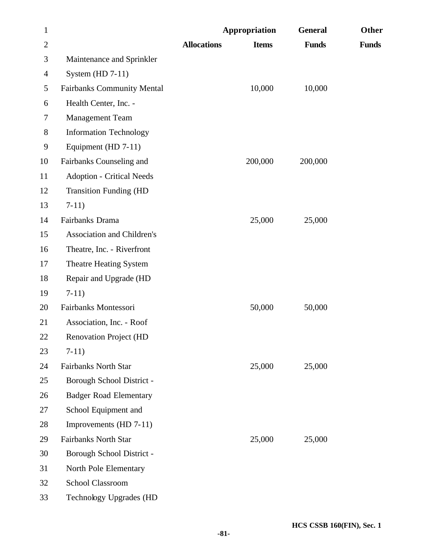| $\mathbf{1}$   |                                   |                    | Appropriation | <b>General</b> | Other        |
|----------------|-----------------------------------|--------------------|---------------|----------------|--------------|
| $\mathbf{2}$   |                                   | <b>Allocations</b> | <b>Items</b>  | <b>Funds</b>   | <b>Funds</b> |
| 3              | Maintenance and Sprinkler         |                    |               |                |              |
| $\overline{4}$ | System (HD $7-11$ )               |                    |               |                |              |
| 5              | <b>Fairbanks Community Mental</b> |                    | 10,000        | 10,000         |              |
| 6              | Health Center, Inc. -             |                    |               |                |              |
| 7              | <b>Management Team</b>            |                    |               |                |              |
| 8              | <b>Information Technology</b>     |                    |               |                |              |
| 9              | Equipment (HD 7-11)               |                    |               |                |              |
| 10             | Fairbanks Counseling and          |                    | 200,000       | 200,000        |              |
| 11             | <b>Adoption - Critical Needs</b>  |                    |               |                |              |
| 12             | <b>Transition Funding (HD</b>     |                    |               |                |              |
| 13             | $7-11)$                           |                    |               |                |              |
| 14             | Fairbanks Drama                   |                    | 25,000        | 25,000         |              |
| 15             | <b>Association and Children's</b> |                    |               |                |              |
| 16             | Theatre, Inc. - Riverfront        |                    |               |                |              |
| 17             | <b>Theatre Heating System</b>     |                    |               |                |              |
| 18             | Repair and Upgrade (HD            |                    |               |                |              |
| 19             | $7-11)$                           |                    |               |                |              |
| 20             | Fairbanks Montessori              |                    | 50,000        | 50,000         |              |
| 21             | Association, Inc. - Roof          |                    |               |                |              |
| 22             | <b>Renovation Project (HD</b>     |                    |               |                |              |
| 23             | $7-11)$                           |                    |               |                |              |
| 24             | <b>Fairbanks North Star</b>       |                    | 25,000        | 25,000         |              |
| 25             | Borough School District -         |                    |               |                |              |
| 26             | <b>Badger Road Elementary</b>     |                    |               |                |              |
| 27             | School Equipment and              |                    |               |                |              |
| 28             | Improvements (HD 7-11)            |                    |               |                |              |
| 29             | <b>Fairbanks North Star</b>       |                    | 25,000        | 25,000         |              |
| 30             | Borough School District -         |                    |               |                |              |
| 31             | North Pole Elementary             |                    |               |                |              |
| 32             | School Classroom                  |                    |               |                |              |
| 33             | Technology Upgrades (HD           |                    |               |                |              |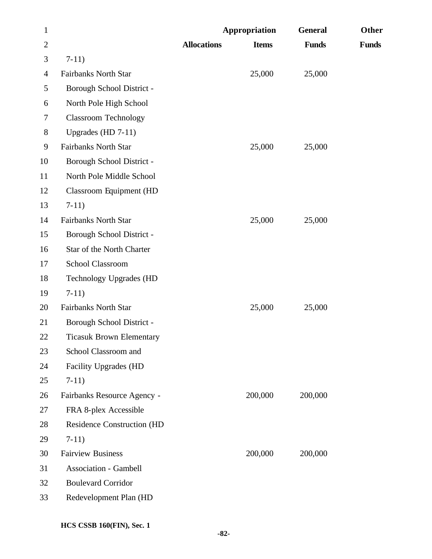| $\mathbf{1}$   |                                   | Appropriation      |              | <b>General</b> | Other        |
|----------------|-----------------------------------|--------------------|--------------|----------------|--------------|
| $\overline{2}$ |                                   | <b>Allocations</b> | <b>Items</b> | <b>Funds</b>   | <b>Funds</b> |
| 3              | $7-11)$                           |                    |              |                |              |
| $\overline{4}$ | <b>Fairbanks North Star</b>       |                    | 25,000       | 25,000         |              |
| 5              | Borough School District -         |                    |              |                |              |
| 6              | North Pole High School            |                    |              |                |              |
| 7              | <b>Classroom Technology</b>       |                    |              |                |              |
| $8\,$          | Upgrades (HD $7-11$ )             |                    |              |                |              |
| 9              | <b>Fairbanks North Star</b>       |                    | 25,000       | 25,000         |              |
| 10             | Borough School District -         |                    |              |                |              |
| 11             | North Pole Middle School          |                    |              |                |              |
| 12             | <b>Classroom Equipment (HD</b>    |                    |              |                |              |
| 13             | $7-11)$                           |                    |              |                |              |
| 14             | <b>Fairbanks North Star</b>       |                    | 25,000       | 25,000         |              |
| 15             | Borough School District -         |                    |              |                |              |
| 16             | Star of the North Charter         |                    |              |                |              |
| 17             | <b>School Classroom</b>           |                    |              |                |              |
| 18             | <b>Technology Upgrades (HD</b>    |                    |              |                |              |
| 19             | $7-11)$                           |                    |              |                |              |
| 20             | <b>Fairbanks North Star</b>       |                    | 25,000       | 25,000         |              |
| 21             | Borough School District -         |                    |              |                |              |
| 22             | <b>Ticasuk Brown Elementary</b>   |                    |              |                |              |
| 23             | School Classroom and              |                    |              |                |              |
| 24             | Facility Upgrades (HD             |                    |              |                |              |
| 25             | $7-11)$                           |                    |              |                |              |
| 26             | Fairbanks Resource Agency -       |                    | 200,000      | 200,000        |              |
| 27             | FRA 8-plex Accessible             |                    |              |                |              |
| 28             | <b>Residence Construction (HD</b> |                    |              |                |              |
| 29             | $7-11)$                           |                    |              |                |              |
| 30             | <b>Fairview Business</b>          |                    | 200,000      | 200,000        |              |
| 31             | <b>Association - Gambell</b>      |                    |              |                |              |
| 32             | <b>Boulevard Corridor</b>         |                    |              |                |              |
| 33             | Redevelopment Plan (HD            |                    |              |                |              |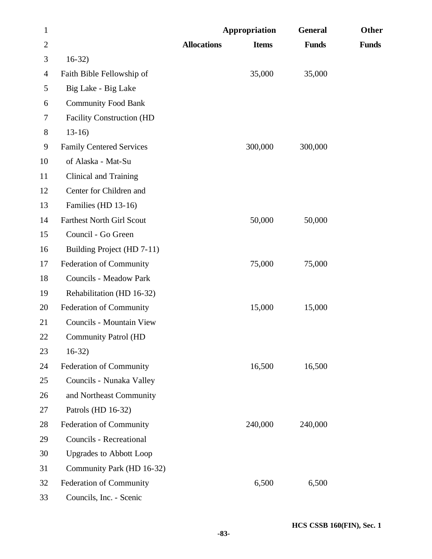| $\mathbf{1}$   |                                  |                    | Appropriation | <b>General</b> | Other        |
|----------------|----------------------------------|--------------------|---------------|----------------|--------------|
| $\overline{2}$ |                                  | <b>Allocations</b> | <b>Items</b>  | <b>Funds</b>   | <b>Funds</b> |
| 3              | $16-32)$                         |                    |               |                |              |
| 4              | Faith Bible Fellowship of        |                    | 35,000        | 35,000         |              |
| 5              | Big Lake - Big Lake              |                    |               |                |              |
| 6              | <b>Community Food Bank</b>       |                    |               |                |              |
| $\tau$         | <b>Facility Construction (HD</b> |                    |               |                |              |
| $8\,$          | $13-16$                          |                    |               |                |              |
| 9              | <b>Family Centered Services</b>  |                    | 300,000       | 300,000        |              |
| 10             | of Alaska - Mat-Su               |                    |               |                |              |
| 11             | Clinical and Training            |                    |               |                |              |
| 12             | Center for Children and          |                    |               |                |              |
| 13             | Families (HD 13-16)              |                    |               |                |              |
| 14             | <b>Farthest North Girl Scout</b> |                    | 50,000        | 50,000         |              |
| 15             | Council - Go Green               |                    |               |                |              |
| 16             | Building Project (HD 7-11)       |                    |               |                |              |
| 17             | <b>Federation of Community</b>   |                    | 75,000        | 75,000         |              |
| 18             | <b>Councils - Meadow Park</b>    |                    |               |                |              |
| 19             | Rehabilitation (HD 16-32)        |                    |               |                |              |
| 20             | <b>Federation of Community</b>   |                    | 15,000        | 15,000         |              |
| 21             | Councils - Mountain View         |                    |               |                |              |
| 22             | <b>Community Patrol (HD</b>      |                    |               |                |              |
| 23             | $16-32$                          |                    |               |                |              |
| 24             | <b>Federation of Community</b>   |                    | 16,500        | 16,500         |              |
| 25             | Councils - Nunaka Valley         |                    |               |                |              |
| 26             | and Northeast Community          |                    |               |                |              |
| 27             | Patrols (HD 16-32)               |                    |               |                |              |
| 28             | Federation of Community          |                    | 240,000       | 240,000        |              |
| 29             | Councils - Recreational          |                    |               |                |              |
| 30             | <b>Upgrades to Abbott Loop</b>   |                    |               |                |              |
| 31             | Community Park (HD 16-32)        |                    |               |                |              |
| 32             | Federation of Community          |                    | 6,500         | 6,500          |              |
| 33             | Councils, Inc. - Scenic          |                    |               |                |              |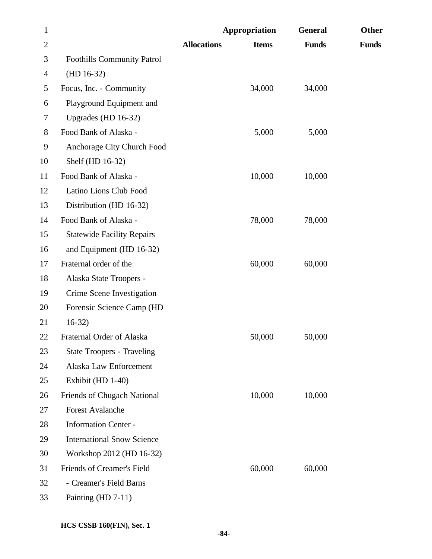| $\mathbf{1}$   |                                    |                    | Appropriation | <b>General</b> | Other        |
|----------------|------------------------------------|--------------------|---------------|----------------|--------------|
| $\mathbf{2}$   |                                    | <b>Allocations</b> | <b>Items</b>  | <b>Funds</b>   | <b>Funds</b> |
| 3              | <b>Foothills Community Patrol</b>  |                    |               |                |              |
| $\overline{4}$ | $(HD 16-32)$                       |                    |               |                |              |
| 5              | Focus, Inc. - Community            |                    | 34,000        | 34,000         |              |
| 6              | Playground Equipment and           |                    |               |                |              |
| 7              | Upgrades (HD 16-32)                |                    |               |                |              |
| $8\,$          | Food Bank of Alaska -              |                    | 5,000         | 5,000          |              |
| 9              | Anchorage City Church Food         |                    |               |                |              |
| 10             | Shelf (HD 16-32)                   |                    |               |                |              |
| 11             | Food Bank of Alaska -              |                    | 10,000        | 10,000         |              |
| 12             | Latino Lions Club Food             |                    |               |                |              |
| 13             | Distribution (HD 16-32)            |                    |               |                |              |
| 14             | Food Bank of Alaska -              |                    | 78,000        | 78,000         |              |
| 15             | <b>Statewide Facility Repairs</b>  |                    |               |                |              |
| 16             | and Equipment (HD 16-32)           |                    |               |                |              |
| 17             | Fraternal order of the             |                    | 60,000        | 60,000         |              |
| 18             | Alaska State Troopers -            |                    |               |                |              |
| 19             | Crime Scene Investigation          |                    |               |                |              |
| 20             | Forensic Science Camp (HD          |                    |               |                |              |
| 21             | $16-32)$                           |                    |               |                |              |
| 22             | Fraternal Order of Alaska          |                    | 50,000        | 50,000         |              |
| 23             | <b>State Troopers - Traveling</b>  |                    |               |                |              |
| 24             | Alaska Law Enforcement             |                    |               |                |              |
| 25             | Exhibit (HD 1-40)                  |                    |               |                |              |
| 26             | <b>Friends of Chugach National</b> |                    | 10,000        | 10,000         |              |
| 27             | <b>Forest Avalanche</b>            |                    |               |                |              |
| 28             | <b>Information Center -</b>        |                    |               |                |              |
| 29             | <b>International Snow Science</b>  |                    |               |                |              |
| 30             | Workshop 2012 (HD 16-32)           |                    |               |                |              |
| 31             | Friends of Creamer's Field         |                    | 60,000        | 60,000         |              |
| 32             | - Creamer's Field Barns            |                    |               |                |              |
| 33             | Painting (HD 7-11)                 |                    |               |                |              |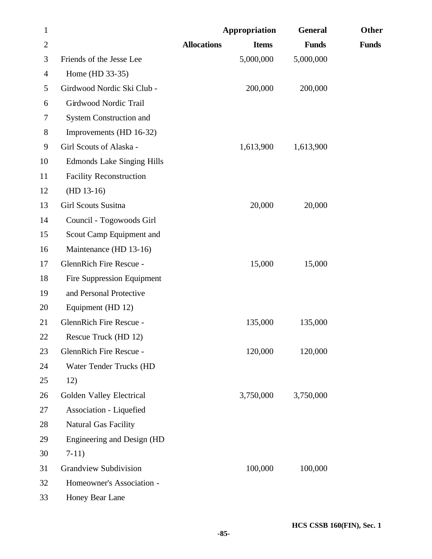| $\mathbf{1}$   |                                   |                    | <b>Appropriation</b> | <b>General</b> | Other        |
|----------------|-----------------------------------|--------------------|----------------------|----------------|--------------|
| $\overline{2}$ |                                   | <b>Allocations</b> | <b>Items</b>         | <b>Funds</b>   | <b>Funds</b> |
| 3              | Friends of the Jesse Lee          |                    | 5,000,000            | 5,000,000      |              |
| $\overline{4}$ | Home (HD 33-35)                   |                    |                      |                |              |
| 5              | Girdwood Nordic Ski Club -        |                    | 200,000              | 200,000        |              |
| 6              | Girdwood Nordic Trail             |                    |                      |                |              |
| 7              | <b>System Construction and</b>    |                    |                      |                |              |
| $8\,$          | Improvements (HD 16-32)           |                    |                      |                |              |
| 9              | Girl Scouts of Alaska -           |                    | 1,613,900            | 1,613,900      |              |
| 10             | <b>Edmonds Lake Singing Hills</b> |                    |                      |                |              |
| 11             | <b>Facility Reconstruction</b>    |                    |                      |                |              |
| 12             | $(HD 13-16)$                      |                    |                      |                |              |
| 13             | <b>Girl Scouts Susitna</b>        |                    | 20,000               | 20,000         |              |
| 14             | Council - Togowoods Girl          |                    |                      |                |              |
| 15             | Scout Camp Equipment and          |                    |                      |                |              |
| 16             | Maintenance (HD 13-16)            |                    |                      |                |              |
| 17             | GlennRich Fire Rescue -           |                    | 15,000               | 15,000         |              |
| 18             | Fire Suppression Equipment        |                    |                      |                |              |
| 19             | and Personal Protective           |                    |                      |                |              |
| 20             | Equipment (HD 12)                 |                    |                      |                |              |
| 21             | GlennRich Fire Rescue -           |                    | 135,000              | 135,000        |              |
| 22             | Rescue Truck (HD 12)              |                    |                      |                |              |
| 23             | GlennRich Fire Rescue -           |                    | 120,000              | 120,000        |              |
| 24             | Water Tender Trucks (HD           |                    |                      |                |              |
| 25             | 12)                               |                    |                      |                |              |
| 26             | Golden Valley Electrical          |                    | 3,750,000            | 3,750,000      |              |
| 27             | Association - Liquefied           |                    |                      |                |              |
| 28             | <b>Natural Gas Facility</b>       |                    |                      |                |              |
| 29             | Engineering and Design (HD        |                    |                      |                |              |
| 30             | $7-11)$                           |                    |                      |                |              |
| 31             | <b>Grandview Subdivision</b>      |                    | 100,000              | 100,000        |              |
| 32             | Homeowner's Association -         |                    |                      |                |              |
| 33             | Honey Bear Lane                   |                    |                      |                |              |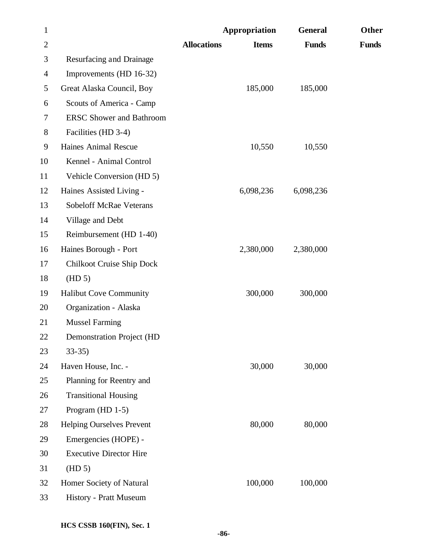| $\mathbf{1}$   |                                  |                    | Appropriation | <b>General</b> | Other        |
|----------------|----------------------------------|--------------------|---------------|----------------|--------------|
| $\overline{2}$ |                                  | <b>Allocations</b> | <b>Items</b>  | <b>Funds</b>   | <b>Funds</b> |
| 3              | Resurfacing and Drainage         |                    |               |                |              |
| $\overline{4}$ | Improvements (HD 16-32)          |                    |               |                |              |
| 5              | Great Alaska Council, Boy        |                    | 185,000       | 185,000        |              |
| 6              | Scouts of America - Camp         |                    |               |                |              |
| 7              | <b>ERSC Shower and Bathroom</b>  |                    |               |                |              |
| 8              | Facilities (HD 3-4)              |                    |               |                |              |
| 9              | Haines Animal Rescue             |                    | 10,550        | 10,550         |              |
| 10             | Kennel - Animal Control          |                    |               |                |              |
| 11             | Vehicle Conversion (HD 5)        |                    |               |                |              |
| 12             | Haines Assisted Living -         |                    | 6,098,236     | 6,098,236      |              |
| 13             | <b>Sobeloff McRae Veterans</b>   |                    |               |                |              |
| 14             | Village and Debt                 |                    |               |                |              |
| 15             | Reimbursement (HD 1-40)          |                    |               |                |              |
| 16             | Haines Borough - Port            |                    | 2,380,000     | 2,380,000      |              |
| 17             | Chilkoot Cruise Ship Dock        |                    |               |                |              |
| 18             | (HD 5)                           |                    |               |                |              |
| 19             | <b>Halibut Cove Community</b>    |                    | 300,000       | 300,000        |              |
| 20             | Organization - Alaska            |                    |               |                |              |
| 21             | <b>Mussel Farming</b>            |                    |               |                |              |
| 22             | <b>Demonstration Project (HD</b> |                    |               |                |              |
| 23             | $33-35$                          |                    |               |                |              |
| 24             | Haven House, Inc. -              |                    | 30,000        | 30,000         |              |
| 25             | Planning for Reentry and         |                    |               |                |              |
| 26             | <b>Transitional Housing</b>      |                    |               |                |              |
| 27             | Program (HD $1-5$ )              |                    |               |                |              |
| 28             | Helping Ourselves Prevent        |                    | 80,000        | 80,000         |              |
| 29             | Emergencies (HOPE) -             |                    |               |                |              |
| 30             | <b>Executive Director Hire</b>   |                    |               |                |              |
| 31             | (HD 5)                           |                    |               |                |              |
| 32             | Homer Society of Natural         |                    | 100,000       | 100,000        |              |
| 33             | History - Pratt Museum           |                    |               |                |              |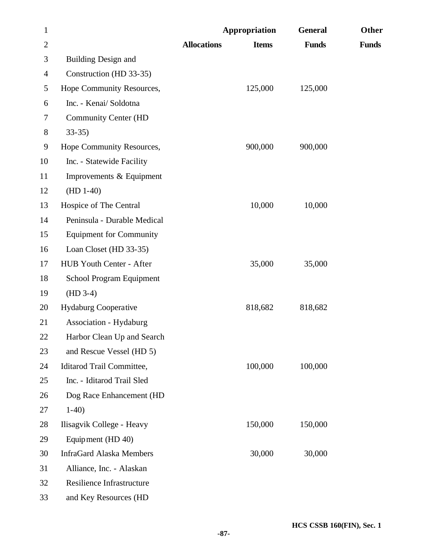| $\mathbf{1}$   |                                 |                    | Appropriation | <b>General</b> | Other        |
|----------------|---------------------------------|--------------------|---------------|----------------|--------------|
| $\mathbf{2}$   |                                 | <b>Allocations</b> | <b>Items</b>  | <b>Funds</b>   | <b>Funds</b> |
| 3              | <b>Building Design and</b>      |                    |               |                |              |
| $\overline{4}$ | Construction (HD 33-35)         |                    |               |                |              |
| 5              | Hope Community Resources,       |                    | 125,000       | 125,000        |              |
| 6              | Inc. - Kenai/Soldotna           |                    |               |                |              |
| 7              | <b>Community Center (HD</b>     |                    |               |                |              |
| 8              | $33-35$                         |                    |               |                |              |
| 9              | Hope Community Resources,       |                    | 900,000       | 900,000        |              |
| 10             | Inc. - Statewide Facility       |                    |               |                |              |
| 11             | Improvements & Equipment        |                    |               |                |              |
| 12             | $(HD 1-40)$                     |                    |               |                |              |
| 13             | Hospice of The Central          |                    | 10,000        | 10,000         |              |
| 14             | Peninsula - Durable Medical     |                    |               |                |              |
| 15             | <b>Equipment for Community</b>  |                    |               |                |              |
| 16             | Loan Closet (HD 33-35)          |                    |               |                |              |
| 17             | HUB Youth Center - After        |                    | 35,000        | 35,000         |              |
| 18             | School Program Equipment        |                    |               |                |              |
| 19             | $(HD 3-4)$                      |                    |               |                |              |
| 20             | <b>Hydaburg Cooperative</b>     |                    | 818,682       | 818,682        |              |
| 21             | <b>Association - Hydaburg</b>   |                    |               |                |              |
| 22             | Harbor Clean Up and Search      |                    |               |                |              |
| 23             | and Rescue Vessel (HD 5)        |                    |               |                |              |
| 24             | Iditarod Trail Committee,       |                    | 100,000       | 100,000        |              |
| 25             | Inc. - Iditarod Trail Sled      |                    |               |                |              |
| 26             | Dog Race Enhancement (HD        |                    |               |                |              |
| 27             | $1-40$                          |                    |               |                |              |
| 28             | Ilisagvik College - Heavy       |                    | 150,000       | 150,000        |              |
| 29             | Equipment (HD 40)               |                    |               |                |              |
| 30             | <b>InfraGard Alaska Members</b> |                    | 30,000        | 30,000         |              |
| 31             | Alliance, Inc. - Alaskan        |                    |               |                |              |
| 32             | Resilience Infrastructure       |                    |               |                |              |
| 33             | and Key Resources (HD           |                    |               |                |              |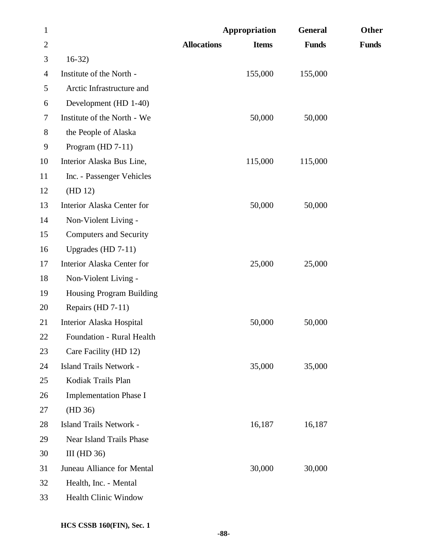| $\mathbf{1}$   |                                  |                    | Appropriation | <b>General</b> | Other        |
|----------------|----------------------------------|--------------------|---------------|----------------|--------------|
| $\overline{2}$ |                                  | <b>Allocations</b> | <b>Items</b>  | <b>Funds</b>   | <b>Funds</b> |
| 3              | $16-32)$                         |                    |               |                |              |
| 4              | Institute of the North -         |                    | 155,000       | 155,000        |              |
| 5              | Arctic Infrastructure and        |                    |               |                |              |
| 6              | Development (HD 1-40)            |                    |               |                |              |
| 7              | Institute of the North - We      |                    | 50,000        | 50,000         |              |
| 8              | the People of Alaska             |                    |               |                |              |
| 9              | Program $(HD 7-11)$              |                    |               |                |              |
| 10             | Interior Alaska Bus Line,        |                    | 115,000       | 115,000        |              |
| 11             | Inc. - Passenger Vehicles        |                    |               |                |              |
| 12             | (HD 12)                          |                    |               |                |              |
| 13             | Interior Alaska Center for       |                    | 50,000        | 50,000         |              |
| 14             | Non-Violent Living -             |                    |               |                |              |
| 15             | <b>Computers and Security</b>    |                    |               |                |              |
| 16             | Upgrades (HD $7-11$ )            |                    |               |                |              |
| 17             | Interior Alaska Center for       |                    | 25,000        | 25,000         |              |
| 18             | Non-Violent Living -             |                    |               |                |              |
| 19             | <b>Housing Program Building</b>  |                    |               |                |              |
| 20             | Repairs (HD 7-11)                |                    |               |                |              |
| 21             | Interior Alaska Hospital         |                    | 50,000        | 50,000         |              |
| 22             | <b>Foundation - Rural Health</b> |                    |               |                |              |
| 23             | Care Facility (HD 12)            |                    |               |                |              |
| 24             | Island Trails Network -          |                    | 35,000        | 35,000         |              |
| 25             | Kodiak Trails Plan               |                    |               |                |              |
| 26             | <b>Implementation Phase I</b>    |                    |               |                |              |
| 27             | (HD 36)                          |                    |               |                |              |
| 28             | Island Trails Network -          |                    | 16,187        | 16,187         |              |
| 29             | Near Island Trails Phase         |                    |               |                |              |
| 30             | III ( $HD 36$ )                  |                    |               |                |              |
| 31             | Juneau Alliance for Mental       |                    | 30,000        | 30,000         |              |
| 32             | Health, Inc. - Mental            |                    |               |                |              |
| 33             | Health Clinic Window             |                    |               |                |              |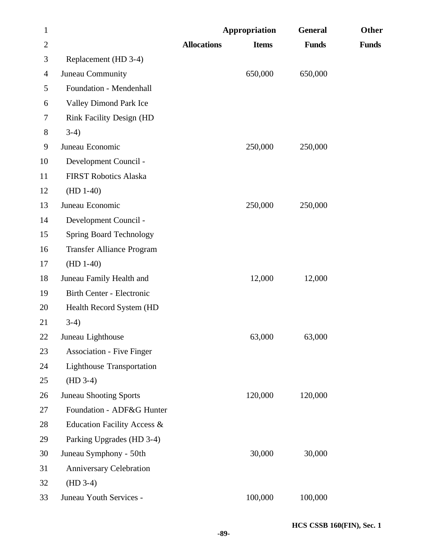| $\mathbf{1}$   |                                  |                    | Appropriation | <b>General</b> | Other        |
|----------------|----------------------------------|--------------------|---------------|----------------|--------------|
| $\overline{2}$ |                                  | <b>Allocations</b> | <b>Items</b>  | <b>Funds</b>   | <b>Funds</b> |
| 3              | Replacement (HD 3-4)             |                    |               |                |              |
| $\overline{4}$ | Juneau Community                 |                    | 650,000       | 650,000        |              |
| 5              | Foundation - Mendenhall          |                    |               |                |              |
| 6              | Valley Dimond Park Ice           |                    |               |                |              |
| 7              | <b>Rink Facility Design (HD</b>  |                    |               |                |              |
| $8\,$          | $3-4)$                           |                    |               |                |              |
| 9              | Juneau Economic                  |                    | 250,000       | 250,000        |              |
| 10             | Development Council -            |                    |               |                |              |
| 11             | <b>FIRST Robotics Alaska</b>     |                    |               |                |              |
| 12             | $(HD 1-40)$                      |                    |               |                |              |
| 13             | Juneau Economic                  |                    | 250,000       | 250,000        |              |
| 14             | Development Council -            |                    |               |                |              |
| 15             | <b>Spring Board Technology</b>   |                    |               |                |              |
| 16             | <b>Transfer Alliance Program</b> |                    |               |                |              |
| 17             | $(HD 1-40)$                      |                    |               |                |              |
| 18             | Juneau Family Health and         |                    | 12,000        | 12,000         |              |
| 19             | Birth Center - Electronic        |                    |               |                |              |
| 20             | Health Record System (HD         |                    |               |                |              |
| 21             | $3-4)$                           |                    |               |                |              |
| 22             | Juneau Lighthouse                |                    | 63,000        | 63,000         |              |
| 23             | <b>Association - Five Finger</b> |                    |               |                |              |
| 24             | <b>Lighthouse Transportation</b> |                    |               |                |              |
| 25             | $(HD 3-4)$                       |                    |               |                |              |
| 26             | <b>Juneau Shooting Sports</b>    |                    | 120,000       | 120,000        |              |
| 27             | Foundation - ADF&G Hunter        |                    |               |                |              |
| 28             | Education Facility Access &      |                    |               |                |              |
| 29             | Parking Upgrades (HD 3-4)        |                    |               |                |              |
| 30             | Juneau Symphony - 50th           |                    | 30,000        | 30,000         |              |
| 31             | <b>Anniversary Celebration</b>   |                    |               |                |              |
| 32             | $(HD 3-4)$                       |                    |               |                |              |
| 33             | Juneau Youth Services -          |                    | 100,000       | 100,000        |              |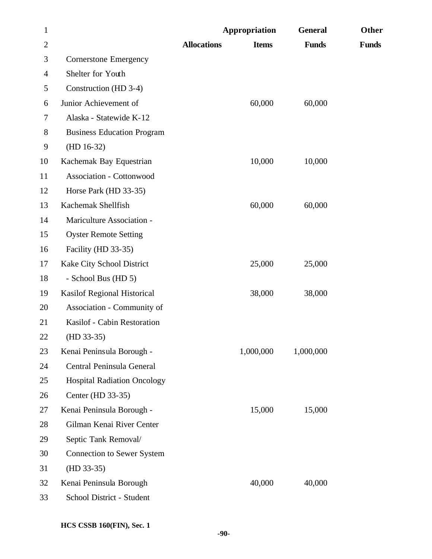| $\mathbf{1}$   |                                    |                    | Appropriation | <b>General</b> | Other        |
|----------------|------------------------------------|--------------------|---------------|----------------|--------------|
| $\overline{c}$ |                                    | <b>Allocations</b> | <b>Items</b>  | <b>Funds</b>   | <b>Funds</b> |
| 3              | <b>Cornerstone Emergency</b>       |                    |               |                |              |
| 4              | Shelter for Youth                  |                    |               |                |              |
| 5              | Construction (HD 3-4)              |                    |               |                |              |
| 6              | Junior Achievement of              |                    | 60,000        | 60,000         |              |
| 7              | Alaska - Statewide K-12            |                    |               |                |              |
| 8              | <b>Business Education Program</b>  |                    |               |                |              |
| 9              | $(HD 16-32)$                       |                    |               |                |              |
| 10             | Kachemak Bay Equestrian            |                    | 10,000        | 10,000         |              |
| 11             | <b>Association - Cottonwood</b>    |                    |               |                |              |
| 12             | Horse Park (HD 33-35)              |                    |               |                |              |
| 13             | Kachemak Shellfish                 |                    | 60,000        | 60,000         |              |
| 14             | Mariculture Association -          |                    |               |                |              |
| 15             | <b>Oyster Remote Setting</b>       |                    |               |                |              |
| 16             | Facility (HD 33-35)                |                    |               |                |              |
| 17             | Kake City School District          |                    | 25,000        | 25,000         |              |
| 18             | - School Bus (HD 5)                |                    |               |                |              |
| 19             | Kasilof Regional Historical        |                    | 38,000        | 38,000         |              |
| 20             | Association - Community of         |                    |               |                |              |
| 21             | Kasilof - Cabin Restoration        |                    |               |                |              |
| 22             | $(HD 33-35)$                       |                    |               |                |              |
| 23             | Kenai Peninsula Borough -          |                    | 1,000,000     | 1,000,000      |              |
| 24             | Central Peninsula General          |                    |               |                |              |
| 25             | <b>Hospital Radiation Oncology</b> |                    |               |                |              |
| 26             | Center (HD 33-35)                  |                    |               |                |              |
| 27             | Kenai Peninsula Borough -          |                    | 15,000        | 15,000         |              |
| 28             | Gilman Kenai River Center          |                    |               |                |              |
| 29             | Septic Tank Removal/               |                    |               |                |              |
| 30             | <b>Connection to Sewer System</b>  |                    |               |                |              |
| 31             | $(HD 33-35)$                       |                    |               |                |              |
| 32             | Kenai Peninsula Borough            |                    | 40,000        | 40,000         |              |
| 33             | School District - Student          |                    |               |                |              |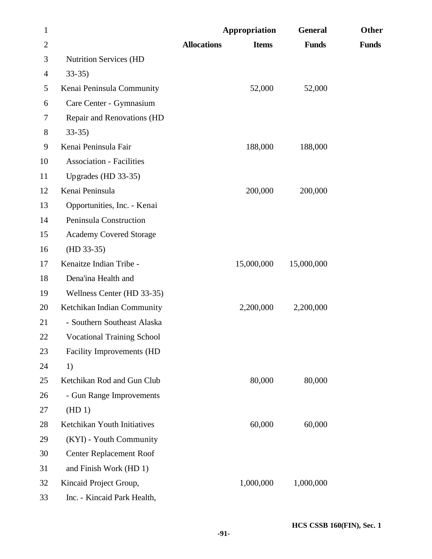| $\mathbf{1}$   |                                   |                    | Appropriation | <b>General</b> | Other        |
|----------------|-----------------------------------|--------------------|---------------|----------------|--------------|
| $\overline{2}$ |                                   | <b>Allocations</b> | <b>Items</b>  | <b>Funds</b>   | <b>Funds</b> |
| 3              | <b>Nutrition Services (HD</b>     |                    |               |                |              |
| 4              | $33-35$                           |                    |               |                |              |
| 5              | Kenai Peninsula Community         |                    | 52,000        | 52,000         |              |
| 6              | Care Center - Gymnasium           |                    |               |                |              |
| 7              | Repair and Renovations (HD        |                    |               |                |              |
| 8              | $33-35$                           |                    |               |                |              |
| 9              | Kenai Peninsula Fair              |                    | 188,000       | 188,000        |              |
| 10             | <b>Association - Facilities</b>   |                    |               |                |              |
| 11             | Upgrades (HD 33-35)               |                    |               |                |              |
| 12             | Kenai Peninsula                   |                    | 200,000       | 200,000        |              |
| 13             | Opportunities, Inc. - Kenai       |                    |               |                |              |
| 14             | Peninsula Construction            |                    |               |                |              |
| 15             | <b>Academy Covered Storage</b>    |                    |               |                |              |
| 16             | $(HD 33-35)$                      |                    |               |                |              |
| 17             | Kenaitze Indian Tribe -           |                    | 15,000,000    | 15,000,000     |              |
| 18             | Dena'ina Health and               |                    |               |                |              |
| 19             | Wellness Center (HD 33-35)        |                    |               |                |              |
| 20             | Ketchikan Indian Community        |                    | 2,200,000     | 2,200,000      |              |
| 21             | - Southern Southeast Alaska       |                    |               |                |              |
| 22             | <b>Vocational Training School</b> |                    |               |                |              |
| 23             | Facility Improvements (HD         |                    |               |                |              |
| 24             | 1)                                |                    |               |                |              |
| 25             | Ketchikan Rod and Gun Club        |                    | 80,000        | 80,000         |              |
| 26             | - Gun Range Improvements          |                    |               |                |              |
| 27             | (HD1)                             |                    |               |                |              |
| 28             | Ketchikan Youth Initiatives       |                    | 60,000        | 60,000         |              |
| 29             | (KYI) - Youth Community           |                    |               |                |              |
| 30             | <b>Center Replacement Roof</b>    |                    |               |                |              |
| 31             | and Finish Work (HD 1)            |                    |               |                |              |
| 32             | Kincaid Project Group,            |                    | 1,000,000     | 1,000,000      |              |
| 33             | Inc. - Kincaid Park Health,       |                    |               |                |              |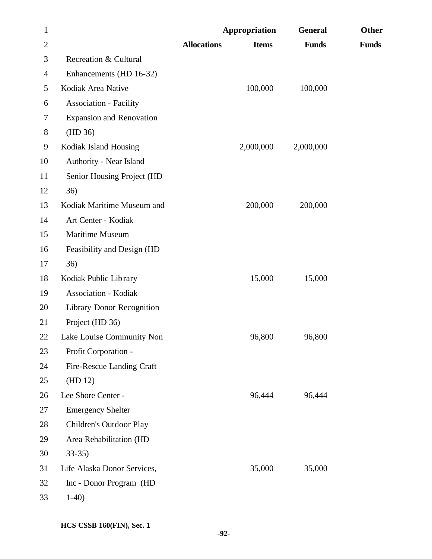| $\mathbf{1}$   |                                  |                    | Appropriation | <b>General</b> | Other        |
|----------------|----------------------------------|--------------------|---------------|----------------|--------------|
| $\mathbf{2}$   |                                  | <b>Allocations</b> | <b>Items</b>  | <b>Funds</b>   | <b>Funds</b> |
| 3              | Recreation & Cultural            |                    |               |                |              |
| $\overline{4}$ | Enhancements (HD 16-32)          |                    |               |                |              |
| 5              | Kodiak Area Native               |                    | 100,000       | 100,000        |              |
| 6              | <b>Association - Facility</b>    |                    |               |                |              |
| 7              | <b>Expansion and Renovation</b>  |                    |               |                |              |
| $8\,$          | (HD 36)                          |                    |               |                |              |
| 9              | Kodiak Island Housing            |                    | 2,000,000     | 2,000,000      |              |
| 10             | Authority - Near Island          |                    |               |                |              |
| 11             | Senior Housing Project (HD       |                    |               |                |              |
| 12             | 36)                              |                    |               |                |              |
| 13             | Kodiak Maritime Museum and       |                    | 200,000       | 200,000        |              |
| 14             | Art Center - Kodiak              |                    |               |                |              |
| 15             | Maritime Museum                  |                    |               |                |              |
| 16             | Feasibility and Design (HD       |                    |               |                |              |
| 17             | 36)                              |                    |               |                |              |
| 18             | Kodiak Public Library            |                    | 15,000        | 15,000         |              |
| 19             | <b>Association - Kodiak</b>      |                    |               |                |              |
| 20             | <b>Library Donor Recognition</b> |                    |               |                |              |
| 21             | Project (HD 36)                  |                    |               |                |              |
| 22             | Lake Louise Community Non        |                    | 96,800        | 96,800         |              |
| 23             | Profit Corporation -             |                    |               |                |              |
| 24             | Fire-Rescue Landing Craft        |                    |               |                |              |
| 25             | (HD 12)                          |                    |               |                |              |
| 26             | Lee Shore Center -               |                    | 96,444        | 96,444         |              |
| 27             | <b>Emergency Shelter</b>         |                    |               |                |              |
| 28             | Children's Outdoor Play          |                    |               |                |              |
| 29             | Area Rehabilitation (HD          |                    |               |                |              |
| 30             | $33-35$                          |                    |               |                |              |
| 31             | Life Alaska Donor Services,      |                    | 35,000        | 35,000         |              |
| 32             | Inc - Donor Program (HD          |                    |               |                |              |
| 33             | $1-40$                           |                    |               |                |              |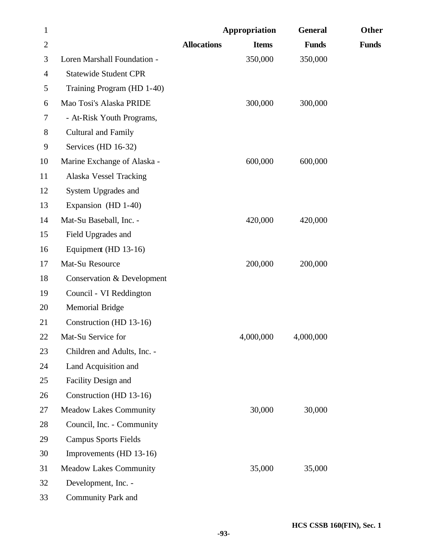| $\mathbf{1}$   |                               |                    | Appropriation | <b>General</b> | Other        |
|----------------|-------------------------------|--------------------|---------------|----------------|--------------|
| $\overline{2}$ |                               | <b>Allocations</b> | <b>Items</b>  | <b>Funds</b>   | <b>Funds</b> |
| 3              | Loren Marshall Foundation -   |                    | 350,000       | 350,000        |              |
| 4              | <b>Statewide Student CPR</b>  |                    |               |                |              |
| 5              | Training Program (HD 1-40)    |                    |               |                |              |
| 6              | Mao Tosi's Alaska PRIDE       |                    | 300,000       | 300,000        |              |
| 7              | - At-Risk Youth Programs,     |                    |               |                |              |
| 8              | <b>Cultural and Family</b>    |                    |               |                |              |
| 9              | Services (HD 16-32)           |                    |               |                |              |
| 10             | Marine Exchange of Alaska -   |                    | 600,000       | 600,000        |              |
| 11             | Alaska Vessel Tracking        |                    |               |                |              |
| 12             | System Upgrades and           |                    |               |                |              |
| 13             | Expansion (HD 1-40)           |                    |               |                |              |
| 14             | Mat-Su Baseball, Inc. -       |                    | 420,000       | 420,000        |              |
| 15             | Field Upgrades and            |                    |               |                |              |
| 16             | Equipment (HD 13-16)          |                    |               |                |              |
| 17             | Mat-Su Resource               |                    | 200,000       | 200,000        |              |
| 18             | Conservation & Development    |                    |               |                |              |
| 19             | Council - VI Reddington       |                    |               |                |              |
| 20             | <b>Memorial Bridge</b>        |                    |               |                |              |
| 21             | Construction (HD 13-16)       |                    |               |                |              |
| 22             | Mat-Su Service for            |                    | 4,000,000     | 4,000,000      |              |
| 23             | Children and Adults, Inc. -   |                    |               |                |              |
| 24             | Land Acquisition and          |                    |               |                |              |
| 25             | Facility Design and           |                    |               |                |              |
| 26             | Construction (HD 13-16)       |                    |               |                |              |
| 27             | <b>Meadow Lakes Community</b> |                    | 30,000        | 30,000         |              |
| 28             | Council, Inc. - Community     |                    |               |                |              |
| 29             | <b>Campus Sports Fields</b>   |                    |               |                |              |
| 30             | Improvements (HD 13-16)       |                    |               |                |              |
| 31             | <b>Meadow Lakes Community</b> |                    | 35,000        | 35,000         |              |
| 32             | Development, Inc. -           |                    |               |                |              |
| 33             | Community Park and            |                    |               |                |              |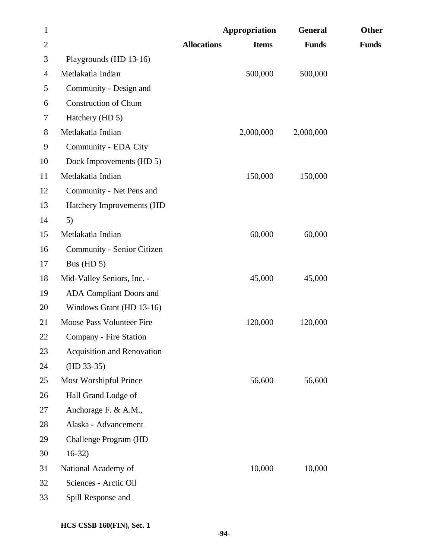| $\mathbf{1}$   |                             |                    | Appropriation | <b>General</b> | Other        |
|----------------|-----------------------------|--------------------|---------------|----------------|--------------|
| $\overline{2}$ |                             | <b>Allocations</b> | <b>Items</b>  | <b>Funds</b>   | <b>Funds</b> |
| 3              | Playgrounds (HD 13-16)      |                    |               |                |              |
| $\overline{4}$ | Metlakatla Indian           |                    | 500,000       | 500,000        |              |
| 5              | Community - Design and      |                    |               |                |              |
| 6              | <b>Construction of Chum</b> |                    |               |                |              |
| 7              | Hatchery (HD 5)             |                    |               |                |              |
| 8              | Metlakatla Indian           |                    | 2,000,000     | 2,000,000      |              |
| 9              | Community - EDA City        |                    |               |                |              |
| 10             | Dock Improvements (HD 5)    |                    |               |                |              |
| 11             | Metlakatla Indian           |                    | 150,000       | 150,000        |              |
| 12             | Community - Net Pens and    |                    |               |                |              |
| 13             | Hatchery Improvements (HD   |                    |               |                |              |
| 14             | 5)                          |                    |               |                |              |
| 15             | Metlakatla Indian           |                    | 60,000        | 60,000         |              |
| 16             | Community - Senior Citizen  |                    |               |                |              |
| 17             | Bus ( $HD 5$ )              |                    |               |                |              |
| 18             | Mid-Valley Seniors, Inc. -  |                    | 45,000        | 45,000         |              |
| 19             | ADA Compliant Doors and     |                    |               |                |              |
| 20             | Windows Grant (HD 13-16)    |                    |               |                |              |
| 21             | Moose Pass Volunteer Fire   |                    | 120,000       | 120,000        |              |
| 22             | Company - Fire Station      |                    |               |                |              |
| 23             | Acquisition and Renovation  |                    |               |                |              |
| 24             | $(HD 33-35)$                |                    |               |                |              |
| 25             | Most Worshipful Prince      |                    | 56,600        | 56,600         |              |
| 26             | Hall Grand Lodge of         |                    |               |                |              |
| 27             | Anchorage F. & A.M.,        |                    |               |                |              |
| 28             | Alaska - Advancement        |                    |               |                |              |
| 29             | Challenge Program (HD       |                    |               |                |              |
| 30             | $16-32)$                    |                    |               |                |              |
| 31             | National Academy of         |                    | 10,000        | 10,000         |              |
| 32             | Sciences - Arctic Oil       |                    |               |                |              |
| 33             | Spill Response and          |                    |               |                |              |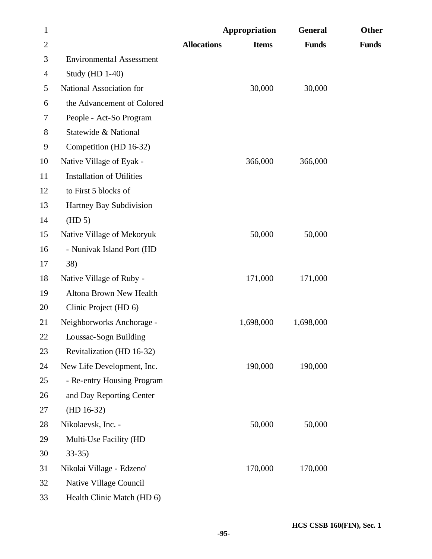| $\mathbf{1}$   |                                  |                    | Appropriation | <b>General</b> | Other        |
|----------------|----------------------------------|--------------------|---------------|----------------|--------------|
| $\overline{2}$ |                                  | <b>Allocations</b> | <b>Items</b>  | <b>Funds</b>   | <b>Funds</b> |
| 3              | <b>Environmental Assessment</b>  |                    |               |                |              |
| $\overline{4}$ | <b>Study (HD 1-40)</b>           |                    |               |                |              |
| 5              | National Association for         |                    | 30,000        | 30,000         |              |
| 6              | the Advancement of Colored       |                    |               |                |              |
| 7              | People - Act-So Program          |                    |               |                |              |
| 8              | Statewide & National             |                    |               |                |              |
| 9              | Competition (HD 16-32)           |                    |               |                |              |
| 10             | Native Village of Eyak -         |                    | 366,000       | 366,000        |              |
| 11             | <b>Installation of Utilities</b> |                    |               |                |              |
| 12             | to First 5 blocks of             |                    |               |                |              |
| 13             | Hartney Bay Subdivision          |                    |               |                |              |
| 14             | (HD 5)                           |                    |               |                |              |
| 15             | Native Village of Mekoryuk       |                    | 50,000        | 50,000         |              |
| 16             | - Nunivak Island Port (HD        |                    |               |                |              |
| 17             | 38)                              |                    |               |                |              |
| 18             | Native Village of Ruby -         |                    | 171,000       | 171,000        |              |
| 19             | <b>Altona Brown New Health</b>   |                    |               |                |              |
| 20             | Clinic Project (HD 6)            |                    |               |                |              |
| 21             | Neighborworks Anchorage -        |                    | 1,698,000     | 1,698,000      |              |
| 22             | Loussac-Sogn Building            |                    |               |                |              |
| 23             | Revitalization (HD 16-32)        |                    |               |                |              |
| 24             | New Life Development, Inc.       |                    | 190,000       | 190,000        |              |
| 25             | - Re-entry Housing Program       |                    |               |                |              |
| 26             | and Day Reporting Center         |                    |               |                |              |
| 27             | $(HD 16-32)$                     |                    |               |                |              |
| 28             | Nikolaevsk, Inc. -               |                    | 50,000        | 50,000         |              |
| 29             | Multi-Use Facility (HD           |                    |               |                |              |
| 30             | $33-35$                          |                    |               |                |              |
| 31             | Nikolai Village - Edzeno'        |                    | 170,000       | 170,000        |              |
| 32             | Native Village Council           |                    |               |                |              |
| 33             | Health Clinic Match (HD 6)       |                    |               |                |              |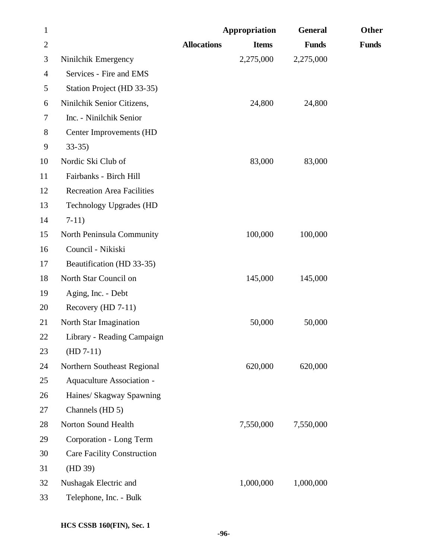| $\mathbf{1}$   |                                   |                    | Appropriation | <b>General</b> | Other        |
|----------------|-----------------------------------|--------------------|---------------|----------------|--------------|
| $\overline{2}$ |                                   | <b>Allocations</b> | <b>Items</b>  | <b>Funds</b>   | <b>Funds</b> |
| 3              | Ninilchik Emergency               |                    | 2,275,000     | 2,275,000      |              |
| $\overline{4}$ | Services - Fire and EMS           |                    |               |                |              |
| 5              | Station Project (HD 33-35)        |                    |               |                |              |
| 6              | Ninilchik Senior Citizens,        |                    | 24,800        | 24,800         |              |
| 7              | Inc. - Ninilchik Senior           |                    |               |                |              |
| 8              | Center Improvements (HD           |                    |               |                |              |
| 9              | $33-35$                           |                    |               |                |              |
| 10             | Nordic Ski Club of                |                    | 83,000        | 83,000         |              |
| 11             | Fairbanks - Birch Hill            |                    |               |                |              |
| 12             | <b>Recreation Area Facilities</b> |                    |               |                |              |
| 13             | <b>Technology Upgrades (HD</b>    |                    |               |                |              |
| 14             | $7-11)$                           |                    |               |                |              |
| 15             | North Peninsula Community         |                    | 100,000       | 100,000        |              |
| 16             | Council - Nikiski                 |                    |               |                |              |
| 17             | Beautification (HD 33-35)         |                    |               |                |              |
| 18             | North Star Council on             |                    | 145,000       | 145,000        |              |
| 19             | Aging, Inc. - Debt                |                    |               |                |              |
| 20             | Recovery (HD 7-11)                |                    |               |                |              |
| 21             | North Star Imagination            |                    | 50,000        | 50,000         |              |
| 22             | Library - Reading Campaign        |                    |               |                |              |
| 23             | $(HD 7-11)$                       |                    |               |                |              |
| 24             | Northern Southeast Regional       |                    | 620,000       | 620,000        |              |
| 25             | Aquaculture Association -         |                    |               |                |              |
| 26             | Haines/ Skagway Spawning          |                    |               |                |              |
| 27             | Channels (HD 5)                   |                    |               |                |              |
| 28             | Norton Sound Health               |                    | 7,550,000     | 7,550,000      |              |
| 29             | Corporation - Long Term           |                    |               |                |              |
| 30             | <b>Care Facility Construction</b> |                    |               |                |              |
| 31             | (HD 39)                           |                    |               |                |              |
| 32             | Nushagak Electric and             |                    | 1,000,000     | 1,000,000      |              |
| 33             | Telephone, Inc. - Bulk            |                    |               |                |              |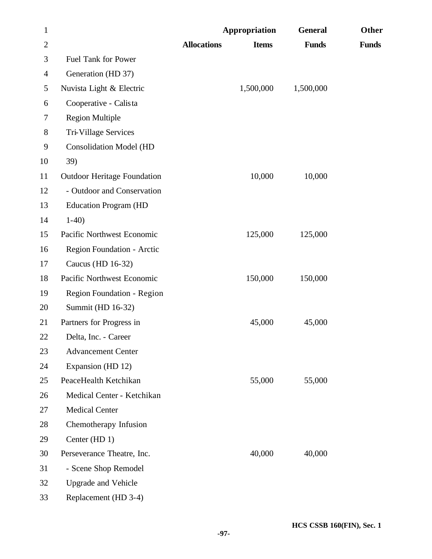| $\mathbf{1}$   |                                    | Appropriation      |              | <b>General</b> | Other        |
|----------------|------------------------------------|--------------------|--------------|----------------|--------------|
| $\overline{2}$ |                                    | <b>Allocations</b> | <b>Items</b> | <b>Funds</b>   | <b>Funds</b> |
| 3              | <b>Fuel Tank for Power</b>         |                    |              |                |              |
| $\overline{4}$ | Generation (HD 37)                 |                    |              |                |              |
| 5              | Nuvista Light & Electric           |                    | 1,500,000    | 1,500,000      |              |
| 6              | Cooperative - Calista              |                    |              |                |              |
| 7              | <b>Region Multiple</b>             |                    |              |                |              |
| $8\,$          | Tri-Village Services               |                    |              |                |              |
| 9              | <b>Consolidation Model (HD</b>     |                    |              |                |              |
| 10             | 39)                                |                    |              |                |              |
| 11             | <b>Outdoor Heritage Foundation</b> |                    | 10,000       | 10,000         |              |
| 12             | - Outdoor and Conservation         |                    |              |                |              |
| 13             | <b>Education Program (HD</b>       |                    |              |                |              |
| 14             | $1-40$                             |                    |              |                |              |
| 15             | Pacific Northwest Economic         |                    | 125,000      | 125,000        |              |
| 16             | Region Foundation - Arctic         |                    |              |                |              |
| 17             | Caucus (HD 16-32)                  |                    |              |                |              |
| 18             | Pacific Northwest Economic         |                    | 150,000      | 150,000        |              |
| 19             | Region Foundation - Region         |                    |              |                |              |
| 20             | Summit (HD 16-32)                  |                    |              |                |              |
| 21             | Partners for Progress in           |                    | 45,000       | 45,000         |              |
| 22             | Delta, Inc. - Career               |                    |              |                |              |
| 23             | <b>Advancement Center</b>          |                    |              |                |              |
| 24             | Expansion (HD 12)                  |                    |              |                |              |
| 25             | PeaceHealth Ketchikan              |                    | 55,000       | 55,000         |              |
| 26             | Medical Center - Ketchikan         |                    |              |                |              |
| 27             | <b>Medical Center</b>              |                    |              |                |              |
| 28             | Chemotherapy Infusion              |                    |              |                |              |
| 29             | Center (HD 1)                      |                    |              |                |              |
| 30             | Perseverance Theatre, Inc.         |                    | 40,000       | 40,000         |              |
| 31             | - Scene Shop Remodel               |                    |              |                |              |
| 32             | <b>Upgrade and Vehicle</b>         |                    |              |                |              |
| 33             | Replacement (HD 3-4)               |                    |              |                |              |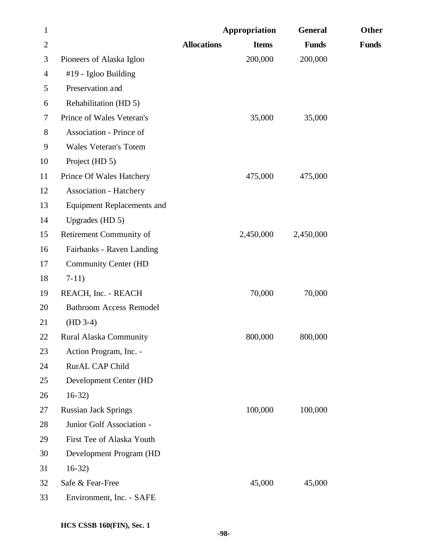| $\mathbf{1}$   |                                   |                    | Appropriation | <b>General</b> | Other        |
|----------------|-----------------------------------|--------------------|---------------|----------------|--------------|
| $\overline{2}$ |                                   | <b>Allocations</b> | <b>Items</b>  | <b>Funds</b>   | <b>Funds</b> |
| 3              | Pioneers of Alaska Igloo          |                    | 200,000       | 200,000        |              |
| $\overline{4}$ | #19 - Igloo Building              |                    |               |                |              |
| 5              | Preservation and                  |                    |               |                |              |
| 6              | Rehabilitation (HD 5)             |                    |               |                |              |
| 7              | Prince of Wales Veteran's         |                    | 35,000        | 35,000         |              |
| 8              | Association - Prince of           |                    |               |                |              |
| 9              | Wales Veteran's Totem             |                    |               |                |              |
| 10             | Project (HD 5)                    |                    |               |                |              |
| 11             | Prince Of Wales Hatchery          |                    | 475,000       | 475,000        |              |
| 12             | <b>Association - Hatchery</b>     |                    |               |                |              |
| 13             | <b>Equipment Replacements and</b> |                    |               |                |              |
| 14             | Upgrades (HD 5)                   |                    |               |                |              |
| 15             | Retirement Community of           |                    | 2,450,000     | 2,450,000      |              |
| 16             | Fairbanks - Raven Landing         |                    |               |                |              |
| 17             | <b>Community Center (HD</b>       |                    |               |                |              |
| 18             | $7-11)$                           |                    |               |                |              |
| 19             | REACH, Inc. - REACH               |                    | 70,000        | 70,000         |              |
| 20             | <b>Bathroom Access Remodel</b>    |                    |               |                |              |
| 21             | $(HD 3-4)$                        |                    |               |                |              |
| 22             | <b>Rural Alaska Community</b>     |                    | 800,000       | 800,000        |              |
| 23             | Action Program, Inc. -            |                    |               |                |              |
| 24             | RurAL CAP Child                   |                    |               |                |              |
| 25             | Development Center (HD            |                    |               |                |              |
| 26             | $16-32)$                          |                    |               |                |              |
| 27             | <b>Russian Jack Springs</b>       |                    | 100,000       | 100,000        |              |
| 28             | Junior Golf Association -         |                    |               |                |              |
| 29             | First Tee of Alaska Youth         |                    |               |                |              |
| 30             | Development Program (HD           |                    |               |                |              |
| 31             | $16-32)$                          |                    |               |                |              |
| 32             | Safe & Fear-Free                  |                    | 45,000        | 45,000         |              |
| 33             | Environment, Inc. - SAFE          |                    |               |                |              |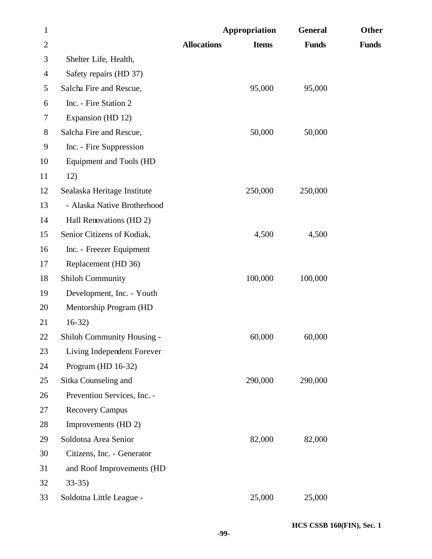| $\mathbf{1}$   |                                   | <b>Appropriation</b>               | <b>General</b> | Other        |
|----------------|-----------------------------------|------------------------------------|----------------|--------------|
| $\overline{2}$ |                                   | <b>Allocations</b><br><b>Items</b> | <b>Funds</b>   | <b>Funds</b> |
| 3              | Shelter Life, Health,             |                                    |                |              |
| $\overline{4}$ | Safety repairs (HD 37)            |                                    |                |              |
| 5              | Salcha Fire and Rescue,           | 95,000                             | 95,000         |              |
| 6              | Inc. - Fire Station 2             |                                    |                |              |
| 7              | Expansion (HD 12)                 |                                    |                |              |
| $8\,$          | Salcha Fire and Rescue,           | 50,000                             | 50,000         |              |
| 9              | Inc. - Fire Suppression           |                                    |                |              |
| 10             | Equipment and Tools (HD           |                                    |                |              |
| 11             | 12)                               |                                    |                |              |
| 12             | Sealaska Heritage Institute       | 250,000                            | 250,000        |              |
| 13             | - Alaska Native Brotherhood       |                                    |                |              |
| 14             | Hall Renovations (HD 2)           |                                    |                |              |
| 15             | Senior Citizens of Kodiak,        | 4,500                              | 4,500          |              |
| 16             | Inc. - Freezer Equipment          |                                    |                |              |
| 17             | Replacement (HD 36)               |                                    |                |              |
| 18             | <b>Shiloh Community</b>           | 100,000                            | 100,000        |              |
| 19             | Development, Inc. - Youth         |                                    |                |              |
| 20             | Mentorship Program (HD            |                                    |                |              |
| 21             | $16-32$                           |                                    |                |              |
| 22             | <b>Shiloh Community Housing -</b> | 60,000                             | 60,000         |              |
| 23             | Living Independent Forever        |                                    |                |              |
| 24             | Program (HD 16-32)                |                                    |                |              |
| 25             | Sitka Counseling and              | 290,000                            | 290,000        |              |
| 26             | Prevention Services, Inc. -       |                                    |                |              |
| 27             | <b>Recovery Campus</b>            |                                    |                |              |
| 28             | Improvements (HD 2)               |                                    |                |              |
| 29             | Soldotna Area Senior              | 82,000                             | 82,000         |              |
| 30             | Citizens, Inc. - Generator        |                                    |                |              |
| 31             | and Roof Improvements (HD         |                                    |                |              |
| 32             | $33-35$                           |                                    |                |              |
| 33             | Soldotna Little League -          | 25,000                             | 25,000         |              |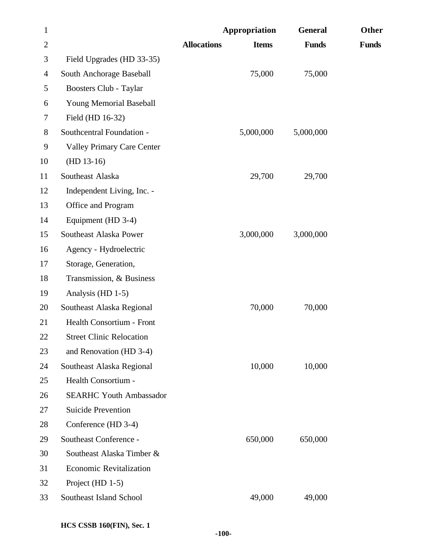| $\mathbf{1}$   |                                   |                    | Appropriation | <b>General</b> | Other        |
|----------------|-----------------------------------|--------------------|---------------|----------------|--------------|
| $\overline{2}$ |                                   | <b>Allocations</b> | <b>Items</b>  | <b>Funds</b>   | <b>Funds</b> |
| 3              | Field Upgrades (HD 33-35)         |                    |               |                |              |
| $\overline{4}$ | South Anchorage Baseball          |                    | 75,000        | 75,000         |              |
| 5              | Boosters Club - Taylar            |                    |               |                |              |
| 6              | Young Memorial Baseball           |                    |               |                |              |
| 7              | Field (HD 16-32)                  |                    |               |                |              |
| 8              | Southcentral Foundation -         |                    | 5,000,000     | 5,000,000      |              |
| 9              | <b>Valley Primary Care Center</b> |                    |               |                |              |
| 10             | $(HD 13-16)$                      |                    |               |                |              |
| 11             | Southeast Alaska                  |                    | 29,700        | 29,700         |              |
| 12             | Independent Living, Inc. -        |                    |               |                |              |
| 13             | Office and Program                |                    |               |                |              |
| 14             | Equipment (HD 3-4)                |                    |               |                |              |
| 15             | Southeast Alaska Power            |                    | 3,000,000     | 3,000,000      |              |
| 16             | Agency - Hydroelectric            |                    |               |                |              |
| 17             | Storage, Generation,              |                    |               |                |              |
| 18             | Transmission, & Business          |                    |               |                |              |
| 19             | Analysis (HD 1-5)                 |                    |               |                |              |
| 20             | Southeast Alaska Regional         |                    | 70,000        | 70,000         |              |
| 21             | Health Consortium - Front         |                    |               |                |              |
| 22             | <b>Street Clinic Relocation</b>   |                    |               |                |              |
| 23             | and Renovation (HD 3-4)           |                    |               |                |              |
| 24             | Southeast Alaska Regional         |                    | 10,000        | 10,000         |              |
| 25             | Health Consortium -               |                    |               |                |              |
| 26             | <b>SEARHC Youth Ambassador</b>    |                    |               |                |              |
| 27             | <b>Suicide Prevention</b>         |                    |               |                |              |
| 28             | Conference (HD 3-4)               |                    |               |                |              |
| 29             | Southeast Conference -            |                    | 650,000       | 650,000        |              |
| 30             | Southeast Alaska Timber &         |                    |               |                |              |
| 31             | <b>Economic Revitalization</b>    |                    |               |                |              |
| 32             | Project (HD 1-5)                  |                    |               |                |              |
| 33             | Southeast Island School           |                    | 49,000        | 49,000         |              |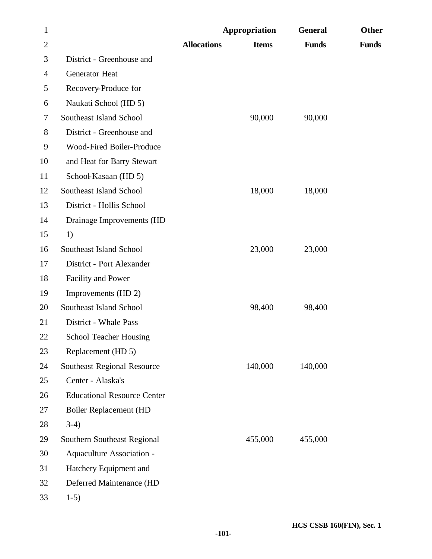| $\mathbf{1}$   |                                    |                    | Appropriation | <b>General</b> | Other        |
|----------------|------------------------------------|--------------------|---------------|----------------|--------------|
| $\overline{2}$ |                                    | <b>Allocations</b> | <b>Items</b>  | <b>Funds</b>   | <b>Funds</b> |
| 3              | District - Greenhouse and          |                    |               |                |              |
| 4              | Generator Heat                     |                    |               |                |              |
| 5              | Recovery-Produce for               |                    |               |                |              |
| 6              | Naukati School (HD 5)              |                    |               |                |              |
| 7              | Southeast Island School            |                    | 90,000        | 90,000         |              |
| 8              | District - Greenhouse and          |                    |               |                |              |
| 9              | Wood-Fired Boiler-Produce          |                    |               |                |              |
| 10             | and Heat for Barry Stewart         |                    |               |                |              |
| 11             | School-Kasaan (HD 5)               |                    |               |                |              |
| 12             | Southeast Island School            |                    | 18,000        | 18,000         |              |
| 13             | District - Hollis School           |                    |               |                |              |
| 14             | Drainage Improvements (HD          |                    |               |                |              |
| 15             | 1)                                 |                    |               |                |              |
| 16             | Southeast Island School            |                    | 23,000        | 23,000         |              |
| 17             | District - Port Alexander          |                    |               |                |              |
| 18             | <b>Facility and Power</b>          |                    |               |                |              |
| 19             | Improvements (HD 2)                |                    |               |                |              |
| 20             | Southeast Island School            |                    | 98,400        | 98,400         |              |
| 21             | District - Whale Pass              |                    |               |                |              |
| 22             | <b>School Teacher Housing</b>      |                    |               |                |              |
| 23             | Replacement (HD 5)                 |                    |               |                |              |
| 24             | Southeast Regional Resource        |                    | 140,000       | 140,000        |              |
| 25             | Center - Alaska's                  |                    |               |                |              |
| 26             | <b>Educational Resource Center</b> |                    |               |                |              |
| 27             | Boiler Replacement (HD             |                    |               |                |              |
| 28             | $3-4)$                             |                    |               |                |              |
| 29             | Southern Southeast Regional        |                    | 455,000       | 455,000        |              |
| 30             | Aquaculture Association -          |                    |               |                |              |
| 31             | Hatchery Equipment and             |                    |               |                |              |
| 32             | Deferred Maintenance (HD           |                    |               |                |              |
| 33             | $1-5)$                             |                    |               |                |              |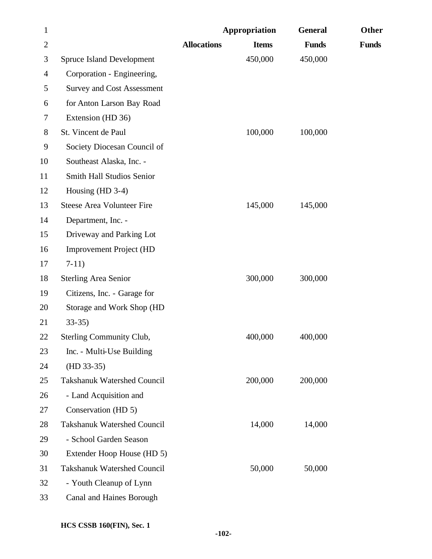| $\mathbf{1}$   |                                    |                    | Appropriation | <b>General</b> | Other        |
|----------------|------------------------------------|--------------------|---------------|----------------|--------------|
| $\overline{2}$ |                                    | <b>Allocations</b> | <b>Items</b>  | <b>Funds</b>   | <b>Funds</b> |
| 3              | <b>Spruce Island Development</b>   |                    | 450,000       | 450,000        |              |
| 4              | Corporation - Engineering,         |                    |               |                |              |
| 5              | <b>Survey and Cost Assessment</b>  |                    |               |                |              |
| 6              | for Anton Larson Bay Road          |                    |               |                |              |
| 7              | Extension (HD 36)                  |                    |               |                |              |
| 8              | St. Vincent de Paul                |                    | 100,000       | 100,000        |              |
| 9              | Society Diocesan Council of        |                    |               |                |              |
| 10             | Southeast Alaska, Inc. -           |                    |               |                |              |
| 11             | Smith Hall Studios Senior          |                    |               |                |              |
| 12             | Housing (HD 3-4)                   |                    |               |                |              |
| 13             | <b>Steese Area Volunteer Fire</b>  |                    | 145,000       | 145,000        |              |
| 14             | Department, Inc. -                 |                    |               |                |              |
| 15             | Driveway and Parking Lot           |                    |               |                |              |
| 16             | <b>Improvement Project (HD</b>     |                    |               |                |              |
| 17             | $7-11)$                            |                    |               |                |              |
| 18             | <b>Sterling Area Senior</b>        |                    | 300,000       | 300,000        |              |
| 19             | Citizens, Inc. - Garage for        |                    |               |                |              |
| 20             | Storage and Work Shop (HD          |                    |               |                |              |
| 21             | $33-35$                            |                    |               |                |              |
| 22             | Sterling Community Club,           |                    | 400,000       | 400,000        |              |
| 23             | Inc. - Multi-Use Building          |                    |               |                |              |
| 24             | $(HD 33-35)$                       |                    |               |                |              |
| 25             | <b>Takshanuk Watershed Council</b> |                    | 200,000       | 200,000        |              |
| 26             | - Land Acquisition and             |                    |               |                |              |
| 27             | Conservation (HD 5)                |                    |               |                |              |
| 28             | <b>Takshanuk Watershed Council</b> |                    | 14,000        | 14,000         |              |
| 29             | - School Garden Season             |                    |               |                |              |
| 30             | Extender Hoop House (HD 5)         |                    |               |                |              |
| 31             | <b>Takshanuk Watershed Council</b> |                    | 50,000        | 50,000         |              |
| 32             | - Youth Cleanup of Lynn            |                    |               |                |              |
| 33             | Canal and Haines Borough           |                    |               |                |              |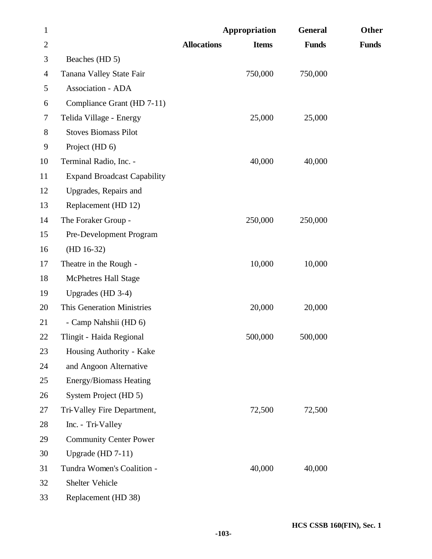| $\mathbf{1}$   |                                    | Appropriation                      | <b>General</b> | Other        |
|----------------|------------------------------------|------------------------------------|----------------|--------------|
| $\overline{2}$ |                                    | <b>Allocations</b><br><b>Items</b> | <b>Funds</b>   | <b>Funds</b> |
| 3              | Beaches (HD 5)                     |                                    |                |              |
| 4              | Tanana Valley State Fair           | 750,000                            | 750,000        |              |
| 5              | Association - ADA                  |                                    |                |              |
| 6              | Compliance Grant (HD 7-11)         |                                    |                |              |
| 7              | Telida Village - Energy            | 25,000                             | 25,000         |              |
| 8              | <b>Stoves Biomass Pilot</b>        |                                    |                |              |
| 9              | Project (HD 6)                     |                                    |                |              |
| 10             | Terminal Radio, Inc. -             | 40,000                             | 40,000         |              |
| 11             | <b>Expand Broadcast Capability</b> |                                    |                |              |
| 12             | Upgrades, Repairs and              |                                    |                |              |
| 13             | Replacement (HD 12)                |                                    |                |              |
| 14             | The Foraker Group -                | 250,000                            | 250,000        |              |
| 15             | Pre-Development Program            |                                    |                |              |
| 16             | $(HD 16-32)$                       |                                    |                |              |
| 17             | Theatre in the Rough -             | 10,000                             | 10,000         |              |
| 18             | <b>McPhetres Hall Stage</b>        |                                    |                |              |
| 19             | Upgrades (HD 3-4)                  |                                    |                |              |
| 20             | <b>This Generation Ministries</b>  | 20,000                             | 20,000         |              |
| 21             | - Camp Nahshii (HD 6)              |                                    |                |              |
| 22             | Tlingit - Haida Regional           | 500,000                            | 500,000        |              |
| 23             | Housing Authority - Kake           |                                    |                |              |
| 24             | and Angoon Alternative             |                                    |                |              |
| 25             | Energy/Biomass Heating             |                                    |                |              |
| 26             | System Project (HD 5)              |                                    |                |              |
| 27             | Tri-Valley Fire Department,        | 72,500                             | 72,500         |              |
| 28             | Inc. - Tri-Valley                  |                                    |                |              |
| 29             | <b>Community Center Power</b>      |                                    |                |              |
| 30             | Upgrade (HD $7-11$ )               |                                    |                |              |
| 31             | Tundra Women's Coalition -         | 40,000                             | 40,000         |              |
| 32             | Shelter Vehicle                    |                                    |                |              |
| 33             | Replacement (HD 38)                |                                    |                |              |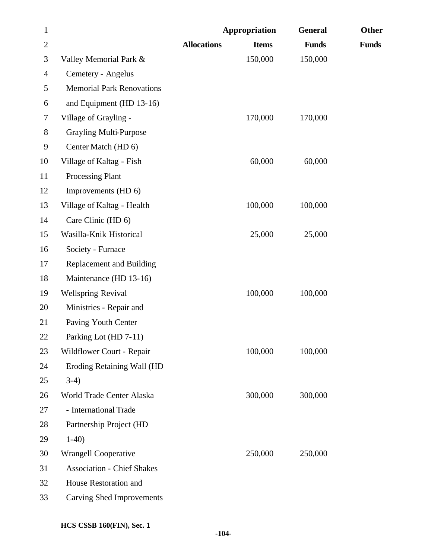| $\mathbf{1}$   |                                   | Appropriation      |              | <b>General</b> | Other        |
|----------------|-----------------------------------|--------------------|--------------|----------------|--------------|
| $\mathbf{2}$   |                                   | <b>Allocations</b> | <b>Items</b> | <b>Funds</b>   | <b>Funds</b> |
| 3              | Valley Memorial Park &            |                    | 150,000      | 150,000        |              |
| $\overline{4}$ | Cemetery - Angelus                |                    |              |                |              |
| 5              | <b>Memorial Park Renovations</b>  |                    |              |                |              |
| 6              | and Equipment (HD 13-16)          |                    |              |                |              |
| 7              | Village of Grayling -             |                    | 170,000      | 170,000        |              |
| $8\,$          | Grayling Multi-Purpose            |                    |              |                |              |
| 9              | Center Match (HD 6)               |                    |              |                |              |
| 10             | Village of Kaltag - Fish          |                    | 60,000       | 60,000         |              |
| 11             | <b>Processing Plant</b>           |                    |              |                |              |
| 12             | Improvements (HD 6)               |                    |              |                |              |
| 13             | Village of Kaltag - Health        |                    | 100,000      | 100,000        |              |
| 14             | Care Clinic (HD 6)                |                    |              |                |              |
| 15             | Wasilla-Knik Historical           |                    | 25,000       | 25,000         |              |
| 16             | Society - Furnace                 |                    |              |                |              |
| 17             | <b>Replacement and Building</b>   |                    |              |                |              |
| 18             | Maintenance (HD 13-16)            |                    |              |                |              |
| 19             | <b>Wellspring Revival</b>         |                    | 100,000      | 100,000        |              |
| 20             | Ministries - Repair and           |                    |              |                |              |
| 21             | Paving Youth Center               |                    |              |                |              |
| 22             | Parking Lot (HD 7-11)             |                    |              |                |              |
| 23             | Wildflower Court - Repair         |                    | 100,000      | 100,000        |              |
| 24             | Eroding Retaining Wall (HD        |                    |              |                |              |
| 25             | $3-4)$                            |                    |              |                |              |
| 26             | World Trade Center Alaska         |                    | 300,000      | 300,000        |              |
| 27             | - International Trade             |                    |              |                |              |
| 28             | Partnership Project (HD           |                    |              |                |              |
| 29             | $1-40$                            |                    |              |                |              |
| 30             | <b>Wrangell Cooperative</b>       |                    | 250,000      | 250,000        |              |
| 31             | <b>Association - Chief Shakes</b> |                    |              |                |              |
| 32             | House Restoration and             |                    |              |                |              |
| 33             | <b>Carving Shed Improvements</b>  |                    |              |                |              |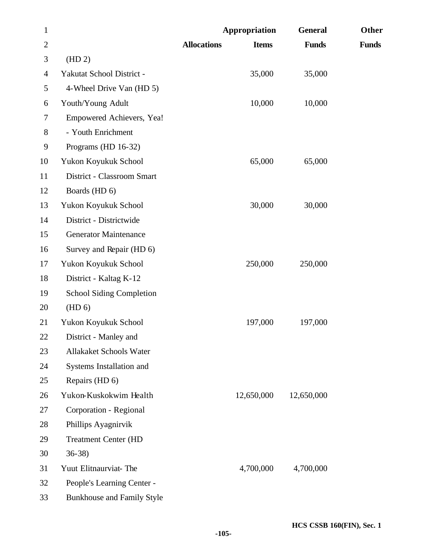| $\mathbf{1}$   |                                 |                    | Appropriation | <b>General</b> | Other        |
|----------------|---------------------------------|--------------------|---------------|----------------|--------------|
| $\overline{2}$ |                                 | <b>Allocations</b> | <b>Items</b>  | <b>Funds</b>   | <b>Funds</b> |
| 3              | (HD 2)                          |                    |               |                |              |
| $\overline{4}$ | Yakutat School District -       |                    | 35,000        | 35,000         |              |
| 5              | 4-Wheel Drive Van (HD 5)        |                    |               |                |              |
| 6              | Youth/Young Adult               |                    | 10,000        | 10,000         |              |
| 7              | Empowered Achievers, Yea!       |                    |               |                |              |
| 8              | - Youth Enrichment              |                    |               |                |              |
| 9              | Programs (HD 16-32)             |                    |               |                |              |
| 10             | Yukon Koyukuk School            |                    | 65,000        | 65,000         |              |
| 11             | District - Classroom Smart      |                    |               |                |              |
| 12             | Boards (HD 6)                   |                    |               |                |              |
| 13             | Yukon Koyukuk School            |                    | 30,000        | 30,000         |              |
| 14             | District - Districtwide         |                    |               |                |              |
| 15             | <b>Generator Maintenance</b>    |                    |               |                |              |
| 16             | Survey and Repair (HD 6)        |                    |               |                |              |
| 17             | Yukon Koyukuk School            |                    | 250,000       | 250,000        |              |
| 18             | District - Kaltag K-12          |                    |               |                |              |
| 19             | <b>School Siding Completion</b> |                    |               |                |              |
| 20             | (HD 6)                          |                    |               |                |              |
| 21             | Yukon Koyukuk School            |                    | 197,000       | 197,000        |              |
| 22             | District - Manley and           |                    |               |                |              |
| 23             | Allakaket Schools Water         |                    |               |                |              |
| 24             | Systems Installation and        |                    |               |                |              |
| 25             | Repairs (HD 6)                  |                    |               |                |              |
| 26             | Yukon-Kuskokwim Health          |                    | 12,650,000    | 12,650,000     |              |
| 27             | Corporation - Regional          |                    |               |                |              |
| 28             | Phillips Ayagnirvik             |                    |               |                |              |
| 29             | <b>Treatment Center (HD</b>     |                    |               |                |              |
| 30             | $36-38$                         |                    |               |                |              |
| 31             | Yuut Elitnaurviat-The           |                    | 4,700,000     | 4,700,000      |              |
| 32             | People's Learning Center -      |                    |               |                |              |
| 33             | Bunkhouse and Family Style      |                    |               |                |              |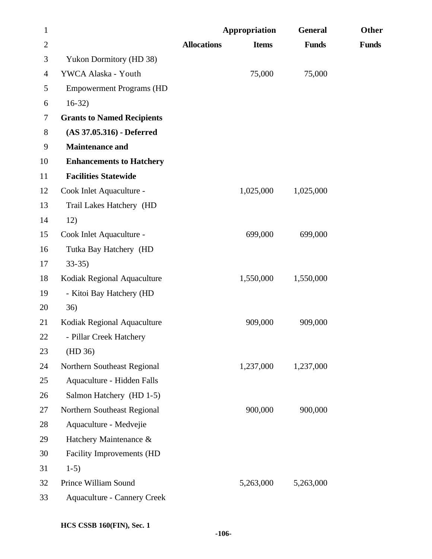| $\mathbf{1}$   |                                    |                    | Appropriation | <b>General</b> | <b>Other</b> |
|----------------|------------------------------------|--------------------|---------------|----------------|--------------|
| $\mathbf{2}$   |                                    | <b>Allocations</b> | <b>Items</b>  | <b>Funds</b>   | <b>Funds</b> |
| 3              | <b>Yukon Dormitory (HD 38)</b>     |                    |               |                |              |
| $\overline{4}$ | YWCA Alaska - Youth                |                    | 75,000        | 75,000         |              |
| 5              | <b>Empowerment Programs (HD</b>    |                    |               |                |              |
| 6              | $16-32)$                           |                    |               |                |              |
| 7              | <b>Grants to Named Recipients</b>  |                    |               |                |              |
| 8              | $(AS 37.05.316)$ - Deferred        |                    |               |                |              |
| 9              | <b>Maintenance and</b>             |                    |               |                |              |
| 10             | <b>Enhancements to Hatchery</b>    |                    |               |                |              |
| 11             | <b>Facilities Statewide</b>        |                    |               |                |              |
| 12             | Cook Inlet Aquaculture -           |                    | 1,025,000     | 1,025,000      |              |
| 13             | Trail Lakes Hatchery (HD           |                    |               |                |              |
| 14             | 12)                                |                    |               |                |              |
| 15             | Cook Inlet Aquaculture -           |                    | 699,000       | 699,000        |              |
| 16             | Tutka Bay Hatchery (HD             |                    |               |                |              |
| 17             | $33-35$                            |                    |               |                |              |
| 18             | Kodiak Regional Aquaculture        |                    | 1,550,000     | 1,550,000      |              |
| 19             | - Kitoi Bay Hatchery (HD           |                    |               |                |              |
| 20             | 36)                                |                    |               |                |              |
| 21             | Kodiak Regional Aquaculture        |                    | 909,000       | 909,000        |              |
| 22             | - Pillar Creek Hatchery            |                    |               |                |              |
| 23             | (HD 36)                            |                    |               |                |              |
| 24             | Northern Southeast Regional        |                    | 1,237,000     | 1,237,000      |              |
| 25             | Aquaculture - Hidden Falls         |                    |               |                |              |
| 26             | Salmon Hatchery (HD 1-5)           |                    |               |                |              |
| 27             | Northern Southeast Regional        |                    | 900,000       | 900,000        |              |
| 28             | Aquaculture - Medvejie             |                    |               |                |              |
| 29             | Hatchery Maintenance &             |                    |               |                |              |
| 30             | Facility Improvements (HD          |                    |               |                |              |
| 31             | $1-5)$                             |                    |               |                |              |
| 32             | Prince William Sound               |                    | 5,263,000     | 5,263,000      |              |
| 33             | <b>Aquaculture - Cannery Creek</b> |                    |               |                |              |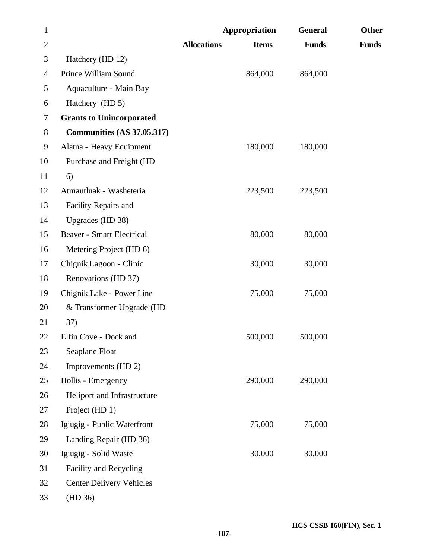| $\mathbf{1}$   |                                   |                    | <b>Appropriation</b> | <b>General</b> | Other        |
|----------------|-----------------------------------|--------------------|----------------------|----------------|--------------|
| $\overline{2}$ |                                   | <b>Allocations</b> | <b>Items</b>         | <b>Funds</b>   | <b>Funds</b> |
| 3              | Hatchery (HD 12)                  |                    |                      |                |              |
| $\overline{4}$ | Prince William Sound              |                    | 864,000              | 864,000        |              |
| 5              | Aquaculture - Main Bay            |                    |                      |                |              |
| 6              | Hatchery (HD 5)                   |                    |                      |                |              |
| 7              | <b>Grants to Unincorporated</b>   |                    |                      |                |              |
| 8              | <b>Communities (AS 37.05.317)</b> |                    |                      |                |              |
| 9              | Alatna - Heavy Equipment          |                    | 180,000              | 180,000        |              |
| 10             | Purchase and Freight (HD          |                    |                      |                |              |
| 11             | 6)                                |                    |                      |                |              |
| 12             | Atmautluak - Washeteria           |                    | 223,500              | 223,500        |              |
| 13             | Facility Repairs and              |                    |                      |                |              |
| 14             | Upgrades (HD 38)                  |                    |                      |                |              |
| 15             | <b>Beaver - Smart Electrical</b>  |                    | 80,000               | 80,000         |              |
| 16             | Metering Project (HD 6)           |                    |                      |                |              |
| 17             | Chignik Lagoon - Clinic           |                    | 30,000               | 30,000         |              |
| 18             | Renovations (HD 37)               |                    |                      |                |              |
| 19             | Chignik Lake - Power Line         |                    | 75,000               | 75,000         |              |
| 20             | & Transformer Upgrade (HD         |                    |                      |                |              |
| 21             | 37)                               |                    |                      |                |              |
| 22             | Elfin Cove - Dock and             |                    | 500,000              | 500,000        |              |
| 23             | Seaplane Float                    |                    |                      |                |              |
| 24             | Improvements (HD 2)               |                    |                      |                |              |
| 25             | Hollis - Emergency                |                    | 290,000              | 290,000        |              |
| 26             | Heliport and Infrastructure       |                    |                      |                |              |
| 27             | Project (HD 1)                    |                    |                      |                |              |
| 28             | Igiugig - Public Waterfront       |                    | 75,000               | 75,000         |              |
| 29             | Landing Repair (HD 36)            |                    |                      |                |              |
| 30             | Igiugig - Solid Waste             |                    | 30,000               | 30,000         |              |
| 31             | Facility and Recycling            |                    |                      |                |              |
| 32             | <b>Center Delivery Vehicles</b>   |                    |                      |                |              |
| 33             | (HD 36)                           |                    |                      |                |              |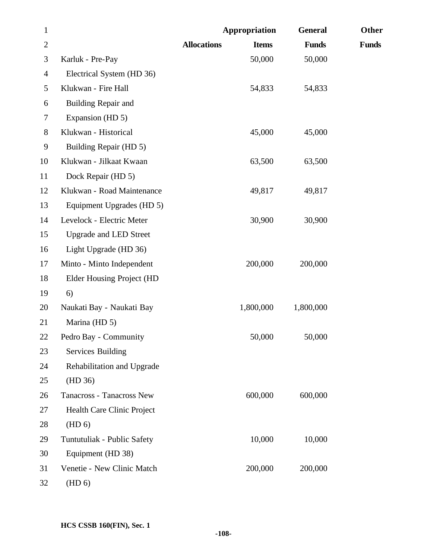| $\mathbf{1}$   |                                  |                    | Appropriation | <b>General</b> | Other        |
|----------------|----------------------------------|--------------------|---------------|----------------|--------------|
| $\overline{2}$ |                                  | <b>Allocations</b> | <b>Items</b>  | <b>Funds</b>   | <b>Funds</b> |
| 3              | Karluk - Pre-Pay                 |                    | 50,000        | 50,000         |              |
| 4              | Electrical System (HD 36)        |                    |               |                |              |
| 5              | Klukwan - Fire Hall              |                    | 54,833        | 54,833         |              |
| 6              | Building Repair and              |                    |               |                |              |
| 7              | Expansion (HD 5)                 |                    |               |                |              |
| 8              | Klukwan - Historical             |                    | 45,000        | 45,000         |              |
| 9              | Building Repair (HD 5)           |                    |               |                |              |
| 10             | Klukwan - Jilkaat Kwaan          |                    | 63,500        | 63,500         |              |
| 11             | Dock Repair (HD 5)               |                    |               |                |              |
| 12             | Klukwan - Road Maintenance       |                    | 49,817        | 49,817         |              |
| 13             | Equipment Upgrades (HD 5)        |                    |               |                |              |
| 14             | Levelock - Electric Meter        |                    | 30,900        | 30,900         |              |
| 15             | <b>Upgrade and LED Street</b>    |                    |               |                |              |
| 16             | Light Upgrade (HD 36)            |                    |               |                |              |
| 17             | Minto - Minto Independent        |                    | 200,000       | 200,000        |              |
| 18             | <b>Elder Housing Project (HD</b> |                    |               |                |              |
| 19             | 6)                               |                    |               |                |              |
| 20             | Naukati Bay - Naukati Bay        |                    | 1,800,000     | 1,800,000      |              |
| 21             | Marina (HD 5)                    |                    |               |                |              |
| 22             | Pedro Bay - Community            |                    | 50,000        | 50,000         |              |
| 23             | <b>Services Building</b>         |                    |               |                |              |
| 24             | Rehabilitation and Upgrade       |                    |               |                |              |
| 25             | (HD 36)                          |                    |               |                |              |
| 26             | Tanacross - Tanacross New        |                    | 600,000       | 600,000        |              |
| 27             | Health Care Clinic Project       |                    |               |                |              |
| 28             | (HD 6)                           |                    |               |                |              |
| 29             | Tuntutuliak - Public Safety      |                    | 10,000        | 10,000         |              |
| 30             | Equipment (HD 38)                |                    |               |                |              |
| 31             | Venetie - New Clinic Match       |                    | 200,000       | 200,000        |              |
| 32             | (HD 6)                           |                    |               |                |              |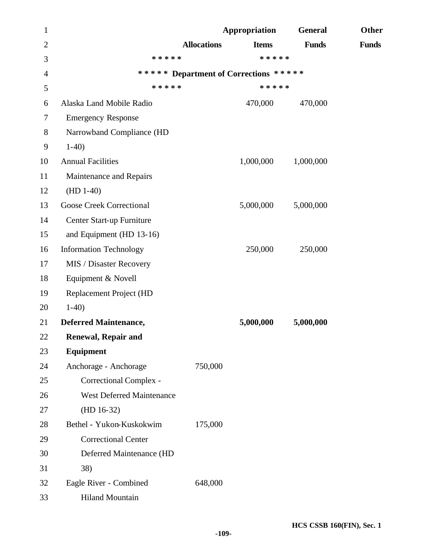| 1              |                                  |                    | Appropriation                         | <b>General</b> | Other        |
|----------------|----------------------------------|--------------------|---------------------------------------|----------------|--------------|
| $\overline{2}$ |                                  | <b>Allocations</b> | <b>Items</b>                          | <b>Funds</b>   | <b>Funds</b> |
| 3              | * * * * *                        |                    | * * * * *                             |                |              |
| $\overline{4}$ |                                  |                    | ***** Department of Corrections ***** |                |              |
| 5              | * * * * *                        |                    | * * * * *                             |                |              |
| 6              | Alaska Land Mobile Radio         |                    | 470,000                               | 470,000        |              |
| $\tau$         | <b>Emergency Response</b>        |                    |                                       |                |              |
| $8\,$          | Narrowband Compliance (HD        |                    |                                       |                |              |
| 9              | $1-40$                           |                    |                                       |                |              |
| 10             | <b>Annual Facilities</b>         |                    | 1,000,000                             | 1,000,000      |              |
| 11             | Maintenance and Repairs          |                    |                                       |                |              |
| 12             | $(HD 1-40)$                      |                    |                                       |                |              |
| 13             | <b>Goose Creek Correctional</b>  |                    | 5,000,000                             | 5,000,000      |              |
| 14             | Center Start-up Furniture        |                    |                                       |                |              |
| 15             | and Equipment (HD 13-16)         |                    |                                       |                |              |
| 16             | <b>Information Technology</b>    |                    | 250,000                               | 250,000        |              |
| 17             | MIS / Disaster Recovery          |                    |                                       |                |              |
| 18             | Equipment & Novell               |                    |                                       |                |              |
| 19             | Replacement Project (HD          |                    |                                       |                |              |
| 20             | $1-40$                           |                    |                                       |                |              |
| 21             | <b>Deferred Maintenance,</b>     |                    | 5,000,000                             | 5,000,000      |              |
| 22             | <b>Renewal, Repair and</b>       |                    |                                       |                |              |
| 23             | Equipment                        |                    |                                       |                |              |
| 24             | Anchorage - Anchorage            | 750,000            |                                       |                |              |
| 25             | Correctional Complex -           |                    |                                       |                |              |
| 26             | <b>West Deferred Maintenance</b> |                    |                                       |                |              |
| 27             | $(HD 16-32)$                     |                    |                                       |                |              |
| 28             | Bethel - Yukon-Kuskokwim         | 175,000            |                                       |                |              |
| 29             | <b>Correctional Center</b>       |                    |                                       |                |              |
| 30             | Deferred Maintenance (HD         |                    |                                       |                |              |
| 31             | 38)                              |                    |                                       |                |              |
| 32             | Eagle River - Combined           | 648,000            |                                       |                |              |
| 33             | <b>Hiland Mountain</b>           |                    |                                       |                |              |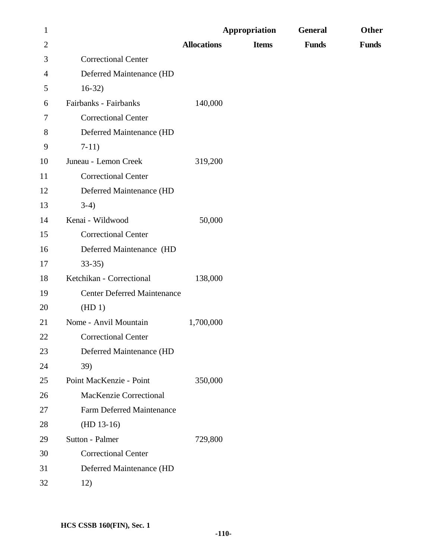| $\mathbf{1}$   |                                    |                    | Appropriation | <b>General</b> | Other        |
|----------------|------------------------------------|--------------------|---------------|----------------|--------------|
| $\overline{c}$ |                                    | <b>Allocations</b> | <b>Items</b>  | <b>Funds</b>   | <b>Funds</b> |
| 3              | <b>Correctional Center</b>         |                    |               |                |              |
| 4              | Deferred Maintenance (HD           |                    |               |                |              |
| 5              | $16-32)$                           |                    |               |                |              |
| 6              | Fairbanks - Fairbanks              | 140,000            |               |                |              |
| 7              | <b>Correctional Center</b>         |                    |               |                |              |
| 8              | Deferred Maintenance (HD           |                    |               |                |              |
| 9              | $7-11)$                            |                    |               |                |              |
| 10             | Juneau - Lemon Creek               | 319,200            |               |                |              |
| 11             | <b>Correctional Center</b>         |                    |               |                |              |
| 12             | Deferred Maintenance (HD           |                    |               |                |              |
| 13             | $3-4)$                             |                    |               |                |              |
| 14             | Kenai - Wildwood                   | 50,000             |               |                |              |
| 15             | <b>Correctional Center</b>         |                    |               |                |              |
| 16             | Deferred Maintenance (HD           |                    |               |                |              |
| 17             | $33-35$                            |                    |               |                |              |
| 18             | Ketchikan - Correctional           | 138,000            |               |                |              |
| 19             | <b>Center Deferred Maintenance</b> |                    |               |                |              |
| 20             | (HD1)                              |                    |               |                |              |
| 21             | Nome - Anvil Mountain              | 1,700,000          |               |                |              |
| 22             | <b>Correctional Center</b>         |                    |               |                |              |
| 23             | Deferred Maintenance (HD           |                    |               |                |              |
| 24             | 39)                                |                    |               |                |              |
| 25             | Point MacKenzie - Point            | 350,000            |               |                |              |
| 26             | MacKenzie Correctional             |                    |               |                |              |
| 27             | <b>Farm Deferred Maintenance</b>   |                    |               |                |              |
| 28             | $(HD 13-16)$                       |                    |               |                |              |
| 29             | Sutton - Palmer                    | 729,800            |               |                |              |
| 30             | <b>Correctional Center</b>         |                    |               |                |              |
| 31             | Deferred Maintenance (HD           |                    |               |                |              |
| 32             | 12)                                |                    |               |                |              |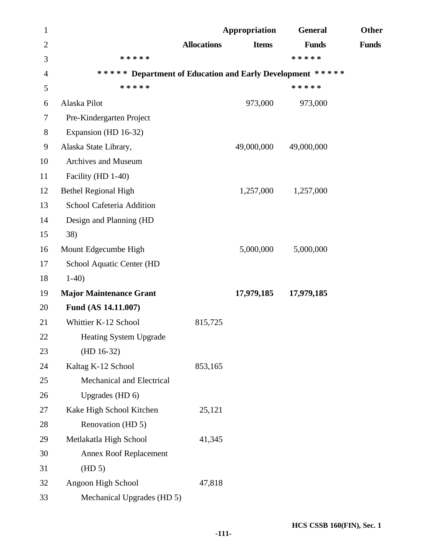| $\mathbf{1}$   |                                                           |                    | Appropriation | <b>General</b> | Other        |
|----------------|-----------------------------------------------------------|--------------------|---------------|----------------|--------------|
| $\overline{2}$ |                                                           | <b>Allocations</b> | <b>Items</b>  | <b>Funds</b>   | <b>Funds</b> |
| 3              | * * * * *                                                 |                    |               | * * * * *      |              |
| 4              | ***** Department of Education and Early Development ***** |                    |               |                |              |
| 5              | * * * * *                                                 |                    |               | * * * * *      |              |
| 6              | Alaska Pilot                                              |                    | 973,000       | 973,000        |              |
| 7              | Pre-Kindergarten Project                                  |                    |               |                |              |
| 8              | Expansion (HD 16-32)                                      |                    |               |                |              |
| 9              | Alaska State Library,                                     |                    | 49,000,000    | 49,000,000     |              |
| 10             | Archives and Museum                                       |                    |               |                |              |
| 11             | Facility (HD 1-40)                                        |                    |               |                |              |
| 12             | <b>Bethel Regional High</b>                               |                    | 1,257,000     | 1,257,000      |              |
| 13             | School Cafeteria Addition                                 |                    |               |                |              |
| 14             | Design and Planning (HD                                   |                    |               |                |              |
| 15             | 38)                                                       |                    |               |                |              |
| 16             | Mount Edgecumbe High                                      |                    | 5,000,000     | 5,000,000      |              |
| 17             | School Aquatic Center (HD                                 |                    |               |                |              |
| 18             | $1-40$                                                    |                    |               |                |              |
| 19             | <b>Major Maintenance Grant</b>                            |                    | 17,979,185    | 17,979,185     |              |
| 20             | Fund (AS 14.11.007)                                       |                    |               |                |              |
| 21             | Whittier K-12 School                                      | 815,725            |               |                |              |
| 22             | <b>Heating System Upgrade</b>                             |                    |               |                |              |
| 23             | $(HD 16-32)$                                              |                    |               |                |              |
| 24             | Kaltag K-12 School                                        | 853,165            |               |                |              |
| 25             | Mechanical and Electrical                                 |                    |               |                |              |
| 26             | Upgrades (HD 6)                                           |                    |               |                |              |
| 27             | Kake High School Kitchen                                  | 25,121             |               |                |              |
| 28             | Renovation (HD 5)                                         |                    |               |                |              |
| 29             | Metlakatla High School                                    | 41,345             |               |                |              |
| 30             | <b>Annex Roof Replacement</b>                             |                    |               |                |              |
| 31             | (HD 5)                                                    |                    |               |                |              |
| 32             | Angoon High School                                        | 47,818             |               |                |              |
| 33             | Mechanical Upgrades (HD 5)                                |                    |               |                |              |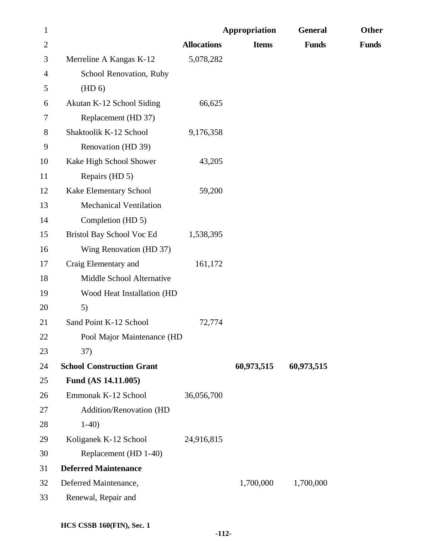| $\mathbf{1}$   |                                  |                    | Appropriation | <b>General</b> | Other        |
|----------------|----------------------------------|--------------------|---------------|----------------|--------------|
| $\overline{2}$ |                                  | <b>Allocations</b> | <b>Items</b>  | <b>Funds</b>   | <b>Funds</b> |
| 3              | Merreline A Kangas K-12          | 5,078,282          |               |                |              |
| $\overline{4}$ | School Renovation, Ruby          |                    |               |                |              |
| 5              | (HD 6)                           |                    |               |                |              |
| 6              | Akutan K-12 School Siding        | 66,625             |               |                |              |
| 7              | Replacement (HD 37)              |                    |               |                |              |
| 8              | Shaktoolik K-12 School           | 9,176,358          |               |                |              |
| 9              | Renovation (HD 39)               |                    |               |                |              |
| 10             | Kake High School Shower          | 43,205             |               |                |              |
| 11             | Repairs (HD 5)                   |                    |               |                |              |
| 12             | Kake Elementary School           | 59,200             |               |                |              |
| 13             | <b>Mechanical Ventilation</b>    |                    |               |                |              |
| 14             | Completion (HD 5)                |                    |               |                |              |
| 15             | Bristol Bay School Voc Ed        | 1,538,395          |               |                |              |
| 16             | Wing Renovation (HD 37)          |                    |               |                |              |
| 17             | Craig Elementary and             | 161,172            |               |                |              |
| 18             | Middle School Alternative        |                    |               |                |              |
| 19             | Wood Heat Installation (HD       |                    |               |                |              |
| 20             | 5)                               |                    |               |                |              |
| 21             | Sand Point K-12 School           | 72,774             |               |                |              |
| 22             | Pool Major Maintenance (HD       |                    |               |                |              |
| 23             | 37)                              |                    |               |                |              |
| 24             | <b>School Construction Grant</b> |                    | 60,973,515    | 60,973,515     |              |
| 25             | Fund (AS 14.11.005)              |                    |               |                |              |
| 26             | Emmonak K-12 School              | 36,056,700         |               |                |              |
| 27             | Addition/Renovation (HD          |                    |               |                |              |
| 28             | $1-40$                           |                    |               |                |              |
| 29             | Koliganek K-12 School            | 24,916,815         |               |                |              |
| 30             | Replacement (HD 1-40)            |                    |               |                |              |
| 31             | <b>Deferred Maintenance</b>      |                    |               |                |              |
| 32             | Deferred Maintenance,            |                    | 1,700,000     | 1,700,000      |              |
| 33             | Renewal, Repair and              |                    |               |                |              |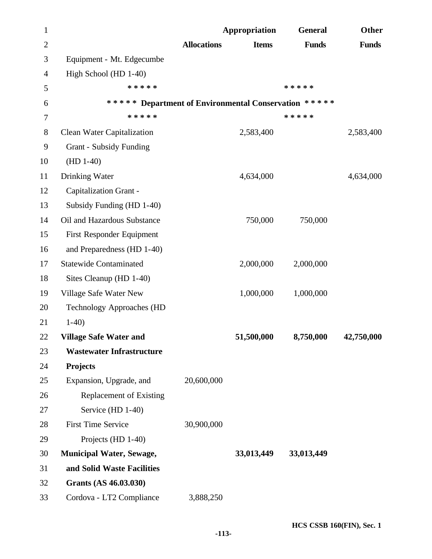| $\mathbf{1}$ |                                                      |                    | Appropriation | <b>General</b> | <b>Other</b> |
|--------------|------------------------------------------------------|--------------------|---------------|----------------|--------------|
| $\mathbf{2}$ |                                                      | <b>Allocations</b> | <b>Items</b>  | <b>Funds</b>   | <b>Funds</b> |
| 3            | Equipment - Mt. Edgecumbe                            |                    |               |                |              |
| 4            | High School (HD 1-40)                                |                    |               |                |              |
| 5            | * * * * *                                            |                    |               | * * * * *      |              |
| 6            | ***** Department of Environmental Conservation ***** |                    |               |                |              |
| 7            | * * * * *                                            |                    |               | * * * * *      |              |
| 8            | Clean Water Capitalization                           |                    | 2,583,400     |                | 2,583,400    |
| 9            | <b>Grant - Subsidy Funding</b>                       |                    |               |                |              |
| 10           | $(HD 1-40)$                                          |                    |               |                |              |
| 11           | Drinking Water                                       |                    | 4,634,000     |                | 4,634,000    |
| 12           | Capitalization Grant -                               |                    |               |                |              |
| 13           | Subsidy Funding (HD 1-40)                            |                    |               |                |              |
| 14           | Oil and Hazardous Substance                          |                    | 750,000       | 750,000        |              |
| 15           | First Responder Equipment                            |                    |               |                |              |
| 16           | and Preparedness (HD 1-40)                           |                    |               |                |              |
| 17           | <b>Statewide Contaminated</b>                        |                    | 2,000,000     | 2,000,000      |              |
| 18           | Sites Cleanup (HD 1-40)                              |                    |               |                |              |
| 19           | Village Safe Water New                               |                    | 1,000,000     | 1,000,000      |              |
| 20           | <b>Technology Approaches (HD</b>                     |                    |               |                |              |
| 21           | $1-40$                                               |                    |               |                |              |
| 22           | <b>Village Safe Water and</b>                        |                    | 51,500,000    | 8,750,000      | 42,750,000   |
| 23           | <b>Wastewater Infrastructure</b>                     |                    |               |                |              |
| 24           | <b>Projects</b>                                      |                    |               |                |              |
| 25           | Expansion, Upgrade, and                              | 20,600,000         |               |                |              |
| 26           | <b>Replacement of Existing</b>                       |                    |               |                |              |
| 27           | Service (HD 1-40)                                    |                    |               |                |              |
| 28           | <b>First Time Service</b>                            | 30,900,000         |               |                |              |
| 29           | Projects (HD 1-40)                                   |                    |               |                |              |
| 30           | <b>Municipal Water, Sewage,</b>                      |                    | 33,013,449    | 33,013,449     |              |
| 31           | and Solid Waste Facilities                           |                    |               |                |              |
| 32           | Grants (AS 46.03.030)                                |                    |               |                |              |
| 33           | Cordova - LT2 Compliance                             | 3,888,250          |               |                |              |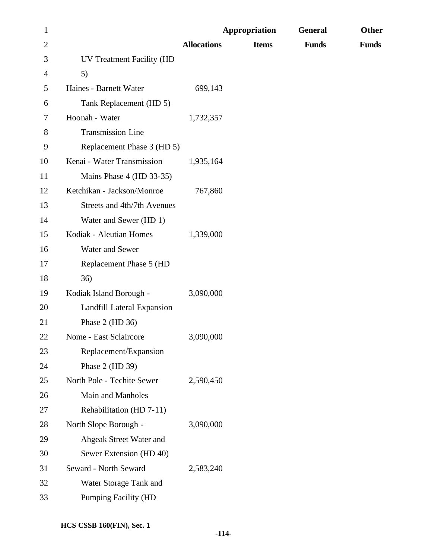| $\mathbf{1}$   |                             |                    | <b>Appropriation</b> | <b>General</b> | Other        |
|----------------|-----------------------------|--------------------|----------------------|----------------|--------------|
| $\overline{2}$ |                             | <b>Allocations</b> | <b>Items</b>         | <b>Funds</b>   | <b>Funds</b> |
| 3              | UV Treatment Facility (HD   |                    |                      |                |              |
| 4              | 5)                          |                    |                      |                |              |
| 5              | Haines - Barnett Water      | 699,143            |                      |                |              |
| 6              | Tank Replacement (HD 5)     |                    |                      |                |              |
| 7              | Hoonah - Water              | 1,732,357          |                      |                |              |
| 8              | Transmission Line           |                    |                      |                |              |
| 9              | Replacement Phase 3 (HD 5)  |                    |                      |                |              |
| 10             | Kenai - Water Transmission  | 1,935,164          |                      |                |              |
| 11             | Mains Phase 4 (HD 33-35)    |                    |                      |                |              |
| 12             | Ketchikan - Jackson/Monroe  | 767,860            |                      |                |              |
| 13             | Streets and 4th/7th Avenues |                    |                      |                |              |
| 14             | Water and Sewer (HD 1)      |                    |                      |                |              |
| 15             | Kodiak - Aleutian Homes     | 1,339,000          |                      |                |              |
| 16             | Water and Sewer             |                    |                      |                |              |
| 17             | Replacement Phase 5 (HD     |                    |                      |                |              |
| 18             | 36)                         |                    |                      |                |              |
| 19             | Kodiak Island Borough -     | 3,090,000          |                      |                |              |
| 20             | Landfill Lateral Expansion  |                    |                      |                |              |
| 21             | Phase $2$ (HD $36$ )        |                    |                      |                |              |
| 22             | Nome - East Sclaircore      | 3,090,000          |                      |                |              |
| 23             | Replacement/Expansion       |                    |                      |                |              |
| 24             | Phase 2 (HD 39)             |                    |                      |                |              |
| 25             | North Pole - Techite Sewer  | 2,590,450          |                      |                |              |
| 26             | Main and Manholes           |                    |                      |                |              |
| 27             | Rehabilitation (HD 7-11)    |                    |                      |                |              |
| 28             | North Slope Borough -       | 3,090,000          |                      |                |              |
| 29             | Ahgeak Street Water and     |                    |                      |                |              |
| 30             | Sewer Extension (HD 40)     |                    |                      |                |              |
| 31             | Seward - North Seward       | 2,583,240          |                      |                |              |
| 32             | Water Storage Tank and      |                    |                      |                |              |
| 33             | <b>Pumping Facility (HD</b> |                    |                      |                |              |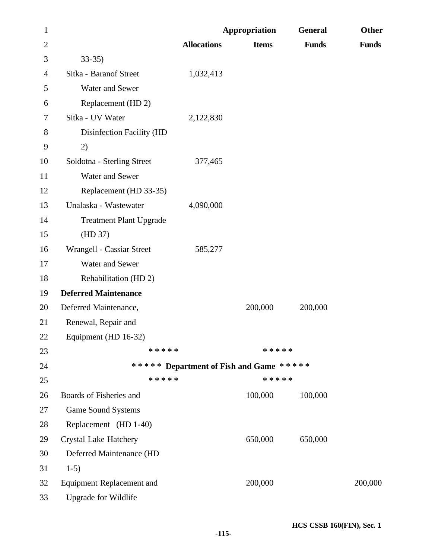| $\mathbf{1}$   |                                  |                                         | Appropriation | <b>General</b> | Other        |
|----------------|----------------------------------|-----------------------------------------|---------------|----------------|--------------|
| $\overline{2}$ |                                  | <b>Allocations</b>                      | <b>Items</b>  | <b>Funds</b>   | <b>Funds</b> |
| 3              | $33-35$                          |                                         |               |                |              |
| 4              | Sitka - Baranof Street           | 1,032,413                               |               |                |              |
| 5              | Water and Sewer                  |                                         |               |                |              |
| 6              | Replacement (HD 2)               |                                         |               |                |              |
| 7              | Sitka - UV Water                 | 2,122,830                               |               |                |              |
| $8\,$          | Disinfection Facility (HD        |                                         |               |                |              |
| 9              | 2)                               |                                         |               |                |              |
| 10             | Soldotna - Sterling Street       | 377,465                                 |               |                |              |
| 11             | Water and Sewer                  |                                         |               |                |              |
| 12             | Replacement (HD 33-35)           |                                         |               |                |              |
| 13             | Unalaska - Wastewater            | 4,090,000                               |               |                |              |
| 14             | <b>Treatment Plant Upgrade</b>   |                                         |               |                |              |
| 15             | (HD 37)                          |                                         |               |                |              |
| 16             | Wrangell - Cassiar Street        | 585,277                                 |               |                |              |
| 17             | Water and Sewer                  |                                         |               |                |              |
| 18             | Rehabilitation (HD 2)            |                                         |               |                |              |
| 19             | <b>Deferred Maintenance</b>      |                                         |               |                |              |
| 20             | Deferred Maintenance,            |                                         | 200,000       | 200,000        |              |
| 21             | Renewal, Repair and              |                                         |               |                |              |
| 22             | Equipment (HD 16-32)             |                                         |               |                |              |
| 23             | * * * * *                        |                                         | * * * * *     |                |              |
| 24             |                                  | ***** Department of Fish and Game ***** |               |                |              |
| 25             | * * * * *                        |                                         | * * * * *     |                |              |
| 26             | Boards of Fisheries and          |                                         | 100,000       | 100,000        |              |
| 27             | <b>Game Sound Systems</b>        |                                         |               |                |              |
| 28             | Replacement (HD 1-40)            |                                         |               |                |              |
| 29             | <b>Crystal Lake Hatchery</b>     |                                         | 650,000       | 650,000        |              |
| 30             | Deferred Maintenance (HD         |                                         |               |                |              |
| 31             | $1-5)$                           |                                         |               |                |              |
| 32             | <b>Equipment Replacement and</b> |                                         | 200,000       |                | 200,000      |
| 33             | <b>Upgrade for Wildlife</b>      |                                         |               |                |              |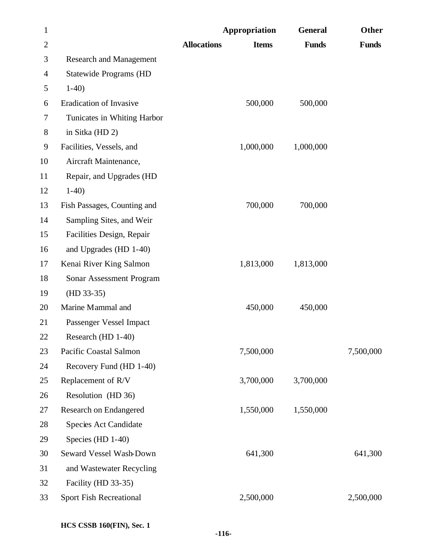| $\mathbf{1}$   |                                |                    | Appropriation | <b>General</b> | Other        |
|----------------|--------------------------------|--------------------|---------------|----------------|--------------|
| $\overline{c}$ |                                | <b>Allocations</b> | <b>Items</b>  | <b>Funds</b>   | <b>Funds</b> |
| 3              | <b>Research and Management</b> |                    |               |                |              |
| 4              | <b>Statewide Programs (HD</b>  |                    |               |                |              |
| 5              | $1-40$                         |                    |               |                |              |
| 6              | Eradication of Invasive        |                    | 500,000       | 500,000        |              |
| 7              | Tunicates in Whiting Harbor    |                    |               |                |              |
| 8              | in Sitka (HD 2)                |                    |               |                |              |
| 9              | Facilities, Vessels, and       |                    | 1,000,000     | 1,000,000      |              |
| 10             | Aircraft Maintenance,          |                    |               |                |              |
| 11             | Repair, and Upgrades (HD       |                    |               |                |              |
| 12             | $1-40$                         |                    |               |                |              |
| 13             | Fish Passages, Counting and    |                    | 700,000       | 700,000        |              |
| 14             | Sampling Sites, and Weir       |                    |               |                |              |
| 15             | Facilities Design, Repair      |                    |               |                |              |
| 16             | and Upgrades (HD 1-40)         |                    |               |                |              |
| 17             | Kenai River King Salmon        |                    | 1,813,000     | 1,813,000      |              |
| 18             | Sonar Assessment Program       |                    |               |                |              |
| 19             | $(HD 33-35)$                   |                    |               |                |              |
| 20             | Marine Mammal and              |                    | 450,000       | 450,000        |              |
| 21             | Passenger Vessel Impact        |                    |               |                |              |
| 22             | Research (HD 1-40)             |                    |               |                |              |
| 23             | Pacific Coastal Salmon         |                    | 7,500,000     |                | 7,500,000    |
| 24             | Recovery Fund (HD 1-40)        |                    |               |                |              |
| 25             | Replacement of R/V             |                    | 3,700,000     | 3,700,000      |              |
| 26             | Resolution (HD 36)             |                    |               |                |              |
| 27             | Research on Endangered         |                    | 1,550,000     | 1,550,000      |              |
| 28             | Species Act Candidate          |                    |               |                |              |
| 29             | Species (HD 1-40)              |                    |               |                |              |
| 30             | Seward Vessel Wash-Down        |                    | 641,300       |                | 641,300      |
| 31             | and Wastewater Recycling       |                    |               |                |              |
| 32             | Facility (HD 33-35)            |                    |               |                |              |
| 33             | Sport Fish Recreational        |                    | 2,500,000     |                | 2,500,000    |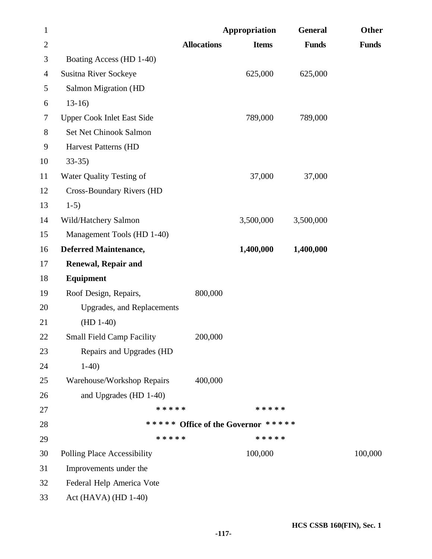| $\mathbf{1}$   |                                    |                    | Appropriation                      | <b>General</b> | Other        |
|----------------|------------------------------------|--------------------|------------------------------------|----------------|--------------|
| $\overline{2}$ |                                    | <b>Allocations</b> | <b>Items</b>                       | <b>Funds</b>   | <b>Funds</b> |
| 3              | Boating Access (HD 1-40)           |                    |                                    |                |              |
| 4              | Susitna River Sockeye              |                    | 625,000                            | 625,000        |              |
| 5              | Salmon Migration (HD               |                    |                                    |                |              |
| 6              | $13-16$                            |                    |                                    |                |              |
| 7              | <b>Upper Cook Inlet East Side</b>  |                    | 789,000                            | 789,000        |              |
| 8              | Set Net Chinook Salmon             |                    |                                    |                |              |
| 9              | Harvest Patterns (HD               |                    |                                    |                |              |
| 10             | $33-35$                            |                    |                                    |                |              |
| 11             | Water Quality Testing of           |                    | 37,000                             | 37,000         |              |
| 12             | <b>Cross-Boundary Rivers (HD</b>   |                    |                                    |                |              |
| 13             | $1-5)$                             |                    |                                    |                |              |
| 14             | Wild/Hatchery Salmon               |                    | 3,500,000                          | 3,500,000      |              |
| 15             | Management Tools (HD 1-40)         |                    |                                    |                |              |
| 16             | <b>Deferred Maintenance,</b>       |                    | 1,400,000                          | 1,400,000      |              |
| 17             | <b>Renewal, Repair and</b>         |                    |                                    |                |              |
| 18             | Equipment                          |                    |                                    |                |              |
| 19             | Roof Design, Repairs,              | 800,000            |                                    |                |              |
| 20             | <b>Upgrades, and Replacements</b>  |                    |                                    |                |              |
| 21             | $(HD 1-40)$                        |                    |                                    |                |              |
| <b>22</b>      | <b>Small Field Camp Facility</b>   | 200,000            |                                    |                |              |
| 23             | Repairs and Upgrades (HD           |                    |                                    |                |              |
| 24             | $1-40$                             |                    |                                    |                |              |
| 25             | Warehouse/Workshop Repairs         | 400,000            |                                    |                |              |
| 26             | and Upgrades (HD 1-40)             |                    |                                    |                |              |
| 27             | * * * * *                          |                    | * * * * *                          |                |              |
| 28             |                                    |                    | ***** Office of the Governor ***** |                |              |
| 29             | * * * * *                          |                    | * * * * *                          |                |              |
| 30             | <b>Polling Place Accessibility</b> |                    | 100,000                            |                | 100,000      |
| 31             | Improvements under the             |                    |                                    |                |              |
| 32             | Federal Help America Vote          |                    |                                    |                |              |
| 33             | Act (HAVA) (HD $1-40$ )            |                    |                                    |                |              |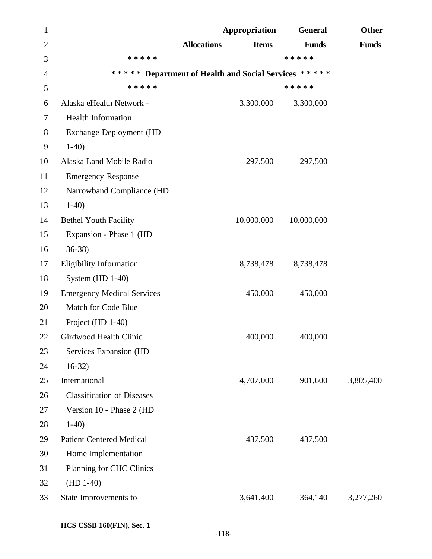| $\mathbf{1}$   |                                   | Appropriation                                        | <b>General</b> | <b>Other</b> |
|----------------|-----------------------------------|------------------------------------------------------|----------------|--------------|
| $\overline{2}$ |                                   | <b>Allocations</b><br><b>Items</b>                   | <b>Funds</b>   | <b>Funds</b> |
| 3              | * * * * *                         |                                                      | * * * * *      |              |
| $\overline{4}$ |                                   | ***** Department of Health and Social Services ***** |                |              |
| 5              | * * * * *                         |                                                      | * * * * *      |              |
| 6              | Alaska eHealth Network -          | 3,300,000                                            | 3,300,000      |              |
| 7              | Health Information                |                                                      |                |              |
| 8              | Exchange Deployment (HD           |                                                      |                |              |
| 9              | $1-40$                            |                                                      |                |              |
| 10             | Alaska Land Mobile Radio          | 297,500                                              | 297,500        |              |
| 11             | <b>Emergency Response</b>         |                                                      |                |              |
| 12             | Narrowband Compliance (HD         |                                                      |                |              |
| 13             | $1-40$                            |                                                      |                |              |
| 14             | <b>Bethel Youth Facility</b>      | 10,000,000                                           | 10,000,000     |              |
| 15             | Expansion - Phase 1 (HD           |                                                      |                |              |
| 16             | $36-38$                           |                                                      |                |              |
| 17             | <b>Eligibility Information</b>    | 8,738,478                                            | 8,738,478      |              |
| 18             | System $(HD 1-40)$                |                                                      |                |              |
| 19             | <b>Emergency Medical Services</b> | 450,000                                              | 450,000        |              |
| 20             | Match for Code Blue               |                                                      |                |              |
| 21             | Project (HD 1-40)                 |                                                      |                |              |
| 22             | Girdwood Health Clinic            | 400,000                                              | 400,000        |              |
| 23             | Services Expansion (HD            |                                                      |                |              |
| 24             | $16-32)$                          |                                                      |                |              |
| 25             | International                     | 4,707,000                                            | 901,600        | 3,805,400    |
| 26             | <b>Classification of Diseases</b> |                                                      |                |              |
| 27             | Version 10 - Phase 2 (HD          |                                                      |                |              |
| 28             | $1-40$                            |                                                      |                |              |
| 29             | <b>Patient Centered Medical</b>   | 437,500                                              | 437,500        |              |
| 30             | Home Implementation               |                                                      |                |              |
| 31             | Planning for CHC Clinics          |                                                      |                |              |
| 32             | $(HD 1-40)$                       |                                                      |                |              |
| 33             | State Improvements to             | 3,641,400                                            | 364,140        | 3,277,260    |
|                |                                   |                                                      |                |              |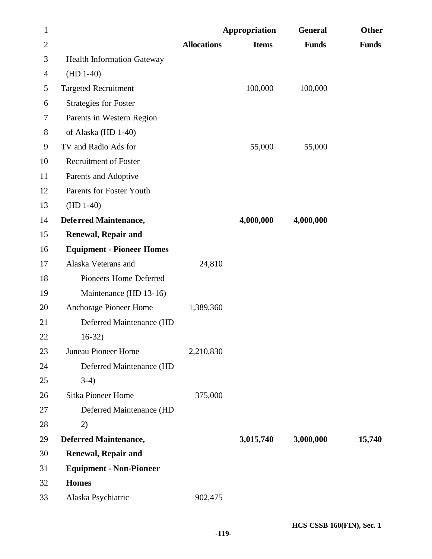| $\mathbf{1}$   |                                   |                    | Appropriation | <b>General</b> | Other        |
|----------------|-----------------------------------|--------------------|---------------|----------------|--------------|
| $\overline{2}$ |                                   | <b>Allocations</b> | <b>Items</b>  | <b>Funds</b>   | <b>Funds</b> |
| 3              | <b>Health Information Gateway</b> |                    |               |                |              |
| 4              | $(HD 1-40)$                       |                    |               |                |              |
| 5              | <b>Targeted Recruitment</b>       |                    | 100,000       | 100,000        |              |
| 6              | <b>Strategies for Foster</b>      |                    |               |                |              |
| 7              | Parents in Western Region         |                    |               |                |              |
| 8              | of Alaska (HD 1-40)               |                    |               |                |              |
| 9              | TV and Radio Ads for              |                    | 55,000        | 55,000         |              |
| 10             | <b>Recruitment of Foster</b>      |                    |               |                |              |
| 11             | Parents and Adoptive              |                    |               |                |              |
| 12             | Parents for Foster Youth          |                    |               |                |              |
| 13             | $(HD 1-40)$                       |                    |               |                |              |
| 14             | Deferred Maintenance,             |                    | 4,000,000     | 4,000,000      |              |
| 15             | <b>Renewal, Repair and</b>        |                    |               |                |              |
| 16             | <b>Equipment - Pioneer Homes</b>  |                    |               |                |              |
| 17             | Alaska Veterans and               | 24,810             |               |                |              |
| 18             | Pioneers Home Deferred            |                    |               |                |              |
| 19             | Maintenance (HD 13-16)            |                    |               |                |              |
| 20             | Anchorage Pioneer Home            | 1,389,360          |               |                |              |
| 21             | Deferred Maintenance (HD          |                    |               |                |              |
| 22             | $16-32$                           |                    |               |                |              |
| 23             | Juneau Pioneer Home               | 2,210,830          |               |                |              |
| 24             | Deferred Maintenance (HD          |                    |               |                |              |
| 25             | $3-4)$                            |                    |               |                |              |
| 26             | Sitka Pioneer Home                | 375,000            |               |                |              |
| 27             | Deferred Maintenance (HD          |                    |               |                |              |
| 28             | 2)                                |                    |               |                |              |
| 29             | <b>Deferred Maintenance,</b>      |                    | 3,015,740     | 3,000,000      | 15,740       |
| 30             | <b>Renewal, Repair and</b>        |                    |               |                |              |
| 31             | <b>Equipment - Non-Pioneer</b>    |                    |               |                |              |
| 32             | <b>Homes</b>                      |                    |               |                |              |
| 33             | Alaska Psychiatric                | 902,475            |               |                |              |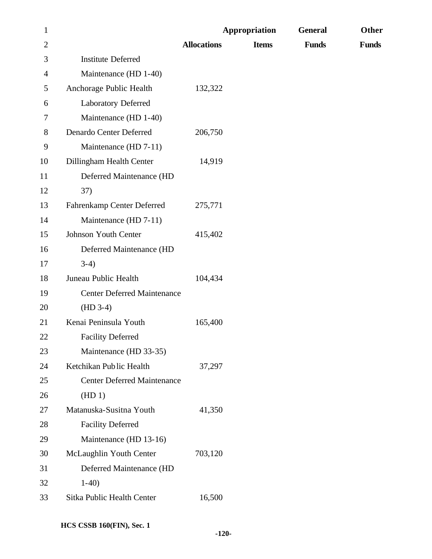| $\mathbf{1}$   |                                    |                    | Appropriation | <b>General</b> | Other        |
|----------------|------------------------------------|--------------------|---------------|----------------|--------------|
| $\overline{2}$ |                                    | <b>Allocations</b> | <b>Items</b>  | <b>Funds</b>   | <b>Funds</b> |
| 3              | <b>Institute Deferred</b>          |                    |               |                |              |
| 4              | Maintenance (HD 1-40)              |                    |               |                |              |
| 5              | Anchorage Public Health            | 132,322            |               |                |              |
| 6              | Laboratory Deferred                |                    |               |                |              |
| 7              | Maintenance (HD 1-40)              |                    |               |                |              |
| 8              | Denardo Center Deferred            | 206,750            |               |                |              |
| 9              | Maintenance (HD 7-11)              |                    |               |                |              |
| 10             | Dillingham Health Center           | 14,919             |               |                |              |
| 11             | Deferred Maintenance (HD           |                    |               |                |              |
| 12             | 37)                                |                    |               |                |              |
| 13             | Fahrenkamp Center Deferred         | 275,771            |               |                |              |
| 14             | Maintenance (HD 7-11)              |                    |               |                |              |
| 15             | <b>Johnson Youth Center</b>        | 415,402            |               |                |              |
| 16             | Deferred Maintenance (HD           |                    |               |                |              |
| 17             | $3-4)$                             |                    |               |                |              |
| 18             | Juneau Public Health               | 104,434            |               |                |              |
| 19             | <b>Center Deferred Maintenance</b> |                    |               |                |              |
| 20             | $(HD 3-4)$                         |                    |               |                |              |
| 21             | Kenai Peninsula Youth              | 165,400            |               |                |              |
| 22             | <b>Facility Deferred</b>           |                    |               |                |              |
| 23             | Maintenance (HD 33-35)             |                    |               |                |              |
| 24             | Ketchikan Public Health            | 37,297             |               |                |              |
| 25             | <b>Center Deferred Maintenance</b> |                    |               |                |              |
| 26             | (HD1)                              |                    |               |                |              |
| 27             | Matanuska-Susitna Youth            | 41,350             |               |                |              |
| 28             | <b>Facility Deferred</b>           |                    |               |                |              |
| 29             | Maintenance (HD 13-16)             |                    |               |                |              |
| 30             | McLaughlin Youth Center            | 703,120            |               |                |              |
| 31             | Deferred Maintenance (HD           |                    |               |                |              |
| 32             | $1-40$                             |                    |               |                |              |
| 33             | Sitka Public Health Center         | 16,500             |               |                |              |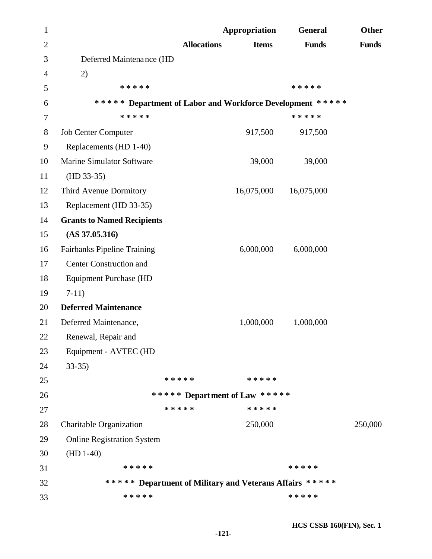| $\mathbf 1$    |                                                           |                    | Appropriation                 | <b>General</b> | Other        |
|----------------|-----------------------------------------------------------|--------------------|-------------------------------|----------------|--------------|
| $\overline{2}$ |                                                           | <b>Allocations</b> | <b>Items</b>                  | <b>Funds</b>   | <b>Funds</b> |
| 3              | Deferred Maintenance (HD                                  |                    |                               |                |              |
| 4              | 2)                                                        |                    |                               |                |              |
| 5              | * * * * *                                                 |                    |                               | * * * * *      |              |
| 6              | ***** Department of Labor and Workforce Development ***** |                    |                               |                |              |
| 7              | * * * * *                                                 |                    |                               | * * * * *      |              |
| 8              | <b>Job Center Computer</b>                                |                    | 917,500                       | 917,500        |              |
| 9              | Replacements (HD 1-40)                                    |                    |                               |                |              |
| 10             | <b>Marine Simulator Software</b>                          |                    | 39,000                        | 39,000         |              |
| 11             | $(HD 33-35)$                                              |                    |                               |                |              |
| 12             | Third Avenue Dormitory                                    |                    | 16,075,000                    | 16,075,000     |              |
| 13             | Replacement (HD 33-35)                                    |                    |                               |                |              |
| 14             | <b>Grants to Named Recipients</b>                         |                    |                               |                |              |
| 15             | $(AS\,37.05.316)$                                         |                    |                               |                |              |
| 16             | <b>Fairbanks Pipeline Training</b>                        |                    | 6,000,000                     | 6,000,000      |              |
| 17             | <b>Center Construction and</b>                            |                    |                               |                |              |
| 18             | <b>Equipment Purchase (HD</b>                             |                    |                               |                |              |
| 19             | $7-11)$                                                   |                    |                               |                |              |
| 20             | <b>Deferred Maintenance</b>                               |                    |                               |                |              |
| 21             | Deferred Maintenance,                                     |                    | 1,000,000                     | 1,000,000      |              |
| 22             | Renewal, Repair and                                       |                    |                               |                |              |
| 23             | Equipment - AVTEC (HD                                     |                    |                               |                |              |
| 24             | $33-35$                                                   |                    |                               |                |              |
| 25             |                                                           | * * * * *          | * * * * *                     |                |              |
| 26             |                                                           |                    | ***** Department of Law ***** |                |              |
| 27             | * * * * *                                                 |                    | * * * * *                     |                |              |
| 28             | Charitable Organization                                   |                    | 250,000                       |                | 250,000      |
| 29             | <b>Online Registration System</b>                         |                    |                               |                |              |
| 30             | $(HD 1-40)$                                               |                    |                               |                |              |
| 31             | * * * * *                                                 |                    |                               | * * * * *      |              |
| 32             | ***** Department of Military and Veterans Affairs *****   |                    |                               |                |              |
| 33             | * * * * *                                                 |                    |                               | * * * * *      |              |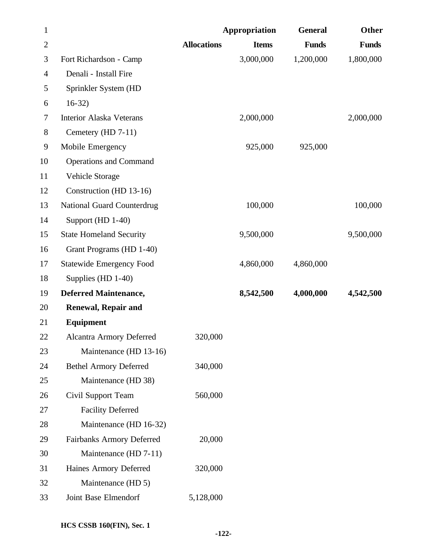| $\mathbf{1}$   |                                  |                    | Appropriation | <b>General</b> | Other        |
|----------------|----------------------------------|--------------------|---------------|----------------|--------------|
| $\overline{2}$ |                                  | <b>Allocations</b> | <b>Items</b>  | <b>Funds</b>   | <b>Funds</b> |
| 3              | Fort Richardson - Camp           |                    | 3,000,000     | 1,200,000      | 1,800,000    |
| 4              | Denali - Install Fire            |                    |               |                |              |
| 5              | Sprinkler System (HD             |                    |               |                |              |
| 6              | $16-32$                          |                    |               |                |              |
| $\tau$         | <b>Interior Alaska Veterans</b>  |                    | 2,000,000     |                | 2,000,000    |
| $8\,$          | Cemetery (HD 7-11)               |                    |               |                |              |
| 9              | Mobile Emergency                 |                    | 925,000       | 925,000        |              |
| 10             | <b>Operations and Command</b>    |                    |               |                |              |
| 11             | Vehicle Storage                  |                    |               |                |              |
| 12             | Construction (HD 13-16)          |                    |               |                |              |
| 13             | National Guard Counterdrug       |                    | 100,000       |                | 100,000      |
| 14             | Support (HD 1-40)                |                    |               |                |              |
| 15             | <b>State Homeland Security</b>   |                    | 9,500,000     |                | 9,500,000    |
| 16             | Grant Programs (HD 1-40)         |                    |               |                |              |
| 17             | <b>Statewide Emergency Food</b>  |                    | 4,860,000     | 4,860,000      |              |
| 18             | Supplies (HD 1-40)               |                    |               |                |              |
| 19             | <b>Deferred Maintenance,</b>     |                    | 8,542,500     | 4,000,000      | 4,542,500    |
| 20             | <b>Renewal, Repair and</b>       |                    |               |                |              |
| 21             | Equipment                        |                    |               |                |              |
| 22             | <b>Alcantra Armory Deferred</b>  | 320,000            |               |                |              |
| 23             | Maintenance (HD 13-16)           |                    |               |                |              |
| 24             | <b>Bethel Armory Deferred</b>    | 340,000            |               |                |              |
| 25             | Maintenance (HD 38)              |                    |               |                |              |
| 26             | Civil Support Team               | 560,000            |               |                |              |
| 27             | <b>Facility Deferred</b>         |                    |               |                |              |
| 28             | Maintenance (HD 16-32)           |                    |               |                |              |
| 29             | <b>Fairbanks Armory Deferred</b> | 20,000             |               |                |              |
| 30             | Maintenance (HD 7-11)            |                    |               |                |              |
| 31             | Haines Armory Deferred           | 320,000            |               |                |              |
| 32             | Maintenance (HD 5)               |                    |               |                |              |
| 33             | Joint Base Elmendorf             | 5,128,000          |               |                |              |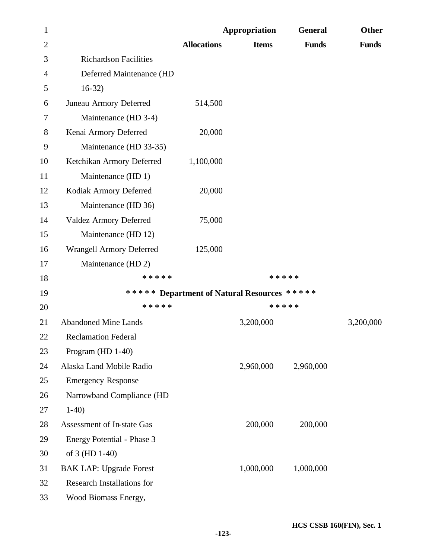| $\mathbf{1}$   |                                   |                                             | Appropriation | <b>General</b> | Other        |
|----------------|-----------------------------------|---------------------------------------------|---------------|----------------|--------------|
| $\overline{2}$ |                                   | <b>Allocations</b>                          | <b>Items</b>  | <b>Funds</b>   | <b>Funds</b> |
| 3              | <b>Richardson Facilities</b>      |                                             |               |                |              |
| $\overline{4}$ | Deferred Maintenance (HD          |                                             |               |                |              |
| 5              | $16-32)$                          |                                             |               |                |              |
| 6              | Juneau Armory Deferred            | 514,500                                     |               |                |              |
| 7              | Maintenance (HD 3-4)              |                                             |               |                |              |
| 8              | Kenai Armory Deferred             | 20,000                                      |               |                |              |
| 9              | Maintenance (HD 33-35)            |                                             |               |                |              |
| 10             | Ketchikan Armory Deferred         | 1,100,000                                   |               |                |              |
| 11             | Maintenance (HD 1)                |                                             |               |                |              |
| 12             | Kodiak Armory Deferred            | 20,000                                      |               |                |              |
| 13             | Maintenance (HD 36)               |                                             |               |                |              |
| 14             | Valdez Armory Deferred            | 75,000                                      |               |                |              |
| 15             | Maintenance (HD 12)               |                                             |               |                |              |
| 16             | <b>Wrangell Armory Deferred</b>   | 125,000                                     |               |                |              |
| 17             | Maintenance (HD 2)                |                                             |               |                |              |
| 18             | * * * * *                         |                                             | * * * * *     |                |              |
| 19             |                                   | ***** Department of Natural Resources ***** |               |                |              |
| 20             | * * * * *                         |                                             | * * * * *     |                |              |
| 21             | <b>Abandoned Mine Lands</b>       |                                             | 3,200,000     |                | 3,200,000    |
| 22             | <b>Reclamation Federal</b>        |                                             |               |                |              |
| 23             | Program (HD 1-40)                 |                                             |               |                |              |
| 24             | Alaska Land Mobile Radio          |                                             | 2,960,000     | 2,960,000      |              |
| 25             | <b>Emergency Response</b>         |                                             |               |                |              |
| 26             | Narrowband Compliance (HD         |                                             |               |                |              |
| 27             | $1-40$                            |                                             |               |                |              |
| 28             | Assessment of In-state Gas        |                                             | 200,000       | 200,000        |              |
| 29             | Energy Potential - Phase 3        |                                             |               |                |              |
| 30             | of 3 (HD 1-40)                    |                                             |               |                |              |
| 31             | <b>BAK LAP: Upgrade Forest</b>    |                                             | 1,000,000     | 1,000,000      |              |
| 32             | <b>Research Installations for</b> |                                             |               |                |              |
| 33             | Wood Biomass Energy,              |                                             |               |                |              |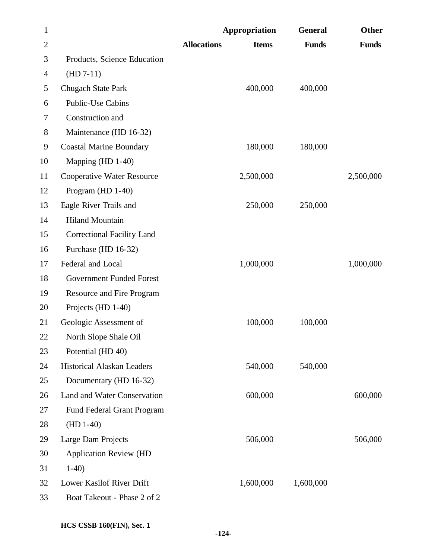| $\mathbf{1}$   |                                   | Appropriation                      | <b>General</b> | Other        |
|----------------|-----------------------------------|------------------------------------|----------------|--------------|
| $\overline{2}$ |                                   | <b>Allocations</b><br><b>Items</b> | <b>Funds</b>   | <b>Funds</b> |
| 3              | Products, Science Education       |                                    |                |              |
| 4              | $(HD 7-11)$                       |                                    |                |              |
| 5              | <b>Chugach State Park</b>         | 400,000                            | 400,000        |              |
| 6              | <b>Public-Use Cabins</b>          |                                    |                |              |
| 7              | Construction and                  |                                    |                |              |
| 8              | Maintenance (HD 16-32)            |                                    |                |              |
| 9              | <b>Coastal Marine Boundary</b>    | 180,000                            | 180,000        |              |
| 10             | Mapping (HD 1-40)                 |                                    |                |              |
| 11             | <b>Cooperative Water Resource</b> | 2,500,000                          |                | 2,500,000    |
| 12             | Program (HD 1-40)                 |                                    |                |              |
| 13             | Eagle River Trails and            | 250,000                            | 250,000        |              |
| 14             | <b>Hiland Mountain</b>            |                                    |                |              |
| 15             | <b>Correctional Facility Land</b> |                                    |                |              |
| 16             | Purchase (HD 16-32)               |                                    |                |              |
| 17             | Federal and Local                 | 1,000,000                          |                | 1,000,000    |
| 18             | <b>Government Funded Forest</b>   |                                    |                |              |
| 19             | Resource and Fire Program         |                                    |                |              |
| 20             | Projects (HD 1-40)                |                                    |                |              |
| 21             | Geologic Assessment of            | 100,000                            | 100,000        |              |
| <b>22</b>      | North Slope Shale Oil             |                                    |                |              |
| 23             | Potential (HD 40)                 |                                    |                |              |
| 24             | <b>Historical Alaskan Leaders</b> | 540,000                            | 540,000        |              |
| 25             | Documentary (HD 16-32)            |                                    |                |              |
| 26             | Land and Water Conservation       | 600,000                            |                | 600,000      |
| 27             | Fund Federal Grant Program        |                                    |                |              |
| 28             | $(HD 1-40)$                       |                                    |                |              |
| 29             | Large Dam Projects                | 506,000                            |                | 506,000      |
| 30             | <b>Application Review (HD</b>     |                                    |                |              |
| 31             | $1-40$                            |                                    |                |              |
| 32             | Lower Kasilof River Drift         | 1,600,000                          | 1,600,000      |              |
| 33             | Boat Takeout - Phase 2 of 2       |                                    |                |              |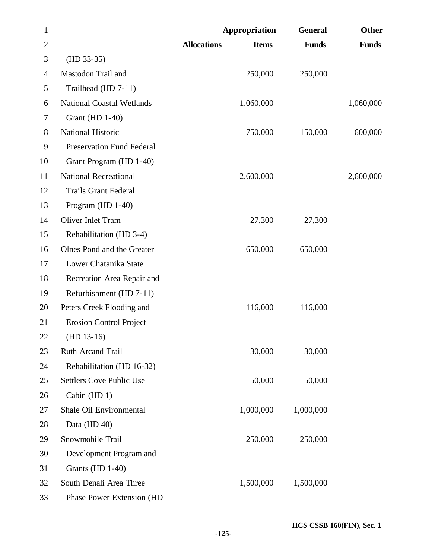| $\mathbf{1}$   |                                  | Appropriation                      | <b>General</b> | <b>Other</b> |
|----------------|----------------------------------|------------------------------------|----------------|--------------|
| $\overline{2}$ |                                  | <b>Allocations</b><br><b>Items</b> | <b>Funds</b>   | <b>Funds</b> |
| 3              | $(HD 33-35)$                     |                                    |                |              |
| 4              | Mastodon Trail and               | 250,000                            | 250,000        |              |
| 5              | Trailhead (HD 7-11)              |                                    |                |              |
| 6              | <b>National Coastal Wetlands</b> | 1,060,000                          |                | 1,060,000    |
| $\tau$         | Grant (HD 1-40)                  |                                    |                |              |
| 8              | National Historic                | 750,000                            | 150,000        | 600,000      |
| 9              | <b>Preservation Fund Federal</b> |                                    |                |              |
| 10             | Grant Program (HD 1-40)          |                                    |                |              |
| 11             | <b>National Recreational</b>     | 2,600,000                          |                | 2,600,000    |
| 12             | <b>Trails Grant Federal</b>      |                                    |                |              |
| 13             | Program (HD 1-40)                |                                    |                |              |
| 14             | Oliver Inlet Tram                | 27,300                             | 27,300         |              |
| 15             | Rehabilitation (HD 3-4)          |                                    |                |              |
| 16             | Olnes Pond and the Greater       | 650,000                            | 650,000        |              |
| 17             | Lower Chatanika State            |                                    |                |              |
| 18             | Recreation Area Repair and       |                                    |                |              |
| 19             | Refurbishment (HD 7-11)          |                                    |                |              |
| 20             | Peters Creek Flooding and        | 116,000                            | 116,000        |              |
| 21             | <b>Erosion Control Project</b>   |                                    |                |              |
| 22             | $(HD 13-16)$                     |                                    |                |              |
| 23             | Ruth Arcand Trail                | 30,000                             | 30,000         |              |
| 24             | Rehabilitation (HD 16-32)        |                                    |                |              |
| 25             | <b>Settlers Cove Public Use</b>  | 50,000                             | 50,000         |              |
| 26             | Cabin (HD 1)                     |                                    |                |              |
| 27             | Shale Oil Environmental          | 1,000,000                          | 1,000,000      |              |
| 28             | Data (HD 40)                     |                                    |                |              |
| 29             | Snowmobile Trail                 | 250,000                            | 250,000        |              |
| 30             | Development Program and          |                                    |                |              |
| 31             | Grants (HD 1-40)                 |                                    |                |              |
| 32             | South Denali Area Three          | 1,500,000                          | 1,500,000      |              |
| 33             | Phase Power Extension (HD        |                                    |                |              |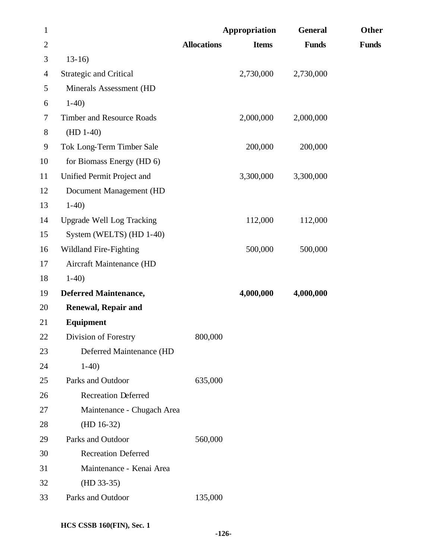| $\mathbf{1}$   |                                  |                    | Appropriation | <b>General</b> | Other        |
|----------------|----------------------------------|--------------------|---------------|----------------|--------------|
| $\overline{2}$ |                                  | <b>Allocations</b> | <b>Items</b>  | <b>Funds</b>   | <b>Funds</b> |
| 3              | $13-16$                          |                    |               |                |              |
| $\overline{4}$ | <b>Strategic and Critical</b>    |                    | 2,730,000     | 2,730,000      |              |
| 5              | Minerals Assessment (HD          |                    |               |                |              |
| 6              | $1-40$                           |                    |               |                |              |
| $\tau$         | <b>Timber and Resource Roads</b> |                    | 2,000,000     | 2,000,000      |              |
| $8\phantom{1}$ | $(HD 1-40)$                      |                    |               |                |              |
| 9              | Tok Long-Term Timber Sale        |                    | 200,000       | 200,000        |              |
| 10             | for Biomass Energy (HD 6)        |                    |               |                |              |
| 11             | Unified Permit Project and       |                    | 3,300,000     | 3,300,000      |              |
| 12             | Document Management (HD          |                    |               |                |              |
| 13             | $1-40$                           |                    |               |                |              |
| 14             | <b>Upgrade Well Log Tracking</b> |                    | 112,000       | 112,000        |              |
| 15             | System (WELTS) (HD 1-40)         |                    |               |                |              |
| 16             | <b>Wildland Fire-Fighting</b>    |                    | 500,000       | 500,000        |              |
| 17             | Aircraft Maintenance (HD         |                    |               |                |              |
| 18             | $1-40$                           |                    |               |                |              |
| 19             | <b>Deferred Maintenance,</b>     |                    | 4,000,000     | 4,000,000      |              |
| 20             | <b>Renewal, Repair and</b>       |                    |               |                |              |
| 21             | Equipment                        |                    |               |                |              |
| 22             | Division of Forestry             | 800,000            |               |                |              |
| 23             | Deferred Maintenance (HD         |                    |               |                |              |
| 24             | $1-40$                           |                    |               |                |              |
| 25             | Parks and Outdoor                | 635,000            |               |                |              |
| 26             | <b>Recreation Deferred</b>       |                    |               |                |              |
| 27             | Maintenance - Chugach Area       |                    |               |                |              |
| 28             | $(HD 16-32)$                     |                    |               |                |              |
| 29             | Parks and Outdoor                | 560,000            |               |                |              |
| 30             | <b>Recreation Deferred</b>       |                    |               |                |              |
| 31             | Maintenance - Kenai Area         |                    |               |                |              |
| 32             | $(HD 33-35)$                     |                    |               |                |              |
| 33             | Parks and Outdoor                | 135,000            |               |                |              |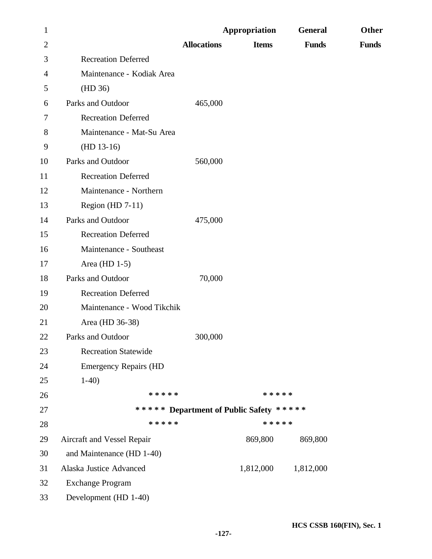| $\mathbf{1}$   |                              |                    | Appropriation                           | <b>General</b> | Other        |
|----------------|------------------------------|--------------------|-----------------------------------------|----------------|--------------|
| $\overline{2}$ |                              | <b>Allocations</b> | <b>Items</b>                            | <b>Funds</b>   | <b>Funds</b> |
| 3              | <b>Recreation Deferred</b>   |                    |                                         |                |              |
| 4              | Maintenance - Kodiak Area    |                    |                                         |                |              |
| 5              | (HD 36)                      |                    |                                         |                |              |
| 6              | Parks and Outdoor            | 465,000            |                                         |                |              |
| 7              | <b>Recreation Deferred</b>   |                    |                                         |                |              |
| 8              | Maintenance - Mat-Su Area    |                    |                                         |                |              |
| 9              | $(HD 13-16)$                 |                    |                                         |                |              |
| 10             | Parks and Outdoor            | 560,000            |                                         |                |              |
| 11             | <b>Recreation Deferred</b>   |                    |                                         |                |              |
| 12             | Maintenance - Northern       |                    |                                         |                |              |
| 13             | Region (HD $7-11$ )          |                    |                                         |                |              |
| 14             | Parks and Outdoor            | 475,000            |                                         |                |              |
| 15             | <b>Recreation Deferred</b>   |                    |                                         |                |              |
| 16             | Maintenance - Southeast      |                    |                                         |                |              |
| 17             | Area (HD $1-5$ )             |                    |                                         |                |              |
| 18             | Parks and Outdoor            | 70,000             |                                         |                |              |
| 19             | <b>Recreation Deferred</b>   |                    |                                         |                |              |
| 20             | Maintenance - Wood Tikchik   |                    |                                         |                |              |
| 21             | Area (HD 36-38)              |                    |                                         |                |              |
| 22             | Parks and Outdoor            | 300,000            |                                         |                |              |
| 23             | <b>Recreation Statewide</b>  |                    |                                         |                |              |
| 24             | <b>Emergency Repairs (HD</b> |                    |                                         |                |              |
| 25             | $1-40$                       |                    |                                         |                |              |
| 26             | * * * * *                    |                    | * * * * *                               |                |              |
| 27             |                              |                    | ***** Department of Public Safety ***** |                |              |
| 28             | * * * * *                    |                    | * * * * *                               |                |              |
| 29             | Aircraft and Vessel Repair   |                    | 869,800                                 | 869,800        |              |
| 30             | and Maintenance (HD 1-40)    |                    |                                         |                |              |
| 31             | Alaska Justice Advanced      |                    | 1,812,000                               | 1,812,000      |              |
| 32             | <b>Exchange Program</b>      |                    |                                         |                |              |
| 33             | Development (HD 1-40)        |                    |                                         |                |              |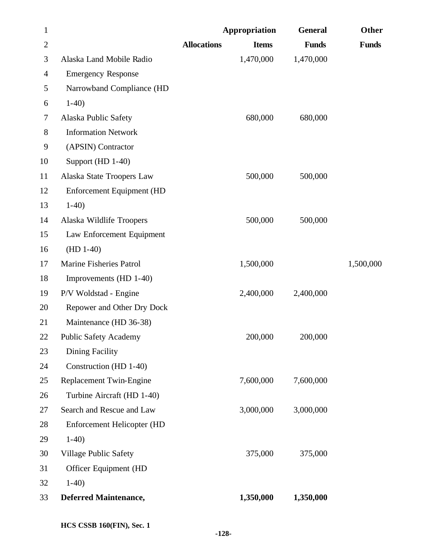| $\mathbf{1}$   |                                   |                    | Appropriation | <b>General</b> | Other        |
|----------------|-----------------------------------|--------------------|---------------|----------------|--------------|
| $\overline{2}$ |                                   | <b>Allocations</b> | <b>Items</b>  | <b>Funds</b>   | <b>Funds</b> |
| 3              | Alaska Land Mobile Radio          |                    | 1,470,000     | 1,470,000      |              |
| 4              | <b>Emergency Response</b>         |                    |               |                |              |
| 5              | Narrowband Compliance (HD         |                    |               |                |              |
| 6              | $1-40$                            |                    |               |                |              |
| 7              | Alaska Public Safety              |                    | 680,000       | 680,000        |              |
| $8\,$          | <b>Information Network</b>        |                    |               |                |              |
| 9              | (APSIN) Contractor                |                    |               |                |              |
| 10             | Support (HD 1-40)                 |                    |               |                |              |
| 11             | Alaska State Troopers Law         |                    | 500,000       | 500,000        |              |
| 12             | <b>Enforcement Equipment (HD</b>  |                    |               |                |              |
| 13             | $1-40$                            |                    |               |                |              |
| 14             | Alaska Wildlife Troopers          |                    | 500,000       | 500,000        |              |
| 15             | Law Enforcement Equipment         |                    |               |                |              |
| 16             | $(HD 1-40)$                       |                    |               |                |              |
| 17             | <b>Marine Fisheries Patrol</b>    |                    | 1,500,000     |                | 1,500,000    |
| 18             | Improvements (HD 1-40)            |                    |               |                |              |
| 19             | P/V Woldstad - Engine             |                    | 2,400,000     | 2,400,000      |              |
| 20             | Repower and Other Dry Dock        |                    |               |                |              |
| 21             | Maintenance (HD 36-38)            |                    |               |                |              |
| 22             | <b>Public Safety Academy</b>      |                    | 200,000       | 200,000        |              |
| 23             | Dining Facility                   |                    |               |                |              |
| 24             | Construction (HD 1-40)            |                    |               |                |              |
| 25             | Replacement Twin-Engine           |                    | 7,600,000     | 7,600,000      |              |
| 26             | Turbine Aircraft (HD 1-40)        |                    |               |                |              |
| 27             | Search and Rescue and Law         |                    | 3,000,000     | 3,000,000      |              |
| 28             | <b>Enforcement Helicopter (HD</b> |                    |               |                |              |
| 29             | $1-40$                            |                    |               |                |              |
| 30             | Village Public Safety             |                    | 375,000       | 375,000        |              |
| 31             | Officer Equipment (HD             |                    |               |                |              |
| 32             | $1-40$                            |                    |               |                |              |
| 33             | <b>Deferred Maintenance,</b>      |                    | 1,350,000     | 1,350,000      |              |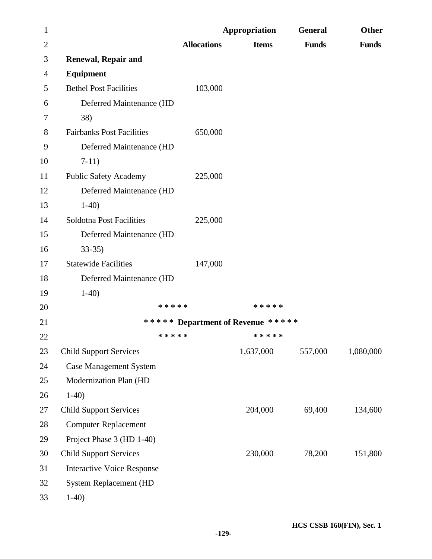| $\mathbf{1}$   |                                   |                                   | Appropriation | <b>General</b> | Other        |
|----------------|-----------------------------------|-----------------------------------|---------------|----------------|--------------|
| $\overline{2}$ |                                   | <b>Allocations</b>                | <b>Items</b>  | <b>Funds</b>   | <b>Funds</b> |
| 3              | <b>Renewal, Repair and</b>        |                                   |               |                |              |
| $\overline{4}$ | Equipment                         |                                   |               |                |              |
| 5              | <b>Bethel Post Facilities</b>     | 103,000                           |               |                |              |
| 6              | Deferred Maintenance (HD          |                                   |               |                |              |
| 7              | 38)                               |                                   |               |                |              |
| 8              | <b>Fairbanks Post Facilities</b>  | 650,000                           |               |                |              |
| 9              | Deferred Maintenance (HD          |                                   |               |                |              |
| 10             | $7-11)$                           |                                   |               |                |              |
| 11             | <b>Public Safety Academy</b>      | 225,000                           |               |                |              |
| 12             | Deferred Maintenance (HD          |                                   |               |                |              |
| 13             | $1-40$                            |                                   |               |                |              |
| 14             | Soldotna Post Facilities          | 225,000                           |               |                |              |
| 15             | Deferred Maintenance (HD          |                                   |               |                |              |
| 16             | $33-35$                           |                                   |               |                |              |
| 17             | <b>Statewide Facilities</b>       | 147,000                           |               |                |              |
| 18             | Deferred Maintenance (HD          |                                   |               |                |              |
| 19             | $1-40$                            |                                   |               |                |              |
| 20             |                                   | * * * * *                         | * * * * *     |                |              |
| 21             |                                   | ***** Department of Revenue ***** |               |                |              |
| 22             |                                   | * * * * *                         | * * * * *     |                |              |
| 23             | <b>Child Support Services</b>     |                                   | 1,637,000     | 557,000        | 1,080,000    |
| 24             | <b>Case Management System</b>     |                                   |               |                |              |
| 25             | Modernization Plan (HD            |                                   |               |                |              |
| 26             | $1-40$                            |                                   |               |                |              |
| 27             | <b>Child Support Services</b>     |                                   | 204,000       | 69,400         | 134,600      |
| 28             | <b>Computer Replacement</b>       |                                   |               |                |              |
| 29             | Project Phase 3 (HD 1-40)         |                                   |               |                |              |
| 30             | <b>Child Support Services</b>     |                                   | 230,000       | 78,200         | 151,800      |
| 31             | <b>Interactive Voice Response</b> |                                   |               |                |              |
| 32             | <b>System Replacement (HD</b>     |                                   |               |                |              |
| 33             | $1-40$                            |                                   |               |                |              |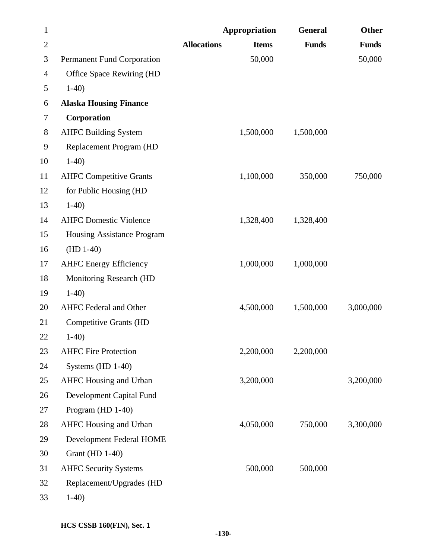| $\mathbf{1}$   |                                |                    | Appropriation | <b>General</b> | Other        |
|----------------|--------------------------------|--------------------|---------------|----------------|--------------|
| $\overline{c}$ |                                | <b>Allocations</b> | <b>Items</b>  | <b>Funds</b>   | <b>Funds</b> |
| 3              | Permanent Fund Corporation     |                    | 50,000        |                | 50,000       |
| 4              | Office Space Rewiring (HD      |                    |               |                |              |
| 5              | $1-40$                         |                    |               |                |              |
| 6              | <b>Alaska Housing Finance</b>  |                    |               |                |              |
| 7              | Corporation                    |                    |               |                |              |
| 8              | <b>AHFC Building System</b>    |                    | 1,500,000     | 1,500,000      |              |
| 9              | Replacement Program (HD        |                    |               |                |              |
| 10             | $1-40$                         |                    |               |                |              |
| 11             | <b>AHFC Competitive Grants</b> |                    | 1,100,000     | 350,000        | 750,000      |
| 12             | for Public Housing (HD         |                    |               |                |              |
| 13             | $1-40$                         |                    |               |                |              |
| 14             | <b>AHFC Domestic Violence</b>  |                    | 1,328,400     | 1,328,400      |              |
| 15             | Housing Assistance Program     |                    |               |                |              |
| 16             | $(HD 1-40)$                    |                    |               |                |              |
| 17             | <b>AHFC Energy Efficiency</b>  |                    | 1,000,000     | 1,000,000      |              |
| 18             | <b>Monitoring Research (HD</b> |                    |               |                |              |
| 19             | $1-40$                         |                    |               |                |              |
| 20             | <b>AHFC</b> Federal and Other  |                    | 4,500,000     | 1,500,000      | 3,000,000    |
| 21             | <b>Competitive Grants (HD</b>  |                    |               |                |              |
| 22             | $1-40$                         |                    |               |                |              |
| 23             | <b>AHFC Fire Protection</b>    |                    | 2,200,000     | 2,200,000      |              |
| 24             | Systems (HD 1-40)              |                    |               |                |              |
| 25             | <b>AHFC</b> Housing and Urban  |                    | 3,200,000     |                | 3,200,000    |
| 26             | Development Capital Fund       |                    |               |                |              |
| 27             | Program (HD 1-40)              |                    |               |                |              |
| 28             | AHFC Housing and Urban         |                    | 4,050,000     | 750,000        | 3,300,000    |
| 29             | Development Federal HOME       |                    |               |                |              |
| 30             | <b>Grant</b> (HD 1-40)         |                    |               |                |              |
| 31             | <b>AHFC Security Systems</b>   |                    | 500,000       | 500,000        |              |
| 32             | Replacement/Upgrades (HD       |                    |               |                |              |
| 33             | $1-40$                         |                    |               |                |              |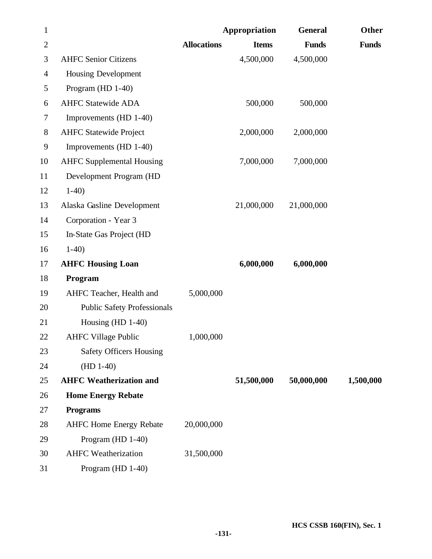| $\mathbf{1}$ |                                    |                    | Appropriation | <b>General</b> | Other        |
|--------------|------------------------------------|--------------------|---------------|----------------|--------------|
| $\mathbf{2}$ |                                    | <b>Allocations</b> | <b>Items</b>  | <b>Funds</b>   | <b>Funds</b> |
| 3            | <b>AHFC Senior Citizens</b>        |                    | 4,500,000     | 4,500,000      |              |
| 4            | <b>Housing Development</b>         |                    |               |                |              |
| 5            | Program (HD 1-40)                  |                    |               |                |              |
| 6            | <b>AHFC Statewide ADA</b>          |                    | 500,000       | 500,000        |              |
| 7            | Improvements (HD 1-40)             |                    |               |                |              |
| 8            | <b>AHFC Statewide Project</b>      |                    | 2,000,000     | 2,000,000      |              |
| 9            | Improvements (HD 1-40)             |                    |               |                |              |
| 10           | <b>AHFC Supplemental Housing</b>   |                    | 7,000,000     | 7,000,000      |              |
| 11           | Development Program (HD            |                    |               |                |              |
| 12           | $1-40$                             |                    |               |                |              |
| 13           | Alaska Gasline Development         |                    | 21,000,000    | 21,000,000     |              |
| 14           | Corporation - Year 3               |                    |               |                |              |
| 15           | In-State Gas Project (HD           |                    |               |                |              |
| 16           | $1-40$                             |                    |               |                |              |
| 17           | <b>AHFC Housing Loan</b>           |                    | 6,000,000     | 6,000,000      |              |
| 18           | Program                            |                    |               |                |              |
| 19           | AHFC Teacher, Health and           | 5,000,000          |               |                |              |
| 20           | <b>Public Safety Professionals</b> |                    |               |                |              |
| 21           | Housing $(HD 1-40)$                |                    |               |                |              |
| 22           | <b>AHFC Village Public</b>         | 1,000,000          |               |                |              |
| 23           | <b>Safety Officers Housing</b>     |                    |               |                |              |
| 24           | $(HD 1-40)$                        |                    |               |                |              |
| 25           | <b>AHFC Weatherization and</b>     |                    | 51,500,000    | 50,000,000     | 1,500,000    |
| 26           | <b>Home Energy Rebate</b>          |                    |               |                |              |
| 27           | <b>Programs</b>                    |                    |               |                |              |
| 28           | <b>AHFC Home Energy Rebate</b>     | 20,000,000         |               |                |              |
| 29           | Program (HD 1-40)                  |                    |               |                |              |
| 30           | <b>AHFC</b> Weatherization         | 31,500,000         |               |                |              |
| 31           | Program (HD 1-40)                  |                    |               |                |              |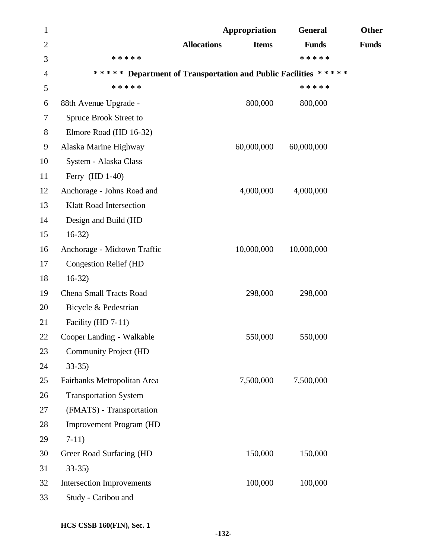| 1              |                                  | Appropriation                                                  | <b>General</b> | Other        |
|----------------|----------------------------------|----------------------------------------------------------------|----------------|--------------|
| $\overline{2}$ |                                  | <b>Allocations</b><br><b>Items</b>                             | <b>Funds</b>   | <b>Funds</b> |
| 3              | * * * * *                        |                                                                | * * * * *      |              |
| $\overline{4}$ |                                  | ***** Department of Transportation and Public Facilities ***** |                |              |
| 5              | * * * * *                        |                                                                | * * * * *      |              |
| 6              | 88th Avenue Upgrade -            | 800,000                                                        | 800,000        |              |
| 7              | Spruce Brook Street to           |                                                                |                |              |
| 8              | Elmore Road (HD 16-32)           |                                                                |                |              |
| 9              | Alaska Marine Highway            | 60,000,000                                                     | 60,000,000     |              |
| 10             | System - Alaska Class            |                                                                |                |              |
| 11             | Ferry (HD 1-40)                  |                                                                |                |              |
| 12             | Anchorage - Johns Road and       | 4,000,000                                                      | 4,000,000      |              |
| 13             | <b>Klatt Road Intersection</b>   |                                                                |                |              |
| 14             | Design and Build (HD             |                                                                |                |              |
| 15             | $16-32)$                         |                                                                |                |              |
| 16             | Anchorage - Midtown Traffic      | 10,000,000                                                     | 10,000,000     |              |
| 17             | <b>Congestion Relief (HD</b>     |                                                                |                |              |
| 18             | $16-32$                          |                                                                |                |              |
| 19             | Chena Small Tracts Road          | 298,000                                                        | 298,000        |              |
| 20             | Bicycle & Pedestrian             |                                                                |                |              |
| 21             | Facility (HD 7-11)               |                                                                |                |              |
| 22             | Cooper Landing - Walkable        | 550,000                                                        | 550,000        |              |
| 23             | <b>Community Project (HD</b>     |                                                                |                |              |
| 24             | $33-35$                          |                                                                |                |              |
| 25             | Fairbanks Metropolitan Area      | 7,500,000                                                      | 7,500,000      |              |
| 26             | <b>Transportation System</b>     |                                                                |                |              |
| 27             | (FMATS) - Transportation         |                                                                |                |              |
| 28             | <b>Improvement Program (HD</b>   |                                                                |                |              |
| 29             | $7-11)$                          |                                                                |                |              |
| 30             | Greer Road Surfacing (HD         | 150,000                                                        | 150,000        |              |
| 31             | $33-35$                          |                                                                |                |              |
| 32             | <b>Intersection Improvements</b> | 100,000                                                        | 100,000        |              |
| 33             | Study - Caribou and              |                                                                |                |              |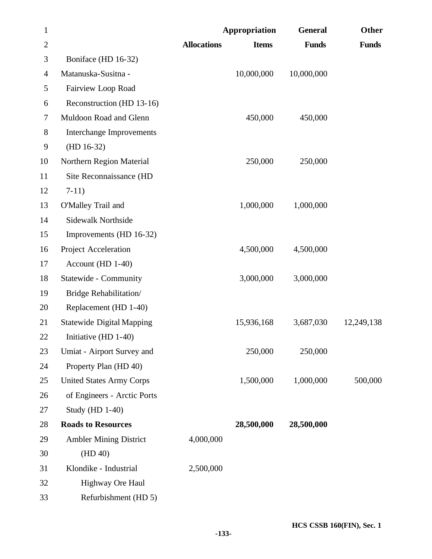| $\mathbf{1}$ |                                  |                    | Appropriation | <b>General</b> | Other        |
|--------------|----------------------------------|--------------------|---------------|----------------|--------------|
| $\mathbf{2}$ |                                  | <b>Allocations</b> | <b>Items</b>  | <b>Funds</b>   | <b>Funds</b> |
| 3            | Boniface (HD 16-32)              |                    |               |                |              |
| 4            | Matanuska-Susitna -              |                    | 10,000,000    | 10,000,000     |              |
| 5            | Fairview Loop Road               |                    |               |                |              |
| 6            | Reconstruction (HD 13-16)        |                    |               |                |              |
| 7            | Muldoon Road and Glenn           |                    | 450,000       | 450,000        |              |
| 8            | <b>Interchange Improvements</b>  |                    |               |                |              |
| 9            | $(HD 16-32)$                     |                    |               |                |              |
| 10           | Northern Region Material         |                    | 250,000       | 250,000        |              |
| 11           | Site Reconnaissance (HD          |                    |               |                |              |
| 12           | $7-11)$                          |                    |               |                |              |
| 13           | O'Malley Trail and               |                    | 1,000,000     | 1,000,000      |              |
| 14           | <b>Sidewalk Northside</b>        |                    |               |                |              |
| 15           | Improvements (HD 16-32)          |                    |               |                |              |
| 16           | Project Acceleration             |                    | 4,500,000     | 4,500,000      |              |
| 17           | Account (HD 1-40)                |                    |               |                |              |
| 18           | Statewide - Community            |                    | 3,000,000     | 3,000,000      |              |
| 19           | Bridge Rehabilitation/           |                    |               |                |              |
| 20           | Replacement (HD 1-40)            |                    |               |                |              |
| 21           | <b>Statewide Digital Mapping</b> |                    | 15,936,168    | 3,687,030      | 12,249,138   |
| 22           | Initiative $(HD 1-40)$           |                    |               |                |              |
| 23           | Umiat - Airport Survey and       |                    | 250,000       | 250,000        |              |
| 24           | Property Plan (HD 40)            |                    |               |                |              |
| 25           | <b>United States Army Corps</b>  |                    | 1,500,000     | 1,000,000      | 500,000      |
| 26           | of Engineers - Arctic Ports      |                    |               |                |              |
| 27           | <b>Study (HD 1-40)</b>           |                    |               |                |              |
| 28           | <b>Roads to Resources</b>        |                    | 28,500,000    | 28,500,000     |              |
| 29           | <b>Ambler Mining District</b>    | 4,000,000          |               |                |              |
| 30           | (HD 40)                          |                    |               |                |              |
| 31           | Klondike - Industrial            | 2,500,000          |               |                |              |
| 32           | Highway Ore Haul                 |                    |               |                |              |
| 33           | Refurbishment (HD 5)             |                    |               |                |              |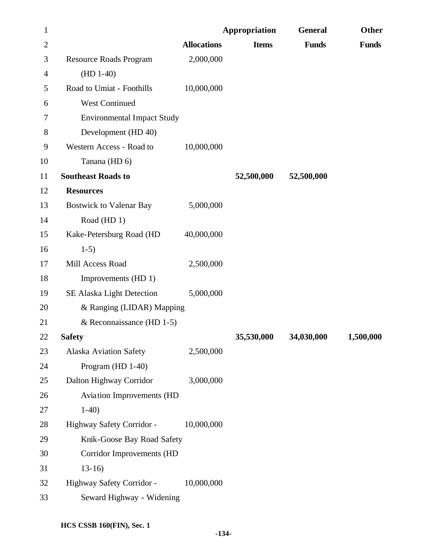| $\mathbf{1}$   |                                   |                    | Appropriation | <b>General</b> | <b>Other</b> |
|----------------|-----------------------------------|--------------------|---------------|----------------|--------------|
| $\overline{2}$ |                                   | <b>Allocations</b> | <b>Items</b>  | <b>Funds</b>   | <b>Funds</b> |
| 3              | <b>Resource Roads Program</b>     | 2,000,000          |               |                |              |
| 4              | $(HD 1-40)$                       |                    |               |                |              |
| 5              | Road to Umiat - Foothills         | 10,000,000         |               |                |              |
| 6              | <b>West Continued</b>             |                    |               |                |              |
| 7              | <b>Environmental Impact Study</b> |                    |               |                |              |
| 8              | Development (HD 40)               |                    |               |                |              |
| 9              | Western Access - Road to          | 10,000,000         |               |                |              |
| 10             | Tanana (HD 6)                     |                    |               |                |              |
| 11             | <b>Southeast Roads to</b>         |                    | 52,500,000    | 52,500,000     |              |
| 12             | <b>Resources</b>                  |                    |               |                |              |
| 13             | <b>Bostwick to Valenar Bay</b>    | 5,000,000          |               |                |              |
| 14             | Road (HD 1)                       |                    |               |                |              |
| 15             | Kake-Petersburg Road (HD          | 40,000,000         |               |                |              |
| 16             | $1-5)$                            |                    |               |                |              |
| 17             | Mill Access Road                  | 2,500,000          |               |                |              |
| 18             | Improvements (HD 1)               |                    |               |                |              |
| 19             | SE Alaska Light Detection         | 5,000,000          |               |                |              |
| 20             | & Ranging (LIDAR) Mapping         |                    |               |                |              |
| 21             | & Reconnaissance (HD $1-5$ )      |                    |               |                |              |
| 22             | <b>Safety</b>                     |                    | 35,530,000    | 34,030,000     | 1,500,000    |
| 23             | <b>Alaska Aviation Safety</b>     | 2,500,000          |               |                |              |
| 24             | Program (HD 1-40)                 |                    |               |                |              |
| 25             | Dalton Highway Corridor           | 3,000,000          |               |                |              |
| 26             | Aviation Improvements (HD         |                    |               |                |              |
| 27             | $1-40$                            |                    |               |                |              |
| 28             | Highway Safety Corridor -         | 10,000,000         |               |                |              |
| 29             | Knik-Goose Bay Road Safety        |                    |               |                |              |
| 30             | Corridor Improvements (HD         |                    |               |                |              |
| 31             | $13-16$                           |                    |               |                |              |
| 32             | Highway Safety Corridor -         | 10,000,000         |               |                |              |
| 33             | Seward Highway - Widening         |                    |               |                |              |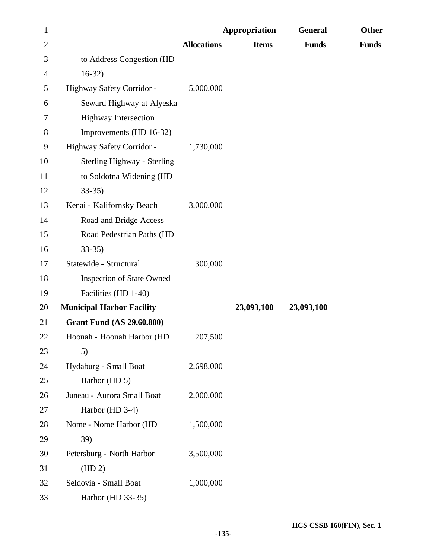| $\mathbf{1}$   |                                  |                    | Appropriation | <b>General</b> | Other        |
|----------------|----------------------------------|--------------------|---------------|----------------|--------------|
| $\overline{2}$ |                                  | <b>Allocations</b> | <b>Items</b>  | <b>Funds</b>   | <b>Funds</b> |
| 3              | to Address Congestion (HD        |                    |               |                |              |
| 4              | $16-32)$                         |                    |               |                |              |
| 5              | Highway Safety Corridor -        | 5,000,000          |               |                |              |
| 6              | Seward Highway at Alyeska        |                    |               |                |              |
| 7              | <b>Highway Intersection</b>      |                    |               |                |              |
| 8              | Improvements (HD 16-32)          |                    |               |                |              |
| 9              | Highway Safety Corridor -        | 1,730,000          |               |                |              |
| 10             | Sterling Highway - Sterling      |                    |               |                |              |
| 11             | to Soldotna Widening (HD         |                    |               |                |              |
| 12             | $33-35$                          |                    |               |                |              |
| 13             | Kenai - Kalifornsky Beach        | 3,000,000          |               |                |              |
| 14             | Road and Bridge Access           |                    |               |                |              |
| 15             | Road Pedestrian Paths (HD        |                    |               |                |              |
| 16             | $33-35$                          |                    |               |                |              |
| 17             | Statewide - Structural           | 300,000            |               |                |              |
| 18             | <b>Inspection of State Owned</b> |                    |               |                |              |
| 19             | Facilities (HD 1-40)             |                    |               |                |              |
| 20             | <b>Municipal Harbor Facility</b> |                    | 23,093,100    | 23,093,100     |              |
| 21             | <b>Grant Fund (AS 29.60.800)</b> |                    |               |                |              |
| 22             | Hoonah - Hoonah Harbor (HD       | 207,500            |               |                |              |
| 23             | 5)                               |                    |               |                |              |
| 24             | Hydaburg - Small Boat            | 2,698,000          |               |                |              |
| 25             | Harbor (HD 5)                    |                    |               |                |              |
| 26             | Juneau - Aurora Small Boat       | 2,000,000          |               |                |              |
| 27             | Harbor (HD 3-4)                  |                    |               |                |              |
| 28             | Nome - Nome Harbor (HD           | 1,500,000          |               |                |              |
| 29             | 39)                              |                    |               |                |              |
| 30             | Petersburg - North Harbor        | 3,500,000          |               |                |              |
| 31             | (HD 2)                           |                    |               |                |              |
| 32             | Seldovia - Small Boat            | 1,000,000          |               |                |              |
| 33             | Harbor (HD 33-35)                |                    |               |                |              |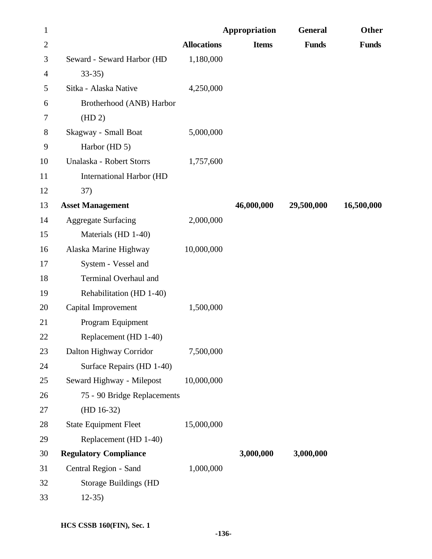| $\mathbf{1}$   |                                 |                    | Appropriation | <b>General</b> | Other        |
|----------------|---------------------------------|--------------------|---------------|----------------|--------------|
| $\mathbf{2}$   |                                 | <b>Allocations</b> | <b>Items</b>  | <b>Funds</b>   | <b>Funds</b> |
| 3              | Seward - Seward Harbor (HD      | 1,180,000          |               |                |              |
| $\overline{4}$ | $33-35$                         |                    |               |                |              |
| 5              | Sitka - Alaska Native           | 4,250,000          |               |                |              |
| 6              | Brotherhood (ANB) Harbor        |                    |               |                |              |
| 7              | (HD 2)                          |                    |               |                |              |
| 8              | Skagway - Small Boat            | 5,000,000          |               |                |              |
| 9              | Harbor (HD 5)                   |                    |               |                |              |
| 10             | Unalaska - Robert Storrs        | 1,757,600          |               |                |              |
| 11             | <b>International Harbor (HD</b> |                    |               |                |              |
| 12             | 37)                             |                    |               |                |              |
| 13             | <b>Asset Management</b>         |                    | 46,000,000    | 29,500,000     | 16,500,000   |
| 14             | <b>Aggregate Surfacing</b>      | 2,000,000          |               |                |              |
| 15             | Materials (HD 1-40)             |                    |               |                |              |
| 16             | Alaska Marine Highway           | 10,000,000         |               |                |              |
| 17             | System - Vessel and             |                    |               |                |              |
| 18             | Terminal Overhaul and           |                    |               |                |              |
| 19             | Rehabilitation (HD 1-40)        |                    |               |                |              |
| 20             | Capital Improvement             | 1,500,000          |               |                |              |
| 21             | Program Equipment               |                    |               |                |              |
| 22             | Replacement (HD 1-40)           |                    |               |                |              |
| 23             | Dalton Highway Corridor         | 7,500,000          |               |                |              |
| 24             | Surface Repairs (HD 1-40)       |                    |               |                |              |
| 25             | Seward Highway - Milepost       | 10,000,000         |               |                |              |
| 26             | 75 - 90 Bridge Replacements     |                    |               |                |              |
| 27             | $(HD 16-32)$                    |                    |               |                |              |
| $28\,$         | <b>State Equipment Fleet</b>    | 15,000,000         |               |                |              |
| 29             | Replacement (HD 1-40)           |                    |               |                |              |
| 30             | <b>Regulatory Compliance</b>    |                    | 3,000,000     | 3,000,000      |              |
| 31             | Central Region - Sand           | 1,000,000          |               |                |              |
| 32             | <b>Storage Buildings (HD</b>    |                    |               |                |              |
| 33             | $12-35$                         |                    |               |                |              |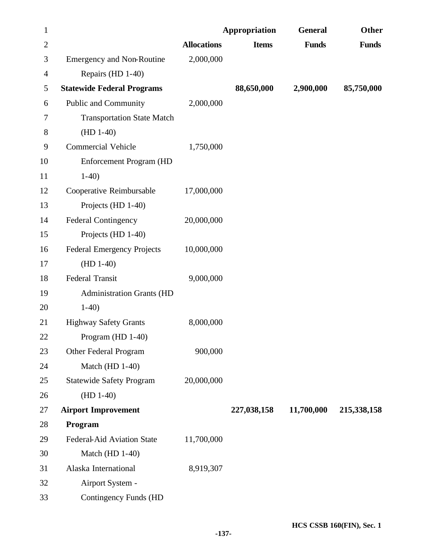| $\mathbf{1}$   |                                   |                    | Appropriation | <b>General</b> | Other        |
|----------------|-----------------------------------|--------------------|---------------|----------------|--------------|
| $\overline{2}$ |                                   | <b>Allocations</b> | <b>Items</b>  | <b>Funds</b>   | <b>Funds</b> |
| 3              | <b>Emergency and Non-Routine</b>  | 2,000,000          |               |                |              |
| 4              | Repairs (HD 1-40)                 |                    |               |                |              |
| 5              | <b>Statewide Federal Programs</b> |                    | 88,650,000    | 2,900,000      | 85,750,000   |
| 6              | <b>Public and Community</b>       | 2,000,000          |               |                |              |
| 7              | <b>Transportation State Match</b> |                    |               |                |              |
| 8              | $(HD 1-40)$                       |                    |               |                |              |
| 9              | <b>Commercial Vehicle</b>         | 1,750,000          |               |                |              |
| 10             | <b>Enforcement Program (HD</b>    |                    |               |                |              |
| 11             | $1-40$                            |                    |               |                |              |
| 12             | Cooperative Reimbursable          | 17,000,000         |               |                |              |
| 13             | Projects (HD 1-40)                |                    |               |                |              |
| 14             | <b>Federal Contingency</b>        | 20,000,000         |               |                |              |
| 15             | Projects (HD 1-40)                |                    |               |                |              |
| 16             | <b>Federal Emergency Projects</b> | 10,000,000         |               |                |              |
| 17             | $(HD 1-40)$                       |                    |               |                |              |
| 18             | <b>Federal Transit</b>            | 9,000,000          |               |                |              |
| 19             | <b>Administration Grants (HD</b>  |                    |               |                |              |
| 20             | $1-40$                            |                    |               |                |              |
| 21             | <b>Highway Safety Grants</b>      | 8,000,000          |               |                |              |
| 22             | Program $(HD 1-40)$               |                    |               |                |              |
| 23             | Other Federal Program             | 900,000            |               |                |              |
| 24             | Match (HD 1-40)                   |                    |               |                |              |
| 25             | <b>Statewide Safety Program</b>   | 20,000,000         |               |                |              |
| 26             | $(HD 1-40)$                       |                    |               |                |              |
| 27             | <b>Airport Improvement</b>        |                    | 227,038,158   | 11,700,000     | 215,338,158  |
| 28             | Program                           |                    |               |                |              |
| 29             | Federal-Aid Aviation State        | 11,700,000         |               |                |              |
| 30             | Match (HD 1-40)                   |                    |               |                |              |
| 31             | Alaska International              | 8,919,307          |               |                |              |
| 32             | Airport System -                  |                    |               |                |              |
| 33             | <b>Contingency Funds (HD</b>      |                    |               |                |              |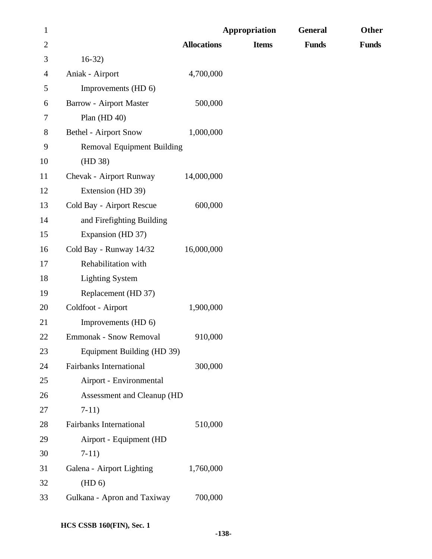| $\mathbf{1}$   |                                   |                    | Appropriation | <b>General</b> | <b>Other</b> |
|----------------|-----------------------------------|--------------------|---------------|----------------|--------------|
| $\overline{2}$ |                                   | <b>Allocations</b> | <b>Items</b>  | <b>Funds</b>   | <b>Funds</b> |
| 3              | $16-32)$                          |                    |               |                |              |
| 4              | Aniak - Airport                   | 4,700,000          |               |                |              |
| 5              | Improvements (HD 6)               |                    |               |                |              |
| 6              | <b>Barrow - Airport Master</b>    | 500,000            |               |                |              |
| 7              | Plan $(HD 40)$                    |                    |               |                |              |
| 8              | <b>Bethel - Airport Snow</b>      | 1,000,000          |               |                |              |
| 9              | <b>Removal Equipment Building</b> |                    |               |                |              |
| 10             | (HD 38)                           |                    |               |                |              |
| 11             | Chevak - Airport Runway           | 14,000,000         |               |                |              |
| 12             | Extension (HD 39)                 |                    |               |                |              |
| 13             | Cold Bay - Airport Rescue         | 600,000            |               |                |              |
| 14             | and Firefighting Building         |                    |               |                |              |
| 15             | Expansion (HD 37)                 |                    |               |                |              |
| 16             | Cold Bay - Runway 14/32           | 16,000,000         |               |                |              |
| 17             | Rehabilitation with               |                    |               |                |              |
| 18             | <b>Lighting System</b>            |                    |               |                |              |
| 19             | Replacement (HD 37)               |                    |               |                |              |
| 20             | Coldfoot - Airport                | 1,900,000          |               |                |              |
| 21             | Improvements (HD 6)               |                    |               |                |              |
| 22             | <b>Emmonak - Snow Removal</b>     | 910,000            |               |                |              |
| 23             | Equipment Building (HD 39)        |                    |               |                |              |
| 24             | <b>Fairbanks International</b>    | 300,000            |               |                |              |
| 25             | Airport - Environmental           |                    |               |                |              |
| 26             | Assessment and Cleanup (HD        |                    |               |                |              |
| 27             | $7-11)$                           |                    |               |                |              |
| 28             | Fairbanks International           | 510,000            |               |                |              |
| 29             | Airport - Equipment (HD           |                    |               |                |              |
| 30             | $7-11)$                           |                    |               |                |              |
| 31             | Galena - Airport Lighting         | 1,760,000          |               |                |              |
| 32             | (HD 6)                            |                    |               |                |              |
| 33             | Gulkana - Apron and Taxiway       | 700,000            |               |                |              |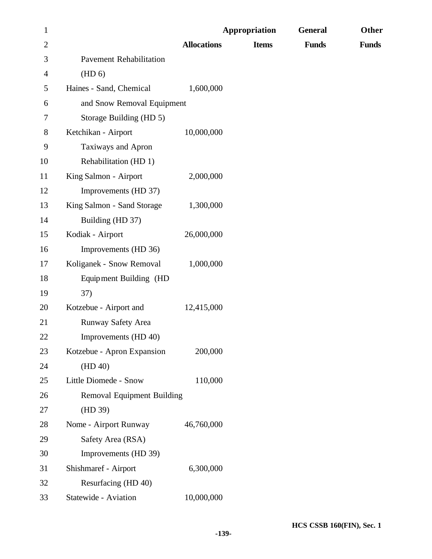| $\mathbf{1}$   |                                   |                    | Appropriation | <b>General</b> | Other        |
|----------------|-----------------------------------|--------------------|---------------|----------------|--------------|
| $\overline{2}$ |                                   | <b>Allocations</b> | <b>Items</b>  | <b>Funds</b>   | <b>Funds</b> |
| 3              | <b>Pavement Rehabilitation</b>    |                    |               |                |              |
| 4              | (HD 6)                            |                    |               |                |              |
| 5              | Haines - Sand, Chemical           | 1,600,000          |               |                |              |
| 6              | and Snow Removal Equipment        |                    |               |                |              |
| 7              | Storage Building (HD 5)           |                    |               |                |              |
| 8              | Ketchikan - Airport               | 10,000,000         |               |                |              |
| 9              | Taxiways and Apron                |                    |               |                |              |
| 10             | Rehabilitation (HD 1)             |                    |               |                |              |
| 11             | King Salmon - Airport             | 2,000,000          |               |                |              |
| 12             | Improvements (HD 37)              |                    |               |                |              |
| 13             | King Salmon - Sand Storage        | 1,300,000          |               |                |              |
| 14             | Building (HD 37)                  |                    |               |                |              |
| 15             | Kodiak - Airport                  | 26,000,000         |               |                |              |
| 16             | Improvements (HD 36)              |                    |               |                |              |
| 17             | Koliganek - Snow Removal          | 1,000,000          |               |                |              |
| 18             | Equipment Building (HD            |                    |               |                |              |
| 19             | 37)                               |                    |               |                |              |
| 20             | Kotzebue - Airport and            | 12,415,000         |               |                |              |
| 21             | Runway Safety Area                |                    |               |                |              |
| 22             | Improvements (HD 40)              |                    |               |                |              |
| 23             | Kotzebue - Apron Expansion        | 200,000            |               |                |              |
| 24             | (HD 40)                           |                    |               |                |              |
| 25             | Little Diomede - Snow             | 110,000            |               |                |              |
| 26             | <b>Removal Equipment Building</b> |                    |               |                |              |
| 27             | (HD 39)                           |                    |               |                |              |
| 28             | Nome - Airport Runway             | 46,760,000         |               |                |              |
| 29             | Safety Area (RSA)                 |                    |               |                |              |
| 30             | Improvements (HD 39)              |                    |               |                |              |
| 31             | Shishmaref - Airport              | 6,300,000          |               |                |              |
| 32             | Resurfacing (HD 40)               |                    |               |                |              |
| 33             | Statewide - Aviation              | 10,000,000         |               |                |              |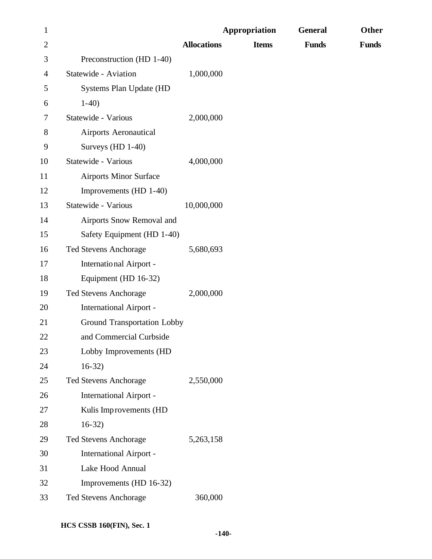| $\mathbf{1}$   |                                    |                    | <b>Appropriation</b> | <b>General</b> | Other        |
|----------------|------------------------------------|--------------------|----------------------|----------------|--------------|
| $\overline{c}$ |                                    | <b>Allocations</b> | <b>Items</b>         | <b>Funds</b>   | <b>Funds</b> |
| 3              | Preconstruction (HD 1-40)          |                    |                      |                |              |
| 4              | Statewide - Aviation               | 1,000,000          |                      |                |              |
| 5              | Systems Plan Update (HD            |                    |                      |                |              |
| 6              | $1-40$                             |                    |                      |                |              |
| 7              | Statewide - Various                | 2,000,000          |                      |                |              |
| 8              | <b>Airports Aeronautical</b>       |                    |                      |                |              |
| 9              | Surveys (HD 1-40)                  |                    |                      |                |              |
| 10             | Statewide - Various                | 4,000,000          |                      |                |              |
| 11             | <b>Airports Minor Surface</b>      |                    |                      |                |              |
| 12             | Improvements (HD 1-40)             |                    |                      |                |              |
| 13             | Statewide - Various                | 10,000,000         |                      |                |              |
| 14             | Airports Snow Removal and          |                    |                      |                |              |
| 15             | Safety Equipment (HD 1-40)         |                    |                      |                |              |
| 16             | <b>Ted Stevens Anchorage</b>       | 5,680,693          |                      |                |              |
| 17             | International Airport -            |                    |                      |                |              |
| 18             | Equipment (HD 16-32)               |                    |                      |                |              |
| 19             | <b>Ted Stevens Anchorage</b>       | 2,000,000          |                      |                |              |
| 20             | <b>International Airport -</b>     |                    |                      |                |              |
| 21             | <b>Ground Transportation Lobby</b> |                    |                      |                |              |
| 22             | and Commercial Curbside            |                    |                      |                |              |
| 23             | Lobby Improvements (HD             |                    |                      |                |              |
| 24             | $16-32)$                           |                    |                      |                |              |
| 25             | <b>Ted Stevens Anchorage</b>       | 2,550,000          |                      |                |              |
| 26             | <b>International Airport -</b>     |                    |                      |                |              |
| 27             | Kulis Improvements (HD             |                    |                      |                |              |
| 28             | $16-32)$                           |                    |                      |                |              |
| 29             | Ted Stevens Anchorage              | 5,263,158          |                      |                |              |
| 30             | <b>International Airport -</b>     |                    |                      |                |              |
| 31             | Lake Hood Annual                   |                    |                      |                |              |
| 32             | Improvements (HD 16-32)            |                    |                      |                |              |
| 33             | Ted Stevens Anchorage              | 360,000            |                      |                |              |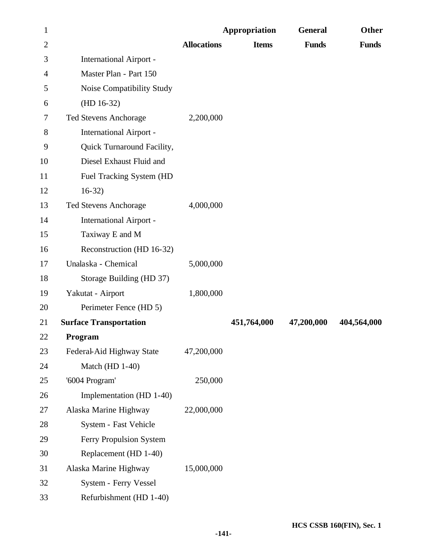| $\mathbf{1}$   |                                |                    | Appropriation | <b>General</b> | Other        |
|----------------|--------------------------------|--------------------|---------------|----------------|--------------|
| $\overline{2}$ |                                | <b>Allocations</b> | <b>Items</b>  | <b>Funds</b>   | <b>Funds</b> |
| 3              | <b>International Airport -</b> |                    |               |                |              |
| 4              | Master Plan - Part 150         |                    |               |                |              |
| 5              | Noise Compatibility Study      |                    |               |                |              |
| 6              | $(HD 16-32)$                   |                    |               |                |              |
| 7              | <b>Ted Stevens Anchorage</b>   | 2,200,000          |               |                |              |
| 8              | <b>International Airport -</b> |                    |               |                |              |
| 9              | Quick Turnaround Facility,     |                    |               |                |              |
| 10             | Diesel Exhaust Fluid and       |                    |               |                |              |
| 11             | Fuel Tracking System (HD       |                    |               |                |              |
| 12             | $16-32)$                       |                    |               |                |              |
| 13             | <b>Ted Stevens Anchorage</b>   | 4,000,000          |               |                |              |
| 14             | <b>International Airport -</b> |                    |               |                |              |
| 15             | Taxiway E and M                |                    |               |                |              |
| 16             | Reconstruction (HD 16-32)      |                    |               |                |              |
| 17             | Unalaska - Chemical            | 5,000,000          |               |                |              |
| 18             | Storage Building (HD 37)       |                    |               |                |              |
| 19             | Yakutat - Airport              | 1,800,000          |               |                |              |
| 20             | Perimeter Fence (HD 5)         |                    |               |                |              |
| 21             | <b>Surface Transportation</b>  |                    | 451,764,000   | 47,200,000     | 404,564,000  |
| 22             | Program                        |                    |               |                |              |
| 23             | Federal-Aid Highway State      | 47,200,000         |               |                |              |
| 24             | Match (HD 1-40)                |                    |               |                |              |
| 25             | '6004 Program'                 | 250,000            |               |                |              |
| 26             | Implementation (HD 1-40)       |                    |               |                |              |
| 27             | Alaska Marine Highway          | 22,000,000         |               |                |              |
| 28             | System - Fast Vehicle          |                    |               |                |              |
| 29             | Ferry Propulsion System        |                    |               |                |              |
| 30             | Replacement (HD 1-40)          |                    |               |                |              |
| 31             | Alaska Marine Highway          | 15,000,000         |               |                |              |
| 32             | System - Ferry Vessel          |                    |               |                |              |
| 33             | Refurbishment (HD 1-40)        |                    |               |                |              |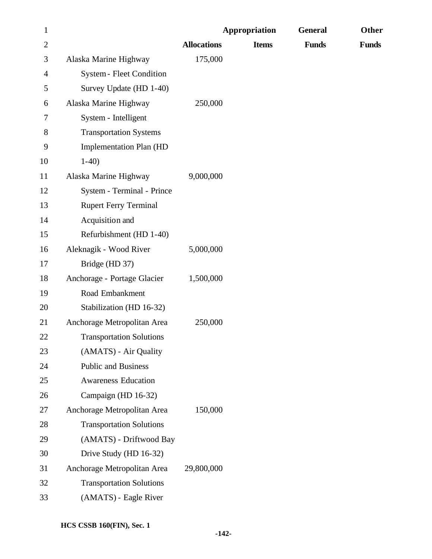| $\mathbf{1}$   |                                 |                    | <b>Appropriation</b> | <b>General</b> | <b>Other</b> |
|----------------|---------------------------------|--------------------|----------------------|----------------|--------------|
| $\overline{2}$ |                                 | <b>Allocations</b> | <b>Items</b>         | <b>Funds</b>   | <b>Funds</b> |
| 3              | Alaska Marine Highway           | 175,000            |                      |                |              |
| 4              | <b>System - Fleet Condition</b> |                    |                      |                |              |
| 5              | Survey Update (HD 1-40)         |                    |                      |                |              |
| 6              | Alaska Marine Highway           | 250,000            |                      |                |              |
| 7              | System - Intelligent            |                    |                      |                |              |
| 8              | <b>Transportation Systems</b>   |                    |                      |                |              |
| 9              | <b>Implementation Plan (HD</b>  |                    |                      |                |              |
| 10             | $1-40$                          |                    |                      |                |              |
| 11             | Alaska Marine Highway           | 9,000,000          |                      |                |              |
| 12             | System - Terminal - Prince      |                    |                      |                |              |
| 13             | <b>Rupert Ferry Terminal</b>    |                    |                      |                |              |
| 14             | Acquisition and                 |                    |                      |                |              |
| 15             | Refurbishment (HD 1-40)         |                    |                      |                |              |
| 16             | Aleknagik - Wood River          | 5,000,000          |                      |                |              |
| 17             | Bridge (HD 37)                  |                    |                      |                |              |
| 18             | Anchorage - Portage Glacier     | 1,500,000          |                      |                |              |
| 19             | Road Embankment                 |                    |                      |                |              |
| 20             | Stabilization (HD 16-32)        |                    |                      |                |              |
| 21             | Anchorage Metropolitan Area     | 250,000            |                      |                |              |
| 22             | <b>Transportation Solutions</b> |                    |                      |                |              |
| 23             | (AMATS) - Air Quality           |                    |                      |                |              |
| 24             | <b>Public and Business</b>      |                    |                      |                |              |
| 25             | <b>Awareness Education</b>      |                    |                      |                |              |
| 26             | Campaign (HD 16-32)             |                    |                      |                |              |
| 27             | Anchorage Metropolitan Area     | 150,000            |                      |                |              |
| 28             | <b>Transportation Solutions</b> |                    |                      |                |              |
| 29             | (AMATS) - Driftwood Bay         |                    |                      |                |              |
| 30             | Drive Study (HD 16-32)          |                    |                      |                |              |
| 31             | Anchorage Metropolitan Area     | 29,800,000         |                      |                |              |
| 32             | <b>Transportation Solutions</b> |                    |                      |                |              |
| 33             | (AMATS) - Eagle River           |                    |                      |                |              |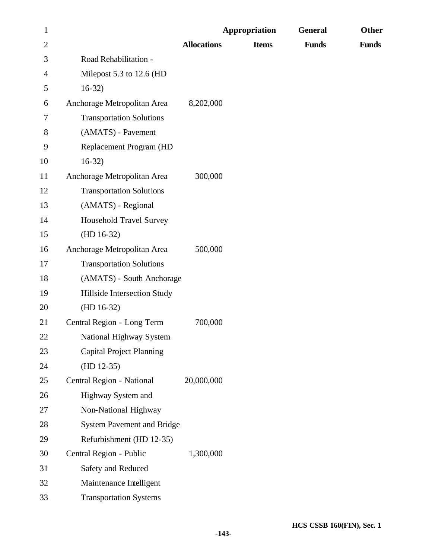| $\mathbf{1}$   |                                   |                    | Appropriation | <b>General</b> | <b>Other</b> |
|----------------|-----------------------------------|--------------------|---------------|----------------|--------------|
| $\overline{c}$ |                                   | <b>Allocations</b> | <b>Items</b>  | <b>Funds</b>   | <b>Funds</b> |
| 3              | Road Rehabilitation -             |                    |               |                |              |
| $\overline{4}$ | Milepost 5.3 to 12.6 (HD          |                    |               |                |              |
| 5              | $16-32)$                          |                    |               |                |              |
| 6              | Anchorage Metropolitan Area       | 8,202,000          |               |                |              |
| 7              | <b>Transportation Solutions</b>   |                    |               |                |              |
| 8              | (AMATS) - Pavement                |                    |               |                |              |
| 9              | Replacement Program (HD           |                    |               |                |              |
| 10             | $16-32)$                          |                    |               |                |              |
| 11             | Anchorage Metropolitan Area       | 300,000            |               |                |              |
| 12             | <b>Transportation Solutions</b>   |                    |               |                |              |
| 13             | (AMATS) - Regional                |                    |               |                |              |
| 14             | <b>Household Travel Survey</b>    |                    |               |                |              |
| 15             | $(HD 16-32)$                      |                    |               |                |              |
| 16             | Anchorage Metropolitan Area       | 500,000            |               |                |              |
| 17             | <b>Transportation Solutions</b>   |                    |               |                |              |
| 18             | (AMATS) - South Anchorage         |                    |               |                |              |
| 19             | Hillside Intersection Study       |                    |               |                |              |
| 20             | $(HD 16-32)$                      |                    |               |                |              |
| 21             | Central Region - Long Term        | 700,000            |               |                |              |
| 22             | National Highway System           |                    |               |                |              |
| 23             | <b>Capital Project Planning</b>   |                    |               |                |              |
| 24             | $(HD 12-35)$                      |                    |               |                |              |
| 25             | Central Region - National         | 20,000,000         |               |                |              |
| 26             | Highway System and                |                    |               |                |              |
| 27             | Non-National Highway              |                    |               |                |              |
| 28             | <b>System Pavement and Bridge</b> |                    |               |                |              |
| 29             | Refurbishment (HD 12-35)          |                    |               |                |              |
| 30             | Central Region - Public           | 1,300,000          |               |                |              |
| 31             | Safety and Reduced                |                    |               |                |              |
| 32             | Maintenance Intelligent           |                    |               |                |              |
| 33             | <b>Transportation Systems</b>     |                    |               |                |              |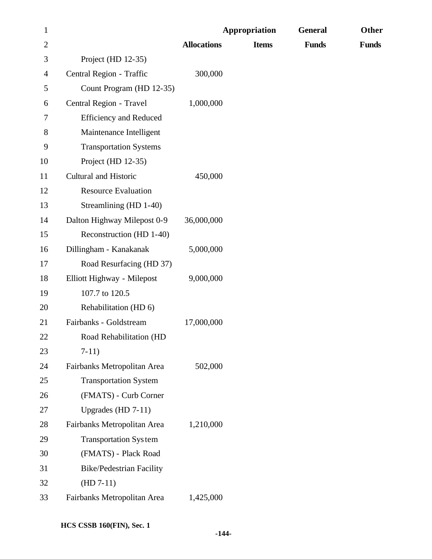| $\mathbf{1}$   |                                 |                    | Appropriation | <b>General</b> | Other        |
|----------------|---------------------------------|--------------------|---------------|----------------|--------------|
| $\overline{2}$ |                                 | <b>Allocations</b> | <b>Items</b>  | <b>Funds</b>   | <b>Funds</b> |
| 3              | Project (HD 12-35)              |                    |               |                |              |
| 4              | Central Region - Traffic        | 300,000            |               |                |              |
| 5              | Count Program (HD 12-35)        |                    |               |                |              |
| 6              | Central Region - Travel         | 1,000,000          |               |                |              |
| 7              | <b>Efficiency and Reduced</b>   |                    |               |                |              |
| 8              | Maintenance Intelligent         |                    |               |                |              |
| 9              | <b>Transportation Systems</b>   |                    |               |                |              |
| 10             | Project (HD 12-35)              |                    |               |                |              |
| 11             | Cultural and Historic           | 450,000            |               |                |              |
| 12             | <b>Resource Evaluation</b>      |                    |               |                |              |
| 13             | Streamlining (HD 1-40)          |                    |               |                |              |
| 14             | Dalton Highway Milepost 0-9     | 36,000,000         |               |                |              |
| 15             | Reconstruction (HD 1-40)        |                    |               |                |              |
| 16             | Dillingham - Kanakanak          | 5,000,000          |               |                |              |
| 17             | Road Resurfacing (HD 37)        |                    |               |                |              |
| 18             | Elliott Highway - Milepost      | 9,000,000          |               |                |              |
| 19             | 107.7 to 120.5                  |                    |               |                |              |
| 20             | Rehabilitation (HD 6)           |                    |               |                |              |
| 21             | Fairbanks - Goldstream          | 17,000,000         |               |                |              |
| 22             | Road Rehabilitation (HD         |                    |               |                |              |
| 23             | $7-11)$                         |                    |               |                |              |
| 24             | Fairbanks Metropolitan Area     | 502,000            |               |                |              |
| 25             | <b>Transportation System</b>    |                    |               |                |              |
| 26             | (FMATS) - Curb Corner           |                    |               |                |              |
| 27             | Upgrades (HD $7-11$ )           |                    |               |                |              |
| 28             | Fairbanks Metropolitan Area     | 1,210,000          |               |                |              |
| 29             | <b>Transportation System</b>    |                    |               |                |              |
| 30             | (FMATS) - Plack Road            |                    |               |                |              |
| 31             | <b>Bike/Pedestrian Facility</b> |                    |               |                |              |
| 32             | $(HD 7-11)$                     |                    |               |                |              |
| 33             | Fairbanks Metropolitan Area     | 1,425,000          |               |                |              |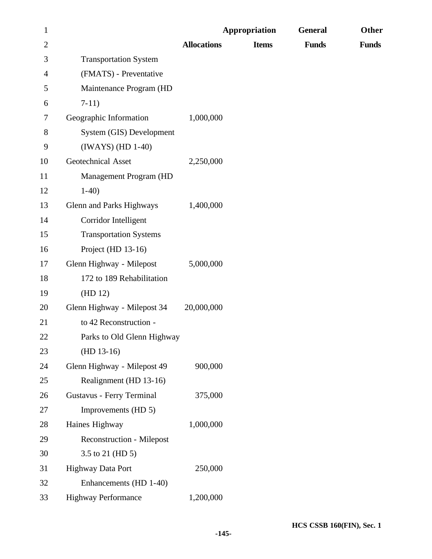| $\mathbf{1}$ |                                  | <b>Appropriation</b> |              | <b>General</b> | Other        |  |
|--------------|----------------------------------|----------------------|--------------|----------------|--------------|--|
| $\mathbf{2}$ |                                  | <b>Allocations</b>   | <b>Items</b> | <b>Funds</b>   | <b>Funds</b> |  |
| 3            | <b>Transportation System</b>     |                      |              |                |              |  |
| 4            | (FMATS) - Preventative           |                      |              |                |              |  |
| 5            | Maintenance Program (HD          |                      |              |                |              |  |
| 6            | $7-11)$                          |                      |              |                |              |  |
| 7            | Geographic Information           | 1,000,000            |              |                |              |  |
| $8\,$        | System (GIS) Development         |                      |              |                |              |  |
| 9            | $(IWAYS)$ $(HD 1-40)$            |                      |              |                |              |  |
| 10           | Geotechnical Asset               | 2,250,000            |              |                |              |  |
| 11           | Management Program (HD           |                      |              |                |              |  |
| 12           | $1-40$                           |                      |              |                |              |  |
| 13           | Glenn and Parks Highways         | 1,400,000            |              |                |              |  |
| 14           | Corridor Intelligent             |                      |              |                |              |  |
| 15           | <b>Transportation Systems</b>    |                      |              |                |              |  |
| 16           | Project (HD 13-16)               |                      |              |                |              |  |
| 17           | Glenn Highway - Milepost         | 5,000,000            |              |                |              |  |
| 18           | 172 to 189 Rehabilitation        |                      |              |                |              |  |
| 19           | (HD 12)                          |                      |              |                |              |  |
| 20           | Glenn Highway - Milepost 34      | 20,000,000           |              |                |              |  |
| 21           | to 42 Reconstruction -           |                      |              |                |              |  |
| 22           | Parks to Old Glenn Highway       |                      |              |                |              |  |
| 23           | $(HD 13-16)$                     |                      |              |                |              |  |
| 24           | Glenn Highway - Milepost 49      | 900,000              |              |                |              |  |
| 25           | Realignment (HD 13-16)           |                      |              |                |              |  |
| 26           | <b>Gustavus - Ferry Terminal</b> | 375,000              |              |                |              |  |
| 27           | Improvements (HD 5)              |                      |              |                |              |  |
| 28           | Haines Highway                   | 1,000,000            |              |                |              |  |
| 29           | <b>Reconstruction - Milepost</b> |                      |              |                |              |  |
| 30           | 3.5 to 21 (HD 5)                 |                      |              |                |              |  |
| 31           | Highway Data Port                | 250,000              |              |                |              |  |
| 32           | Enhancements (HD 1-40)           |                      |              |                |              |  |
| 33           | <b>Highway Performance</b>       | 1,200,000            |              |                |              |  |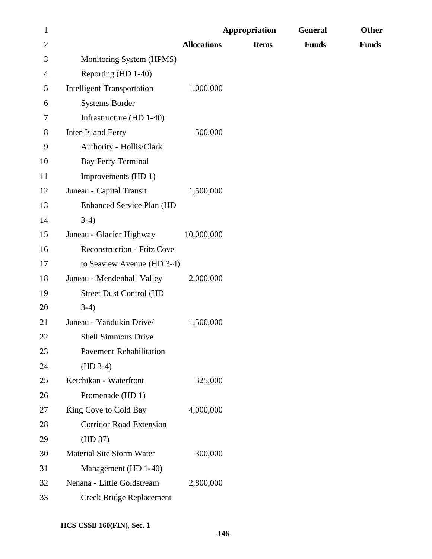| $\mathbf{1}$   |                                    |                    | Appropriation | <b>General</b> | Other        |
|----------------|------------------------------------|--------------------|---------------|----------------|--------------|
| $\overline{c}$ |                                    | <b>Allocations</b> | <b>Items</b>  | <b>Funds</b>   | <b>Funds</b> |
| 3              | Monitoring System (HPMS)           |                    |               |                |              |
| 4              | Reporting (HD 1-40)                |                    |               |                |              |
| 5              | <b>Intelligent Transportation</b>  | 1,000,000          |               |                |              |
| 6              | Systems Border                     |                    |               |                |              |
| 7              | Infrastructure (HD 1-40)           |                    |               |                |              |
| 8              | <b>Inter-Island Ferry</b>          | 500,000            |               |                |              |
| 9              | Authority - Hollis/Clark           |                    |               |                |              |
| 10             | <b>Bay Ferry Terminal</b>          |                    |               |                |              |
| 11             | Improvements (HD 1)                |                    |               |                |              |
| 12             | Juneau - Capital Transit           | 1,500,000          |               |                |              |
| 13             | <b>Enhanced Service Plan (HD</b>   |                    |               |                |              |
| 14             | $3-4)$                             |                    |               |                |              |
| 15             | Juneau - Glacier Highway           | 10,000,000         |               |                |              |
| 16             | <b>Reconstruction - Fritz Cove</b> |                    |               |                |              |
| 17             | to Seaview Avenue (HD 3-4)         |                    |               |                |              |
| 18             | Juneau - Mendenhall Valley         | 2,000,000          |               |                |              |
| 19             | <b>Street Dust Control (HD</b>     |                    |               |                |              |
| 20             | $3-4)$                             |                    |               |                |              |
| 21             | Juneau - Yandukin Drive/           | 1,500,000          |               |                |              |
| 22             | Shell Simmons Drive                |                    |               |                |              |
| 23             | <b>Pavement Rehabilitation</b>     |                    |               |                |              |
| 24             | $(HD 3-4)$                         |                    |               |                |              |
| 25             | Ketchikan - Waterfront             | 325,000            |               |                |              |
| 26             | Promenade (HD 1)                   |                    |               |                |              |
| 27             | King Cove to Cold Bay              | 4,000,000          |               |                |              |
| 28             | <b>Corridor Road Extension</b>     |                    |               |                |              |
| 29             | (HD 37)                            |                    |               |                |              |
| 30             | Material Site Storm Water          | 300,000            |               |                |              |
| 31             | Management (HD 1-40)               |                    |               |                |              |
| 32             | Nenana - Little Goldstream         | 2,800,000          |               |                |              |
| 33             | <b>Creek Bridge Replacement</b>    |                    |               |                |              |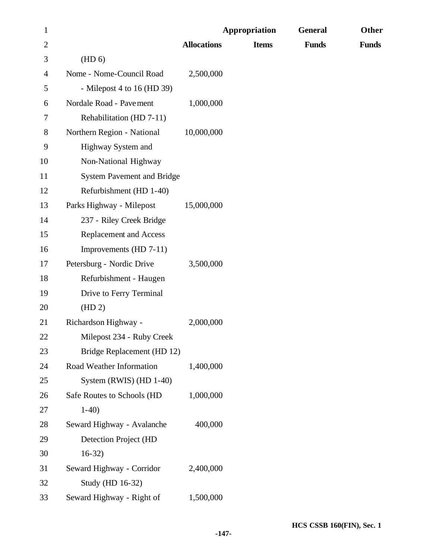| $\mathbf{1}$   |                                   | <b>Appropriation</b> |              | <b>General</b> | Other        |
|----------------|-----------------------------------|----------------------|--------------|----------------|--------------|
| $\overline{c}$ |                                   | <b>Allocations</b>   | <b>Items</b> | <b>Funds</b>   | <b>Funds</b> |
| 3              | (HD <sub>6</sub> )                |                      |              |                |              |
| 4              | Nome - Nome-Council Road          | 2,500,000            |              |                |              |
| 5              | - Milepost 4 to 16 (HD 39)        |                      |              |                |              |
| 6              | Nordale Road - Pavement           | 1,000,000            |              |                |              |
| 7              | Rehabilitation (HD 7-11)          |                      |              |                |              |
| $8\,$          | Northern Region - National        | 10,000,000           |              |                |              |
| 9              | Highway System and                |                      |              |                |              |
| 10             | Non-National Highway              |                      |              |                |              |
| 11             | <b>System Pavement and Bridge</b> |                      |              |                |              |
| 12             | Refurbishment (HD 1-40)           |                      |              |                |              |
| 13             | Parks Highway - Milepost          | 15,000,000           |              |                |              |
| 14             | 237 - Riley Creek Bridge          |                      |              |                |              |
| 15             | <b>Replacement and Access</b>     |                      |              |                |              |
| 16             | Improvements (HD 7-11)            |                      |              |                |              |
| 17             | Petersburg - Nordic Drive         | 3,500,000            |              |                |              |
| 18             | Refurbishment - Haugen            |                      |              |                |              |
| 19             | Drive to Ferry Terminal           |                      |              |                |              |
| 20             | (HD 2)                            |                      |              |                |              |
| 21             | Richardson Highway -              | 2,000,000            |              |                |              |
| 22             | Milepost 234 - Ruby Creek         |                      |              |                |              |
| 23             | Bridge Replacement (HD 12)        |                      |              |                |              |
| 24             | Road Weather Information          | 1,400,000            |              |                |              |
| 25             | System (RWIS) (HD 1-40)           |                      |              |                |              |
| 26             | Safe Routes to Schools (HD        | 1,000,000            |              |                |              |
| 27             | $1-40$                            |                      |              |                |              |
| 28             | Seward Highway - Avalanche        | 400,000              |              |                |              |
| 29             | Detection Project (HD             |                      |              |                |              |
| 30             | $16-32)$                          |                      |              |                |              |
| 31             | Seward Highway - Corridor         | 2,400,000            |              |                |              |
| 32             | Study (HD 16-32)                  |                      |              |                |              |
| 33             | Seward Highway - Right of         | 1,500,000            |              |                |              |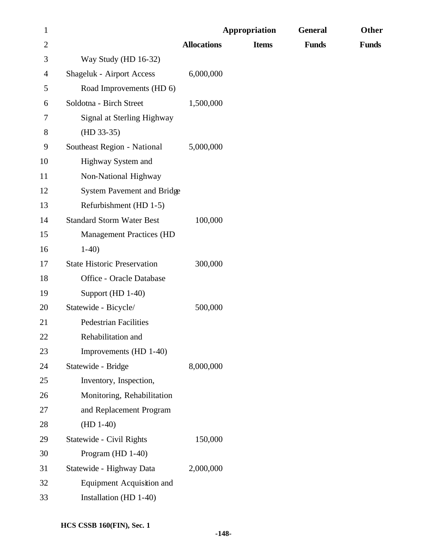| $\mathbf{1}$   |                                    | Appropriation      |              | <b>General</b> | Other        |
|----------------|------------------------------------|--------------------|--------------|----------------|--------------|
| $\overline{c}$ |                                    | <b>Allocations</b> | <b>Items</b> | <b>Funds</b>   | <b>Funds</b> |
| 3              | Way Study (HD 16-32)               |                    |              |                |              |
| 4              | <b>Shageluk - Airport Access</b>   | 6,000,000          |              |                |              |
| 5              | Road Improvements (HD 6)           |                    |              |                |              |
| 6              | Soldotna - Birch Street            | 1,500,000          |              |                |              |
| 7              | Signal at Sterling Highway         |                    |              |                |              |
| 8              | $(HD 33-35)$                       |                    |              |                |              |
| 9              | Southeast Region - National        | 5,000,000          |              |                |              |
| 10             | Highway System and                 |                    |              |                |              |
| 11             | Non-National Highway               |                    |              |                |              |
| 12             | <b>System Pavement and Bridge</b>  |                    |              |                |              |
| 13             | Refurbishment (HD 1-5)             |                    |              |                |              |
| 14             | <b>Standard Storm Water Best</b>   | 100,000            |              |                |              |
| 15             | <b>Management Practices (HD</b>    |                    |              |                |              |
| 16             | $1-40$                             |                    |              |                |              |
| 17             | <b>State Historic Preservation</b> | 300,000            |              |                |              |
| 18             | Office - Oracle Database           |                    |              |                |              |
| 19             | Support (HD 1-40)                  |                    |              |                |              |
| 20             | Statewide - Bicycle/               | 500,000            |              |                |              |
| 21             | <b>Pedestrian Facilities</b>       |                    |              |                |              |
| 22             | Rehabilitation and                 |                    |              |                |              |
| 23             | Improvements (HD 1-40)             |                    |              |                |              |
| 24             | Statewide - Bridge                 | 8,000,000          |              |                |              |
| 25             | Inventory, Inspection,             |                    |              |                |              |
| 26             | Monitoring, Rehabilitation         |                    |              |                |              |
| 27             | and Replacement Program            |                    |              |                |              |
| 28             | $(HD 1-40)$                        |                    |              |                |              |
| 29             | Statewide - Civil Rights           | 150,000            |              |                |              |
| 30             | Program (HD 1-40)                  |                    |              |                |              |
| 31             | Statewide - Highway Data           | 2,000,000          |              |                |              |
| 32             | Equipment Acquisition and          |                    |              |                |              |
| 33             | Installation (HD 1-40)             |                    |              |                |              |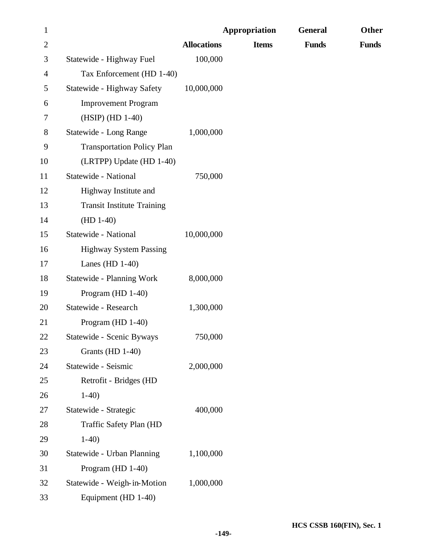| $\mathbf{1}$   |                                   | Appropriation      |              | <b>General</b> | <b>Other</b> |
|----------------|-----------------------------------|--------------------|--------------|----------------|--------------|
| $\overline{2}$ |                                   | <b>Allocations</b> | <b>Items</b> | <b>Funds</b>   | <b>Funds</b> |
| 3              | Statewide - Highway Fuel          | 100,000            |              |                |              |
| 4              | Tax Enforcement (HD 1-40)         |                    |              |                |              |
| 5              | Statewide - Highway Safety        | 10,000,000         |              |                |              |
| 6              | <b>Improvement Program</b>        |                    |              |                |              |
| 7              | (HSIP) (HD 1-40)                  |                    |              |                |              |
| $8\,$          | Statewide - Long Range            | 1,000,000          |              |                |              |
| 9              | <b>Transportation Policy Plan</b> |                    |              |                |              |
| 10             | (LRTPP) Update (HD 1-40)          |                    |              |                |              |
| 11             | Statewide - National              | 750,000            |              |                |              |
| 12             | Highway Institute and             |                    |              |                |              |
| 13             | <b>Transit Institute Training</b> |                    |              |                |              |
| 14             | $(HD 1-40)$                       |                    |              |                |              |
| 15             | Statewide - National              | 10,000,000         |              |                |              |
| 16             | <b>Highway System Passing</b>     |                    |              |                |              |
| 17             | Lanes (HD $1-40$ )                |                    |              |                |              |
| 18             | Statewide - Planning Work         | 8,000,000          |              |                |              |
| 19             | Program (HD 1-40)                 |                    |              |                |              |
| 20             | Statewide - Research              | 1,300,000          |              |                |              |
| 21             | Program (HD 1-40)                 |                    |              |                |              |
| 22             | Statewide - Scenic Byways         | 750,000            |              |                |              |
| 23             | Grants (HD 1-40)                  |                    |              |                |              |
| 24             | Statewide - Seismic               | 2,000,000          |              |                |              |
| 25             | Retrofit - Bridges (HD            |                    |              |                |              |
| 26             | $1-40$                            |                    |              |                |              |
| 27             | Statewide - Strategic             | 400,000            |              |                |              |
| 28             | Traffic Safety Plan (HD           |                    |              |                |              |
| 29             | $1-40$                            |                    |              |                |              |
| 30             | Statewide - Urban Planning        | 1,100,000          |              |                |              |
| 31             | Program (HD 1-40)                 |                    |              |                |              |
| 32             | Statewide - Weigh-in-Motion       | 1,000,000          |              |                |              |
| 33             | Equipment (HD 1-40)               |                    |              |                |              |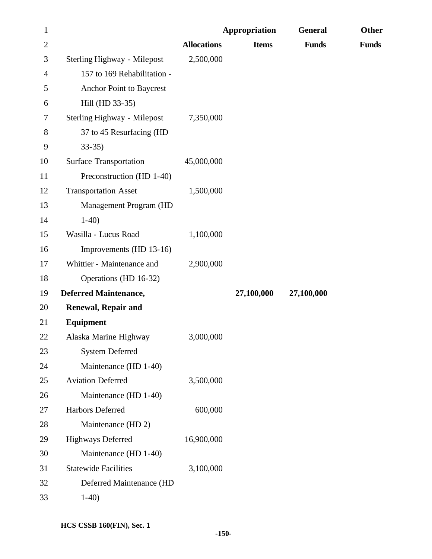| $\mathbf{1}$   |                               |                    | Appropriation | <b>General</b> | Other        |
|----------------|-------------------------------|--------------------|---------------|----------------|--------------|
| $\overline{2}$ |                               | <b>Allocations</b> | <b>Items</b>  | <b>Funds</b>   | <b>Funds</b> |
| 3              | Sterling Highway - Milepost   | 2,500,000          |               |                |              |
| 4              | 157 to 169 Rehabilitation -   |                    |               |                |              |
| 5              | Anchor Point to Baycrest      |                    |               |                |              |
| 6              | Hill (HD 33-35)               |                    |               |                |              |
| 7              | Sterling Highway - Milepost   | 7,350,000          |               |                |              |
| $8\,$          | 37 to 45 Resurfacing (HD      |                    |               |                |              |
| 9              | $33 - 35$                     |                    |               |                |              |
| 10             | <b>Surface Transportation</b> | 45,000,000         |               |                |              |
| 11             | Preconstruction (HD 1-40)     |                    |               |                |              |
| 12             | <b>Transportation Asset</b>   | 1,500,000          |               |                |              |
| 13             | Management Program (HD        |                    |               |                |              |
| 14             | $1-40$                        |                    |               |                |              |
| 15             | Wasilla - Lucus Road          | 1,100,000          |               |                |              |
| 16             | Improvements (HD 13-16)       |                    |               |                |              |
| 17             | Whittier - Maintenance and    | 2,900,000          |               |                |              |
| 18             | Operations (HD 16-32)         |                    |               |                |              |
| 19             | <b>Deferred Maintenance,</b>  |                    | 27,100,000    | 27,100,000     |              |
| 20             | <b>Renewal, Repair and</b>    |                    |               |                |              |
| 21             | Equipment                     |                    |               |                |              |
| 22             | Alaska Marine Highway         | 3,000,000          |               |                |              |
| 23             | <b>System Deferred</b>        |                    |               |                |              |
| 24             | Maintenance (HD 1-40)         |                    |               |                |              |
| 25             | <b>Aviation Deferred</b>      | 3,500,000          |               |                |              |
| 26             | Maintenance (HD 1-40)         |                    |               |                |              |
| 27             | Harbors Deferred              | 600,000            |               |                |              |
| 28             | Maintenance (HD 2)            |                    |               |                |              |
| 29             | <b>Highways Deferred</b>      | 16,900,000         |               |                |              |
| 30             | Maintenance (HD 1-40)         |                    |               |                |              |
| 31             | <b>Statewide Facilities</b>   | 3,100,000          |               |                |              |
| 32             | Deferred Maintenance (HD      |                    |               |                |              |
| 33             | $1-40$                        |                    |               |                |              |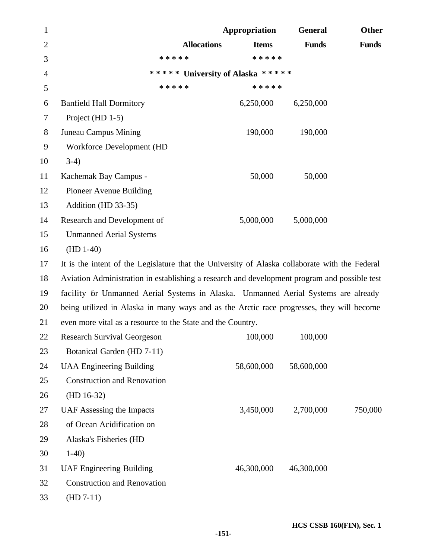| $\mathbf{1}$   |                                                                                                | Appropriation | <b>General</b> | Other        |  |
|----------------|------------------------------------------------------------------------------------------------|---------------|----------------|--------------|--|
| $\overline{2}$ | <b>Allocations</b>                                                                             | <b>Items</b>  | <b>Funds</b>   | <b>Funds</b> |  |
| 3              | * * * * *                                                                                      | * * * * *     |                |              |  |
| $\overline{4}$ | ***** University of Alaska *****                                                               |               |                |              |  |
| 5              | * * * * *                                                                                      | * * * * *     |                |              |  |
| 6              | <b>Banfield Hall Dormitory</b>                                                                 | 6,250,000     | 6,250,000      |              |  |
| 7              | Project (HD 1-5)                                                                               |               |                |              |  |
| 8              | Juneau Campus Mining                                                                           | 190,000       | 190,000        |              |  |
| 9              | Workforce Development (HD                                                                      |               |                |              |  |
| 10             | $3-4)$                                                                                         |               |                |              |  |
| 11             | Kachemak Bay Campus -                                                                          | 50,000        | 50,000         |              |  |
| 12             | Pioneer Avenue Building                                                                        |               |                |              |  |
| 13             | Addition (HD 33-35)                                                                            |               |                |              |  |
| 14             | Research and Development of                                                                    | 5,000,000     | 5,000,000      |              |  |
| 15             | <b>Unmanned Aerial Systems</b>                                                                 |               |                |              |  |
| 16             | $(HD 1-40)$                                                                                    |               |                |              |  |
| 17             | It is the intent of the Legislature that the University of Alaska collaborate with the Federal |               |                |              |  |
| 18             | Aviation Administration in establishing a research and development program and possible test   |               |                |              |  |
| 19             | facility for Unmanned Aerial Systems in Alaska. Unmanned Aerial Systems are already            |               |                |              |  |
| 20             | being utilized in Alaska in many ways and as the Arctic race progresses, they will become      |               |                |              |  |
| 21             | even more vital as a resource to the State and the Country.                                    |               |                |              |  |
| 22             | <b>Research Survival Georgeson</b>                                                             | 100,000       | 100,000        |              |  |
| 23             | Botanical Garden (HD 7-11)                                                                     |               |                |              |  |
| 24             | <b>UAA Engineering Building</b>                                                                | 58,600,000    | 58,600,000     |              |  |
| 25             | <b>Construction and Renovation</b>                                                             |               |                |              |  |
| 26             | $(HD 16-32)$                                                                                   |               |                |              |  |
| 27             | UAF Assessing the Impacts                                                                      | 3,450,000     | 2,700,000      | 750,000      |  |
| 28             | of Ocean Acidification on                                                                      |               |                |              |  |
| 29             | Alaska's Fisheries (HD                                                                         |               |                |              |  |
| 30             | $1-40$                                                                                         |               |                |              |  |
| 31             | <b>UAF Engineering Building</b>                                                                | 46,300,000    | 46,300,000     |              |  |
| 32             | <b>Construction and Renovation</b>                                                             |               |                |              |  |
| 33             | $(HD 7-11)$                                                                                    |               |                |              |  |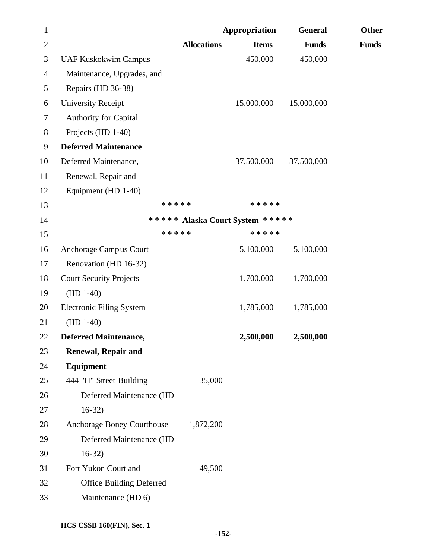| $\mathbf{1}$   |                                 |                    | Appropriation                   | <b>General</b> | Other        |
|----------------|---------------------------------|--------------------|---------------------------------|----------------|--------------|
| $\mathbf{2}$   |                                 | <b>Allocations</b> | <b>Items</b>                    | <b>Funds</b>   | <b>Funds</b> |
| 3              | <b>UAF Kuskokwim Campus</b>     |                    | 450,000                         | 450,000        |              |
| $\overline{4}$ | Maintenance, Upgrades, and      |                    |                                 |                |              |
| 5              | Repairs (HD 36-38)              |                    |                                 |                |              |
| 6              | <b>University Receipt</b>       |                    | 15,000,000                      | 15,000,000     |              |
| 7              | <b>Authority for Capital</b>    |                    |                                 |                |              |
| 8              | Projects (HD 1-40)              |                    |                                 |                |              |
| 9              | <b>Deferred Maintenance</b>     |                    |                                 |                |              |
| 10             | Deferred Maintenance,           |                    | 37,500,000                      | 37,500,000     |              |
| 11             | Renewal, Repair and             |                    |                                 |                |              |
| 12             | Equipment (HD 1-40)             |                    |                                 |                |              |
| 13             | * * * * *                       |                    | * * * * *                       |                |              |
| 14             |                                 |                    | ***** Alaska Court System ***** |                |              |
| 15             | * * * * *                       |                    | * * * * *                       |                |              |
| 16             | Anchorage Campus Court          |                    | 5,100,000                       | 5,100,000      |              |
| 17             | Renovation (HD 16-32)           |                    |                                 |                |              |
| 18             | <b>Court Security Projects</b>  |                    | 1,700,000                       | 1,700,000      |              |
| 19             | $(HD 1-40)$                     |                    |                                 |                |              |
| 20             | <b>Electronic Filing System</b> |                    | 1,785,000                       | 1,785,000      |              |
| 21             | $(HD 1-40)$                     |                    |                                 |                |              |
| 22             | <b>Deferred Maintenance,</b>    |                    | 2,500,000                       | 2,500,000      |              |
| 23             | <b>Renewal, Repair and</b>      |                    |                                 |                |              |
| 24             | Equipment                       |                    |                                 |                |              |
| 25             | 444 "H" Street Building         | 35,000             |                                 |                |              |
| 26             | Deferred Maintenance (HD        |                    |                                 |                |              |
| 27             | $16-32$                         |                    |                                 |                |              |
| 28             | Anchorage Boney Courthouse      | 1,872,200          |                                 |                |              |
| 29             | Deferred Maintenance (HD        |                    |                                 |                |              |
| 30             | $16-32)$                        |                    |                                 |                |              |
| 31             | Fort Yukon Court and            | 49,500             |                                 |                |              |
| 32             | <b>Office Building Deferred</b> |                    |                                 |                |              |
| 33             | Maintenance (HD 6)              |                    |                                 |                |              |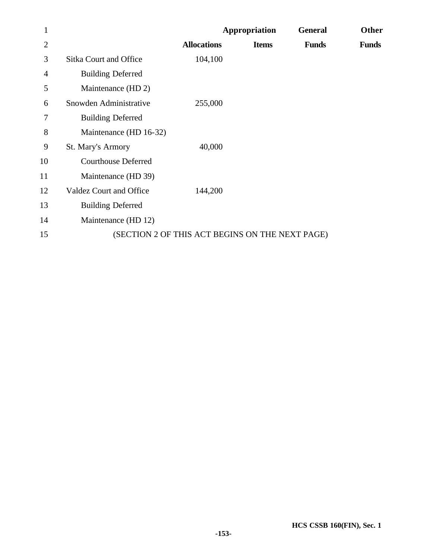| 1              |                               | Appropriation                                   |              | <b>General</b> | Other        |  |
|----------------|-------------------------------|-------------------------------------------------|--------------|----------------|--------------|--|
| 2              |                               | <b>Allocations</b>                              | <b>Items</b> | <b>Funds</b>   | <b>Funds</b> |  |
| 3              | <b>Sitka Court and Office</b> | 104,100                                         |              |                |              |  |
| $\overline{4}$ | <b>Building Deferred</b>      |                                                 |              |                |              |  |
| 5              | Maintenance (HD 2)            |                                                 |              |                |              |  |
| 6              | Snowden Administrative        | 255,000                                         |              |                |              |  |
| 7              | <b>Building Deferred</b>      |                                                 |              |                |              |  |
| 8              | Maintenance (HD 16-32)        |                                                 |              |                |              |  |
| 9              | St. Mary's Armory             | 40,000                                          |              |                |              |  |
| 10             | <b>Courthouse Deferred</b>    |                                                 |              |                |              |  |
| 11             | Maintenance (HD 39)           |                                                 |              |                |              |  |
| 12             | Valdez Court and Office       | 144,200                                         |              |                |              |  |
| 13             | <b>Building Deferred</b>      |                                                 |              |                |              |  |
| 14             | Maintenance (HD 12)           |                                                 |              |                |              |  |
| 15             |                               | (SECTION 2 OF THIS ACT BEGINS ON THE NEXT PAGE) |              |                |              |  |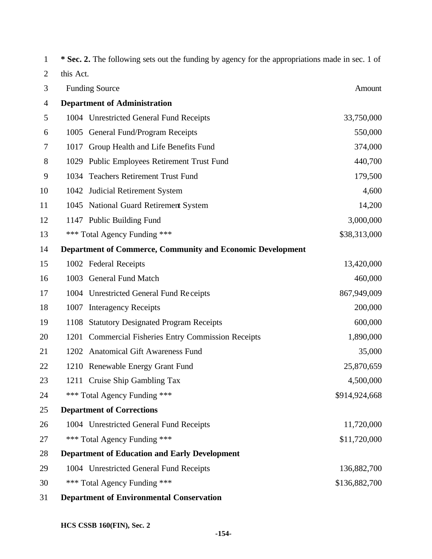| 1              |           | * Sec. 2. The following sets out the funding by agency for the appropriations made in sec. 1 of |               |
|----------------|-----------|-------------------------------------------------------------------------------------------------|---------------|
| $\overline{2}$ | this Act. |                                                                                                 |               |
| 3              |           | <b>Funding Source</b>                                                                           | Amount        |
| $\overline{4}$ |           | <b>Department of Administration</b>                                                             |               |
| 5              |           | 1004 Unrestricted General Fund Receipts                                                         | 33,750,000    |
| 6              |           | 1005 General Fund/Program Receipts                                                              | 550,000       |
| 7              | 1017      | Group Health and Life Benefits Fund                                                             | 374,000       |
| 8              |           | 1029 Public Employees Retirement Trust Fund                                                     | 440,700       |
| 9              |           | 1034 Teachers Retirement Trust Fund                                                             | 179,500       |
| 10             |           | 1042 Judicial Retirement System                                                                 | 4,600         |
| 11             |           | 1045 National Guard Retirement System                                                           | 14,200        |
| 12             |           | 1147 Public Building Fund                                                                       | 3,000,000     |
| 13             |           | *** Total Agency Funding ***                                                                    | \$38,313,000  |
| 14             |           | <b>Department of Commerce, Community and Economic Development</b>                               |               |
| 15             |           | 1002 Federal Receipts                                                                           | 13,420,000    |
| 16             |           | 1003 General Fund Match                                                                         | 460,000       |
| 17             |           | 1004 Unrestricted General Fund Receipts                                                         | 867,949,009   |
| 18             | 1007      | <b>Interagency Receipts</b>                                                                     | 200,000       |
| 19             | 1108      | <b>Statutory Designated Program Receipts</b>                                                    | 600,000       |
| 20             | 1201      | <b>Commercial Fisheries Entry Commission Receipts</b>                                           | 1,890,000     |
| 21             |           | 1202 Anatomical Gift Awareness Fund                                                             | 35,000        |
| 22             |           | 1210 Renewable Energy Grant Fund                                                                | 25,870,659    |
| 23             |           | 1211 Cruise Ship Gambling Tax                                                                   | 4,500,000     |
| 24             |           | *** Total Agency Funding ***                                                                    | \$914,924,668 |
| 25             |           | <b>Department of Corrections</b>                                                                |               |
| 26             |           | 1004 Unrestricted General Fund Receipts                                                         | 11,720,000    |
| 27             |           | *** Total Agency Funding ***                                                                    | \$11,720,000  |
| 28             |           | <b>Department of Education and Early Development</b>                                            |               |
| 29             |           | 1004 Unrestricted General Fund Receipts                                                         | 136,882,700   |
| 30             |           | *** Total Agency Funding ***                                                                    | \$136,882,700 |
| 31             |           | <b>Department of Environmental Conservation</b>                                                 |               |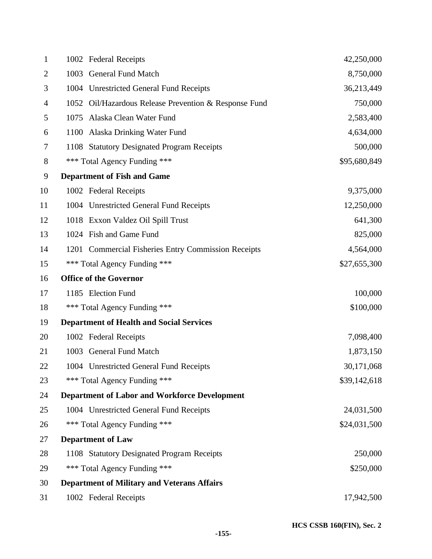| $\mathbf{1}$ | 1002 Federal Receipts                                 | 42,250,000   |
|--------------|-------------------------------------------------------|--------------|
| 2            | 1003 General Fund Match                               | 8,750,000    |
| 3            | 1004 Unrestricted General Fund Receipts               | 36,213,449   |
| 4            | 1052 Oil/Hazardous Release Prevention & Response Fund | 750,000      |
| 5            | Alaska Clean Water Fund<br>1075                       | 2,583,400    |
| 6            | 1100 Alaska Drinking Water Fund                       | 4,634,000    |
| 7            | 1108 Statutory Designated Program Receipts            | 500,000      |
| 8            | *** Total Agency Funding ***                          | \$95,680,849 |
| 9            | <b>Department of Fish and Game</b>                    |              |
| 10           | 1002 Federal Receipts                                 | 9,375,000    |
| 11           | 1004 Unrestricted General Fund Receipts               | 12,250,000   |
| 12           | 1018 Exxon Valdez Oil Spill Trust                     | 641,300      |
| 13           | 1024 Fish and Game Fund                               | 825,000      |
| 14           | 1201 Commercial Fisheries Entry Commission Receipts   | 4,564,000    |
| 15           | *** Total Agency Funding ***                          | \$27,655,300 |
| 16           | <b>Office of the Governor</b>                         |              |
| 17           | 1185 Election Fund                                    | 100,000      |
| 18           | *** Total Agency Funding ***                          | \$100,000    |
| 19           | <b>Department of Health and Social Services</b>       |              |
| 20           | 1002 Federal Receipts                                 | 7,098,400    |
| 21           | 1003 General Fund Match                               | 1,873,150    |
| 22           | 1004 Unrestricted General Fund Receipts               | 30,171,068   |
| 23           | *** Total Agency Funding ***                          | \$39,142,618 |
| 24           | <b>Department of Labor and Workforce Development</b>  |              |
| 25           | 1004 Unrestricted General Fund Receipts               | 24,031,500   |
| 26           | *** Total Agency Funding ***                          | \$24,031,500 |
| 27           | <b>Department of Law</b>                              |              |
| 28           | 1108 Statutory Designated Program Receipts            | 250,000      |
| 29           | *** Total Agency Funding ***                          | \$250,000    |
| 30           | <b>Department of Military and Veterans Affairs</b>    |              |
| 31           | 1002 Federal Receipts                                 | 17,942,500   |
|              |                                                       |              |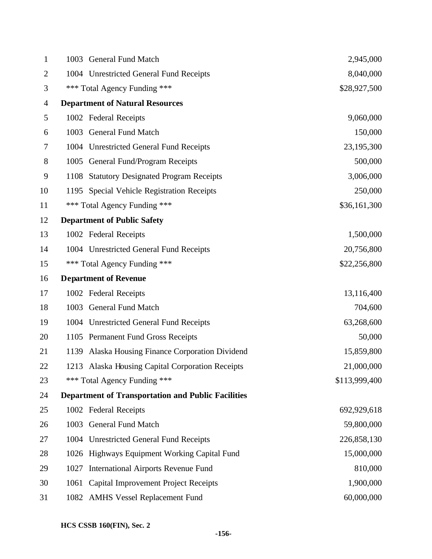| $\mathbf{1}$   |      | 1003 General Fund Match                                   | 2,945,000     |
|----------------|------|-----------------------------------------------------------|---------------|
| $\overline{2}$ |      | 1004 Unrestricted General Fund Receipts                   | 8,040,000     |
| 3              |      | *** Total Agency Funding ***                              | \$28,927,500  |
| 4              |      | <b>Department of Natural Resources</b>                    |               |
| 5              |      | 1002 Federal Receipts                                     | 9,060,000     |
| 6              |      | 1003 General Fund Match                                   | 150,000       |
| 7              |      | 1004 Unrestricted General Fund Receipts                   | 23,195,300    |
| 8              |      | 1005 General Fund/Program Receipts                        | 500,000       |
| 9              |      | 1108 Statutory Designated Program Receipts                | 3,006,000     |
| 10             |      | 1195 Special Vehicle Registration Receipts                | 250,000       |
| 11             |      | *** Total Agency Funding ***                              | \$36,161,300  |
| 12             |      | <b>Department of Public Safety</b>                        |               |
| 13             |      | 1002 Federal Receipts                                     | 1,500,000     |
| 14             |      | 1004 Unrestricted General Fund Receipts                   | 20,756,800    |
| 15             |      | *** Total Agency Funding ***                              | \$22,256,800  |
| 16             |      | <b>Department of Revenue</b>                              |               |
| 17             |      | 1002 Federal Receipts                                     | 13,116,400    |
| 18             |      | 1003 General Fund Match                                   | 704,600       |
| 19             |      | 1004 Unrestricted General Fund Receipts                   | 63,268,600    |
| 20             |      | 1105 Permanent Fund Gross Receipts                        | 50,000        |
| 21             | 1139 | Alaska Housing Finance Corporation Dividend               | 15,859,800    |
| 22             |      | 1213 Alaska Housing Capital Corporation Receipts          | 21,000,000    |
| 23             |      | *** Total Agency Funding ***                              | \$113,999,400 |
| 24             |      | <b>Department of Transportation and Public Facilities</b> |               |
| 25             |      | 1002 Federal Receipts                                     | 692,929,618   |
| 26             |      | 1003 General Fund Match                                   | 59,800,000    |
| 27             |      | 1004 Unrestricted General Fund Receipts                   | 226,858,130   |
| 28             |      | 1026 Highways Equipment Working Capital Fund              | 15,000,000    |
| 29             | 1027 | <b>International Airports Revenue Fund</b>                | 810,000       |
| 30             | 1061 | <b>Capital Improvement Project Receipts</b>               | 1,900,000     |
| 31             |      | 1082 AMHS Vessel Replacement Fund                         | 60,000,000    |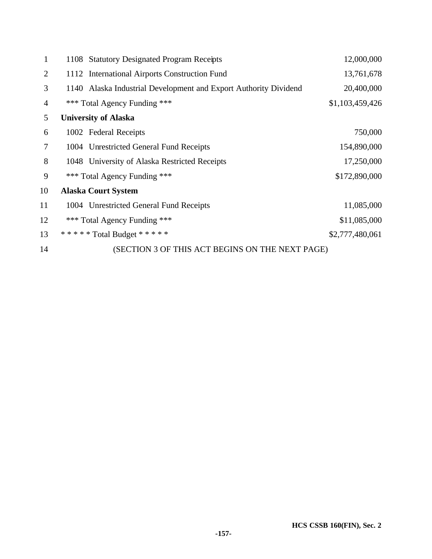| 1              | 1108 Statutory Designated Program Receipts                       | 12,000,000      |
|----------------|------------------------------------------------------------------|-----------------|
| $\overline{2}$ | 1112 International Airports Construction Fund                    | 13,761,678      |
| 3              | 1140 Alaska Industrial Development and Export Authority Dividend | 20,400,000      |
| 4              | *** Total Agency Funding ***                                     | \$1,103,459,426 |
| 5              | <b>University of Alaska</b>                                      |                 |
| 6              | 1002 Federal Receipts                                            | 750,000         |
| 7              | 1004 Unrestricted General Fund Receipts                          | 154,890,000     |
| 8              | 1048 University of Alaska Restricted Receipts                    | 17,250,000      |
| 9              | *** Total Agency Funding ***                                     | \$172,890,000   |
| 10             | <b>Alaska Court System</b>                                       |                 |
| 11             | 1004 Unrestricted General Fund Receipts                          | 11,085,000      |
| 12             | *** Total Agency Funding ***                                     | \$11,085,000    |
| 13             | ***** Total Budget *****                                         | \$2,777,480,061 |
| 14             | (SECTION 3 OF THIS ACT BEGINS ON THE NEXT PAGE)                  |                 |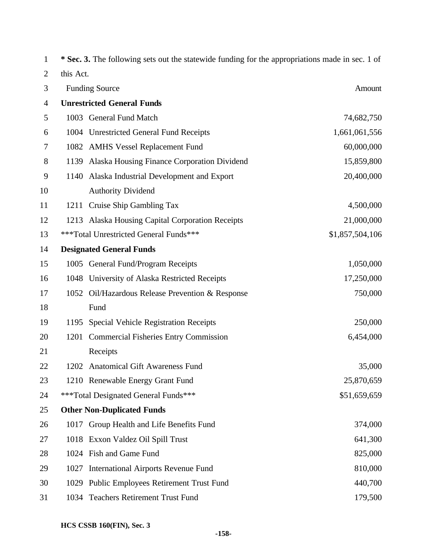| $\mathbf 1$    |           | * Sec. 3. The following sets out the statewide funding for the appropriations made in sec. 1 of |                 |
|----------------|-----------|-------------------------------------------------------------------------------------------------|-----------------|
| $\overline{2}$ | this Act. |                                                                                                 |                 |
| 3              |           | <b>Funding Source</b>                                                                           | Amount          |
| $\overline{4}$ |           | <b>Unrestricted General Funds</b>                                                               |                 |
| 5              |           | 1003 General Fund Match                                                                         | 74,682,750      |
| 6              |           | 1004 Unrestricted General Fund Receipts                                                         | 1,661,061,556   |
| 7              |           | 1082 AMHS Vessel Replacement Fund                                                               | 60,000,000      |
| 8              |           | 1139 Alaska Housing Finance Corporation Dividend                                                | 15,859,800      |
| 9              | 1140      | Alaska Industrial Development and Export                                                        | 20,400,000      |
| 10             |           | <b>Authority Dividend</b>                                                                       |                 |
| 11             |           | 1211 Cruise Ship Gambling Tax                                                                   | 4,500,000       |
| 12             |           | 1213 Alaska Housing Capital Corporation Receipts                                                | 21,000,000      |
| 13             |           | ***Total Unrestricted General Funds***                                                          | \$1,857,504,106 |
| 14             |           | <b>Designated General Funds</b>                                                                 |                 |
| 15             |           | 1005 General Fund/Program Receipts                                                              | 1,050,000       |
| 16             |           | 1048 University of Alaska Restricted Receipts                                                   | 17,250,000      |
| 17             | 1052      | Oil/Hazardous Release Prevention & Response                                                     | 750,000         |
| 18             |           | Fund                                                                                            |                 |
| 19             | 1195      | Special Vehicle Registration Receipts                                                           | 250,000         |
| 20             | 1201      | <b>Commercial Fisheries Entry Commission</b>                                                    | 6,454,000       |
| 21             |           | Receipts                                                                                        |                 |
| 22             |           | 1202 Anatomical Gift Awareness Fund                                                             | 35,000          |
| 23             |           | 1210 Renewable Energy Grant Fund                                                                | 25,870,659      |
| 24             |           | ***Total Designated General Funds***                                                            | \$51,659,659    |
| 25             |           | <b>Other Non-Duplicated Funds</b>                                                               |                 |
| 26             |           | 1017 Group Health and Life Benefits Fund                                                        | 374,000         |
| 27             |           | 1018 Exxon Valdez Oil Spill Trust                                                               | 641,300         |
| 28             |           | 1024 Fish and Game Fund                                                                         | 825,000         |
| 29             | 1027      | <b>International Airports Revenue Fund</b>                                                      | 810,000         |
| 30             |           | 1029 Public Employees Retirement Trust Fund                                                     | 440,700         |
| 31             |           | 1034 Teachers Retirement Trust Fund                                                             | 179,500         |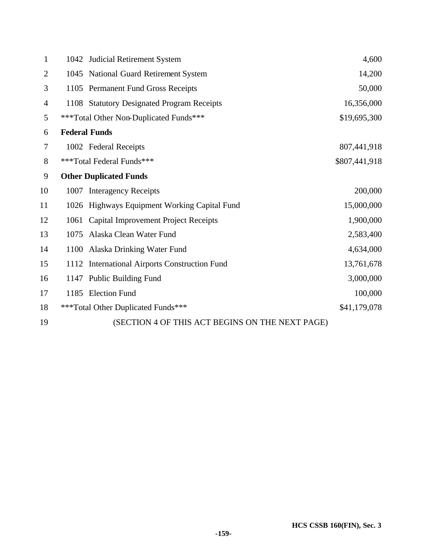| $\mathbf{1}$   |      | 1042 Judicial Retirement System                 | 4,600         |
|----------------|------|-------------------------------------------------|---------------|
| $\overline{2}$ |      | 1045 National Guard Retirement System           | 14,200        |
| 3              |      | 1105 Permanent Fund Gross Receipts              | 50,000        |
| $\overline{4}$ |      | 1108 Statutory Designated Program Receipts      | 16,356,000    |
| 5              |      | ***Total Other Non-Duplicated Funds***          | \$19,695,300  |
| 6              |      | <b>Federal Funds</b>                            |               |
| 7              |      | 1002 Federal Receipts                           | 807,441,918   |
| 8              |      | ***Total Federal Funds***                       | \$807,441,918 |
| 9              |      | <b>Other Duplicated Funds</b>                   |               |
| 10             |      | 1007 Interagency Receipts                       | 200,000       |
| 11             |      | 1026 Highways Equipment Working Capital Fund    | 15,000,000    |
| 12             | 1061 | <b>Capital Improvement Project Receipts</b>     | 1,900,000     |
| 13             | 1075 | Alaska Clean Water Fund                         | 2,583,400     |
| 14             |      | 1100 Alaska Drinking Water Fund                 | 4,634,000     |
| 15             |      | 1112 International Airports Construction Fund   | 13,761,678    |
| 16             |      | 1147 Public Building Fund                       | 3,000,000     |
| 17             |      | 1185 Election Fund                              | 100,000       |
| 18             |      | ***Total Other Duplicated Funds***              | \$41,179,078  |
| 19             |      | (SECTION 4 OF THIS ACT BEGINS ON THE NEXT PAGE) |               |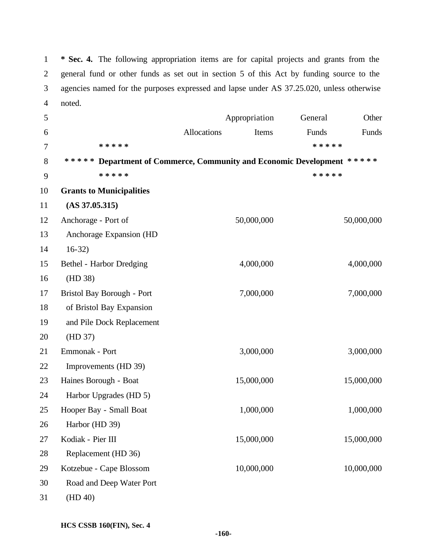**\* Sec. 4.** The following appropriation items are for capital projects and grants from the general fund or other funds as set out in section 5 of this Act by funding source to the agencies named for the purposes expressed and lapse under AS 37.25.020, unless otherwise noted.

| 5  |                                                                        |             | Appropriation | General   | Other      |
|----|------------------------------------------------------------------------|-------------|---------------|-----------|------------|
| 6  |                                                                        | Allocations | Items         | Funds     | Funds      |
| 7  | * * * * *                                                              |             |               | * * * * * |            |
| 8  | ***** Department of Commerce, Community and Economic Development ***** |             |               |           |            |
| 9  | * * * * *                                                              |             |               | * * * * * |            |
| 10 | <b>Grants to Municipalities</b>                                        |             |               |           |            |
| 11 | $(AS\,37.05.315)$                                                      |             |               |           |            |
| 12 | Anchorage - Port of                                                    |             | 50,000,000    |           | 50,000,000 |
| 13 | Anchorage Expansion (HD                                                |             |               |           |            |
| 14 | $16-32)$                                                               |             |               |           |            |
| 15 | Bethel - Harbor Dredging                                               |             | 4,000,000     |           | 4,000,000  |
| 16 | (HD 38)                                                                |             |               |           |            |
| 17 | Bristol Bay Borough - Port                                             |             | 7,000,000     |           | 7,000,000  |
| 18 | of Bristol Bay Expansion                                               |             |               |           |            |
| 19 | and Pile Dock Replacement                                              |             |               |           |            |
| 20 | (HD 37)                                                                |             |               |           |            |
| 21 | Emmonak - Port                                                         |             | 3,000,000     |           | 3,000,000  |
| 22 | Improvements (HD 39)                                                   |             |               |           |            |
| 23 | Haines Borough - Boat                                                  |             | 15,000,000    |           | 15,000,000 |
| 24 | Harbor Upgrades (HD 5)                                                 |             |               |           |            |
| 25 | Hooper Bay - Small Boat                                                |             | 1,000,000     |           | 1,000,000  |
| 26 | Harbor (HD 39)                                                         |             |               |           |            |
| 27 | Kodiak - Pier III                                                      |             | 15,000,000    |           | 15,000,000 |
| 28 | Replacement (HD 36)                                                    |             |               |           |            |
| 29 | Kotzebue - Cape Blossom                                                |             | 10,000,000    |           | 10,000,000 |
| 30 | Road and Deep Water Port                                               |             |               |           |            |
| 31 | (HD 40)                                                                |             |               |           |            |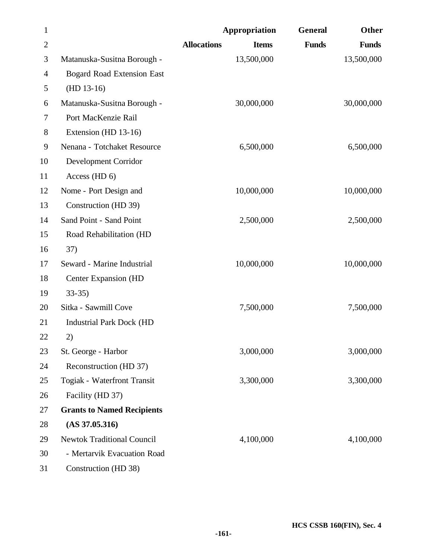| $\mathbf{1}$   |                                   |                    | Appropriation | General      | <b>Other</b> |
|----------------|-----------------------------------|--------------------|---------------|--------------|--------------|
| $\overline{2}$ |                                   | <b>Allocations</b> | <b>Items</b>  | <b>Funds</b> | <b>Funds</b> |
| 3              | Matanuska-Susitna Borough -       |                    | 13,500,000    |              | 13,500,000   |
| 4              | <b>Bogard Road Extension East</b> |                    |               |              |              |
| 5              | $(HD 13-16)$                      |                    |               |              |              |
| 6              | Matanuska-Susitna Borough -       |                    | 30,000,000    |              | 30,000,000   |
| 7              | Port MacKenzie Rail               |                    |               |              |              |
| 8              | Extension (HD 13-16)              |                    |               |              |              |
| 9              | Nenana - Totchaket Resource       |                    | 6,500,000     |              | 6,500,000    |
| 10             | Development Corridor              |                    |               |              |              |
| 11             | Access (HD 6)                     |                    |               |              |              |
| 12             | Nome - Port Design and            |                    | 10,000,000    |              | 10,000,000   |
| 13             | Construction (HD 39)              |                    |               |              |              |
| 14             | Sand Point - Sand Point           |                    | 2,500,000     |              | 2,500,000    |
| 15             | Road Rehabilitation (HD           |                    |               |              |              |
| 16             | 37)                               |                    |               |              |              |
| 17             | Seward - Marine Industrial        |                    | 10,000,000    |              | 10,000,000   |
| 18             | Center Expansion (HD              |                    |               |              |              |
| 19             | $33-35$                           |                    |               |              |              |
| 20             | Sitka - Sawmill Cove              |                    | 7,500,000     |              | 7,500,000    |
| 21             | <b>Industrial Park Dock (HD</b>   |                    |               |              |              |
| 22             | 2)                                |                    |               |              |              |
| 23             | St. George - Harbor               |                    | 3,000,000     |              | 3,000,000    |
| 24             | Reconstruction (HD 37)            |                    |               |              |              |
| 25             | Togiak - Waterfront Transit       |                    | 3,300,000     |              | 3,300,000    |
| 26             | Facility (HD 37)                  |                    |               |              |              |
| 27             | <b>Grants to Named Recipients</b> |                    |               |              |              |
| 28             | (AS 37.05.316)                    |                    |               |              |              |
| 29             | <b>Newtok Traditional Council</b> |                    | 4,100,000     |              | 4,100,000    |
| 30             | - Mertarvik Evacuation Road       |                    |               |              |              |
| 31             | Construction (HD 38)              |                    |               |              |              |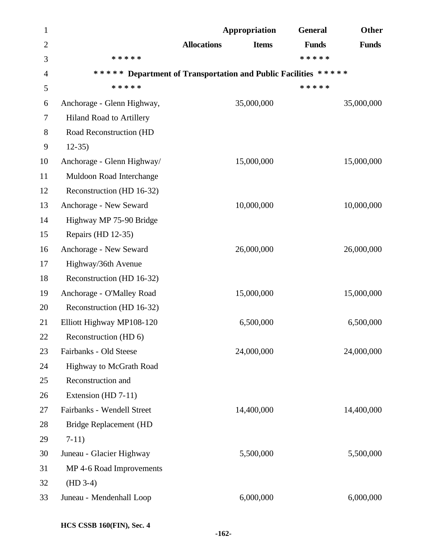| $\mathbf{1}$   |                                | Appropriation                                                  | <b>General</b> | Other        |
|----------------|--------------------------------|----------------------------------------------------------------|----------------|--------------|
| $\overline{2}$ |                                | <b>Allocations</b><br><b>Items</b>                             | <b>Funds</b>   | <b>Funds</b> |
| 3              | * * * * *                      |                                                                | * * * * *      |              |
| 4              |                                | ***** Department of Transportation and Public Facilities ***** |                |              |
| 5              | * * * * *                      |                                                                | * * * * *      |              |
| 6              | Anchorage - Glenn Highway,     | 35,000,000                                                     |                | 35,000,000   |
| 7              | Hiland Road to Artillery       |                                                                |                |              |
| 8              | Road Reconstruction (HD        |                                                                |                |              |
| 9              | $12-35$                        |                                                                |                |              |
| 10             | Anchorage - Glenn Highway/     | 15,000,000                                                     |                | 15,000,000   |
| 11             | Muldoon Road Interchange       |                                                                |                |              |
| 12             | Reconstruction (HD 16-32)      |                                                                |                |              |
| 13             | Anchorage - New Seward         | 10,000,000                                                     |                | 10,000,000   |
| 14             | Highway MP 75-90 Bridge        |                                                                |                |              |
| 15             | Repairs (HD 12-35)             |                                                                |                |              |
| 16             | Anchorage - New Seward         | 26,000,000                                                     |                | 26,000,000   |
| 17             | Highway/36th Avenue            |                                                                |                |              |
| 18             | Reconstruction (HD 16-32)      |                                                                |                |              |
| 19             | Anchorage - O'Malley Road      | 15,000,000                                                     |                | 15,000,000   |
| 20             | Reconstruction (HD 16-32)      |                                                                |                |              |
| 21             | Elliott Highway MP108-120      | 6,500,000                                                      |                | 6,500,000    |
| 22             | Reconstruction (HD 6)          |                                                                |                |              |
| 23             | Fairbanks - Old Steese         | 24,000,000                                                     |                | 24,000,000   |
| 24             | <b>Highway to McGrath Road</b> |                                                                |                |              |
| 25             | Reconstruction and             |                                                                |                |              |
| 26             | Extension (HD 7-11)            |                                                                |                |              |
| 27             | Fairbanks - Wendell Street     | 14,400,000                                                     |                | 14,400,000   |
| 28             | Bridge Replacement (HD         |                                                                |                |              |
| 29             | $7-11)$                        |                                                                |                |              |
| 30             | Juneau - Glacier Highway       | 5,500,000                                                      |                | 5,500,000    |
| 31             | MP 4-6 Road Improvements       |                                                                |                |              |
| 32             | $(HD 3-4)$                     |                                                                |                |              |
| 33             | Juneau - Mendenhall Loop       | 6,000,000                                                      |                | 6,000,000    |
|                |                                |                                                                |                |              |

**HCS CSSB 160(FIN), Sec. 4**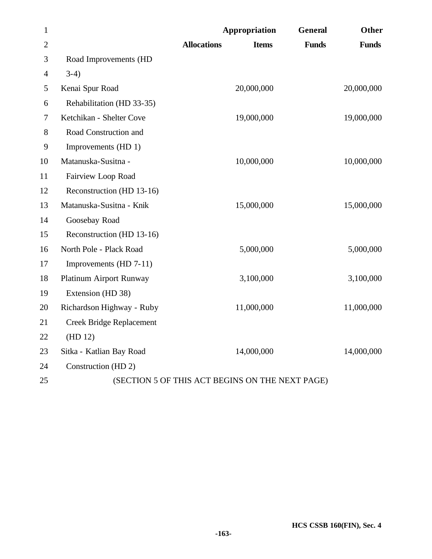| $\mathbf{1}$   |                                 | <b>Appropriation</b>                            | <b>General</b> | <b>Other</b> |
|----------------|---------------------------------|-------------------------------------------------|----------------|--------------|
| $\overline{2}$ |                                 | <b>Allocations</b><br><b>Items</b>              | <b>Funds</b>   | <b>Funds</b> |
| 3              | Road Improvements (HD           |                                                 |                |              |
| $\overline{4}$ | $3-4)$                          |                                                 |                |              |
| 5              | Kenai Spur Road                 | 20,000,000                                      |                | 20,000,000   |
| 6              | Rehabilitation (HD 33-35)       |                                                 |                |              |
| 7              | Ketchikan - Shelter Cove        | 19,000,000                                      |                | 19,000,000   |
| 8              | Road Construction and           |                                                 |                |              |
| 9              | Improvements (HD 1)             |                                                 |                |              |
| 10             | Matanuska-Susitna -             | 10,000,000                                      |                | 10,000,000   |
| 11             | Fairview Loop Road              |                                                 |                |              |
| 12             | Reconstruction (HD 13-16)       |                                                 |                |              |
| 13             | Matanuska-Susitna - Knik        | 15,000,000                                      |                | 15,000,000   |
| 14             | Goosebay Road                   |                                                 |                |              |
| 15             | Reconstruction (HD 13-16)       |                                                 |                |              |
| 16             | North Pole - Plack Road         | 5,000,000                                       |                | 5,000,000    |
| 17             | Improvements (HD 7-11)          |                                                 |                |              |
| 18             | Platinum Airport Runway         | 3,100,000                                       |                | 3,100,000    |
| 19             | Extension (HD 38)               |                                                 |                |              |
| 20             | Richardson Highway - Ruby       | 11,000,000                                      |                | 11,000,000   |
| 21             | <b>Creek Bridge Replacement</b> |                                                 |                |              |
| 22             | (HD 12)                         |                                                 |                |              |
| 23             | Sitka - Katlian Bay Road        | 14,000,000                                      |                | 14,000,000   |
| 24             | Construction (HD 2)             |                                                 |                |              |
| 25             |                                 | (SECTION 5 OF THIS ACT BEGINS ON THE NEXT PAGE) |                |              |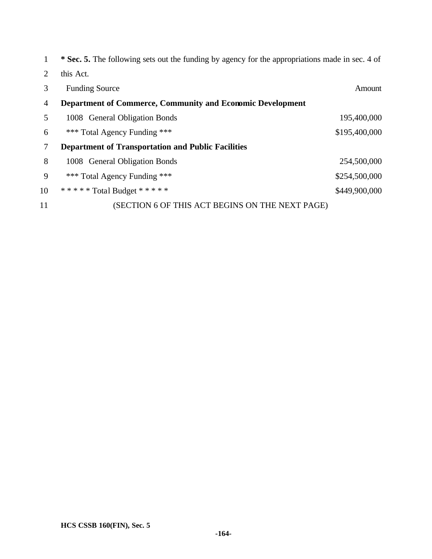|                | * Sec. 5. The following sets out the funding by agency for the appropriations made in sec. 4 of |               |
|----------------|-------------------------------------------------------------------------------------------------|---------------|
| 2              | this Act.                                                                                       |               |
| 3              | <b>Funding Source</b>                                                                           | Amount        |
| $\overline{4}$ | <b>Department of Commerce, Community and Economic Development</b>                               |               |
| 5              | 1008 General Obligation Bonds                                                                   | 195,400,000   |
| 6              | *** Total Agency Funding ***                                                                    | \$195,400,000 |
| 7              | <b>Department of Transportation and Public Facilities</b>                                       |               |
| 8              | 1008 General Obligation Bonds                                                                   | 254,500,000   |
| 9              | *** Total Agency Funding ***                                                                    | \$254,500,000 |
| 10             | ***** Total Budget *****                                                                        | \$449,900,000 |
| 11             | (SECTION 6 OF THIS ACT BEGINS ON THE NEXT PAGE)                                                 |               |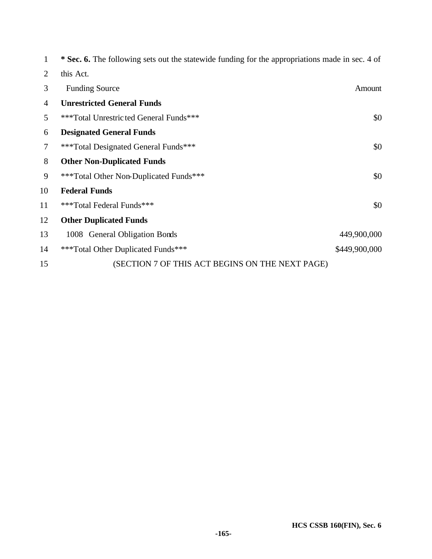| 1              | <b>* Sec. 6.</b> The following sets out the statewide funding for the appropriations made in sec. 4 of |               |
|----------------|--------------------------------------------------------------------------------------------------------|---------------|
| 2              | this Act.                                                                                              |               |
| 3              | <b>Funding Source</b>                                                                                  | Amount        |
| $\overline{4}$ | <b>Unrestricted General Funds</b>                                                                      |               |
| 5              | ***Total Unrestricted General Funds***                                                                 | \$0           |
| 6              | <b>Designated General Funds</b>                                                                        |               |
| 7              | ***Total Designated General Funds***                                                                   | \$0           |
| 8              | <b>Other Non-Duplicated Funds</b>                                                                      |               |
| 9              | ***Total Other Non-Duplicated Funds***                                                                 | \$0           |
| 10             | <b>Federal Funds</b>                                                                                   |               |
| 11             | ***Total Federal Funds***                                                                              | \$0           |
| 12             | <b>Other Duplicated Funds</b>                                                                          |               |
| 13             | 1008 General Obligation Bonds                                                                          | 449,900,000   |
| 14             | ***Total Other Duplicated Funds***                                                                     | \$449,900,000 |
| 15             | (SECTION 7 OF THIS ACT BEGINS ON THE NEXT PAGE)                                                        |               |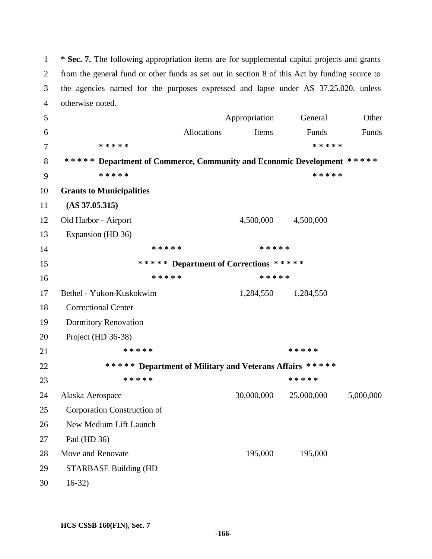**\* Sec. 7.** The following appropriation items are for supplemental capital projects and grants from the general fund or other funds as set out in section 8 of this Act by funding source to the agencies named for the purposes expressed and lapse under AS 37.25.020, unless otherwise noted.

 Appropriation General Other Allocations Items Funds Funds **\* \* \* \* \* \* \* \* \* \* \* \* \* \* \* Department of Commerce, Community and Economic Development \* \* \* \* \* \* \* \* \* \* \* \* \* \* \* Grants to Municipalities (AS 37.05.315)**  12 Old Harbor - Airport 4,500,000 4,500,000 Expansion (HD 36) **\* \* \* \* \* \* \* \* \* \* \* \* \* \* \* Department of Corrections \* \* \* \* \* \* \* \* \* \* \* \* \* \* \*** Bethel - Yukon-Kuskokwim 1,284,550 1,284,550 Correctional Center Dormitory Renovation Project (HD 36-38) **\* \* \* \* \* \* \* \* \* \* \* \* \* \* \* Department of Military and Veterans Affairs \* \* \* \* \* \* \* \* \* \* \* \* \* \* \*** Alaska Aerospace 30,000,000 25,000,000 5,000,000 Corporation Construction of New Medium Lift Launch Pad (HD 36) Move and Renovate 195,000 195,000 STARBASE Building (HD 16-32)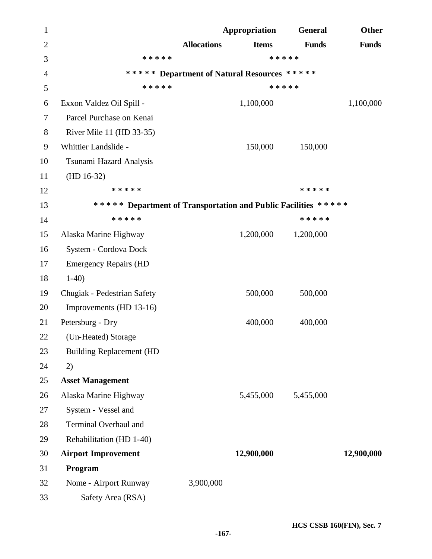| $\mathbf{1}$   |                                                                |                    | Appropriation                               | <b>General</b> | Other        |
|----------------|----------------------------------------------------------------|--------------------|---------------------------------------------|----------------|--------------|
| $\overline{2}$ |                                                                | <b>Allocations</b> | <b>Items</b>                                | <b>Funds</b>   | <b>Funds</b> |
| 3              | * * * * *                                                      |                    |                                             | * * * * *      |              |
| 4              |                                                                |                    | ***** Department of Natural Resources ***** |                |              |
| 5              | * * * * *                                                      |                    |                                             | * * * * *      |              |
| 6              | Exxon Valdez Oil Spill -                                       |                    | 1,100,000                                   |                | 1,100,000    |
| 7              | Parcel Purchase on Kenai                                       |                    |                                             |                |              |
| 8              | River Mile 11 (HD 33-35)                                       |                    |                                             |                |              |
| 9              | Whittier Landslide -                                           |                    | 150,000                                     | 150,000        |              |
| 10             | Tsunami Hazard Analysis                                        |                    |                                             |                |              |
| 11             | $(HD 16-32)$                                                   |                    |                                             |                |              |
| 12             | * * * * *                                                      |                    |                                             | * * * * *      |              |
| 13             | ***** Department of Transportation and Public Facilities ***** |                    |                                             |                |              |
| 14             | * * * * *                                                      |                    |                                             | * * * * *      |              |
| 15             | Alaska Marine Highway                                          |                    | 1,200,000                                   | 1,200,000      |              |
| 16             | System - Cordova Dock                                          |                    |                                             |                |              |
| 17             | <b>Emergency Repairs (HD</b>                                   |                    |                                             |                |              |
| 18             | $1-40$                                                         |                    |                                             |                |              |
| 19             | Chugiak - Pedestrian Safety                                    |                    | 500,000                                     | 500,000        |              |
| 20             | Improvements (HD 13-16)                                        |                    |                                             |                |              |
| 21             | Petersburg - Dry                                               |                    | 400,000                                     | 400,000        |              |
| 22             | (Un-Heated) Storage                                            |                    |                                             |                |              |
| 23             | <b>Building Replacement (HD</b>                                |                    |                                             |                |              |
| 24             | 2)                                                             |                    |                                             |                |              |
| 25             | <b>Asset Management</b>                                        |                    |                                             |                |              |
| 26             | Alaska Marine Highway                                          |                    | 5,455,000                                   | 5,455,000      |              |
| 27             | System - Vessel and                                            |                    |                                             |                |              |
| 28             | Terminal Overhaul and                                          |                    |                                             |                |              |
| 29             | Rehabilitation (HD 1-40)                                       |                    |                                             |                |              |
| 30             | <b>Airport Improvement</b>                                     |                    | 12,900,000                                  |                | 12,900,000   |
| 31             | Program                                                        |                    |                                             |                |              |
| 32             | Nome - Airport Runway                                          | 3,900,000          |                                             |                |              |
| 33             | Safety Area (RSA)                                              |                    |                                             |                |              |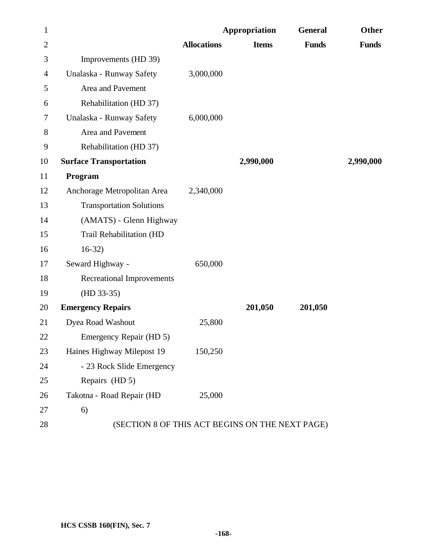| $\mathbf{1}$   |                                                 |                    | Appropriation | <b>General</b> | <b>Other</b> |
|----------------|-------------------------------------------------|--------------------|---------------|----------------|--------------|
| $\overline{2}$ |                                                 | <b>Allocations</b> | <b>Items</b>  | <b>Funds</b>   | <b>Funds</b> |
| 3              | Improvements (HD 39)                            |                    |               |                |              |
| $\overline{4}$ | Unalaska - Runway Safety                        | 3,000,000          |               |                |              |
| 5              | Area and Pavement                               |                    |               |                |              |
| 6              | Rehabilitation (HD 37)                          |                    |               |                |              |
| 7              | Unalaska - Runway Safety                        | 6,000,000          |               |                |              |
| 8              | Area and Pavement                               |                    |               |                |              |
| 9              | Rehabilitation (HD 37)                          |                    |               |                |              |
| 10             | <b>Surface Transportation</b>                   |                    | 2,990,000     |                | 2,990,000    |
| 11             | Program                                         |                    |               |                |              |
| 12             | Anchorage Metropolitan Area                     | 2,340,000          |               |                |              |
| 13             | <b>Transportation Solutions</b>                 |                    |               |                |              |
| 14             | (AMATS) - Glenn Highway                         |                    |               |                |              |
| 15             | Trail Rehabilitation (HD                        |                    |               |                |              |
| 16             | $16-32)$                                        |                    |               |                |              |
| 17             | Seward Highway -                                | 650,000            |               |                |              |
| 18             | <b>Recreational Improvements</b>                |                    |               |                |              |
| 19             | $(HD 33-35)$                                    |                    |               |                |              |
| 20             | <b>Emergency Repairs</b>                        |                    | 201,050       | 201,050        |              |
| 21             | Dyea Road Washout                               | 25,800             |               |                |              |
| 22             | Emergency Repair (HD 5)                         |                    |               |                |              |
| 23             | Haines Highway Milepost 19                      | 150,250            |               |                |              |
| 24             | - 23 Rock Slide Emergency                       |                    |               |                |              |
| 25             | Repairs (HD 5)                                  |                    |               |                |              |
| 26             | Takotna - Road Repair (HD                       | 25,000             |               |                |              |
| 27             | 6)                                              |                    |               |                |              |
| 28             | (SECTION 8 OF THIS ACT BEGINS ON THE NEXT PAGE) |                    |               |                |              |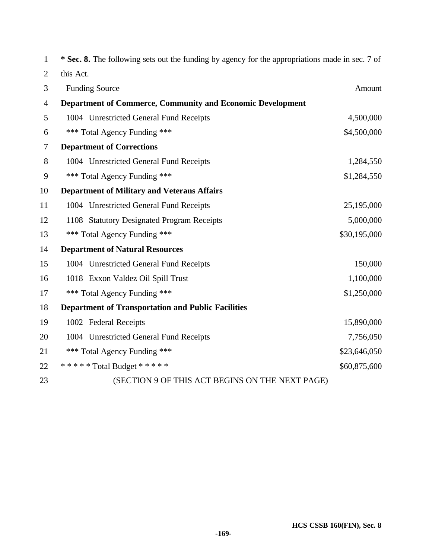| $\mathbf{1}$   | * Sec. 8. The following sets out the funding by agency for the appropriations made in sec. 7 of |              |
|----------------|-------------------------------------------------------------------------------------------------|--------------|
| $\overline{2}$ | this Act.                                                                                       |              |
| 3              | <b>Funding Source</b>                                                                           | Amount       |
| 4              | Department of Commerce, Community and Economic Development                                      |              |
| 5              | 1004 Unrestricted General Fund Receipts                                                         | 4,500,000    |
| 6              | *** Total Agency Funding ***                                                                    | \$4,500,000  |
| 7              | <b>Department of Corrections</b>                                                                |              |
| 8              | 1004 Unrestricted General Fund Receipts                                                         | 1,284,550    |
| 9              | *** Total Agency Funding ***                                                                    | \$1,284,550  |
| 10             | <b>Department of Military and Veterans Affairs</b>                                              |              |
| 11             | 1004 Unrestricted General Fund Receipts                                                         | 25,195,000   |
| 12             | 1108 Statutory Designated Program Receipts                                                      | 5,000,000    |
| 13             | *** Total Agency Funding ***                                                                    | \$30,195,000 |
| 14             | <b>Department of Natural Resources</b>                                                          |              |
| 15             | 1004 Unrestricted General Fund Receipts                                                         | 150,000      |
| 16             | 1018 Exxon Valdez Oil Spill Trust                                                               | 1,100,000    |
| 17             | *** Total Agency Funding ***                                                                    | \$1,250,000  |
| 18             | <b>Department of Transportation and Public Facilities</b>                                       |              |
| 19             | 1002 Federal Receipts                                                                           | 15,890,000   |
| 20             | 1004 Unrestricted General Fund Receipts                                                         | 7,756,050    |
| 21             | *** Total Agency Funding ***                                                                    | \$23,646,050 |
| 22             | ***** Total Budget *****                                                                        | \$60,875,600 |
| 23             | (SECTION 9 OF THIS ACT BEGINS ON THE NEXT PAGE)                                                 |              |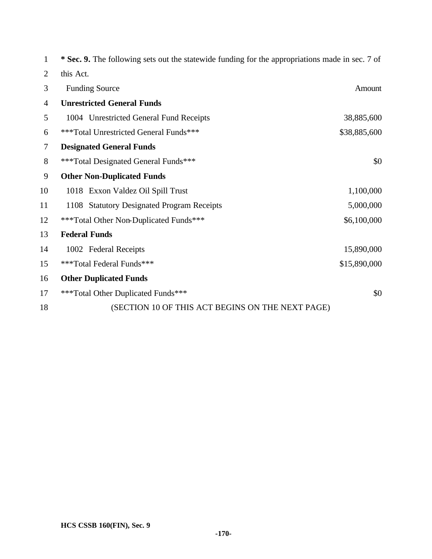| 1              | * Sec. 9. The following sets out the statewide funding for the appropriations made in sec. 7 of |              |
|----------------|-------------------------------------------------------------------------------------------------|--------------|
| $\overline{2}$ | this Act.                                                                                       |              |
| 3              | <b>Funding Source</b>                                                                           | Amount       |
| $\overline{4}$ | <b>Unrestricted General Funds</b>                                                               |              |
| 5              | 1004 Unrestricted General Fund Receipts                                                         | 38,885,600   |
| 6              | ***Total Unrestricted General Funds***                                                          | \$38,885,600 |
| $\overline{7}$ | <b>Designated General Funds</b>                                                                 |              |
| 8              | ***Total Designated General Funds***                                                            | \$0          |
| 9              | <b>Other Non-Duplicated Funds</b>                                                               |              |
| 10             | 1018 Exxon Valdez Oil Spill Trust                                                               | 1,100,000    |
| 11             | 1108 Statutory Designated Program Receipts                                                      | 5,000,000    |
| 12             | ***Total Other Non-Duplicated Funds***                                                          | \$6,100,000  |
| 13             | <b>Federal Funds</b>                                                                            |              |
| 14             | 1002 Federal Receipts                                                                           | 15,890,000   |
| 15             | ***Total Federal Funds***                                                                       | \$15,890,000 |
| 16             | <b>Other Duplicated Funds</b>                                                                   |              |
| 17             | ***Total Other Duplicated Funds***                                                              | \$0          |
| 18             | (SECTION 10 OF THIS ACT BEGINS ON THE NEXT PAGE)                                                |              |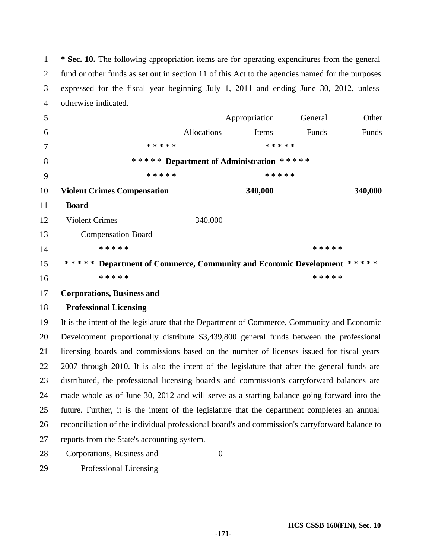**\* Sec. 10.** The following appropriation items are for operating expenditures from the general fund or other funds as set out in section 11 of this Act to the agencies named for the purposes expressed for the fiscal year beginning July 1, 2011 and ending June 30, 2012, unless otherwise indicated.

| 5  |                                                                                                |                                          | Appropriation | General   | Other   |
|----|------------------------------------------------------------------------------------------------|------------------------------------------|---------------|-----------|---------|
| 6  |                                                                                                | Allocations                              | Items         | Funds     | Funds   |
| 7  | * * * * *                                                                                      |                                          | * * * * *     |           |         |
| 8  |                                                                                                | ***** Department of Administration ***** |               |           |         |
| 9  | * * * * *                                                                                      |                                          | * * * * *     |           |         |
| 10 | <b>Violent Crimes Compensation</b>                                                             |                                          | 340,000       |           | 340,000 |
| 11 | <b>Board</b>                                                                                   |                                          |               |           |         |
| 12 | <b>Violent Crimes</b>                                                                          | 340,000                                  |               |           |         |
| 13 | <b>Compensation Board</b>                                                                      |                                          |               |           |         |
| 14 | * * * * *                                                                                      |                                          |               | * * * * * |         |
| 15 | ***** Department of Commerce, Community and Economic Development *****                         |                                          |               |           |         |
| 16 | * * * * *                                                                                      |                                          |               | * * * * * |         |
| 17 | <b>Corporations, Business and</b>                                                              |                                          |               |           |         |
| 18 | <b>Professional Licensing</b>                                                                  |                                          |               |           |         |
| 19 | It is the intent of the legislature that the Department of Commerce, Community and Economic    |                                          |               |           |         |
| 20 | Development proportionally distribute \$3,439,800 general funds between the professional       |                                          |               |           |         |
| 21 | licensing boards and commissions based on the number of licenses issued for fiscal years       |                                          |               |           |         |
| 22 | 2007 through 2010. It is also the intent of the legislature that after the general funds are   |                                          |               |           |         |
| 23 | distributed, the professional licensing board's and commission's carryforward balances are     |                                          |               |           |         |
| 24 | made whole as of June 30, 2012 and will serve as a starting balance going forward into the     |                                          |               |           |         |
| 25 | future. Further, it is the intent of the legislature that the department completes an annual   |                                          |               |           |         |
| 26 | reconciliation of the individual professional board's and commission's carryforward balance to |                                          |               |           |         |
| 27 | reports from the State's accounting system.                                                    |                                          |               |           |         |
| 28 | Corporations, Business and                                                                     | $\mathbf{0}$                             |               |           |         |
|    |                                                                                                |                                          |               |           |         |

Professional Licensing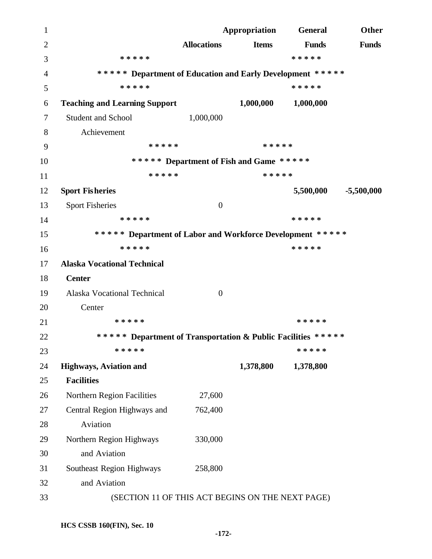**Appropriation General Other Allocations Items Funds Funds \* \* \* \* \* \* \* \* \* \* \* \* \* \* \* Department of Education and Early Development \* \* \* \* \* \* \* \* \* \* \* \* \* \* \* Teaching and Learning Support 1,000,000 1,000,000** 7 Student and School 1,000,000 Achievement **\* \* \* \* \* \* \* \* \* \* \* \* \* \* \* Department of Fish and Game \* \* \* \* \* \* \* \* \* \* \* \* \* \* \* Sport Fisheries 5,500,000 -5,500,000** 13 Sport Fisheries 0 **\* \* \* \* \* \* \* \* \* \* \* \* \* \* \* Department of Labor and Workforce Development \* \* \* \* \* \* \* \* \* \* \* \* \* \* \* Alaska Vocational Technical Center**  Alaska Vocational Technical 0 Center **\* \* \* \* \* \* \* \* \* \* \* \* \* \* \* Department of Transportation & Public Facilities \* \* \* \* \* \* \* \* \* \* \* \* \* \* \* Highways, Aviation and 1,378,800 1,378,800 Facilities**  26 Northern Region Facilities 27,600 Central Region Highways and 762,400 Aviation Northern Region Highways 330,000 and Aviation Southeast Region Highways 258,800 and Aviation (SECTION 11 OF THIS ACT BEGINS ON THE NEXT PAGE)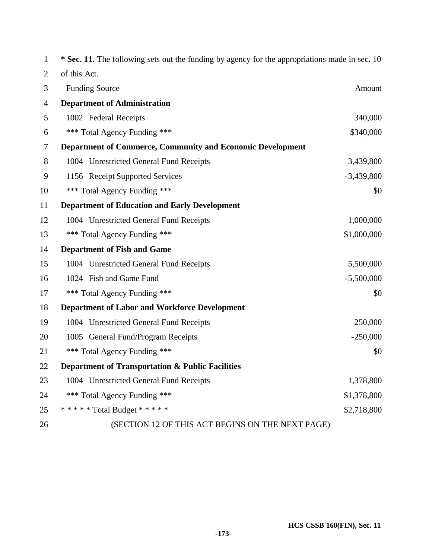| $\mathbf{1}$   | * Sec. 11. The following sets out the funding by agency for the appropriations made in sec. 10 |              |
|----------------|------------------------------------------------------------------------------------------------|--------------|
| 2              | of this Act.                                                                                   |              |
| 3              | <b>Funding Source</b>                                                                          | Amount       |
| $\overline{4}$ | <b>Department of Administration</b>                                                            |              |
| 5              | 1002 Federal Receipts                                                                          | 340,000      |
| 6              | *** Total Agency Funding ***                                                                   | \$340,000    |
| 7              | <b>Department of Commerce, Community and Economic Development</b>                              |              |
| 8              | 1004 Unrestricted General Fund Receipts                                                        | 3,439,800    |
| 9              | 1156 Receipt Supported Services                                                                | $-3,439,800$ |
| 10             | *** Total Agency Funding ***                                                                   | \$0          |
| 11             | <b>Department of Education and Early Development</b>                                           |              |
| 12             | 1004 Unrestricted General Fund Receipts                                                        | 1,000,000    |
| 13             | *** Total Agency Funding ***                                                                   | \$1,000,000  |
| 14             | <b>Department of Fish and Game</b>                                                             |              |
| 15             | 1004 Unrestricted General Fund Receipts                                                        | 5,500,000    |
| 16             | 1024 Fish and Game Fund                                                                        | $-5,500,000$ |
| 17             | *** Total Agency Funding ***                                                                   | \$0          |
| 18             | <b>Department of Labor and Workforce Development</b>                                           |              |
| 19             | 1004 Unrestricted General Fund Receipts                                                        | 250,000      |
| 20             | 1005 General Fund/Program Receipts                                                             | $-250,000$   |
| 21             | *** Total Agency Funding ***                                                                   | \$0          |
| 22             | <b>Department of Transportation &amp; Public Facilities</b>                                    |              |
| 23             | 1004 Unrestricted General Fund Receipts                                                        | 1,378,800    |
| 24             | *** Total Agency Funding ***                                                                   | \$1,378,800  |
| 25             | ***** Total Budget *****                                                                       | \$2,718,800  |
| 26             | (SECTION 12 OF THIS ACT BEGINS ON THE NEXT PAGE)                                               |              |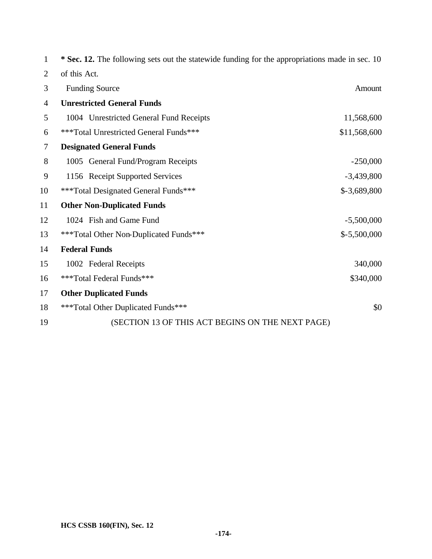| 1              | * Sec. 12. The following sets out the statewide funding for the appropriations made in sec. 10 |               |  |
|----------------|------------------------------------------------------------------------------------------------|---------------|--|
| $\overline{2}$ | of this Act.                                                                                   |               |  |
| 3              | <b>Funding Source</b>                                                                          | Amount        |  |
| $\overline{4}$ | <b>Unrestricted General Funds</b>                                                              |               |  |
| 5              | 1004 Unrestricted General Fund Receipts                                                        | 11,568,600    |  |
| 6              | ***Total Unrestricted General Funds***                                                         | \$11,568,600  |  |
| $\tau$         | <b>Designated General Funds</b>                                                                |               |  |
| 8              | 1005 General Fund/Program Receipts                                                             | $-250,000$    |  |
| 9              | 1156 Receipt Supported Services                                                                | $-3,439,800$  |  |
| 10             | ***Total Designated General Funds***                                                           | $$-3,689,800$ |  |
| 11             | <b>Other Non-Duplicated Funds</b>                                                              |               |  |
| 12             | 1024 Fish and Game Fund                                                                        | $-5,500,000$  |  |
| 13             | ***Total Other Non-Duplicated Funds***                                                         | $$-5,500,000$ |  |
| 14             | <b>Federal Funds</b>                                                                           |               |  |
| 15             | 1002 Federal Receipts                                                                          | 340,000       |  |
| 16             | ***Total Federal Funds***                                                                      | \$340,000     |  |
| 17             | <b>Other Duplicated Funds</b>                                                                  |               |  |
| 18             | ***Total Other Duplicated Funds***                                                             | \$0           |  |
| 19             | (SECTION 13 OF THIS ACT BEGINS ON THE NEXT PAGE)                                               |               |  |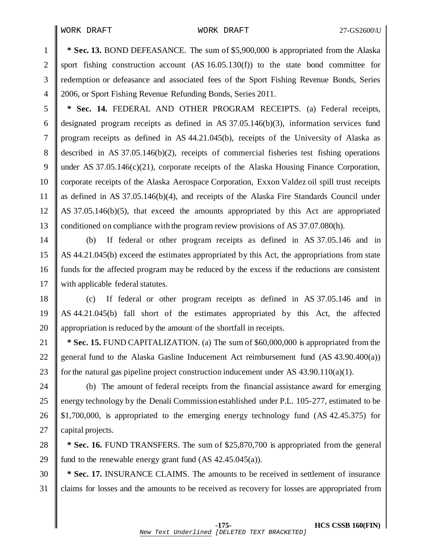**\* Sec. 13.** BOND DEFEASANCE. The sum of \$5,900,000 is appropriated from the Alaska 2 sport fishing construction account  $(AS\ 16.05.130(f))$  to the state bond committee for redemption or defeasance and associated fees of the Sport Fishing Revenue Bonds, Series 2006, or Sport Fishing Revenue Refunding Bonds, Series 2011.

 **\* Sec. 14.** FEDERAL AND OTHER PROGRAM RECEIPTS. (a) Federal receipts, 6 designated program receipts as defined in AS  $37.05.146(b)(3)$ , information services fund program receipts as defined in AS 44.21.045(b), receipts of the University of Alaska as described in AS 37.05.146(b)(2), receipts of commercial fisheries test fishing operations under AS 37.05.146(c)(21), corporate receipts of the Alaska Housing Finance Corporation, 10 Corporate receipts of the Alaska Aerospace Corporation, Exxon Valdez oil spill trust receipts as defined in AS 37.05.146(b)(4), and receipts of the Alaska Fire Standards Council under AS 37.05.146(b)(5), that exceed the amounts appropriated by this Act are appropriated conditioned on compliance with the program review provisions of AS 37.07.080(h).

 (b) If federal or other program receipts as defined in AS 37.05.146 and in AS 44.21.045(b) exceed the estimates appropriated by this Act, the appropriations from state funds for the affected program may be reduced by the excess if the reductions are consistent 17 with applicable federal statutes.

 (c) If federal or other program receipts as defined in AS 37.05.146 and in AS 44.21.045(b) fall short of the estimates appropriated by this Act, the affected **a** appropriation is reduced by the amount of the shortfall in receipts.

**\* Sec. 15.** FUND CAPITALIZATION. (a) The sum of \$60,000,000 is appropriated from the 22 general fund to the Alaska Gasline Inducement Act reimbursement fund  $(AS\ 43.90.400(a))$ 23 for the natural gas pipeline project construction inducement under AS 43.90.110(a)(1).

 $\parallel$  (b) The amount of federal receipts from the financial assistance award for emerging 25 energy technology by the Denali Commission established under P.L. 105-277, estimated to be  $\parallel$  \$1,700,000, is appropriated to the emerging energy technology fund (AS 42.45.375) for **capital projects.** 

**\* Sec. 16.** FUND TRANSFERS. The sum of \$25,870,700 is appropriated from the general 29 fund to the renewable energy grant fund  $(AS\ 42.45.045(a))$ .

**\* Sec. 17.** INSURANCE CLAIMS. The amounts to be received in settlement of insurance claims for losses and the amounts to be received as recovery for losses are appropriated from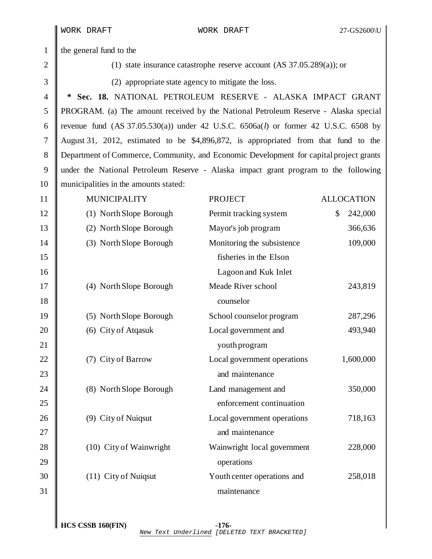1 the general fund to the

2  $\parallel$  (1) state insurance catastrophe reserve account (AS 37.05.289(a)); or

 $\parallel$  (2) appropriate state agency to mitigate the loss.

 **\* Sec. 18.** NATIONAL PETROLEUM RESERVE - ALASKA IMPACT GRANT PROGRAM. (a) The amount received by the National Petroleum Reserve - Alaska special revenue fund (AS 37.05.530(a)) under 42 U.S.C. 6506a(*l*) or former 42 U.S.C. 6508 by August 31, 2012, estimated to be \$4,896,872, is appropriated from that fund to the Department of Commerce, Community, and Economic Development for capital project grants under the National Petroleum Reserve - Alaska impact grant program to the following 10 municipalities in the amounts stated:

| 11 | <b>MUNICIPALITY</b>     | <b>PROJECT</b>              | <b>ALLOCATION</b> |
|----|-------------------------|-----------------------------|-------------------|
| 12 | (1) North Slope Borough | Permit tracking system      | \$<br>242,000     |
| 13 | (2) North Slope Borough | Mayor's job program         | 366,636           |
| 14 | (3) North Slope Borough | Monitoring the subsistence  | 109,000           |
| 15 |                         | fisheries in the Elson      |                   |
| 16 |                         | Lagoon and Kuk Inlet        |                   |
| 17 | (4) North Slope Borough | Meade River school          | 243,819           |
| 18 |                         | counselor                   |                   |
| 19 | (5) North Slope Borough | School counselor program    | 287,296           |
| 20 | (6) City of Atqasuk     | Local government and        | 493,940           |
| 21 |                         | youth program               |                   |
| 22 | City of Barrow<br>(7)   | Local government operations | 1,600,000         |
| 23 |                         | and maintenance             |                   |
| 24 | (8) North Slope Borough | Land management and         | 350,000           |
| 25 |                         | enforcement continuation    |                   |
| 26 | (9) City of Nuiqsut     | Local government operations | 718,163           |
| 27 |                         | and maintenance             |                   |
| 28 | (10) City of Wainwright | Wainwright local government | 228,000           |
| 29 |                         | operations                  |                   |
| 30 | (11) City of Nuiqsut    | Youth center operations and | 258,018           |
| 31 |                         | maintenance                 |                   |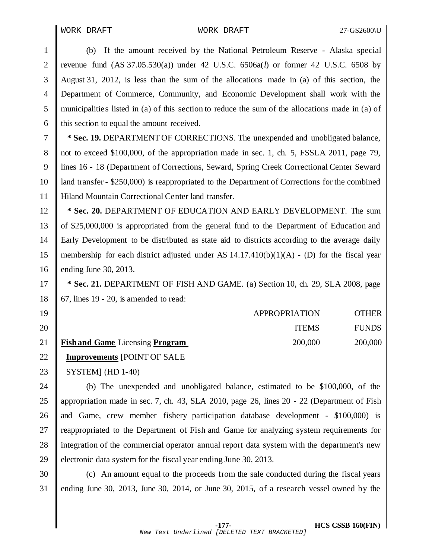WORK DRAFT WORK DRAFT 27-GS2600\U

 (b) If the amount received by the National Petroleum Reserve - Alaska special revenue fund (AS 37.05.530(a)) under 42 U.S.C. 6506a(*l*) or former 42 U.S.C. 6508 by August 31, 2012, is less than the sum of the allocations made in (a) of this section, the Department of Commerce, Community, and Economic Development shall work with the municipalitie s listed in (a) of this section to reduce the sum of the allocations made in (a) of  $\parallel$  this section to equal the amount received.

 **\* Sec. 19.** DEPARTMENT OF CORRECTIONS. The unexpended and unobligated balance, 8 not to exceed \$100,000, of the appropriation made in sec. 1, ch. 5, FSSLA 2011, page 79, lines 16 - 18 (Department of Corrections, Seward, Spring Creek Correctional Center Seward land transfer - \$250,000) is reappropriated to the Department of Corrections for the combined 11 | Hiland Mountain Correctional Center land transfer.

 **\* Sec. 20.** DEPARTMENT OF EDUCATION AND EARLY DEVELOPMENT. The sum of \$25,000,000 is appropriated from the general fund to the Department of Education and Early Development to be distributed as state aid to districts according to the average daily membership for each district adjusted under AS 14.17.410(b)(1)(A) - (D) for the fiscal year **ending June 30, 2013.** 

**\* Sec. 21.** DEPARTMENT OF FISH AND GAME. (a) Section 10, ch. 29, SLA 2008, page 18 | 67, lines 19 - 20, is amended to read:

| $19$ |                                      | <b>APPROPRIATION</b> | <b>OTHER</b> |
|------|--------------------------------------|----------------------|--------------|
| 20   |                                      | <b>ITEMS</b>         | <b>FUNDS</b> |
|      | 21   Fish and Game Licensing Program | 200,000              | 200,000      |

## **Improvements** [POINT OF SALE

23 | SYSTEM] (HD 1-40)

24 (b) The unexpended and unobligated balance, estimated to be \$100,000, of the appropriation made in sec. 7, ch. 43, SLA 2010, page 26, lines 20 - 22 (Department of Fish 26  $\parallel$  and Game, crew member fishery participation database development - \$100,000) is 27 Teappropriated to the Department of Fish and Game for analyzing system requirements for 28 Il integration of the commercial operator annual report data system with the department's new 29 electronic data system for the fiscal year ending June 30, 2013.

 (c) An amount equal to the proceeds from the sale conducted during the fiscal years ending June 30, 2013, June 30, 2014, or June 30, 2015, of a research vessel owned by the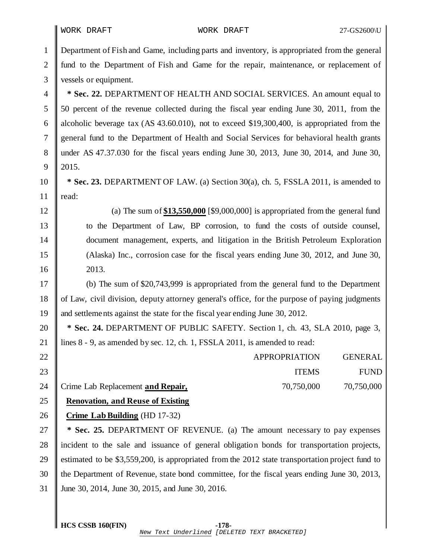Department of Fish and Game, including parts and inventory, is appropriated from the general 2 fund to the Department of Fish and Game for the repair, maintenance, or replacement of 3 vessels or equipment.  **\* Sec. 22.** DEPARTMENT OF HEALTH AND SOCIAL SERVICES. An amount equal to 50 percent of the revenue collected during the fiscal year ending June 30, 2011, from the 6 alcoholic beverage tax  $(AS\,43.60.010)$ , not to exceed \$19,300,400, is appropriated from the general fund to the Department of Health and Social Services for behavioral health grants under AS 47.37.030 for the fiscal years ending June 30, 2013, June 30, 2014, and June 30, 2015.  **\* Sec. 23.** DEPARTMENT OF LAW. (a) Section 30(a), ch. 5, FSSLA 2011, is amended to  $\parallel$  read: (a) The sum of **\$13,550,000** [\$9,000,000] is appropriated from the general fund to the Department of Law, BP corrosion, to fund the costs of outside counsel, document management, experts, and litigation in the British Petroleum Exploration (Alaska) Inc., corrosion case for the fiscal years ending June 30, 2012, and June 30, 2013. (b) The sum of \$20,743,999 is appropriated from the general fund to the Department of Law, civil division, deputy attorney general's office, for the purpose of paying judgments and settlements against the state for the fiscal year ending June 30, 2012.  **\* Sec. 24.** DEPARTMENT OF PUBLIC SAFETY. Section 1, ch. 43, SLA 2010, page 3, 21 | lines 8 - 9, as amended by sec. 12, ch. 1, FSSLA 2011, is amended to read: 22 || APPROPRIATION GENERAL ITEMS FUND Crime Lab Replacement **and Repair,** 70,750,000 70,750,000 **Renovation, and Reuse of Existing Crime LabBuilding** (HD 17-32)  **\* Sec. 25.** DEPARTMENT OF REVENUE. (a) The amount necessary to pay expenses incident to the sale and issuance of general obligation bonds for transportation projects, estimated to be \$3,559,200, is appropriated from the 2012 state transportation project fund to the Department of Revenue, state bond committee, for the fiscal years ending June 30, 2013, June 30, 2014, June 30, 2015, and June 30, 2016.

**HCS CSSB 160(FIN) -178-**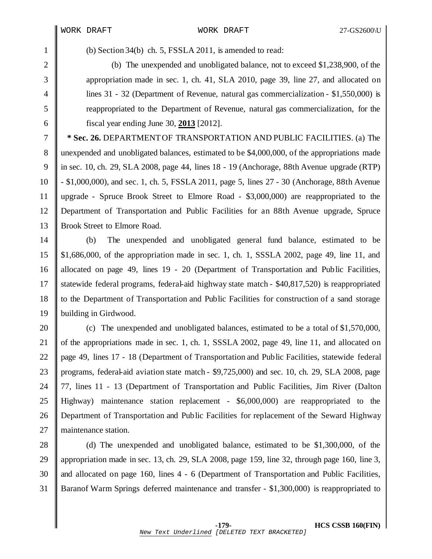(b) Section 34(b) ch. 5, FSSLA 2011, is amended to read:

 (b) The unexpended and unobligated balance, not to exceed \$1,238,900, of the appropriation made in sec. 1, ch. 41, SLA 2010, page 39, line 27, and allocated on lines 31 - 32 (Department of Revenue, natural gas commercialization - \$1,550,000) is reappropriated to the Department of Revenue, natural gas commercialization, for the fiscal year ending June 30, **2013** [2012].

 **\* Sec. 26.** DEPARTMENTOF TRANSPORTATION AND PUBLIC FACILITIES. (a) The unexpended and unobligated balances, estimated to be \$4,000,000, of the appropriations made in sec. 10, ch. 29, SLA 2008, page 44, lines 18 - 19 (Anchorage, 88th Avenue upgrade (RTP) - \$1,000,000), and sec. 1, ch. 5, FSSLA 2011, page 5, lines 27 - 30 (Anchorage, 88th Avenue upgrade - Spruce Brook Street to Elmore Road - \$3,000,000) are reappropriated to the Department of Transportation and Public Facilities for an 88th Avenue upgrade, Spruce 13 Brook Street to Elmore Road.

 (b) The unexpended and unobligated general fund balance, estimated to be \$1,686,000, of the appropriation made in sec. 1, ch. 1, SSSLA 2002, page 49, line 11, and allocated on page 49, lines 19 - 20 (Department of Transportation and Public Facilities, 17 Statewide federal programs, federal-aid highway state match - \$40,817,520) is reappropriated to the Department of Transportation and Public Facilities for construction of a sand storage building in Girdwood.

**c** The unexpended and unobligated balances, estimated to be a total of \$1,570,000, 21 of the appropriations made in sec. 1, ch. 1, SSSLA 2002, page 49, line 11, and allocated on page 49, lines 17 - 18 (Department of Transportation and Public Facilities, statewide federal programs, federal-aid aviation state match - \$9,725,000) and sec. 10, ch. 29, SLA 2008, page 77, lines 11 - 13 (Department of Transportation and Public Facilities, Jim River (Dalton Highway) maintenance station replacement - \$6,000,000) are reappropriated to the Department of Transportation and Public Facilities for replacement of the Seward Highway 27 | maintenance station.

28 (d) The unexpended and unobligated balance, estimated to be \$1,300,000, of the appropriation made in sec. 13, ch. 29, SLA 2008, page 159, line 32, through page 160, line 3, 30 and allocated on page 160, lines 4 - 6 (Department of Transportation and Public Facilities, Baranof Warm Springs deferred maintenance and transfer - \$1,300,000) is reappropriated to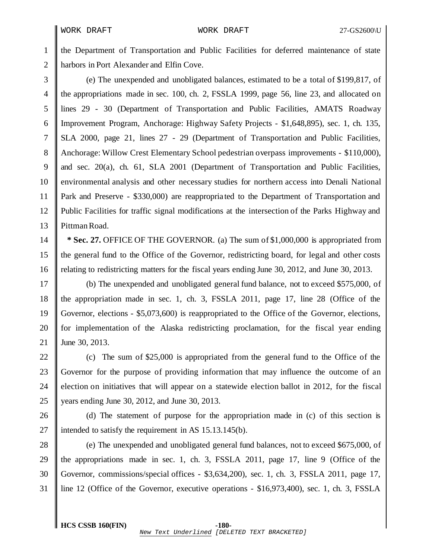the Department of Transportation and Public Facilities for deferred maintenance of state **harbors in Port Alexander and Elfin Cove.** 

 (e) The unexpended and unobligated balances, estimated to be a total of \$199,817, of the appropriations made in sec. 100, ch. 2, FSSLA 1999, page 56, line 23, and allocated on lines 29 - 30 (Department of Transportation and Public Facilities, AMATS Roadway Improvement Program, Anchorage: Highway Safety Projects - \$1,648,895), sec. 1, ch. 135, SLA 2000, page 21, lines 27 - 29 (Department of Transportation and Public Facilities, Anchorage: Willow Crest Elementary School pedestrian overpass improvements - \$110,000), 9 and sec. 20(a), ch. 61, SLA 2001 (Department of Transportation and Public Facilities, environmental analysis and other necessary studies for northern access into Denali National Park and Preserve - \$330,000) are reappropria ted to the Department of Transportation and Public Facilities for traffic signal modifications at the intersection of the Parks Highway and 13 Pittman Road.

 **\* Sec. 27.** OFFICE OF THE GOVERNOR. (a) The sum of \$1,000,000 is appropriated from the general fund to the Office of the Governor, redistricting board, for legal and other costs relating to redistricting matters for the fiscal years ending June 30, 2012, and June 30, 2013.

 (b) The unexpended and unobligated general fund balance, not to exceed \$575,000, of the appropriation made in sec. 1, ch. 3, FSSLA 2011, page 17, line 28 (Office of the Governor, elections - \$5,073,600) is reappropriated to the Office of the Governor, elections, 20 for implementation of the Alaska redistricting proclamation, for the fiscal year ending June 30, 2013.

22 (c) The sum of \$25,000 is appropriated from the general fund to the Office of the Governor for the purpose of providing information that may influence the outcome of an 24 election on initiatives that will appear on a statewide election ballot in 2012, for the fiscal years ending June 30, 2012, and June 30, 2013.

26  $\parallel$  (d) The statement of purpose for the appropriation made in (c) of this section is 27 intended to satisfy the requirement in AS  $15.13.145(b)$ .

28 (e) The unexpended and unobligated general fund balances, not to exceed \$675,000, of  $\parallel$  the appropriations made in sec. 1, ch. 3, FSSLA 2011, page 17, line 9 (Office of the Governor, commissions/special offices - \$3,634,200), sec. 1, ch. 3, FSSLA 2011, page 17, line 12 (Office of the Governor, executive operations - \$16,973,400), sec. 1, ch. 3, FSSLA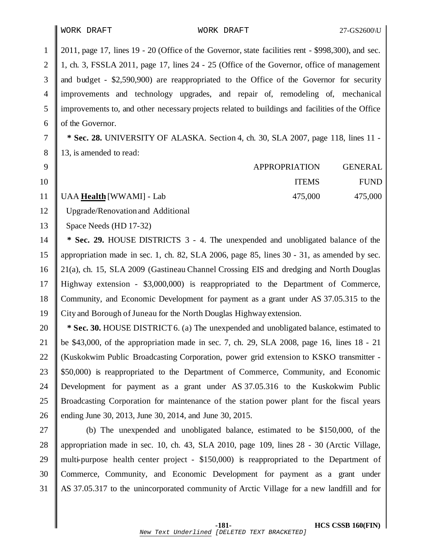2011, page 17, lines 19 - 20 (Office of the Governor, state facilities rent - \$998,300), and sec. 1, ch. 3, FSSLA 2011, page 17, lines 24 - 25 (Office of the Governor, office of management and budget - \$2,590,900) are reappropriated to the Office of the Governor for security improvements and technology upgrades, and repair of, remodeling of, mechanical improvements to, and other necessary projects related to buildings and facilities of the Office 6 of the Governor.

 **\* Sec. 28.** UNIVERSITY OF ALASKA. Section 4, ch. 30, SLA 2007, page 118, lines 11 - 8 13, is amended to read:

| $9$ <sup>"</sup> |                               | APPROPRIATION | <b>GENERAL</b> |
|------------------|-------------------------------|---------------|----------------|
| 10               |                               | <b>ITEMS</b>  | <b>FUND</b>    |
|                  | 11   UAA Health [WWAMI] - Lab | 475,000       | 475,000        |

Upgrade/Renovation and Additional

13 Space Needs (HD 17-32)

 **\* Sec. 29.** HOUSE DISTRICTS 3 - 4. The unexpended and unobligated balance of the appropriation made in sec. 1, ch. 82, SLA 2006, page 85, lines 30 - 31, as amended by sec. 21(a), ch. 15, SLA 2009 (Gastineau Channel Crossing EIS and dredging and North Douglas Highway extension - \$3,000,000) is reappropriated to the Department of Commerce, 18 Community, and Economic Development for payment as a grant under AS 37.05.315 to the 19 City and Borough of Juneau for the North Douglas Highway extension.

 **\* Sec. 30.** HOUSE DISTRICT6. (a) The unexpended and unobligated balance, estimated to be \$43,000, of the appropriation made in sec. 7, ch. 29, SLA 2008, page 16, lines 18 - 21 22 (Kuskokwim Public Broadcasting Corporation, power grid extension to KSKO transmitter - \$50,000) is reappropriated to the Department of Commerce, Community, and Economic Development for payment as a grant under AS 37.05.316 to the Kuskokwim Public Broadcasting Corporation for maintenance of the station power plant for the fiscal years ending June 30, 2013, June 30, 2014, and June 30, 2015.

 (b) The unexpended and unobligated balance, estimated to be \$150,000, of the appropriation made in sec. 10, ch. 43, SLA 2010, page 109, lines 28 - 30 (Arctic Village, multi-purpose health center project - \$150,000) is reappropriated to the Department of Commerce, Community, and Economic Development for payment as a grant under AS 37.05.317 to the unincorporated community of Arctic Village for a new landfill and for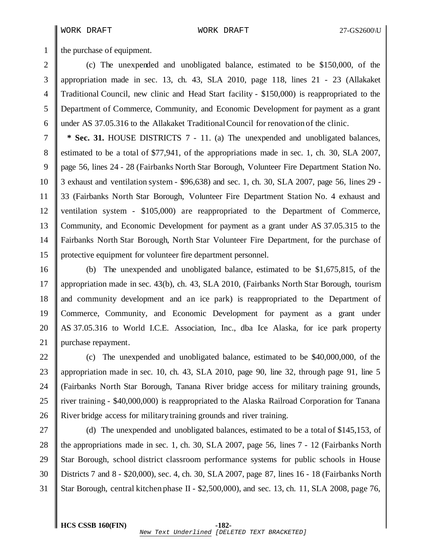1 the purchase of equipment.

 (c) The unexpended and unobligated balance, estimated to be \$150,000, of the appropriation made in sec. 13, ch. 43, SLA 2010, page 118, lines 21 - 23 (Allakaket Traditional Council, new clinic and Head Start facility - \$150,000) is reappropriated to the Department of Commerce, Community, and Economic Development for payment as a grant under AS 37.05.316 to the Allakaket TraditionalCouncil for renovation of the clinic.

**\* Sec. 31.** HOUSE DISTRICTS 7 - 11. (a) The unexpended and unobligated balances, estimated to be a total of \$77,941, of the appropriations made in sec. 1, ch. 30, SLA 2007, page 56, lines 24 - 28 (Fairbanks North Star Borough, Volunteer Fire Department Station No. 3 exhaust and ventilation system - \$96,638) and sec. 1, ch. 30, SLA 2007, page 56, lines 29 - 33 (Fairbanks North Star Borough, Volunteer Fire Department Station No. 4 exhaust and ventilation system - \$105,000) are reappropriated to the Department of Commerce, Community, and Economic Development for payment as a grant under AS 37.05.315 to the Fairbanks North Star Borough, North Star Volunteer Fire Department, for the purchase of protective equipment for volunteer fire department personnel.

 (b) The unexpended and unobligated balance, estimated to be \$1,675,815, of the appropriation made in sec. 43(b), ch. 43, SLA 2010, (Fairbanks North Star Borough, tourism and community development and an ice park) is reappropriated to the Department of Commerce, Community, and Economic Development for payment as a grant under AS 37.05.316 to World I.C.E. Association, Inc., dba Ice Alaska, for ice park property 21 | purchase repayment.

22 (c) The unexpended and unobligated balance, estimated to be \$40,000,000, of the appropriation made in sec. 10, ch. 43, SLA 2010, page 90, line 32, through page 91, line 5 (Fairbanks North Star Borough, Tanana River bridge access for military training grounds, 25 T river training - \$40,000,000) is reappropriated to the Alaska Railroad Corporation for Tanana River bridge access for military training grounds and river training.

27 (d) The unexpended and unobligated balances, estimated to be a total of \$145,153, of 28 the appropriations made in sec. 1, ch. 30, SLA 2007, page 56, lines 7 - 12 (Fairbanks North 29 Star Borough, school district classroom performance systems for public schools in House Districts 7 and 8 - \$20,000), sec. 4, ch. 30, SLA 2007, page 87, lines 16 - 18 (Fairbanks North Star Borough, central kitchen phase II - \$2,500,000), and sec. 13, ch. 11, SLA 2008, page 76,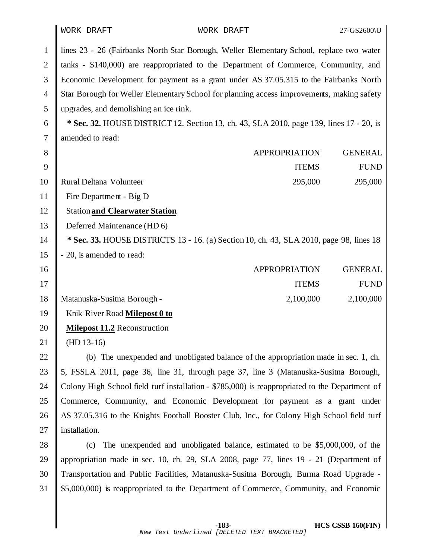lines 23 - 26 (Fairbanks North Star Borough, Weller Elementary School, replace two water 2 tanks - \$140,000) are reappropriated to the Department of Commerce, Community, and Economic Development for payment as a grant under AS 37.05.315 to the Fairbanks North Star Borough for Weller ElementarySchool for planning access improvements, making safety upgrades, and demolishing an ice rink.  **\* Sec. 32.** HOUSE DISTRICT 12. Section 13, ch. 43, SLA 2010, page 139, lines 17 - 20, is 7 amended to read: **APPROPRIATION** GENERAL ITEMS FUND Rural Deltana Volunteer 295,000 295,000 Fire Department - Big D Station **and Clearwater Station Deferred Maintenance (HD 6) \* Sec. 33.** HOUSE DISTRICTS 13 - 16. (a) Section 10, ch. 43, SLA 2010, page 98, lines 18  $\parallel$  - 20, is amended to read: APPROPRIATION GENERAL 17 || ITEMS FUND Matanuska-Susitna Borough - 2,100,000 2,100,000 Knik River Road **Milepost 0 to Milepost 11.2** Reconstruction (HD 13-16)  $\parallel$  (b) The unexpended and unobligated balance of the appropriation made in sec. 1, ch.  $\parallel$  5, FSSLA 2011, page 36, line 31, through page 37, line 3 (Matanuska-Susitna Borough, 24 Colony High School field turf installation - \$785,000) is reappropriated to the Department of Commerce, Community, and Economic Development for payment as a grant under 26 AS 37.05.316 to the Knights Football Booster Club, Inc., for Colony High School field turf 27 installation. 28 (c) The unexpended and unobligated balance, estimated to be \$5,000,000, of the appropriation made in sec. 10, ch. 29, SLA 2008, page 77, lines 19 - 21 (Department of Transportation and Public Facilities, Matanuska-Susitna Borough, Burma Road Upgrade - \$5,000,000) is reappropriated to the Department of Commerce, Community, and Economic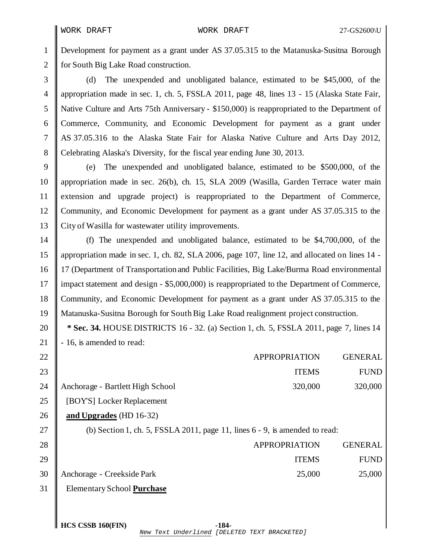Development for payment as a grant under AS 37.05.315 to the Matanuska-Susitna Borough 2 for South Big Lake Road construction.

 (d) The unexpended and unobligated balance, estimated to be \$45,000, of the appropriation made in sec. 1, ch. 5, FSSLA 2011, page 48, lines 13 - 15 (Alaska State Fair, Native Culture and Arts 75th Anniversary - \$150,000) is reappropriated to the Department of Commerce, Community, and Economic Development for payment as a grant under AS 37.05.316 to the Alaska State Fair for Alaska Native Culture and Arts Day 2012, Celebrating Alaska's Diversity, for the fiscal year ending June 30, 2013.

 (e) The unexpended and unobligated balance, estimated to be \$500,000, of the appropriation made in sec. 26(b), ch. 15, SLA 2009 (Wasilla, Garden Terrace water main extension and upgrade project) is reappropriated to the Department of Commerce, 12 Community, and Economic Development for payment as a grant under AS 37.05.315 to the City of Wasilla for wastewater utility improvements.

 (f) The unexpended and unobligated balance, estimated to be \$4,700,000, of the appropriation made in sec. 1, ch. 82, SLA 2006, page 107, line 12, and allocated on lines 14 - 17 (Department of Transportation and Public Facilities, Big Lake/Burma Road environmental 17 impact statement and design - \$5,000,000) is reappropriated to the Department of Commerce, 18 Community, and Economic Development for payment as a grant under AS 37.05.315 to the Matanuska-Susitna Borough for SouthBig Lake Road realignment project construction.

 **\* Sec. 34.** HOUSE DISTRICTS 16 - 32. (a) Section 1, ch. 5, FSSLA 2011, page 7, lines 14 21  $\parallel$  - 16, is amended to read:

| 22 |                                       | <b>APPROPRIATION</b> | <b>GENERAL</b> |
|----|---------------------------------------|----------------------|----------------|
| 23 |                                       | <b>ITEMS</b>         | <b>FUND</b>    |
|    | 24   Anchorage - Bartlett High School | 320,000              | 320,000        |
|    | 25    [BOY'S] Locker Replacement      |                      |                |

**and Upgrades** (HD 16-32)

27 (b) Section 1, ch. 5, FSSLA 2011, page 11, lines  $6 - 9$ , is amended to read:

| 28             |                                 | APPROPRIATION | <b>GENERAL</b> |
|----------------|---------------------------------|---------------|----------------|
| 29 $\parallel$ |                                 | <b>ITEMS</b>  | <b>FUND</b>    |
|                | 30   Anchorage - Creekside Park | 25,000        | 25,000         |

Elementary School **Purchase**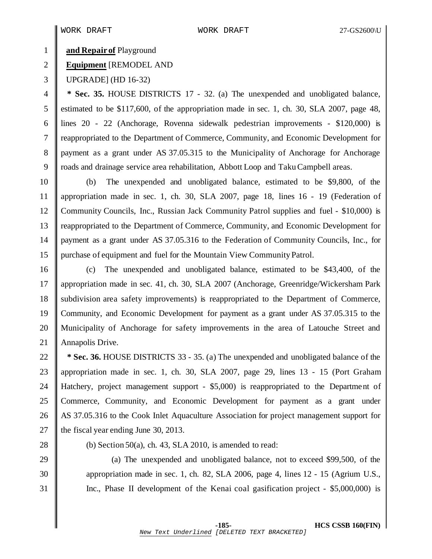## **and Repair of** Playground

# **Equipment** [REMODEL AND

UPGRADE] (HD 16-32)

 **\* Sec. 35.** HOUSE DISTRICTS 17 - 32. (a) The unexpended and unobligated balance, estimated to be \$117,600, of the appropriation made in sec. 1, ch. 30, SLA 2007, page 48, lines 20 - 22 (Anchorage, Rovenna sidewalk pedestrian improvements - \$120,000) is 7 Treappropriated to the Department of Commerce, Community, and Economic Development for payment as a grant under AS 37.05.315 to the Municipality of Anchorage for Anchorage roads and drainage service area rehabilitation, Abbott Loop and TakuCampbell areas.

 (b) The unexpended and unobligated balance, estimated to be \$9,800, of the appropriation made in sec. 1, ch. 30, SLA 2007, page 18, lines 16 - 19 (Federation of Community Councils, Inc., Russian Jack Community Patrol supplies and fuel - \$10,000) is reappropriated to the Department of Commerce, Community, and Economic Development for payment as a grant under AS 37.05.316 to the Federation of Community Councils, Inc., for purchase of equipment and fuel for the Mountain View CommunityPatrol.

 (c) The unexpended and unobligated balance, estimated to be \$43,400, of the appropriation made in sec. 41, ch. 30, SLA 2007 (Anchorage, Greenridge/Wickersham Park 18 Subdivision area safety improvements) is reappropriated to the Department of Commerce, Community, and Economic Development for payment as a grant under AS 37.05.315 to the 20 || Municipality of Anchorage for safety improvements in the area of Latouche Street and 21 | Annapolis Drive.

 **\* Sec. 36.** HOUSE DISTRICTS 33 - 35. (a) The unexpended and unobligated balance of the appropriation made in sec. 1, ch. 30, SLA 2007, page 29, lines 13 - 15 (Port Graham Hatchery, project management support - \$5,000) is reappropriated to the Department of Commerce, Community, and Economic Development for payment as a grant under 26 AS 37.05.316 to the Cook Inlet Aquaculture Association for project management support for  $\parallel$  the fiscal year ending June 30, 2013.

28 (b) Section 50(a), ch. 43, SLA 2010, is amended to read:

29 (a) The unexpended and unobligated balance, not to exceed \$99,500, of the appropriation made in sec. 1, ch. 82, SLA 2006, page 4, lines 12 - 15 (Agrium U.S., Inc., Phase II development of the Kenai coal gasification project - \$5,000,000) is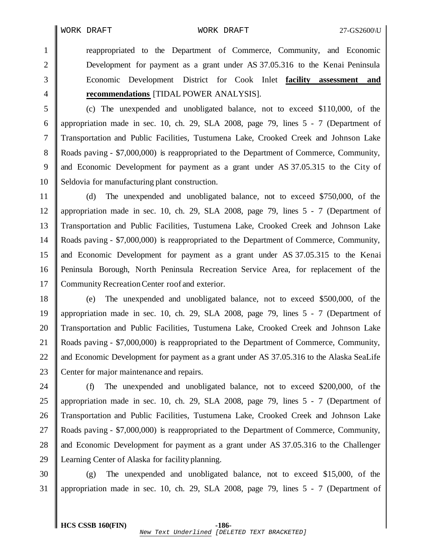reappropriated to the Department of Commerce, Community, and Economic Development for payment as a grant under AS 37.05.316 to the Kenai Peninsula Economic Development District for Cook Inlet **facility assessment and recommendations** [TIDAL POWER ANALYSIS].

 (c) The unexpended and unobligated balance, not to exceed \$110,000, of the appropriation made in sec. 10, ch. 29, SLA 2008, page 79, lines 5 - 7 (Department of Transportation and Public Facilities, Tustumena Lake, Crooked Creek and Johnson Lake Roads paving - \$7,000,000) is reappropriated to the Department of Commerce, Community, and Economic Development for payment as a grant under AS 37.05.315 to the City of 10 Seldovia for manufacturing plant construction.

 (d) The unexpended and unobligated balance, not to exceed \$750,000, of the appropriation made in sec. 10, ch. 29, SLA 2008, page 79, lines 5 - 7 (Department of Transportation and Public Facilities, Tustumena Lake, Crooked Creek and Johnson Lake Roads paving - \$7,000,000) is reappropriated to the Department of Commerce, Community, and Economic Development for payment as a grant under AS 37.05.315 to the Kenai Peninsula Borough, North Peninsula Recreation Service Area, for replacement of the 17 Community Recreation Center roof and exterior.

 (e) The unexpended and unobligated balance, not to exceed \$500,000, of the appropriation made in sec. 10, ch. 29, SLA 2008, page 79, lines 5 - 7 (Department of 20 Transportation and Public Facilities, Tustumena Lake, Crooked Creek and Johnson Lake Roads paving - \$7,000,000) is reappropriated to the Department of Commerce, Community, 22 and Economic Development for payment as a grant under AS 37.05.316 to the Alaska SeaLife 23 Center for major maintenance and repairs.

24 (f) The unexpended and unobligated balance, not to exceed \$200,000, of the appropriation made in sec. 10, ch. 29, SLA 2008, page 79, lines 5 - 7 (Department of 26 Transportation and Public Facilities, Tustumena Lake, Crooked Creek and Johnson Lake Roads paving - \$7,000,000) is reappropriated to the Department of Commerce, Community, 28 and Economic Development for payment as a grant under AS 37.05.316 to the Challenger Learning Center of Alaska for facility planning.

 (g) The unexpended and unobligated balance, not to exceed \$15,000, of the appropriation made in sec. 10, ch. 29, SLA 2008, page 79, lines 5 - 7 (Department of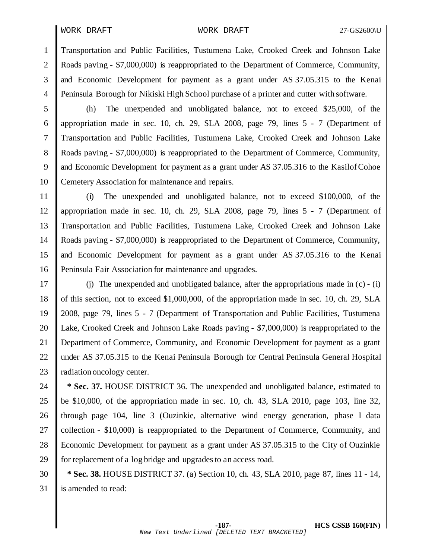WORK DRAFT WORK DRAFT 27-GS2600\U

 Transportation and Public Facilities, Tustumena Lake, Crooked Creek and Johnson Lake 2 Roads paving - \$7,000,000) is reappropriated to the Department of Commerce, Community, and Economic Development for payment as a grant under AS 37.05.315 to the Kenai Peninsula Borough for Nikiski High School purchase of a printer and cutter with software.

 (h) The unexpended and unobligated balance, not to exceed \$25,000, of the appropriation made in sec. 10, ch. 29, SLA 2008, page 79, lines 5 - 7 (Department of Transportation and Public Facilities, Tustumena Lake, Crooked Creek and Johnson Lake Roads paving - \$7,000,000) is reappropriated to the Department of Commerce, Community, and Economic Development for payment as a grant under AS 37.05.316 to the KasilofCohoe 10 Cemetery Association for maintenance and repairs.

 (i) The unexpended and unobligated balance, not to exceed \$100,000, of the appropriation made in sec. 10, ch. 29, SLA 2008, page 79, lines 5 - 7 (Department of Transportation and Public Facilities, Tustumena Lake, Crooked Creek and Johnson Lake Roads paving - \$7,000,000) is reappropriated to the Department of Commerce, Community, and Economic Development for payment as a grant under AS 37.05.316 to the Kenai Peninsula Fair Association for maintenance and upgrades.

17 (i) The unexpended and unobligated balance, after the appropriations made in  $(c) - (i)$ 18 of this section, not to exceed \$1,000,000, of the appropriation made in sec. 10, ch. 29, SLA 2008, page 79, lines 5 - 7 (Department of Transportation and Public Facilities, Tustumena Lake, Crooked Creek and Johnson Lake Roads paving - \$7,000,000) is reappropriated to the Department of Commerce, Community, and Economic Development for payment as a grant 22 under AS 37.05.315 to the Kenai Peninsula Borough for Central Peninsula General Hospital **radiation oncology center.** 

 **\* Sec. 37.** HOUSE DISTRICT 36. The unexpended and unobligated balance, estimated to 25 be \$10,000, of the appropriation made in sec. 10, ch. 43, SLA 2010, page 103, line 32, 26 I through page 104, line 3 (Ouzinkie, alternative wind energy generation, phase I data 27 Collection -  $$10,000$  is reappropriated to the Department of Commerce, Community, and Economic Development for payment as a grant under AS 37.05.315 to the City of Ouzinkie 29 for replacement of a log bridge and upgrades to an access road.

 **\* Sec. 38.** HOUSE DISTRICT 37. (a) Section 10, ch. 43, SLA 2010, page 87, lines 11 - 14, 31 is amended to read: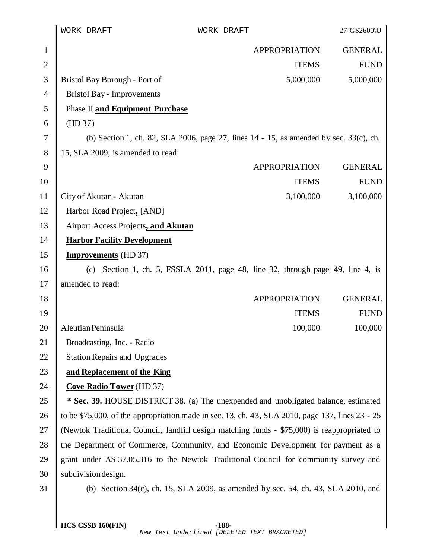|                | WORK DRAFT                                                                                      | WORK DRAFT                                                                          | 27-GS2600\U    |
|----------------|-------------------------------------------------------------------------------------------------|-------------------------------------------------------------------------------------|----------------|
| $\mathbf{1}$   |                                                                                                 | <b>APPROPRIATION</b>                                                                | <b>GENERAL</b> |
| $\mathbf{2}$   |                                                                                                 | <b>ITEMS</b>                                                                        | <b>FUND</b>    |
| $\mathfrak{Z}$ | Bristol Bay Borough - Port of                                                                   | 5,000,000                                                                           | 5,000,000      |
| 4              | <b>Bristol Bay - Improvements</b>                                                               |                                                                                     |                |
| 5              | Phase II and Equipment Purchase                                                                 |                                                                                     |                |
| 6              | (HD 37)                                                                                         |                                                                                     |                |
| 7              | (b) Section 1, ch. 82, SLA 2006, page 27, lines $14 - 15$ , as amended by sec. 33(c), ch.       |                                                                                     |                |
| 8              | 15, SLA 2009, is amended to read:                                                               |                                                                                     |                |
| 9              |                                                                                                 | <b>APPROPRIATION</b>                                                                | <b>GENERAL</b> |
| 10             |                                                                                                 | <b>ITEMS</b>                                                                        | <b>FUND</b>    |
| 11             | City of Akutan - Akutan                                                                         | 3,100,000                                                                           | 3,100,000      |
| 12             | Harbor Road Project, [AND]                                                                      |                                                                                     |                |
| 13             | Airport Access Projects, and Akutan                                                             |                                                                                     |                |
| 14             | <b>Harbor Facility Development</b>                                                              |                                                                                     |                |
| 15             | <b>Improvements</b> (HD 37)                                                                     |                                                                                     |                |
| 16             |                                                                                                 | (c) Section 1, ch. 5, FSSLA 2011, page 48, line 32, through page 49, line 4, is     |                |
| 17             | amended to read:                                                                                |                                                                                     |                |
| 18             |                                                                                                 | <b>APPROPRIATION</b>                                                                | <b>GENERAL</b> |
| 19             |                                                                                                 | <b>ITEMS</b>                                                                        | <b>FUND</b>    |
| 20             | Aleutian Peninsula                                                                              | 100,000                                                                             | 100,000        |
| 21             | Broadcasting, Inc. - Radio                                                                      |                                                                                     |                |
| 22             | <b>Station Repairs and Upgrades</b>                                                             |                                                                                     |                |
| 23             | and Replacement of the King                                                                     |                                                                                     |                |
| 24             | <b>Cove Radio Tower</b> (HD 37)                                                                 |                                                                                     |                |
| 25             |                                                                                                 | * Sec. 39. HOUSE DISTRICT 38. (a) The unexpended and unobligated balance, estimated |                |
| 26             | to be \$75,000, of the appropriation made in sec. 13, ch. 43, SLA 2010, page 137, lines 23 - 25 |                                                                                     |                |
| 27             | (Newtok Traditional Council, landfill design matching funds - \$75,000) is reappropriated to    |                                                                                     |                |
| 28             | the Department of Commerce, Community, and Economic Development for payment as a                |                                                                                     |                |
| 29             | grant under AS 37.05.316 to the Newtok Traditional Council for community survey and             |                                                                                     |                |
| 30             | subdivision design.                                                                             |                                                                                     |                |
| 31             |                                                                                                 | (b) Section 34(c), ch. 15, SLA 2009, as amended by sec. 54, ch. 43, SLA 2010, and   |                |
|                |                                                                                                 |                                                                                     |                |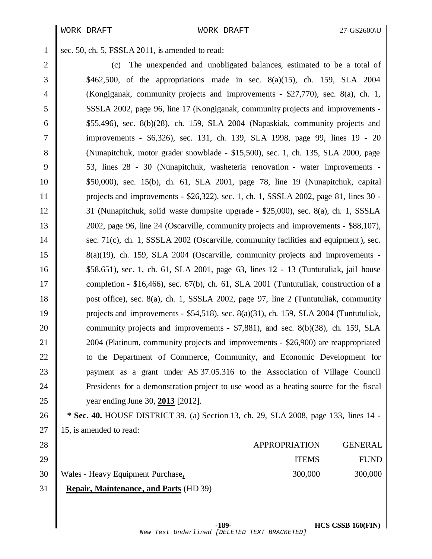1 sec. 50, ch. 5, FSSLA 2011, is amended to read:

2 (c) The unexpended and unobligated balances, estimated to be a total of \$462,500, of the appropriations made in sec. 8(a)(15), ch. 159, SLA 2004 (Kongiganak, community projects and improvements - \$27,770), sec. 8(a), ch. 1, SSSLA 2002, page 96, line 17 (Kongiganak, community projects and improvements -  $\blacksquare$  \$55,496), sec. 8(b)(28), ch. 159, SLA 2004 (Napaskiak, community projects and 7 | improvements - \$6,326), sec. 131, ch. 139, SLA 1998, page 99, lines 19 - 20 8 (Nunapitchuk, motor grader snowblade - \$15,500), sec. 1, ch. 135, SLA 2000, page 53, lines 28 - 30 (Nunapitchuk, washeteria renovation - water improvements - \$50,000), sec. 15(b), ch. 61, SLA 2001, page 78, line 19 (Nunapitchuk, capital projects and improvements - \$26,322), sec. 1, ch. 1, SSSLA 2002, page 81, lines 30 - 31 (Nunapitchuk, solid waste dumpsite upgrade - \$25,000), sec. 8(a), ch. 1, SSSLA 2002, page 96, line 24 (Oscarville, community projects and improvements - \$88,107), 14 sec. 71(c), ch. 1, SSSLA 2002 (Oscarville, community facilities and equipment), sec. 8(a)(19), ch. 159, SLA 2004 (Oscarville, community projects and improvements - \$58,651), sec. 1, ch. 61, SLA 2001, page 63, lines 12 - 13 (Tuntutuliak, jail house 17 completion - \$16,466), sec. 67(b), ch. 61, SLA 2001 (Tuntutuliak, construction of a **post office), sec. 8(a), ch. 1, SSSLA 2002, page 97, line 2 (Tuntutuliak, community projects and improvements - \$54,518)**, sec.  $8(a)(31)$ , ch. 159, SLA 2004 (Tuntutuliak, **community projects and improvements - \$7,881), and sec. 8(b)(38), ch. 159, SLA 2004** (Platinum, community projects and improvements - \$26,900) are reappropriated **u** to the Department of Commerce, Community, and Economic Development for **payment** as a grant under AS 37.05.316 to the Association of Village Council **Presidents** for a demonstration project to use wood as a heating source for the fiscal year ending June 30, **2013** [2012].

 **\* Sec. 40.** HOUSE DISTRICT 39. (a) Section 13, ch. 29, SLA 2008, page 133, lines 14 - 27 | 15, is amended to read:

|    | 31 <b>Repair, Maintenance, and Parts</b> (HD 39) |                      |                |
|----|--------------------------------------------------|----------------------|----------------|
|    | 30 Wales - Heavy Equipment Purchase,             | 300,000              | 300,000        |
| 29 |                                                  | <b>ITEMS</b>         | <b>FUND</b>    |
| 28 |                                                  | <b>APPROPRIATION</b> | <b>GENERAL</b> |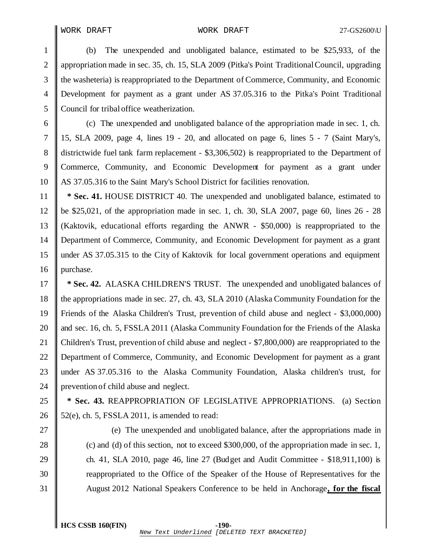### WORK DRAFT WORK DRAFT 27-GS2600\U

 (b) The unexpended and unobligated balance, estimated to be \$25,933, of the appropriation made in sec. 35, ch. 15, SLA 2009 (Pitka's Point TraditionalCouncil, upgrading the washeteria) is reappropriated to the Department of Commerce, Community, and Economic Development for payment as a grant under AS 37.05.316 to the Pitka's Point Traditional Council for tribal office weatherization.

 (c) The unexpended and unobligated balance of the appropriation made in sec. 1, ch. 15, SLA 2009, page 4, lines 19 - 20, and allocated on page 6, lines 5 - 7 (Saint Mary's, districtwide fuel tank farm replacement - \$3,306,502) is reappropriated to the Department of Commerce, Community, and Economic Development for payment as a grant under AS 37.05.316 to the Saint Mary's School District for facilities renovation.

 **\* Sec. 41.** HOUSE DISTRICT 40. The unexpended and unobligated balance, estimated to be \$25,021, of the appropriation made in sec. 1, ch. 30, SLA 2007, page 60, lines 26 - 28 (Kaktovik, educational efforts regarding the ANWR - \$50,000) is reappropriated to the Department of Commerce, Community, and Economic Development for payment as a grant under AS 37.05.315 to the City of Kaktovik for local government operations and equipment purchase.

 **\* Sec. 42.** ALASKA CHILDREN'S TRUST. The unexpended and unobligated balances of the appropriations made in sec. 27, ch. 43, SLA 2010 (Alaska Community Foundation for the Friends of the Alaska Children's Trust, prevention of child abuse and neglect - \$3,000,000) 20 and sec. 16, ch. 5, FSSLA 2011 (Alaska Community Foundation for the Friends of the Alaska 21 Children's Trust, prevention of child abuse and neglect - \$7,800,000) are reappropriated to the 22 Department of Commerce, Community, and Economic Development for payment as a grant 23 || under AS 37.05.316 to the Alaska Community Foundation, Alaska children's trust, for **prevention of child abuse and neglect.** 

 **\* Sec. 43.** REAPPROPRIATION OF LEGISLATIVE APPROPRIATIONS. (a) Section 26  $\parallel$  52(e), ch. 5, FSSLA 2011, is amended to read:

 (e) The unexpended and unobligated balance, after the appropriations made in 28 (c) and (d) of this section, not to exceed \$300,000, of the appropriation made in sec. 1, 29 ch. 41, SLA 2010, page 46, line 27 (Budget and Audit Committee - \$18,911,100) is reappropriated to the Office of the Speaker of the House of Representatives for the August 2012 National Speakers Conference to be held in Anchorage**, for the fiscal**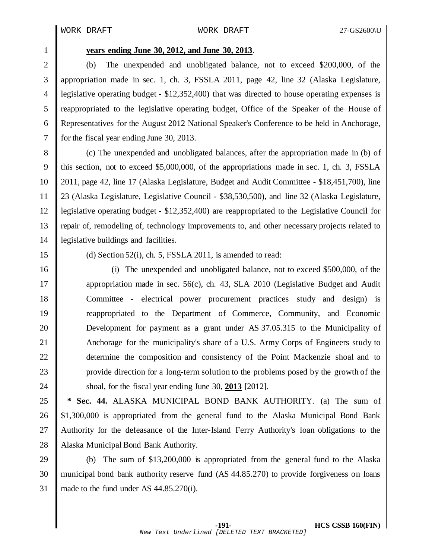# **years ending June 30, 2012, and June 30, 2013**.

2 (b) The unexpended and unobligated balance, not to exceed \$200,000, of the appropriation made in sec. 1, ch. 3, FSSLA 2011, page 42, line 32 (Alaska Legislature, legislative operating budget - \$12,352,400) that was directed to house operating expenses is reappropriated to the legislative operating budget, Office of the Speaker of the House of Representatives for the August 2012 National Speaker's Conference to be held in Anchorage, for the fiscal year ending June 30, 2013.

 (c) The unexpended and unobligated balances, after the appropriation made in (b) of this section, not to exceed \$5,000,000, of the appropriations made in sec. 1, ch. 3, FSSLA 2011, page 42, line 17 (Alaska Legislature, Budget and Audit Committee - \$18,451,700), line 23 (Alaska Legislature, Legislative Council - \$38,530,500), and line 32 (Alaska Legislature, legislative operating budget - \$12,352,400) are reappropriated to the Legislative Council for repair of, remodeling of, technology improvements to, and other necessary projects related to legislative buildings and facilities.

15 (d) Section 52(i), ch. 5, FSSLA 2011, is amended to read:

 (i) The unexpended and unobligated balance, not to exceed \$500,000, of the **appropriation made in sec. 56(c), ch. 43, SLA 2010 (Legislative Budget and Audit**  Committee - electrical power procurement practices study and design) is reappropriated to the Department of Commerce, Community, and Economic Development for payment as a grant under AS 37.05.315 to the Municipality of 21 Anchorage for the municipality's share of a U.S. Army Corps of Engineers study to **determine the composition and consistency of the Point Mackenzie shoal and to** 23 provide direction for a long-term solution to the problems posed by the growth of the **Shoal, for the fiscal year ending June 30, 2013** [2012].

 **\* Sec. 44.** ALASKA MUNICIPAL BOND BANK AUTHORITY. (a) The sum of  $\parallel$  \$1,300,000 is appropriated from the general fund to the Alaska Municipal Bond Bank 27 Authority for the defeasance of the Inter-Island Ferry Authority's loan obligations to the 28 Alaska Municipal Bond Bank Authority.

 (b) The sum of \$13,200,000 is appropriated from the general fund to the Alaska municipal bond bank authority reserve fund (AS 44.85.270) to provide forgiveness on loans 31 || made to the fund under AS  $44.85.270(i)$ .